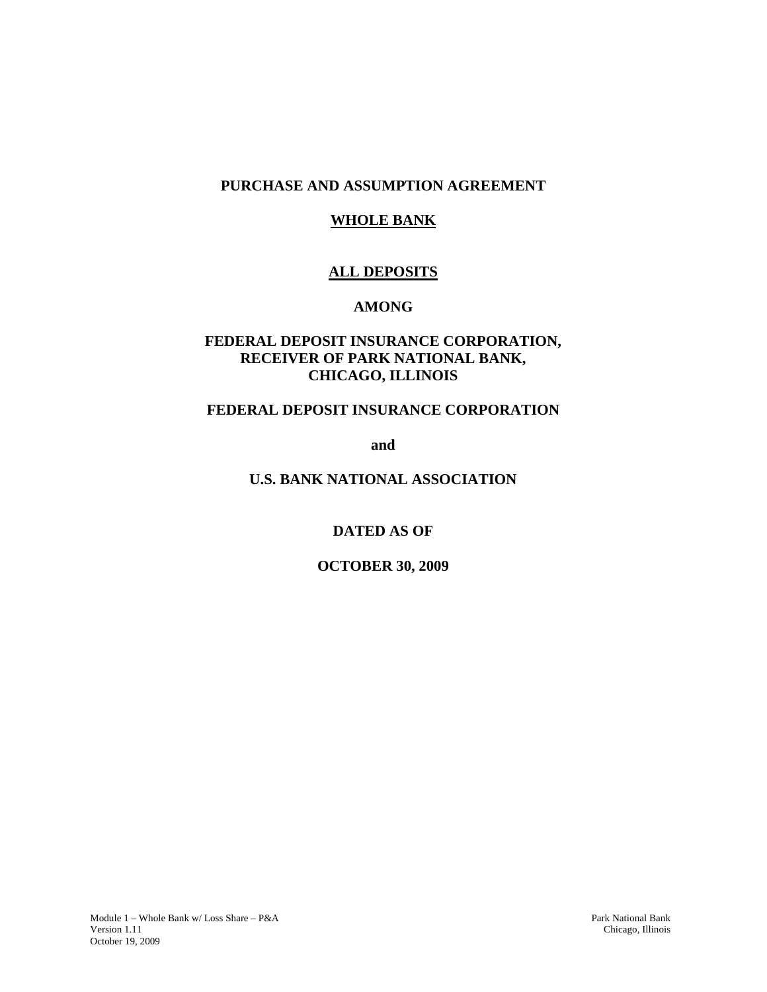#### **PURCHASE AND ASSUMPTION AGREEMENT**

### **WHOLE BANK**

### **ALL DEPOSITS**

### **AMONG**

### **FEDERAL DEPOSIT INSURANCE CORPORATION, RECEIVER OF PARK NATIONAL BANK, CHICAGO, ILLINOIS**

#### **FEDERAL DEPOSIT INSURANCE CORPORATION**

**and** 

### **U.S. BANK NATIONAL ASSOCIATION**

**DATED AS OF**

**OCTOBER 30, 2009**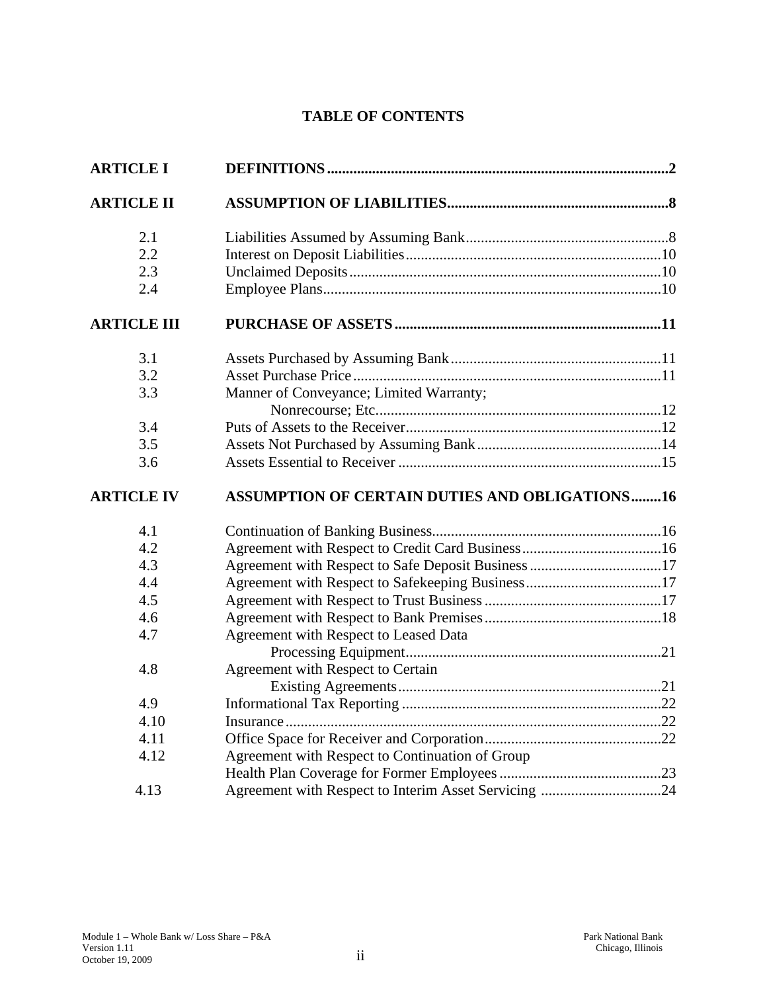## **TABLE OF CONTENTS**

| <b>ARTICLE I</b>   |                                                       |  |
|--------------------|-------------------------------------------------------|--|
| <b>ARTICLE II</b>  |                                                       |  |
| 2.1                |                                                       |  |
| 2.2                |                                                       |  |
| 2.3                |                                                       |  |
| 2.4                |                                                       |  |
| <b>ARTICLE III</b> |                                                       |  |
| 3.1                |                                                       |  |
| 3.2                |                                                       |  |
| 3.3                | Manner of Conveyance; Limited Warranty;               |  |
|                    |                                                       |  |
| 3.4                |                                                       |  |
| 3.5                |                                                       |  |
| 3.6                |                                                       |  |
| <b>ARTICLE IV</b>  | <b>ASSUMPTION OF CERTAIN DUTIES AND OBLIGATIONS16</b> |  |
| 4.1                |                                                       |  |
| 4.2                |                                                       |  |
| 4.3                |                                                       |  |
| 4.4                |                                                       |  |
| 4.5                |                                                       |  |
| 4.6                |                                                       |  |
| 4.7                | Agreement with Respect to Leased Data                 |  |
|                    |                                                       |  |
| 4.8                | Agreement with Respect to Certain                     |  |
|                    |                                                       |  |
| 4.9                |                                                       |  |
| 4.10               |                                                       |  |
|                    |                                                       |  |
| 4.11               |                                                       |  |
| 4.12               | Agreement with Respect to Continuation of Group       |  |
|                    | Agreement with Respect to Interim Asset Servicing 24  |  |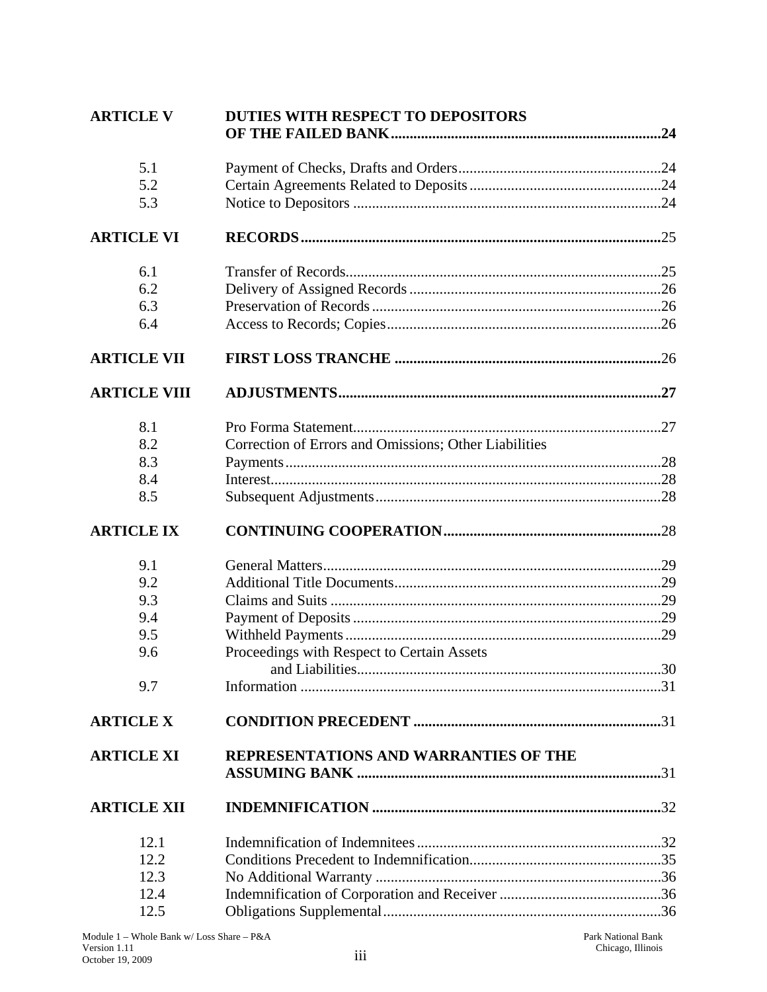| <b>ARTICLE V</b>    | DUTIES WITH RESPECT TO DEPOSITORS                     |  |
|---------------------|-------------------------------------------------------|--|
|                     |                                                       |  |
| 5.1                 |                                                       |  |
| 5.2                 |                                                       |  |
| 5.3                 |                                                       |  |
| <b>ARTICLE VI</b>   |                                                       |  |
| 6.1                 |                                                       |  |
| 6.2                 |                                                       |  |
| 6.3                 |                                                       |  |
| 6.4                 |                                                       |  |
| <b>ARTICLE VII</b>  |                                                       |  |
| <b>ARTICLE VIII</b> |                                                       |  |
| 8.1                 |                                                       |  |
| 8.2                 | Correction of Errors and Omissions; Other Liabilities |  |
| 8.3                 |                                                       |  |
| 8.4                 |                                                       |  |
| 8.5                 |                                                       |  |
| <b>ARTICLE IX</b>   |                                                       |  |
| 9.1                 |                                                       |  |
| 9.2                 |                                                       |  |
| 9.3                 |                                                       |  |
| 9.4                 |                                                       |  |
| 9.5                 |                                                       |  |
| 9.6                 | Proceedings with Respect to Certain Assets            |  |
|                     |                                                       |  |
| 9.7                 |                                                       |  |
| <b>ARTICLE X</b>    |                                                       |  |
| <b>ARTICLE XI</b>   | <b>REPRESENTATIONS AND WARRANTIES OF THE</b>          |  |
| <b>ARTICLE XII</b>  |                                                       |  |
| 12.1                |                                                       |  |
| 12.2                |                                                       |  |
| 12.3                |                                                       |  |
| 12.4                |                                                       |  |
| 12.5                |                                                       |  |
|                     |                                                       |  |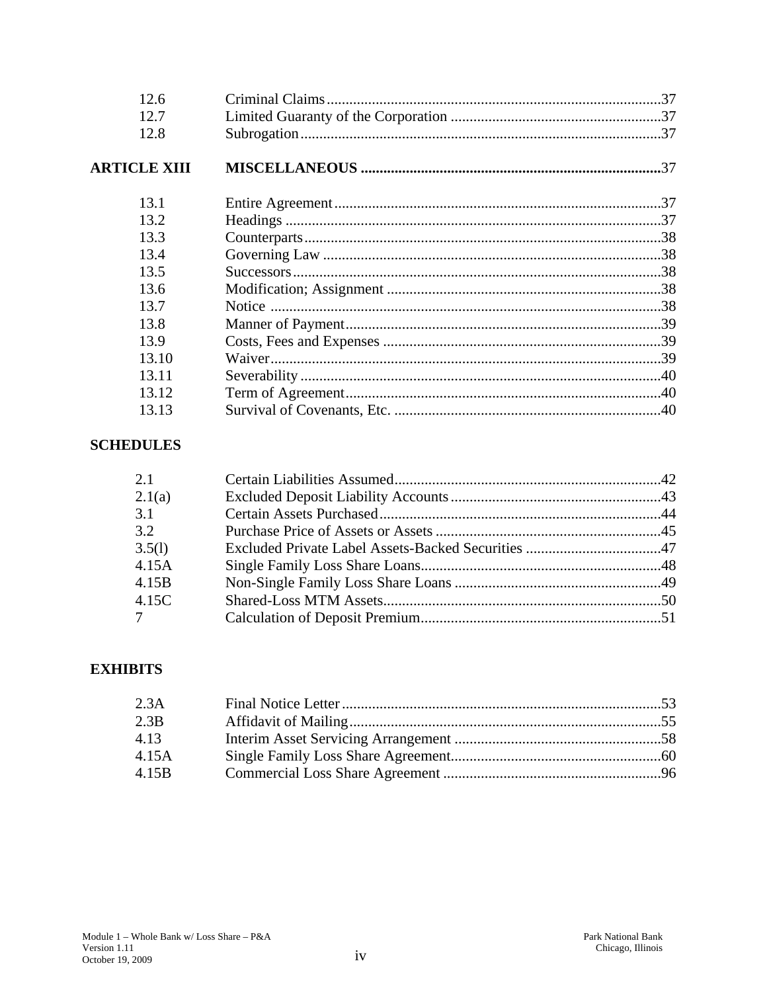| 12.6                |  |
|---------------------|--|
| 12.7                |  |
| 12.8                |  |
| <b>ARTICLE XIII</b> |  |
| 13.1                |  |
| 13.2                |  |
| 13.3                |  |
| 13.4                |  |
| 13.5                |  |
| 13.6                |  |
| 13.7                |  |
| 13.8                |  |
| 13.9                |  |
| 13.10               |  |
| 13.11               |  |
| 13.12               |  |
| 13.13               |  |

### **SCHEDULES**

| 2.1              |  |
|------------------|--|
| 2.1(a)           |  |
| 3.1              |  |
| 3.2              |  |
| 3.5(l)           |  |
| 4.15A            |  |
| 4.15B            |  |
| 4.15C            |  |
| $7 \overline{ }$ |  |

### **EXHIBITS**

| 2.3A  |  |
|-------|--|
| 2.3B  |  |
| 4.13  |  |
| 4.15A |  |
| 4.15B |  |
|       |  |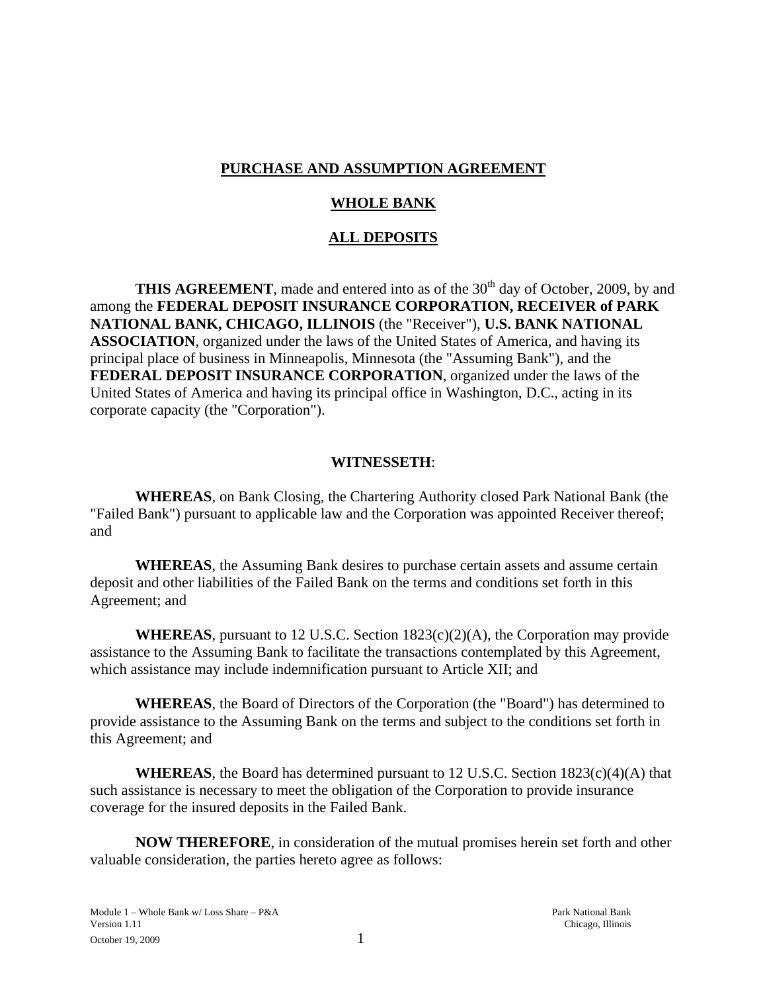### **PURCHASE AND ASSUMPTION AGREEMENT**

### **WHOLE BANK**

### **ALL DEPOSITS**

**THIS AGREEMENT**, made and entered into as of the 30<sup>th</sup> day of October, 2009, by and among the **FEDERAL DEPOSIT INSURANCE CORPORATION, RECEIVER of PARK NATIONAL BANK, CHICAGO, ILLINOIS** (the "Receiver"), **U.S. BANK NATIONAL ASSOCIATION**, organized under the laws of the United States of America, and having its principal place of business in Minneapolis, Minnesota (the "Assuming Bank"), and the **FEDERAL DEPOSIT INSURANCE CORPORATION**, organized under the laws of the United States of America and having its principal office in Washington, D.C., acting in its corporate capacity (the "Corporation").

#### **WITNESSETH**:

**WHEREAS**, on Bank Closing, the Chartering Authority closed Park National Bank (the "Failed Bank") pursuant to applicable law and the Corporation was appointed Receiver thereof; and

**WHEREAS**, the Assuming Bank desires to purchase certain assets and assume certain deposit and other liabilities of the Failed Bank on the terms and conditions set forth in this Agreement; and

**WHEREAS**, pursuant to 12 U.S.C. Section 1823(c)(2)(A), the Corporation may provide assistance to the Assuming Bank to facilitate the transactions contemplated by this Agreement, which assistance may include indemnification pursuant to Article XII; and

**WHEREAS**, the Board of Directors of the Corporation (the "Board") has determined to provide assistance to the Assuming Bank on the terms and subject to the conditions set forth in this Agreement; and

**WHEREAS**, the Board has determined pursuant to 12 U.S.C. Section 1823(c)(4)(A) that such assistance is necessary to meet the obligation of the Corporation to provide insurance coverage for the insured deposits in the Failed Bank.

 **NOW THEREFORE**, in consideration of the mutual promises herein set forth and other valuable consideration, the parties hereto agree as follows: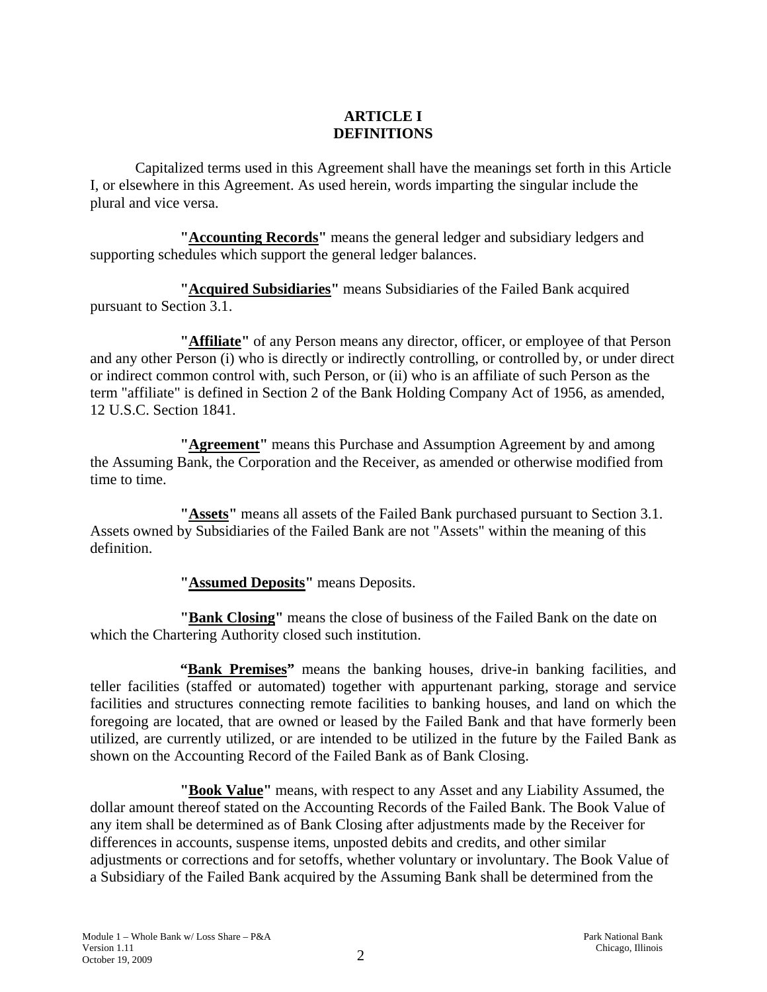## **ARTICLE I DEFINITIONS**

<span id="page-5-1"></span><span id="page-5-0"></span>Capitalized terms used in this Agreement shall have the meanings set forth in this Article I, or elsewhere in this Agreement. As used herein, words imparting the singular include the plural and vice versa.

**"Accounting Records"** means the general ledger and subsidiary ledgers and supporting schedules which support the general ledger balances.

**"Acquired Subsidiaries"** means Subsidiaries of the Failed Bank acquired pursuant to Section 3.1.

**"Affiliate"** of any Person means any director, officer, or employee of that Person and any other Person (i) who is directly or indirectly controlling, or controlled by, or under direct or indirect common control with, such Person, or (ii) who is an affiliate of such Person as the term "affiliate" is defined in Section 2 of the Bank Holding Company Act of 1956, as amended, 12 U.S.C. Section 1841.

**"Agreement"** means this Purchase and Assumption Agreement by and among the Assuming Bank, the Corporation and the Receiver, as amended or otherwise modified from time to time.

**"Assets"** means all assets of the Failed Bank purchased pursuant to Section 3.1. Assets owned by Subsidiaries of the Failed Bank are not "Assets" within the meaning of this definition.

**"Assumed Deposits"** means Deposits.

**"Bank Closing"** means the close of business of the Failed Bank on the date on which the Chartering Authority closed such institution.

**"Bank Premises"** means the banking houses, drive-in banking facilities, and teller facilities (staffed or automated) together with appurtenant parking, storage and service facilities and structures connecting remote facilities to banking houses, and land on which the foregoing are located, that are owned or leased by the Failed Bank and that have formerly been utilized, are currently utilized, or are intended to be utilized in the future by the Failed Bank as shown on the Accounting Record of the Failed Bank as of Bank Closing.

**"Book Value"** means, with respect to any Asset and any Liability Assumed, the dollar amount thereof stated on the Accounting Records of the Failed Bank. The Book Value of any item shall be determined as of Bank Closing after adjustments made by the Receiver for differences in accounts, suspense items, unposted debits and credits, and other similar adjustments or corrections and for setoffs, whether voluntary or involuntary. The Book Value of a Subsidiary of the Failed Bank acquired by the Assuming Bank shall be determined from the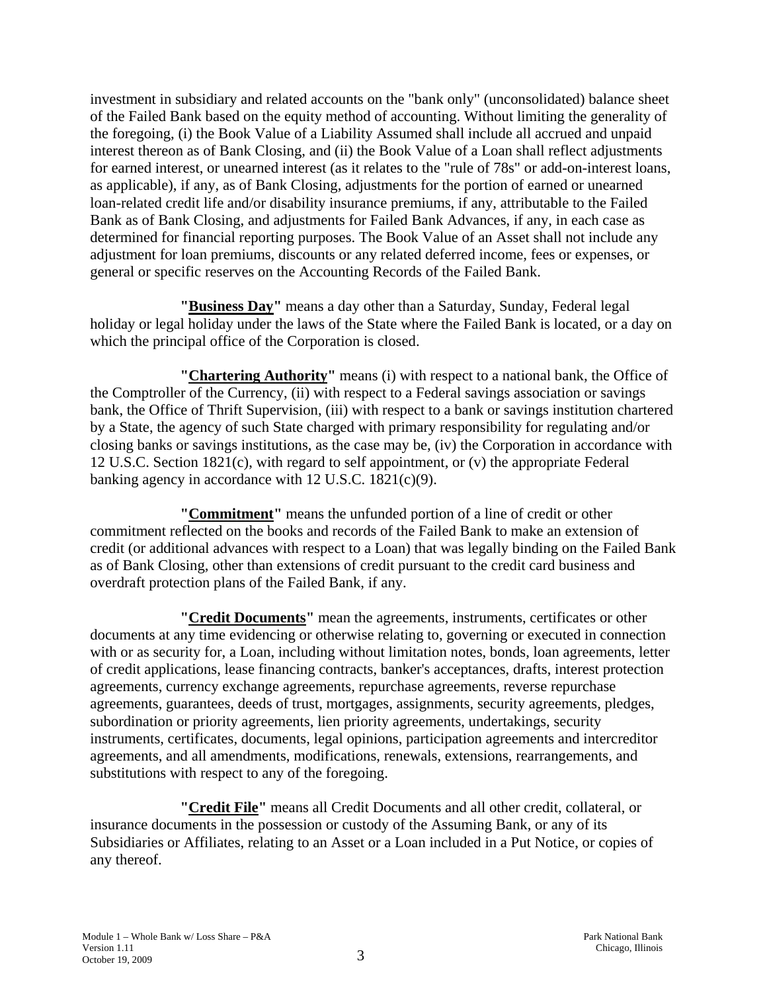<span id="page-6-0"></span>investment in subsidiary and related accounts on the "bank only" (unconsolidated) balance sheet of the Failed Bank based on the equity method of accounting. Without limiting the generality of the foregoing, (i) the Book Value of a Liability Assumed shall include all accrued and unpaid interest thereon as of Bank Closing, and (ii) the Book Value of a Loan shall reflect adjustments for earned interest, or unearned interest (as it relates to the "rule of 78s" or add-on-interest loans, as applicable), if any, as of Bank Closing, adjustments for the portion of earned or unearned loan-related credit life and/or disability insurance premiums, if any, attributable to the Failed Bank as of Bank Closing, and adjustments for Failed Bank Advances, if any, in each case as determined for financial reporting purposes. The Book Value of an Asset shall not include any adjustment for loan premiums, discounts or any related deferred income, fees or expenses, or general or specific reserves on the Accounting Records of the Failed Bank.

**"Business Day"** means a day other than a Saturday, Sunday, Federal legal holiday or legal holiday under the laws of the State where the Failed Bank is located, or a day on which the principal office of the Corporation is closed.

**"Chartering Authority"** means (i) with respect to a national bank, the Office of the Comptroller of the Currency, (ii) with respect to a Federal savings association or savings bank, the Office of Thrift Supervision, (iii) with respect to a bank or savings institution chartered by a State, the agency of such State charged with primary responsibility for regulating and/or closing banks or savings institutions, as the case may be, (iv) the Corporation in accordance with 12 U.S.C. Section 1821(c), with regard to self appointment, or (v) the appropriate Federal banking agency in accordance with 12 U.S.C. 1821(c)(9).

**"Commitment"** means the unfunded portion of a line of credit or other commitment reflected on the books and records of the Failed Bank to make an extension of credit (or additional advances with respect to a Loan) that was legally binding on the Failed Bank as of Bank Closing, other than extensions of credit pursuant to the credit card business and overdraft protection plans of the Failed Bank, if any.

**"Credit Documents"** mean the agreements, instruments, certificates or other documents at any time evidencing or otherwise relating to, governing or executed in connection with or as security for, a Loan, including without limitation notes, bonds, loan agreements, letter of credit applications, lease financing contracts, banker's acceptances, drafts, interest protection agreements, currency exchange agreements, repurchase agreements, reverse repurchase agreements, guarantees, deeds of trust, mortgages, assignments, security agreements, pledges, subordination or priority agreements, lien priority agreements, undertakings, security instruments, certificates, documents, legal opinions, participation agreements and intercreditor agreements, and all amendments, modifications, renewals, extensions, rearrangements, and substitutions with respect to any of the foregoing.

**"Credit File"** means all Credit Documents and all other credit, collateral, or insurance documents in the possession or custody of the Assuming Bank, or any of its Subsidiaries or Affiliates, relating to an Asset or a Loan included in a Put Notice, or copies of any thereof.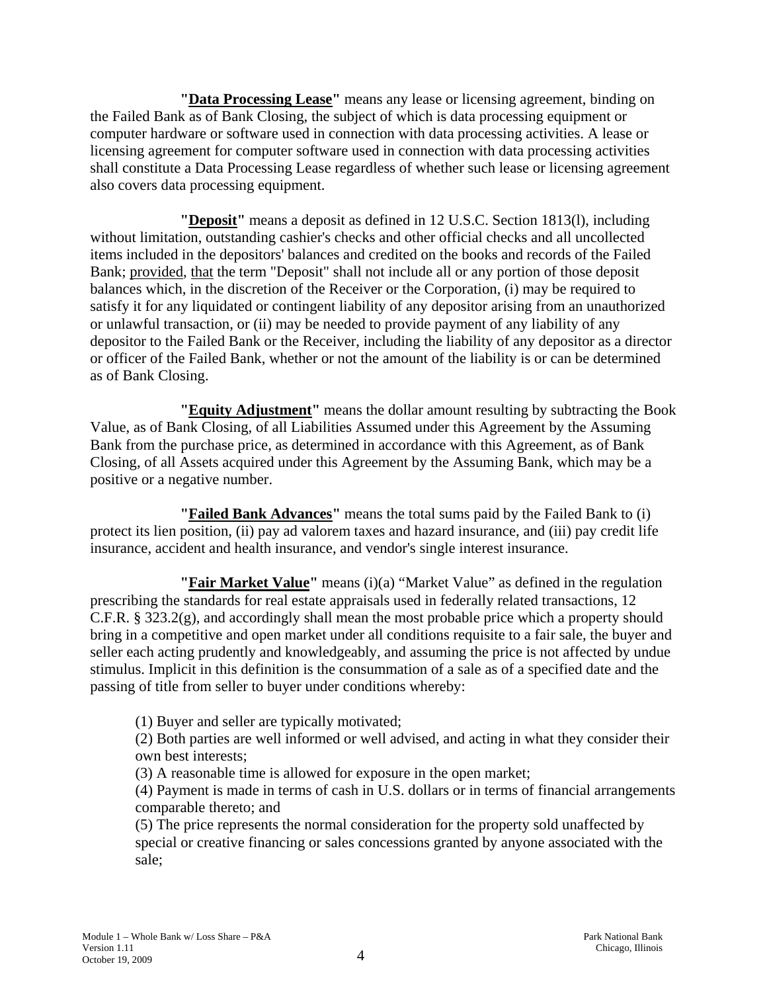<span id="page-7-0"></span> **"Data Processing Lease"** means any lease or licensing agreement, binding on the Failed Bank as of Bank Closing, the subject of which is data processing equipment or computer hardware or software used in connection with data processing activities. A lease or licensing agreement for computer software used in connection with data processing activities shall constitute a Data Processing Lease regardless of whether such lease or licensing agreement also covers data processing equipment.

**"Deposit"** means a deposit as defined in 12 U.S.C. Section 1813(l), including without limitation, outstanding cashier's checks and other official checks and all uncollected items included in the depositors' balances and credited on the books and records of the Failed Bank; provided, that the term "Deposit" shall not include all or any portion of those deposit balances which, in the discretion of the Receiver or the Corporation, (i) may be required to satisfy it for any liquidated or contingent liability of any depositor arising from an unauthorized or unlawful transaction, or (ii) may be needed to provide payment of any liability of any depositor to the Failed Bank or the Receiver, including the liability of any depositor as a director or officer of the Failed Bank, whether or not the amount of the liability is or can be determined as of Bank Closing.

**"Equity Adjustment"** means the dollar amount resulting by subtracting the Book Value, as of Bank Closing, of all Liabilities Assumed under this Agreement by the Assuming Bank from the purchase price, as determined in accordance with this Agreement, as of Bank Closing, of all Assets acquired under this Agreement by the Assuming Bank, which may be a positive or a negative number.

**"Failed Bank Advances"** means the total sums paid by the Failed Bank to (i) protect its lien position, (ii) pay ad valorem taxes and hazard insurance, and (iii) pay credit life insurance, accident and health insurance, and vendor's single interest insurance.

**"Fair Market Value"** means (i)(a) "Market Value" as defined in the regulation prescribing the standards for real estate appraisals used in federally related transactions, 12 C.F.R. § 323.2(g), and accordingly shall mean the most probable price which a property should bring in a competitive and open market under all conditions requisite to a fair sale, the buyer and seller each acting prudently and knowledgeably, and assuming the price is not affected by undue stimulus. Implicit in this definition is the consummation of a sale as of a specified date and the passing of title from seller to buyer under conditions whereby:

(1) Buyer and seller are typically motivated;

(2) Both parties are well informed or well advised, and acting in what they consider their own best interests;

(3) A reasonable time is allowed for exposure in the open market;

(4) Payment is made in terms of cash in U.S. dollars or in terms of financial arrangements comparable thereto; and

(5) The price represents the normal consideration for the property sold unaffected by special or creative financing or sales concessions granted by anyone associated with the sale;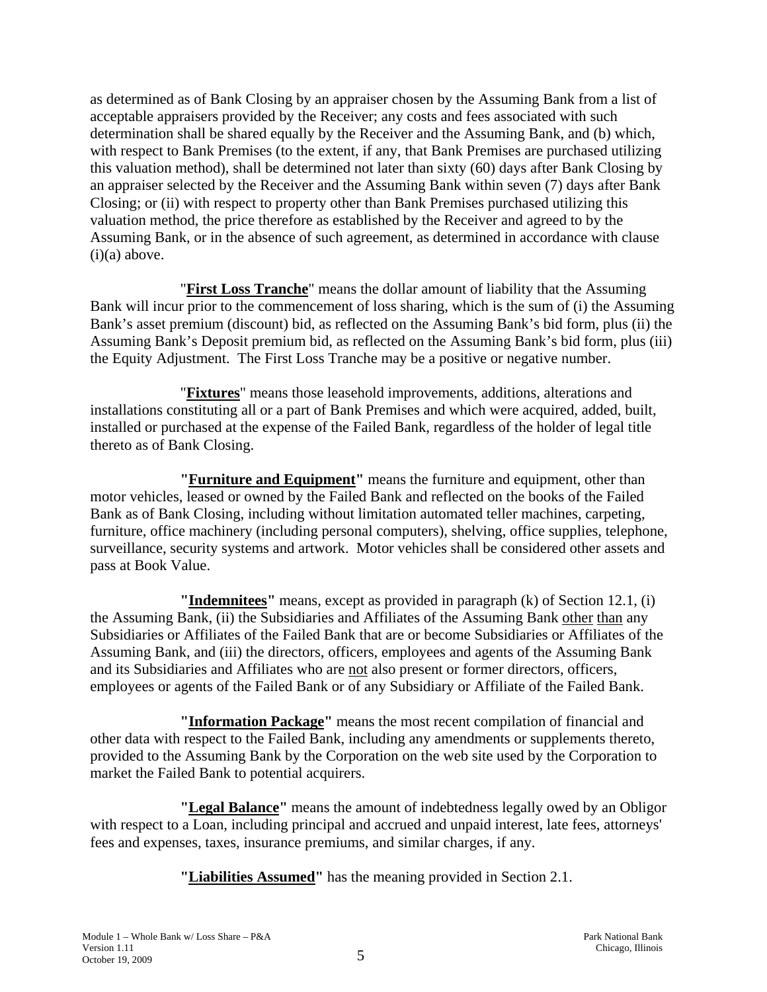as determined as of Bank Closing by an appraiser chosen by the Assuming Bank from a list of acceptable appraisers provided by the Receiver; any costs and fees associated with such determination shall be shared equally by the Receiver and the Assuming Bank, and (b) which, with respect to Bank Premises (to the extent, if any, that Bank Premises are purchased utilizing this valuation method), shall be determined not later than sixty (60) days after Bank Closing by an appraiser selected by the Receiver and the Assuming Bank within seven (7) days after Bank Closing; or (ii) with respect to property other than Bank Premises purchased utilizing this valuation method, the price therefore as established by the Receiver and agreed to by the Assuming Bank, or in the absence of such agreement, as determined in accordance with clause  $(i)(a)$  above.

"**First Loss Tranche**" means the dollar amount of liability that the Assuming Bank will incur prior to the commencement of loss sharing, which is the sum of (i) the Assuming Bank's asset premium (discount) bid, as reflected on the Assuming Bank's bid form, plus (ii) the Assuming Bank's Deposit premium bid, as reflected on the Assuming Bank's bid form, plus (iii) the Equity Adjustment. The First Loss Tranche may be a positive or negative number.

"**Fixtures**" means those leasehold improvements, additions, alterations and installations constituting all or a part of Bank Premises and which were acquired, added, built, installed or purchased at the expense of the Failed Bank, regardless of the holder of legal title thereto as of Bank Closing.

**"Furniture and Equipment"** means the furniture and equipment, other than motor vehicles, leased or owned by the Failed Bank and reflected on the books of the Failed Bank as of Bank Closing, including without limitation automated teller machines, carpeting, furniture, office machinery (including personal computers), shelving, office supplies, telephone, surveillance, security systems and artwork. Motor vehicles shall be considered other assets and pass at Book Value.

**"Indemnitees"** means, except as provided in paragraph (k) of Section 12.1, (i) the Assuming Bank, (ii) the Subsidiaries and Affiliates of the Assuming Bank other than any Subsidiaries or Affiliates of the Failed Bank that are or become Subsidiaries or Affiliates of the Assuming Bank, and (iii) the directors, officers, employees and agents of the Assuming Bank and its Subsidiaries and Affiliates who are not also present or former directors, officers, employees or agents of the Failed Bank or of any Subsidiary or Affiliate of the Failed Bank.

**"Information Package"** means the most recent compilation of financial and other data with respect to the Failed Bank, including any amendments or supplements thereto, provided to the Assuming Bank by the Corporation on the web site used by the Corporation to market the Failed Bank to potential acquirers.

**"Legal Balance"** means the amount of indebtedness legally owed by an Obligor with respect to a Loan, including principal and accrued and unpaid interest, late fees, attorneys' fees and expenses, taxes, insurance premiums, and similar charges, if any.

**"Liabilities Assumed"** has the meaning provided in Section 2.1.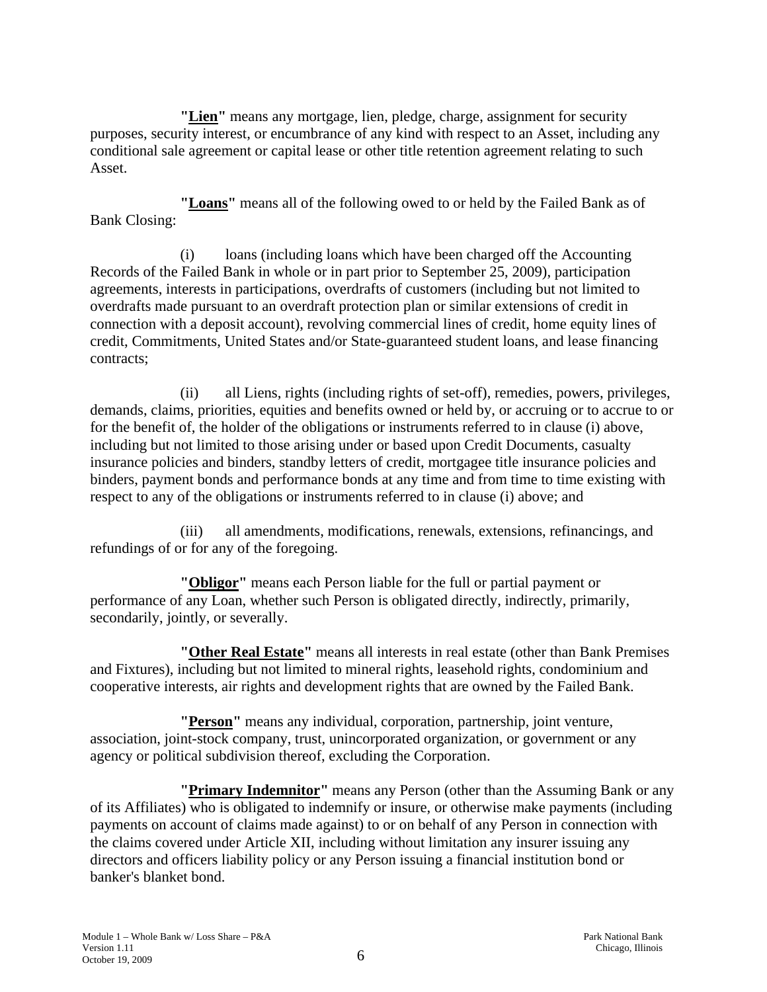**"Lien"** means any mortgage, lien, pledge, charge, assignment for security purposes, security interest, or encumbrance of any kind with respect to an Asset, including any conditional sale agreement or capital lease or other title retention agreement relating to such Asset.

**"Loans"** means all of the following owed to or held by the Failed Bank as of Bank Closing:

(i) loans (including loans which have been charged off the Accounting Records of the Failed Bank in whole or in part prior to September 25, 2009), participation agreements, interests in participations, overdrafts of customers (including but not limited to overdrafts made pursuant to an overdraft protection plan or similar extensions of credit in connection with a deposit account), revolving commercial lines of credit, home equity lines of credit, Commitments, United States and/or State-guaranteed student loans, and lease financing contracts;

(ii) all Liens, rights (including rights of set-off), remedies, powers, privileges, demands, claims, priorities, equities and benefits owned or held by, or accruing or to accrue to or for the benefit of, the holder of the obligations or instruments referred to in clause (i) above, including but not limited to those arising under or based upon Credit Documents, casualty insurance policies and binders, standby letters of credit, mortgagee title insurance policies and binders, payment bonds and performance bonds at any time and from time to time existing with respect to any of the obligations or instruments referred to in clause (i) above; and

(iii) all amendments, modifications, renewals, extensions, refinancings, and refundings of or for any of the foregoing.

**"Obligor"** means each Person liable for the full or partial payment or performance of any Loan, whether such Person is obligated directly, indirectly, primarily, secondarily, jointly, or severally.

**"Other Real Estate"** means all interests in real estate (other than Bank Premises and Fixtures), including but not limited to mineral rights, leasehold rights, condominium and cooperative interests, air rights and development rights that are owned by the Failed Bank.

**"Person"** means any individual, corporation, partnership, joint venture, association, joint-stock company, trust, unincorporated organization, or government or any agency or political subdivision thereof, excluding the Corporation.

**"Primary Indemnitor"** means any Person (other than the Assuming Bank or any of its Affiliates) who is obligated to indemnify or insure, or otherwise make payments (including payments on account of claims made against) to or on behalf of any Person in connection with the claims covered under Article XII, including without limitation any insurer issuing any directors and officers liability policy or any Person issuing a financial institution bond or banker's blanket bond.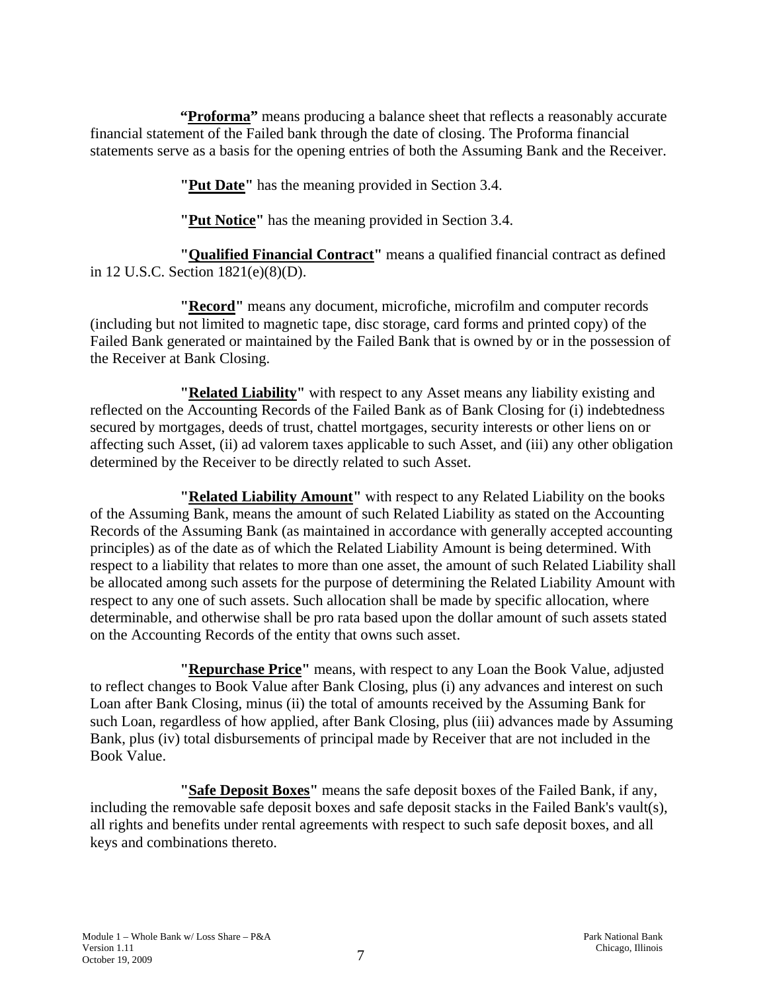**"Proforma"** means producing a balance sheet that reflects a reasonably accurate financial statement of the Failed bank through the date of closing. The Proforma financial statements serve as a basis for the opening entries of both the Assuming Bank and the Receiver.

**"Put Date"** has the meaning provided in Section 3.4.

**"Put Notice"** has the meaning provided in Section 3.4.

**"Qualified Financial Contract"** means a qualified financial contract as defined in 12 U.S.C. Section 1821(e)(8)(D).

**"Record"** means any document, microfiche, microfilm and computer records (including but not limited to magnetic tape, disc storage, card forms and printed copy) of the Failed Bank generated or maintained by the Failed Bank that is owned by or in the possession of the Receiver at Bank Closing.

**"Related Liability"** with respect to any Asset means any liability existing and reflected on the Accounting Records of the Failed Bank as of Bank Closing for (i) indebtedness secured by mortgages, deeds of trust, chattel mortgages, security interests or other liens on or affecting such Asset, (ii) ad valorem taxes applicable to such Asset, and (iii) any other obligation determined by the Receiver to be directly related to such Asset.

**"Related Liability Amount"** with respect to any Related Liability on the books of the Assuming Bank, means the amount of such Related Liability as stated on the Accounting Records of the Assuming Bank (as maintained in accordance with generally accepted accounting principles) as of the date as of which the Related Liability Amount is being determined. With respect to a liability that relates to more than one asset, the amount of such Related Liability shall be allocated among such assets for the purpose of determining the Related Liability Amount with respect to any one of such assets. Such allocation shall be made by specific allocation, where determinable, and otherwise shall be pro rata based upon the dollar amount of such assets stated on the Accounting Records of the entity that owns such asset.

 **"Repurchase Price"** means, with respect to any Loan the Book Value, adjusted to reflect changes to Book Value after Bank Closing, plus (i) any advances and interest on such Loan after Bank Closing, minus (ii) the total of amounts received by the Assuming Bank for such Loan, regardless of how applied, after Bank Closing, plus (iii) advances made by Assuming Bank, plus (iv) total disbursements of principal made by Receiver that are not included in the Book Value.

**"Safe Deposit Boxes"** means the safe deposit boxes of the Failed Bank, if any, including the removable safe deposit boxes and safe deposit stacks in the Failed Bank's vault(s), all rights and benefits under rental agreements with respect to such safe deposit boxes, and all keys and combinations thereto.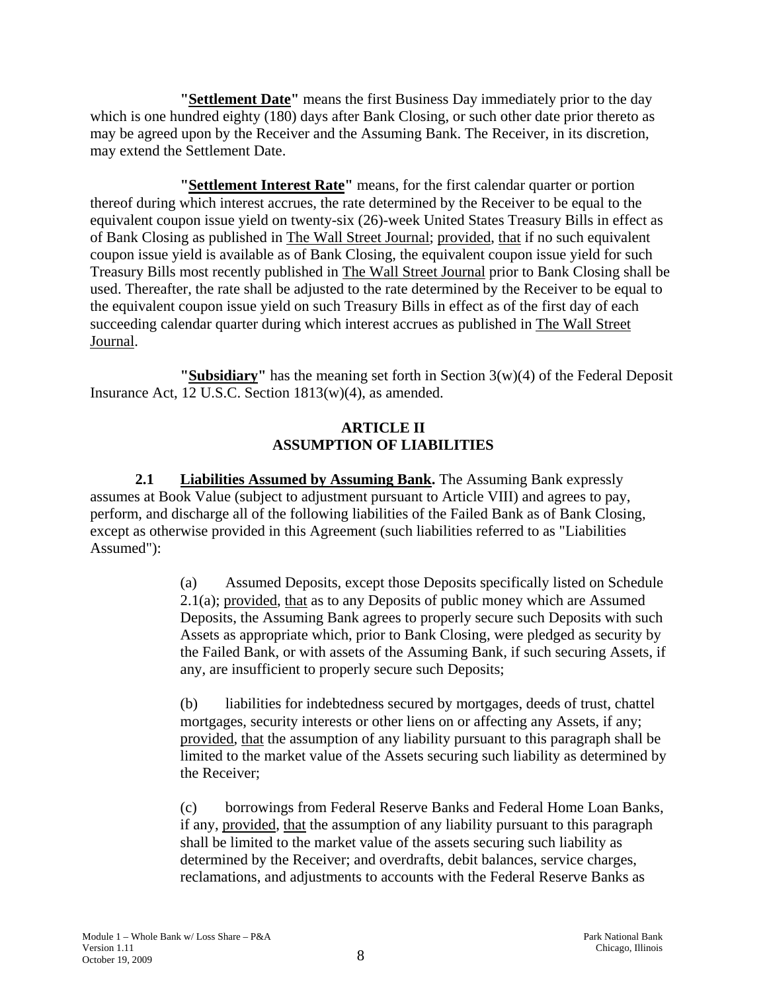<span id="page-11-0"></span> **"Settlement Date"** means the first Business Day immediately prior to the day which is one hundred eighty (180) days after Bank Closing, or such other date prior thereto as may be agreed upon by the Receiver and the Assuming Bank. The Receiver, in its discretion, may extend the Settlement Date.

**"Settlement Interest Rate"** means, for the first calendar quarter or portion thereof during which interest accrues, the rate determined by the Receiver to be equal to the equivalent coupon issue yield on twenty-six (26)-week United States Treasury Bills in effect as of Bank Closing as published in The Wall Street Journal; provided, that if no such equivalent coupon issue yield is available as of Bank Closing, the equivalent coupon issue yield for such Treasury Bills most recently published in The Wall Street Journal prior to Bank Closing shall be used. Thereafter, the rate shall be adjusted to the rate determined by the Receiver to be equal to the equivalent coupon issue yield on such Treasury Bills in effect as of the first day of each succeeding calendar quarter during which interest accrues as published in The Wall Street Journal.

**"Subsidiary"** has the meaning set forth in Section 3(w)(4) of the Federal Deposit Insurance Act, 12 U.S.C. Section 1813(w)(4), as amended.

### **ARTICLE II ASSUMPTION OF LIABILITIES**

 **2.1 Liabilities Assumed by Assuming Bank.** The Assuming Bank expressly assumes at Book Value (subject to adjustment pursuant to Article VIII) and agrees to pay, perform, and discharge all of the following liabilities of the Failed Bank as of Bank Closing, except as otherwise provided in this Agreement (such liabilities referred to as "Liabilities Assumed"):

> (a) Assumed Deposits, except those Deposits specifically listed on Schedule 2.1(a); provided, that as to any Deposits of public money which are Assumed Deposits, the Assuming Bank agrees to properly secure such Deposits with such Assets as appropriate which, prior to Bank Closing, were pledged as security by the Failed Bank, or with assets of the Assuming Bank, if such securing Assets, if any, are insufficient to properly secure such Deposits;

> (b) liabilities for indebtedness secured by mortgages, deeds of trust, chattel mortgages, security interests or other liens on or affecting any Assets, if any; provided, that the assumption of any liability pursuant to this paragraph shall be limited to the market value of the Assets securing such liability as determined by the Receiver;

> (c) borrowings from Federal Reserve Banks and Federal Home Loan Banks, if any, provided, that the assumption of any liability pursuant to this paragraph shall be limited to the market value of the assets securing such liability as determined by the Receiver; and overdrafts, debit balances, service charges, reclamations, and adjustments to accounts with the Federal Reserve Banks as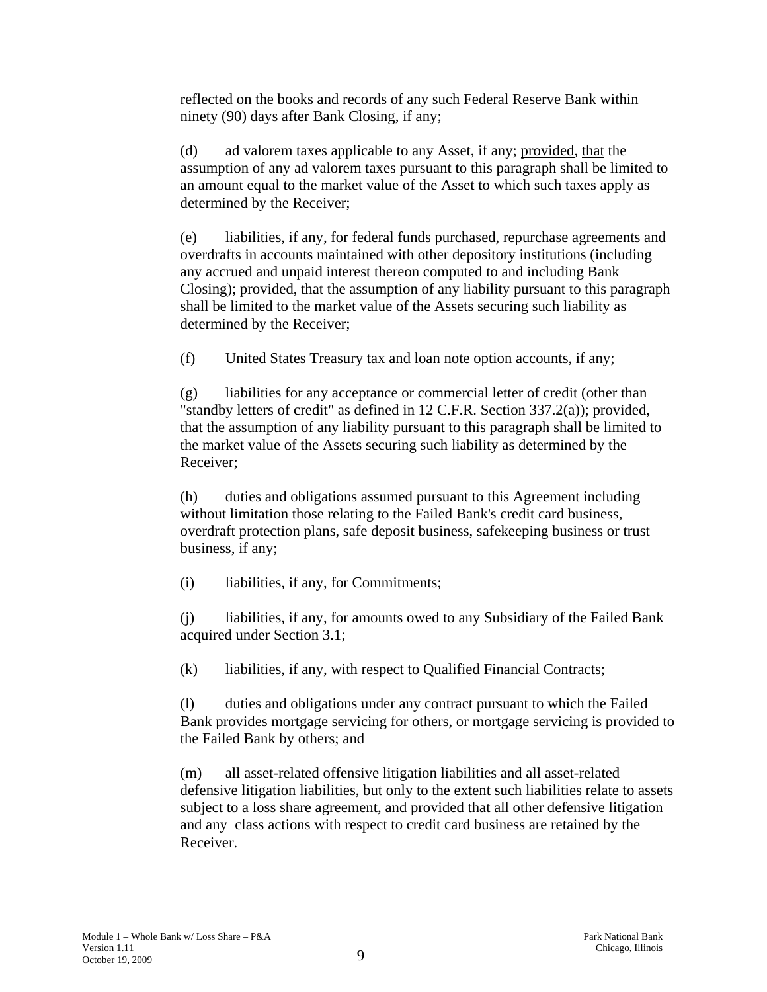reflected on the books and records of any such Federal Reserve Bank within ninety (90) days after Bank Closing, if any;

(d) ad valorem taxes applicable to any Asset, if any; provided, that the assumption of any ad valorem taxes pursuant to this paragraph shall be limited to an amount equal to the market value of the Asset to which such taxes apply as determined by the Receiver;

(e) liabilities, if any, for federal funds purchased, repurchase agreements and overdrafts in accounts maintained with other depository institutions (including any accrued and unpaid interest thereon computed to and including Bank Closing); provided, that the assumption of any liability pursuant to this paragraph shall be limited to the market value of the Assets securing such liability as determined by the Receiver;

(f) United States Treasury tax and loan note option accounts, if any;

(g) liabilities for any acceptance or commercial letter of credit (other than "standby letters of credit" as defined in 12 C.F.R. Section 337.2(a)); provided, that the assumption of any liability pursuant to this paragraph shall be limited to the market value of the Assets securing such liability as determined by the Receiver;

(h) duties and obligations assumed pursuant to this Agreement including without limitation those relating to the Failed Bank's credit card business, overdraft protection plans, safe deposit business, safekeeping business or trust business, if any;

(i) liabilities, if any, for Commitments;

(j) liabilities, if any, for amounts owed to any Subsidiary of the Failed Bank acquired under Section 3.1;

(k) liabilities, if any, with respect to Qualified Financial Contracts;

(l) duties and obligations under any contract pursuant to which the Failed Bank provides mortgage servicing for others, or mortgage servicing is provided to the Failed Bank by others; and

(m) all asset-related offensive litigation liabilities and all asset-related defensive litigation liabilities, but only to the extent such liabilities relate to assets subject to a loss share agreement, and provided that all other defensive litigation and any class actions with respect to credit card business are retained by the Receiver.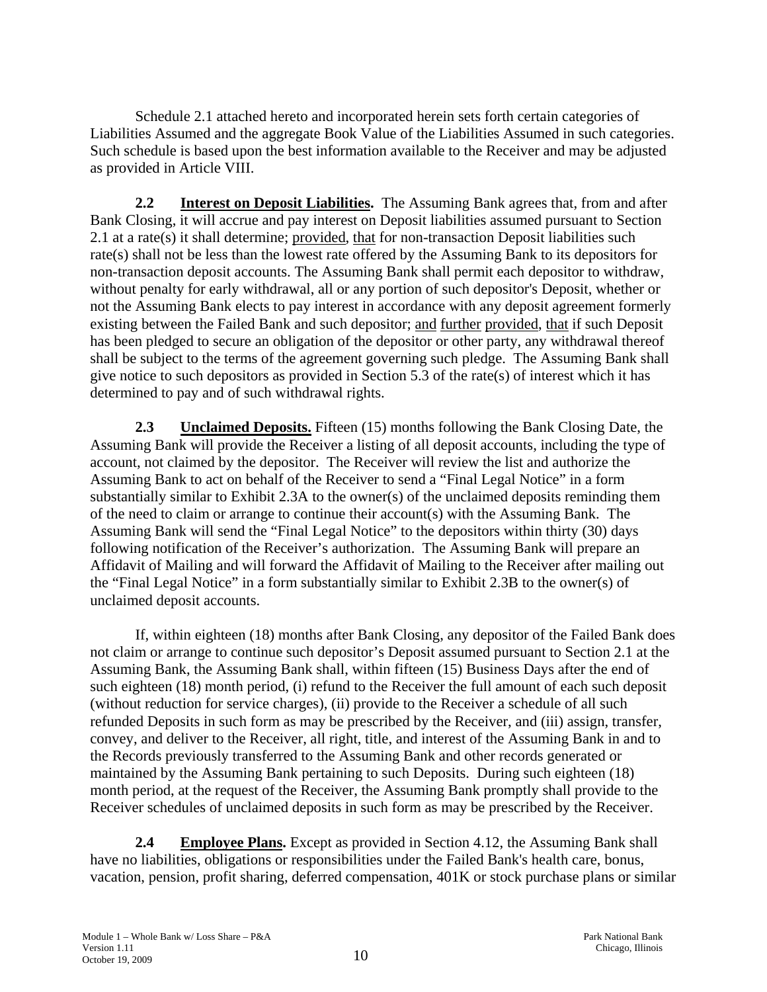<span id="page-13-0"></span>Schedule 2.1 attached hereto and incorporated herein sets forth certain categories of Liabilities Assumed and the aggregate Book Value of the Liabilities Assumed in such categories. Such schedule is based upon the best information available to the Receiver and may be adjusted as provided in Article VIII.

**2.2 Interest on Deposit Liabilities.** The Assuming Bank agrees that, from and after Bank Closing, it will accrue and pay interest on Deposit liabilities assumed pursuant to Section 2.1 at a rate(s) it shall determine; provided, that for non-transaction Deposit liabilities such rate(s) shall not be less than the lowest rate offered by the Assuming Bank to its depositors for non-transaction deposit accounts. The Assuming Bank shall permit each depositor to withdraw, without penalty for early withdrawal, all or any portion of such depositor's Deposit, whether or not the Assuming Bank elects to pay interest in accordance with any deposit agreement formerly existing between the Failed Bank and such depositor; and further provided, that if such Deposit has been pledged to secure an obligation of the depositor or other party, any withdrawal thereof shall be subject to the terms of the agreement governing such pledge. The Assuming Bank shall give notice to such depositors as provided in Section 5.3 of the rate(s) of interest which it has determined to pay and of such withdrawal rights.

**2.3 Unclaimed Deposits.** Fifteen (15) months following the Bank Closing Date, the Assuming Bank will provide the Receiver a listing of all deposit accounts, including the type of account, not claimed by the depositor. The Receiver will review the list and authorize the Assuming Bank to act on behalf of the Receiver to send a "Final Legal Notice" in a form substantially similar to Exhibit 2.3A to the owner(s) of the unclaimed deposits reminding them of the need to claim or arrange to continue their account(s) with the Assuming Bank. The Assuming Bank will send the "Final Legal Notice" to the depositors within thirty (30) days following notification of the Receiver's authorization. The Assuming Bank will prepare an Affidavit of Mailing and will forward the Affidavit of Mailing to the Receiver after mailing out the "Final Legal Notice" in a form substantially similar to Exhibit 2.3B to the owner(s) of unclaimed deposit accounts.

If, within eighteen (18) months after Bank Closing, any depositor of the Failed Bank does not claim or arrange to continue such depositor's Deposit assumed pursuant to Section 2.1 at the Assuming Bank, the Assuming Bank shall, within fifteen (15) Business Days after the end of such eighteen (18) month period, (i) refund to the Receiver the full amount of each such deposit (without reduction for service charges), (ii) provide to the Receiver a schedule of all such refunded Deposits in such form as may be prescribed by the Receiver, and (iii) assign, transfer, convey, and deliver to the Receiver, all right, title, and interest of the Assuming Bank in and to the Records previously transferred to the Assuming Bank and other records generated or maintained by the Assuming Bank pertaining to such Deposits. During such eighteen (18) month period, at the request of the Receiver, the Assuming Bank promptly shall provide to the Receiver schedules of unclaimed deposits in such form as may be prescribed by the Receiver.

**2.4 Employee Plans.** Except as provided in Section 4.12, the Assuming Bank shall have no liabilities, obligations or responsibilities under the Failed Bank's health care, bonus, vacation, pension, profit sharing, deferred compensation, 401K or stock purchase plans or similar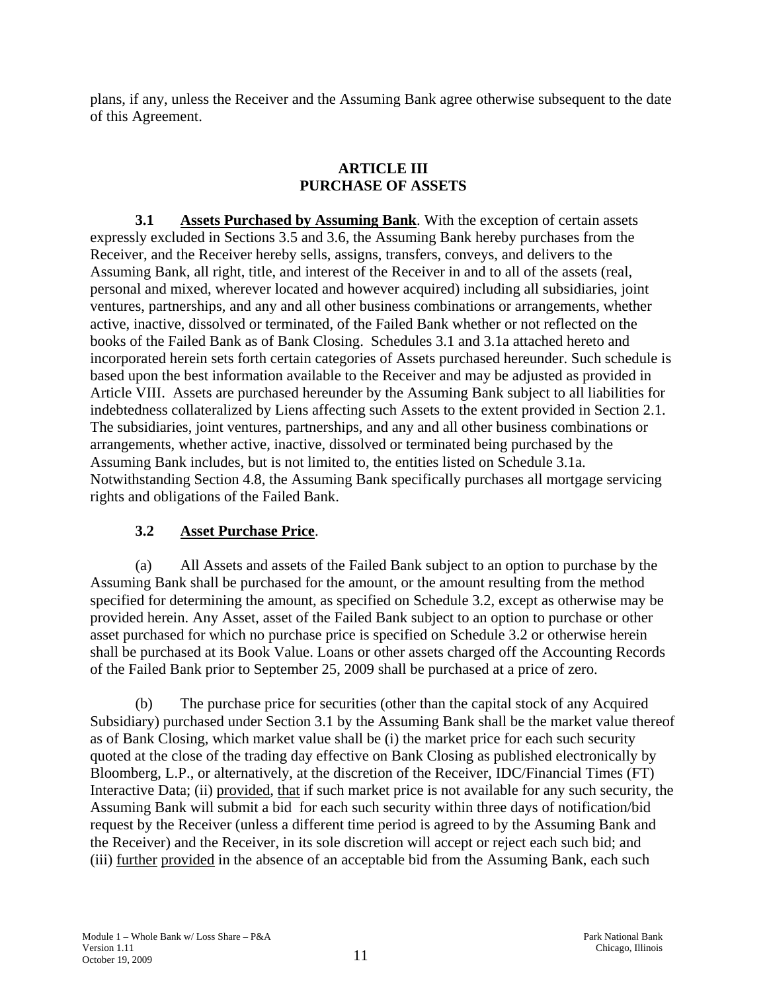<span id="page-14-0"></span>plans, if any, unless the Receiver and the Assuming Bank agree otherwise subsequent to the date of this Agreement.

### **ARTICLE III PURCHASE OF ASSETS**

Assuming Bank includes, but is not limited to, the entities listed on Schedule 3.1a.  **3.1 Assets Purchased by Assuming Bank**. With the exception of certain assets expressly excluded in Sections 3.5 and 3.6, the Assuming Bank hereby purchases from the Receiver, and the Receiver hereby sells, assigns, transfers, conveys, and delivers to the Assuming Bank, all right, title, and interest of the Receiver in and to all of the assets (real, personal and mixed, wherever located and however acquired) including all subsidiaries, joint ventures, partnerships, and any and all other business combinations or arrangements, whether active, inactive, dissolved or terminated, of the Failed Bank whether or not reflected on the books of the Failed Bank as of Bank Closing. Schedules 3.1 and 3.1a attached hereto and incorporated herein sets forth certain categories of Assets purchased hereunder. Such schedule is based upon the best information available to the Receiver and may be adjusted as provided in Article VIII. Assets are purchased hereunder by the Assuming Bank subject to all liabilities for indebtedness collateralized by Liens affecting such Assets to the extent provided in Section 2.1. The subsidiaries, joint ventures, partnerships, and any and all other business combinations or arrangements, whether active, inactive, dissolved or terminated being purchased by the Notwithstanding Section 4.8, the Assuming Bank specifically purchases all mortgage servicing rights and obligations of the Failed Bank.

### **3.2 Asset Purchase Price**.

(a) All Assets and assets of the Failed Bank subject to an option to purchase by the Assuming Bank shall be purchased for the amount, or the amount resulting from the method specified for determining the amount, as specified on Schedule 3.2, except as otherwise may be provided herein. Any Asset, asset of the Failed Bank subject to an option to purchase or other asset purchased for which no purchase price is specified on Schedule 3.2 or otherwise herein shall be purchased at its Book Value. Loans or other assets charged off the Accounting Records of the Failed Bank prior to September 25, 2009 shall be purchased at a price of zero.

(b) The purchase price for securities (other than the capital stock of any Acquired Subsidiary) purchased under Section 3.1 by the Assuming Bank shall be the market value thereof as of Bank Closing, which market value shall be (i) the market price for each such security quoted at the close of the trading day effective on Bank Closing as published electronically by Bloomberg, L.P., or alternatively, at the discretion of the Receiver, IDC/Financial Times (FT) Interactive Data; (ii) provided, that if such market price is not available for any such security, the Assuming Bank will submit a bid for each such security within three days of notification/bid request by the Receiver (unless a different time period is agreed to by the Assuming Bank and the Receiver) and the Receiver, in its sole discretion will accept or reject each such bid; and (iii) further provided in the absence of an acceptable bid from the Assuming Bank, each such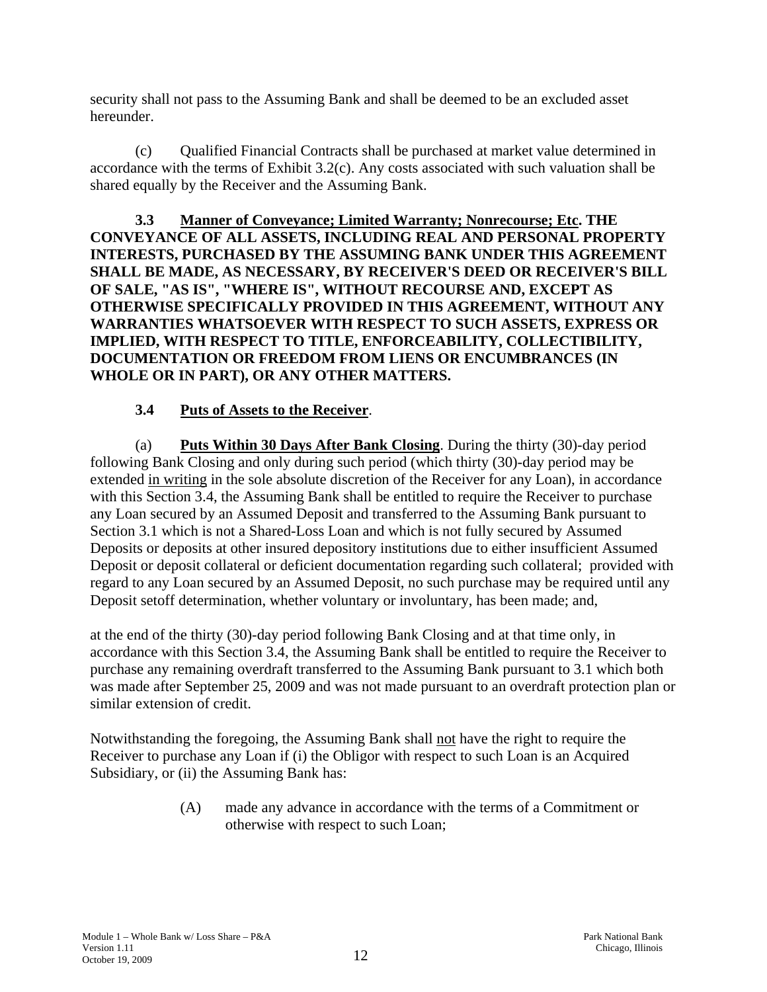<span id="page-15-0"></span>security shall not pass to the Assuming Bank and shall be deemed to be an excluded asset hereunder.

(c) Qualified Financial Contracts shall be purchased at market value determined in accordance with the terms of Exhibit 3.2(c). Any costs associated with such valuation shall be shared equally by the Receiver and the Assuming Bank.

**3.3 Manner of Conveyance; Limited Warranty; Nonrecourse; Etc. THE CONVEYANCE OF ALL ASSETS, INCLUDING REAL AND PERSONAL PROPERTY INTERESTS, PURCHASED BY THE ASSUMING BANK UNDER THIS AGREEMENT SHALL BE MADE, AS NECESSARY, BY RECEIVER'S DEED OR RECEIVER'S BILL OF SALE, "AS IS", "WHERE IS", WITHOUT RECOURSE AND, EXCEPT AS OTHERWISE SPECIFICALLY PROVIDED IN THIS AGREEMENT, WITHOUT ANY WARRANTIES WHATSOEVER WITH RESPECT TO SUCH ASSETS, EXPRESS OR IMPLIED, WITH RESPECT TO TITLE, ENFORCEABILITY, COLLECTIBILITY, DOCUMENTATION OR FREEDOM FROM LIENS OR ENCUMBRANCES (IN WHOLE OR IN PART), OR ANY OTHER MATTERS.** 

## **3.4 Puts of Assets to the Receiver**.

(a) **Puts Within 30 Days After Bank Closing**. During the thirty (30)-day period following Bank Closing and only during such period (which thirty (30)-day period may be extended in writing in the sole absolute discretion of the Receiver for any Loan), in accordance with this Section 3.4, the Assuming Bank shall be entitled to require the Receiver to purchase any Loan secured by an Assumed Deposit and transferred to the Assuming Bank pursuant to Section 3.1 which is not a Shared-Loss Loan and which is not fully secured by Assumed Deposits or deposits at other insured depository institutions due to either insufficient Assumed Deposit or deposit collateral or deficient documentation regarding such collateral; provided with regard to any Loan secured by an Assumed Deposit, no such purchase may be required until any Deposit setoff determination, whether voluntary or involuntary, has been made; and,

at the end of the thirty (30)-day period following Bank Closing and at that time only, in accordance with this Section 3.4, the Assuming Bank shall be entitled to require the Receiver to purchase any remaining overdraft transferred to the Assuming Bank pursuant to 3.1 which both was made after September 25, 2009 and was not made pursuant to an overdraft protection plan or similar extension of credit.

Notwithstanding the foregoing, the Assuming Bank shall not have the right to require the Receiver to purchase any Loan if (i) the Obligor with respect to such Loan is an Acquired Subsidiary, or (ii) the Assuming Bank has:

> (A) made any advance in accordance with the terms of a Commitment or otherwise with respect to such Loan;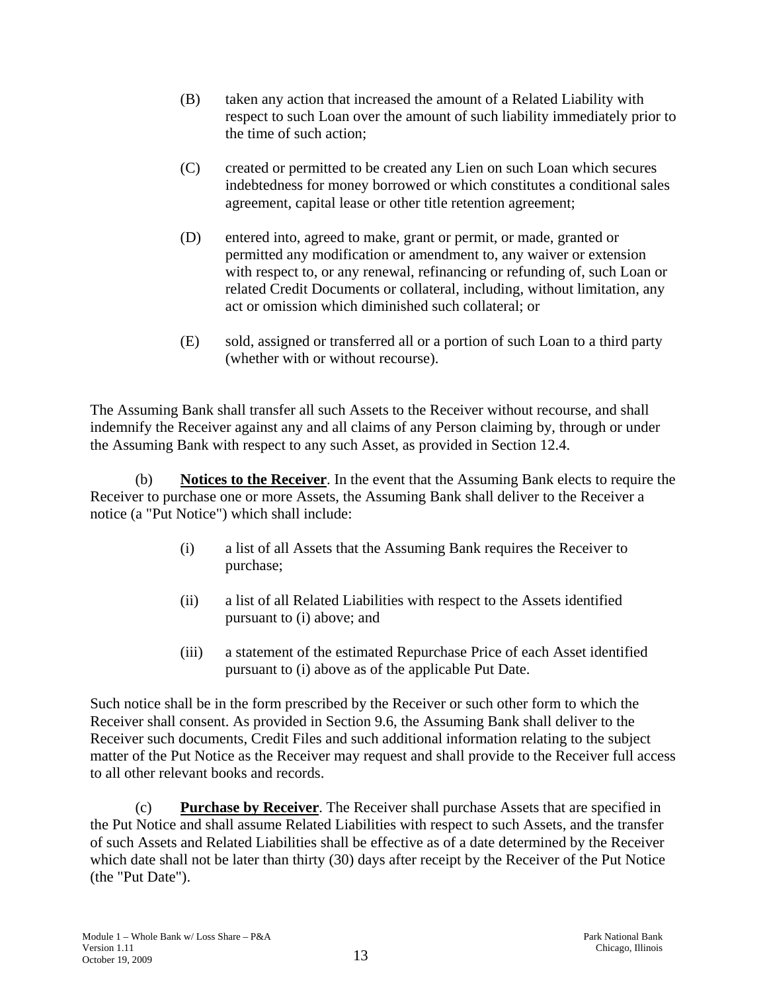- (B) taken any action that increased the amount of a Related Liability with respect to such Loan over the amount of such liability immediately prior to the time of such action;
- (C) created or permitted to be created any Lien on such Loan which secures indebtedness for money borrowed or which constitutes a conditional sales agreement, capital lease or other title retention agreement;
- (D) entered into, agreed to make, grant or permit, or made, granted or permitted any modification or amendment to, any waiver or extension with respect to, or any renewal, refinancing or refunding of, such Loan or related Credit Documents or collateral, including, without limitation, any act or omission which diminished such collateral; or
- (E) sold, assigned or transferred all or a portion of such Loan to a third party (whether with or without recourse).

The Assuming Bank shall transfer all such Assets to the Receiver without recourse, and shall indemnify the Receiver against any and all claims of any Person claiming by, through or under the Assuming Bank with respect to any such Asset, as provided in Section 12.4.

(b) **Notices to the Receiver**. In the event that the Assuming Bank elects to require the Receiver to purchase one or more Assets, the Assuming Bank shall deliver to the Receiver a notice (a "Put Notice") which shall include:

- (i) a list of all Assets that the Assuming Bank requires the Receiver to purchase;
- (ii) a list of all Related Liabilities with respect to the Assets identified pursuant to (i) above; and
- (iii) a statement of the estimated Repurchase Price of each Asset identified pursuant to (i) above as of the applicable Put Date.

Such notice shall be in the form prescribed by the Receiver or such other form to which the Receiver shall consent. As provided in Section 9.6, the Assuming Bank shall deliver to the Receiver such documents, Credit Files and such additional information relating to the subject matter of the Put Notice as the Receiver may request and shall provide to the Receiver full access to all other relevant books and records.

(c) **Purchase by Receiver**. The Receiver shall purchase Assets that are specified in the Put Notice and shall assume Related Liabilities with respect to such Assets, and the transfer of such Assets and Related Liabilities shall be effective as of a date determined by the Receiver which date shall not be later than thirty (30) days after receipt by the Receiver of the Put Notice (the "Put Date").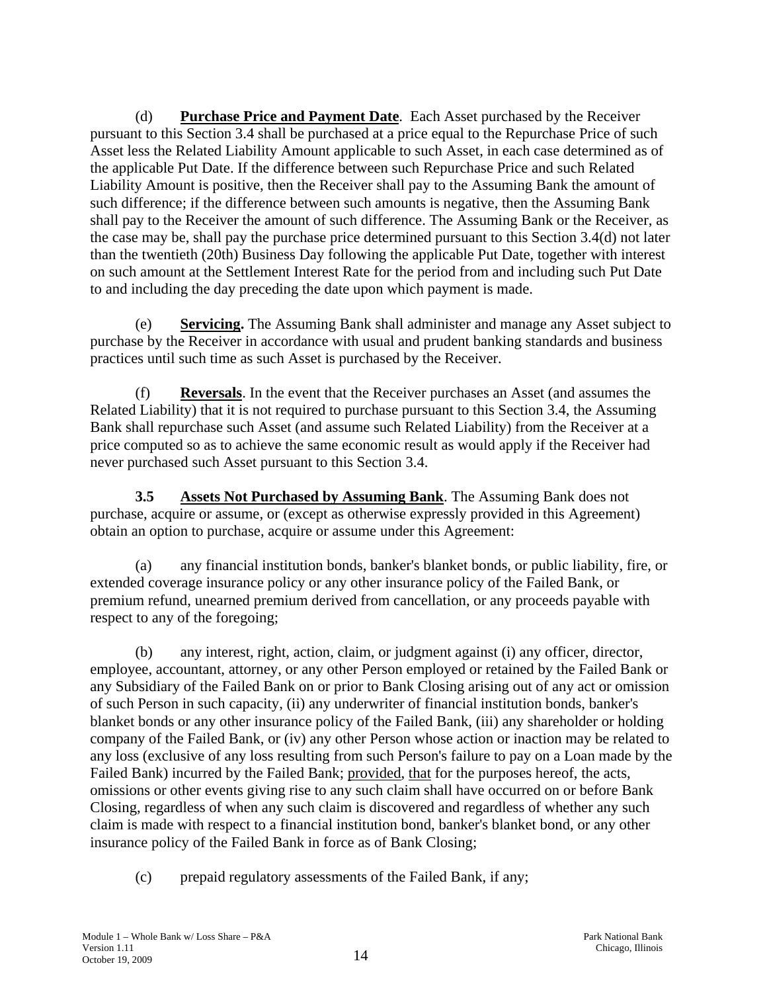<span id="page-17-0"></span> (d) **Purchase Price and Payment Date**. Each Asset purchased by the Receiver pursuant to this Section 3.4 shall be purchased at a price equal to the Repurchase Price of such Asset less the Related Liability Amount applicable to such Asset, in each case determined as of the applicable Put Date. If the difference between such Repurchase Price and such Related Liability Amount is positive, then the Receiver shall pay to the Assuming Bank the amount of such difference; if the difference between such amounts is negative, then the Assuming Bank shall pay to the Receiver the amount of such difference. The Assuming Bank or the Receiver, as the case may be, shall pay the purchase price determined pursuant to this Section 3.4(d) not later than the twentieth (20th) Business Day following the applicable Put Date, together with interest on such amount at the Settlement Interest Rate for the period from and including such Put Date to and including the day preceding the date upon which payment is made.

(e) **Servicing.** The Assuming Bank shall administer and manage any Asset subject to purchase by the Receiver in accordance with usual and prudent banking standards and business practices until such time as such Asset is purchased by the Receiver.

(f) **Reversals**. In the event that the Receiver purchases an Asset (and assumes the Related Liability) that it is not required to purchase pursuant to this Section 3.4, the Assuming Bank shall repurchase such Asset (and assume such Related Liability) from the Receiver at a price computed so as to achieve the same economic result as would apply if the Receiver had never purchased such Asset pursuant to this Section 3.4.

**3.5 Assets Not Purchased by Assuming Bank**. The Assuming Bank does not purchase, acquire or assume, or (except as otherwise expressly provided in this Agreement) obtain an option to purchase, acquire or assume under this Agreement:

(a) any financial institution bonds, banker's blanket bonds, or public liability, fire, or extended coverage insurance policy or any other insurance policy of the Failed Bank, or premium refund, unearned premium derived from cancellation, or any proceeds payable with respect to any of the foregoing;

(b) any interest, right, action, claim, or judgment against (i) any officer, director, employee, accountant, attorney, or any other Person employed or retained by the Failed Bank or any Subsidiary of the Failed Bank on or prior to Bank Closing arising out of any act or omission of such Person in such capacity, (ii) any underwriter of financial institution bonds, banker's blanket bonds or any other insurance policy of the Failed Bank, (iii) any shareholder or holding company of the Failed Bank, or (iv) any other Person whose action or inaction may be related to any loss (exclusive of any loss resulting from such Person's failure to pay on a Loan made by the Failed Bank) incurred by the Failed Bank; provided, that for the purposes hereof, the acts, omissions or other events giving rise to any such claim shall have occurred on or before Bank Closing, regardless of when any such claim is discovered and regardless of whether any such claim is made with respect to a financial institution bond, banker's blanket bond, or any other insurance policy of the Failed Bank in force as of Bank Closing;

(c) prepaid regulatory assessments of the Failed Bank, if any;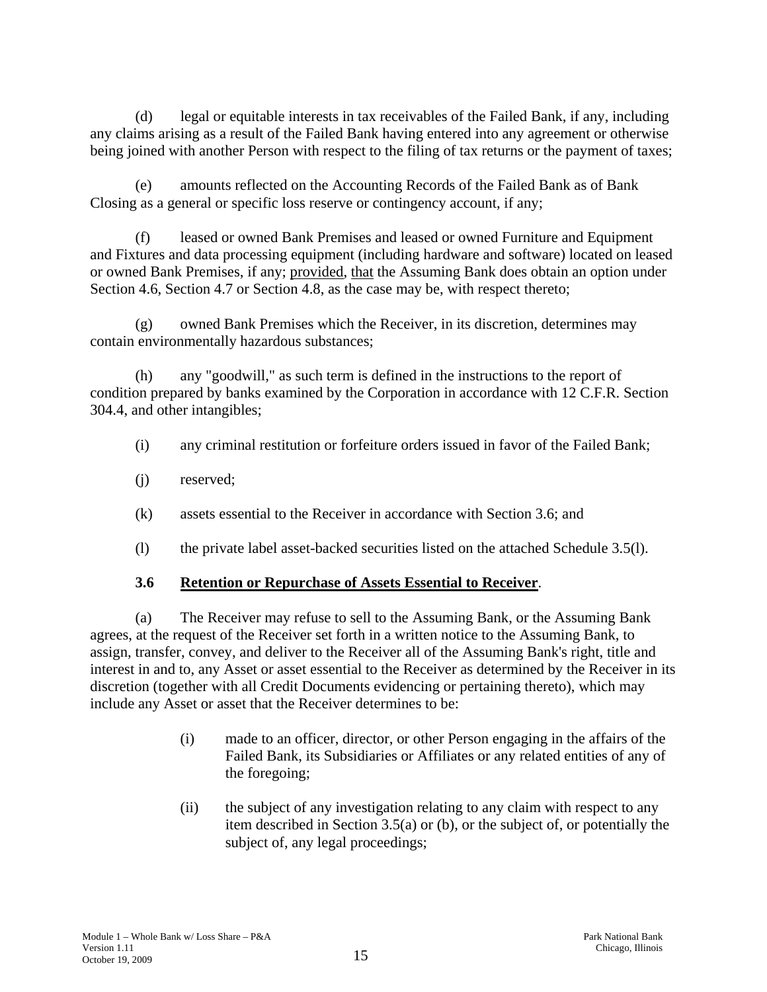<span id="page-18-0"></span>(d) legal or equitable interests in tax receivables of the Failed Bank, if any, including any claims arising as a result of the Failed Bank having entered into any agreement or otherwise being joined with another Person with respect to the filing of tax returns or the payment of taxes;

(e) amounts reflected on the Accounting Records of the Failed Bank as of Bank Closing as a general or specific loss reserve or contingency account, if any;

(f) leased or owned Bank Premises and leased or owned Furniture and Equipment and Fixtures and data processing equipment (including hardware and software) located on leased or owned Bank Premises, if any; provided, that the Assuming Bank does obtain an option under Section 4.6, Section 4.7 or Section 4.8, as the case may be, with respect thereto;

(g) owned Bank Premises which the Receiver, in its discretion, determines may contain environmentally hazardous substances;

(h) any "goodwill," as such term is defined in the instructions to the report of condition prepared by banks examined by the Corporation in accordance with 12 C.F.R. Section 304.4, and other intangibles;

- (i) any criminal restitution or forfeiture orders issued in favor of the Failed Bank;
- (j) reserved;
- (k) assets essential to the Receiver in accordance with Section 3.6; and
- (l) the private label asset-backed securities listed on the attached Schedule 3.5(l).

### **3.6 Retention or Repurchase of Assets Essential to Receiver**.

(a) The Receiver may refuse to sell to the Assuming Bank, or the Assuming Bank agrees, at the request of the Receiver set forth in a written notice to the Assuming Bank, to assign, transfer, convey, and deliver to the Receiver all of the Assuming Bank's right, title and interest in and to, any Asset or asset essential to the Receiver as determined by the Receiver in its discretion (together with all Credit Documents evidencing or pertaining thereto), which may include any Asset or asset that the Receiver determines to be:

- (i) made to an officer, director, or other Person engaging in the affairs of the Failed Bank, its Subsidiaries or Affiliates or any related entities of any of the foregoing;
- (ii) the subject of any investigation relating to any claim with respect to any item described in Section 3.5(a) or (b), or the subject of, or potentially the subject of, any legal proceedings;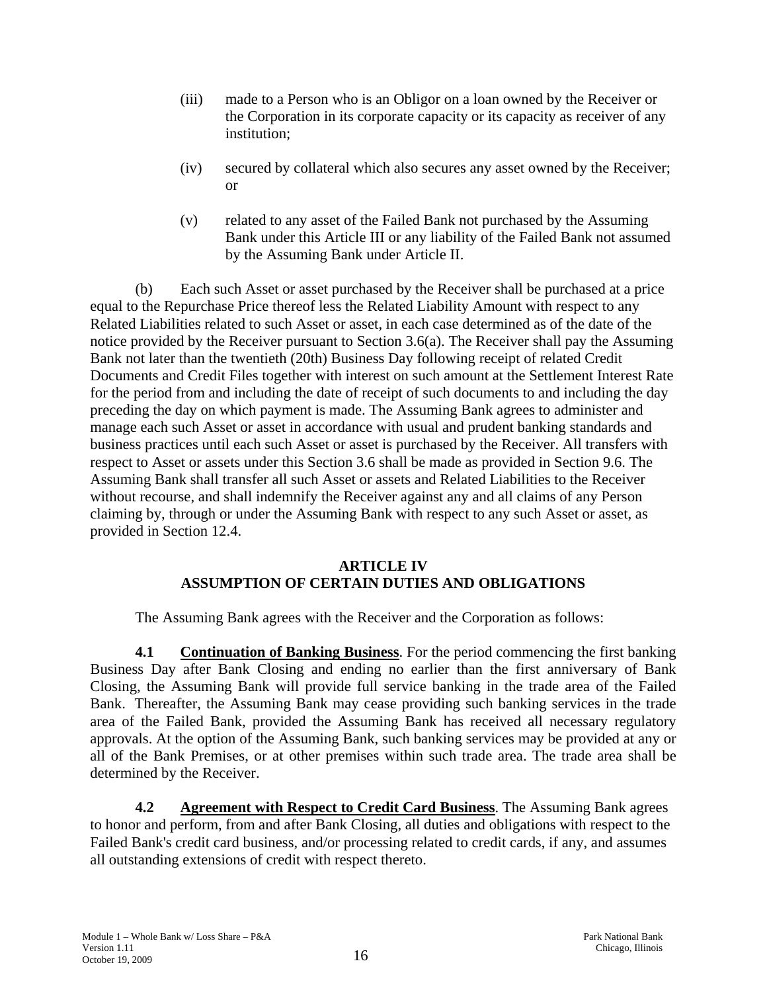- <span id="page-19-0"></span>(iii) made to a Person who is an Obligor on a loan owned by the Receiver or the Corporation in its corporate capacity or its capacity as receiver of any institution;
- (iv) secured by collateral which also secures any asset owned by the Receiver; or
- (v) related to any asset of the Failed Bank not purchased by the Assuming Bank under this Article III or any liability of the Failed Bank not assumed by the Assuming Bank under Article II.

(b) Each such Asset or asset purchased by the Receiver shall be purchased at a price equal to the Repurchase Price thereof less the Related Liability Amount with respect to any Related Liabilities related to such Asset or asset, in each case determined as of the date of the notice provided by the Receiver pursuant to Section 3.6(a). The Receiver shall pay the Assuming Bank not later than the twentieth (20th) Business Day following receipt of related Credit Documents and Credit Files together with interest on such amount at the Settlement Interest Rate for the period from and including the date of receipt of such documents to and including the day preceding the day on which payment is made. The Assuming Bank agrees to administer and manage each such Asset or asset in accordance with usual and prudent banking standards and business practices until each such Asset or asset is purchased by the Receiver. All transfers with respect to Asset or assets under this Section 3.6 shall be made as provided in Section 9.6. The Assuming Bank shall transfer all such Asset or assets and Related Liabilities to the Receiver without recourse, and shall indemnify the Receiver against any and all claims of any Person claiming by, through or under the Assuming Bank with respect to any such Asset or asset, as provided in Section 12.4.

### **ARTICLE IV ASSUMPTION OF CERTAIN DUTIES AND OBLIGATIONS**

The Assuming Bank agrees with the Receiver and the Corporation as follows:

**4.1 Continuation of Banking Business**. For the period commencing the first banking Business Day after Bank Closing and ending no earlier than the first anniversary of Bank Closing, the Assuming Bank will provide full service banking in the trade area of the Failed Bank. Thereafter, the Assuming Bank may cease providing such banking services in the trade area of the Failed Bank, provided the Assuming Bank has received all necessary regulatory approvals. At the option of the Assuming Bank, such banking services may be provided at any or all of the Bank Premises, or at other premises within such trade area. The trade area shall be determined by the Receiver.

**4.2 Agreement with Respect to Credit Card Business**. The Assuming Bank agrees to honor and perform, from and after Bank Closing, all duties and obligations with respect to the Failed Bank's credit card business, and/or processing related to credit cards, if any, and assumes all outstanding extensions of credit with respect thereto.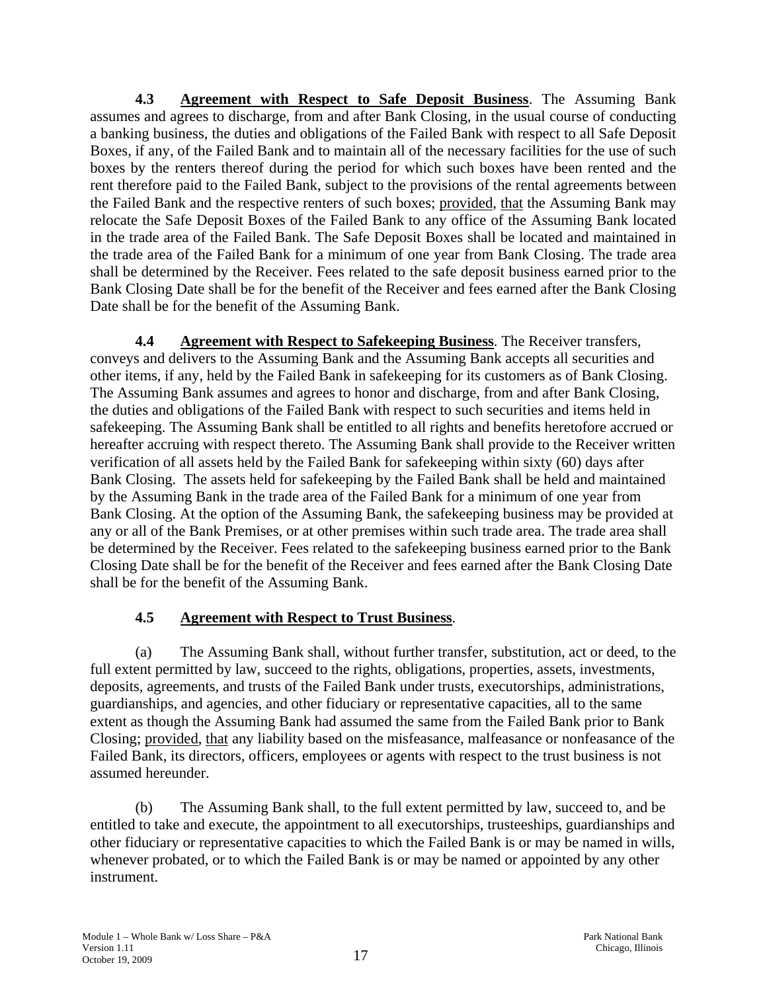<span id="page-20-0"></span>**4.3 Agreement with Respect to Safe Deposit Business**. The Assuming Bank assumes and agrees to discharge, from and after Bank Closing, in the usual course of conducting a banking business, the duties and obligations of the Failed Bank with respect to all Safe Deposit Boxes, if any, of the Failed Bank and to maintain all of the necessary facilities for the use of such boxes by the renters thereof during the period for which such boxes have been rented and the rent therefore paid to the Failed Bank, subject to the provisions of the rental agreements between the Failed Bank and the respective renters of such boxes; provided, that the Assuming Bank may relocate the Safe Deposit Boxes of the Failed Bank to any office of the Assuming Bank located in the trade area of the Failed Bank. The Safe Deposit Boxes shall be located and maintained in the trade area of the Failed Bank for a minimum of one year from Bank Closing. The trade area shall be determined by the Receiver. Fees related to the safe deposit business earned prior to the Bank Closing Date shall be for the benefit of the Receiver and fees earned after the Bank Closing Date shall be for the benefit of the Assuming Bank.

**4.4 Agreement with Respect to Safekeeping Business**. The Receiver transfers, conveys and delivers to the Assuming Bank and the Assuming Bank accepts all securities and other items, if any, held by the Failed Bank in safekeeping for its customers as of Bank Closing. The Assuming Bank assumes and agrees to honor and discharge, from and after Bank Closing, the duties and obligations of the Failed Bank with respect to such securities and items held in safekeeping. The Assuming Bank shall be entitled to all rights and benefits heretofore accrued or hereafter accruing with respect thereto. The Assuming Bank shall provide to the Receiver written verification of all assets held by the Failed Bank for safekeeping within sixty (60) days after Bank Closing. The assets held for safekeeping by the Failed Bank shall be held and maintained by the Assuming Bank in the trade area of the Failed Bank for a minimum of one year from Bank Closing. At the option of the Assuming Bank, the safekeeping business may be provided at any or all of the Bank Premises, or at other premises within such trade area. The trade area shall be determined by the Receiver. Fees related to the safekeeping business earned prior to the Bank Closing Date shall be for the benefit of the Receiver and fees earned after the Bank Closing Date shall be for the benefit of the Assuming Bank.

# **4.5 Agreement with Respect to Trust Business**.

(a) The Assuming Bank shall, without further transfer, substitution, act or deed, to the full extent permitted by law, succeed to the rights, obligations, properties, assets, investments, deposits, agreements, and trusts of the Failed Bank under trusts, executorships, administrations, guardianships, and agencies, and other fiduciary or representative capacities, all to the same extent as though the Assuming Bank had assumed the same from the Failed Bank prior to Bank Closing; provided, that any liability based on the misfeasance, malfeasance or nonfeasance of the Failed Bank, its directors, officers, employees or agents with respect to the trust business is not assumed hereunder.

(b) The Assuming Bank shall, to the full extent permitted by law, succeed to, and be entitled to take and execute, the appointment to all executorships, trusteeships, guardianships and other fiduciary or representative capacities to which the Failed Bank is or may be named in wills, whenever probated, or to which the Failed Bank is or may be named or appointed by any other instrument.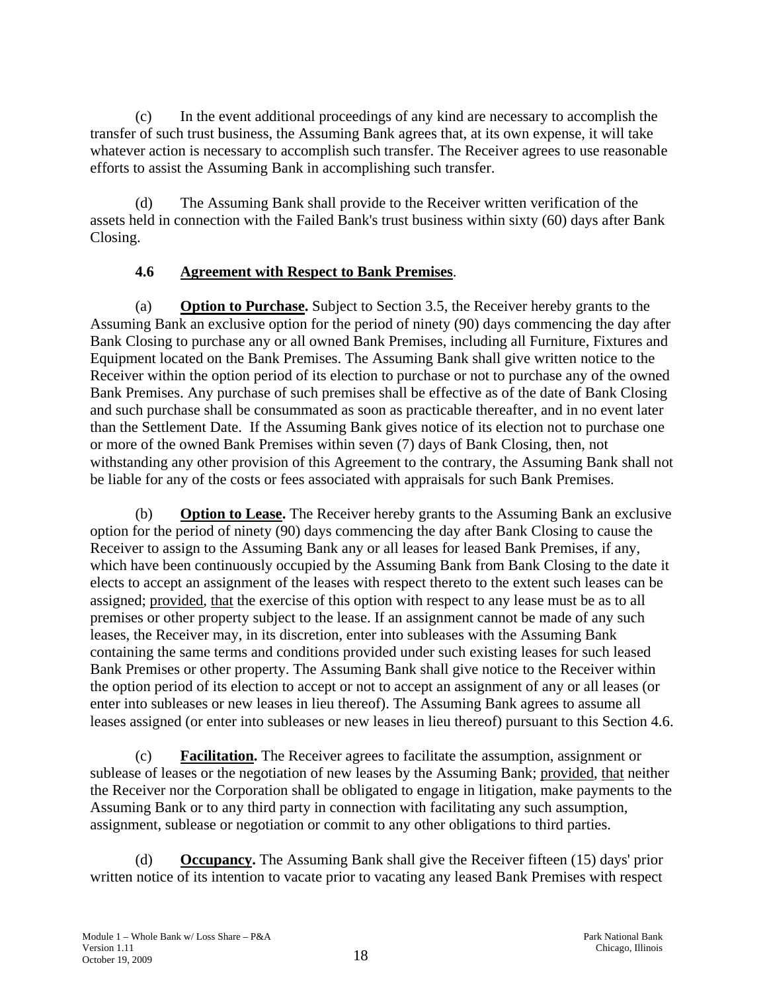<span id="page-21-0"></span>(c) In the event additional proceedings of any kind are necessary to accomplish the transfer of such trust business, the Assuming Bank agrees that, at its own expense, it will take whatever action is necessary to accomplish such transfer. The Receiver agrees to use reasonable efforts to assist the Assuming Bank in accomplishing such transfer.

(d) The Assuming Bank shall provide to the Receiver written verification of the assets held in connection with the Failed Bank's trust business within sixty (60) days after Bank Closing.

# **4.6 Agreement with Respect to Bank Premises**.

(a) **Option to Purchase.** Subject to Section 3.5, the Receiver hereby grants to the Assuming Bank an exclusive option for the period of ninety (90) days commencing the day after Bank Closing to purchase any or all owned Bank Premises, including all Furniture, Fixtures and Equipment located on the Bank Premises. The Assuming Bank shall give written notice to the Receiver within the option period of its election to purchase or not to purchase any of the owned Bank Premises. Any purchase of such premises shall be effective as of the date of Bank Closing and such purchase shall be consummated as soon as practicable thereafter, and in no event later than the Settlement Date. If the Assuming Bank gives notice of its election not to purchase one or more of the owned Bank Premises within seven (7) days of Bank Closing, then, not withstanding any other provision of this Agreement to the contrary, the Assuming Bank shall not be liable for any of the costs or fees associated with appraisals for such Bank Premises.

(b) **Option to Lease.** The Receiver hereby grants to the Assuming Bank an exclusive option for the period of ninety (90) days commencing the day after Bank Closing to cause the Receiver to assign to the Assuming Bank any or all leases for leased Bank Premises, if any, which have been continuously occupied by the Assuming Bank from Bank Closing to the date it elects to accept an assignment of the leases with respect thereto to the extent such leases can be assigned; provided, that the exercise of this option with respect to any lease must be as to all premises or other property subject to the lease. If an assignment cannot be made of any such leases, the Receiver may, in its discretion, enter into subleases with the Assuming Bank containing the same terms and conditions provided under such existing leases for such leased Bank Premises or other property. The Assuming Bank shall give notice to the Receiver within the option period of its election to accept or not to accept an assignment of any or all leases (or enter into subleases or new leases in lieu thereof). The Assuming Bank agrees to assume all leases assigned (or enter into subleases or new leases in lieu thereof) pursuant to this Section 4.6.

(c) **Facilitation.** The Receiver agrees to facilitate the assumption, assignment or sublease of leases or the negotiation of new leases by the Assuming Bank; provided, that neither the Receiver nor the Corporation shall be obligated to engage in litigation, make payments to the Assuming Bank or to any third party in connection with facilitating any such assumption, assignment, sublease or negotiation or commit to any other obligations to third parties.

(d) **Occupancy.** The Assuming Bank shall give the Receiver fifteen (15) days' prior written notice of its intention to vacate prior to vacating any leased Bank Premises with respect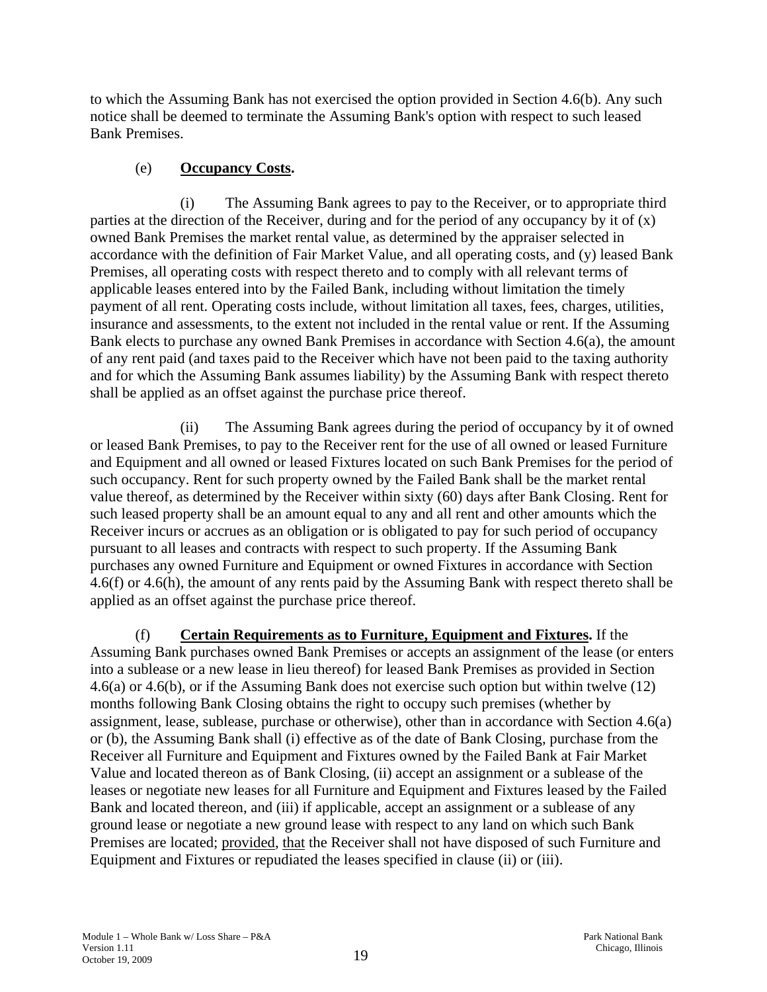to which the Assuming Bank has not exercised the option provided in Section 4.6(b). Any such notice shall be deemed to terminate the Assuming Bank's option with respect to such leased Bank Premises.

## (e) **Occupancy Costs.**

(i) The Assuming Bank agrees to pay to the Receiver, or to appropriate third parties at the direction of the Receiver, during and for the period of any occupancy by it of (x) owned Bank Premises the market rental value, as determined by the appraiser selected in accordance with the definition of Fair Market Value, and all operating costs, and (y) leased Bank Premises, all operating costs with respect thereto and to comply with all relevant terms of applicable leases entered into by the Failed Bank, including without limitation the timely payment of all rent. Operating costs include, without limitation all taxes, fees, charges, utilities, insurance and assessments, to the extent not included in the rental value or rent. If the Assuming Bank elects to purchase any owned Bank Premises in accordance with Section 4.6(a), the amount of any rent paid (and taxes paid to the Receiver which have not been paid to the taxing authority and for which the Assuming Bank assumes liability) by the Assuming Bank with respect thereto shall be applied as an offset against the purchase price thereof.

(ii) The Assuming Bank agrees during the period of occupancy by it of owned or leased Bank Premises, to pay to the Receiver rent for the use of all owned or leased Furniture and Equipment and all owned or leased Fixtures located on such Bank Premises for the period of such occupancy. Rent for such property owned by the Failed Bank shall be the market rental value thereof, as determined by the Receiver within sixty (60) days after Bank Closing. Rent for such leased property shall be an amount equal to any and all rent and other amounts which the Receiver incurs or accrues as an obligation or is obligated to pay for such period of occupancy pursuant to all leases and contracts with respect to such property. If the Assuming Bank purchases any owned Furniture and Equipment or owned Fixtures in accordance with Section 4.6(f) or 4.6(h), the amount of any rents paid by the Assuming Bank with respect thereto shall be applied as an offset against the purchase price thereof.

(f) **Certain Requirements as to Furniture, Equipment and Fixtures.** If the Assuming Bank purchases owned Bank Premises or accepts an assignment of the lease (or enters into a sublease or a new lease in lieu thereof) for leased Bank Premises as provided in Section 4.6(a) or 4.6(b), or if the Assuming Bank does not exercise such option but within twelve (12) months following Bank Closing obtains the right to occupy such premises (whether by assignment, lease, sublease, purchase or otherwise), other than in accordance with Section 4.6(a) or (b), the Assuming Bank shall (i) effective as of the date of Bank Closing, purchase from the Receiver all Furniture and Equipment and Fixtures owned by the Failed Bank at Fair Market Value and located thereon as of Bank Closing, (ii) accept an assignment or a sublease of the leases or negotiate new leases for all Furniture and Equipment and Fixtures leased by the Failed Bank and located thereon, and (iii) if applicable, accept an assignment or a sublease of any ground lease or negotiate a new ground lease with respect to any land on which such Bank Premises are located; provided, that the Receiver shall not have disposed of such Furniture and Equipment and Fixtures or repudiated the leases specified in clause (ii) or (iii).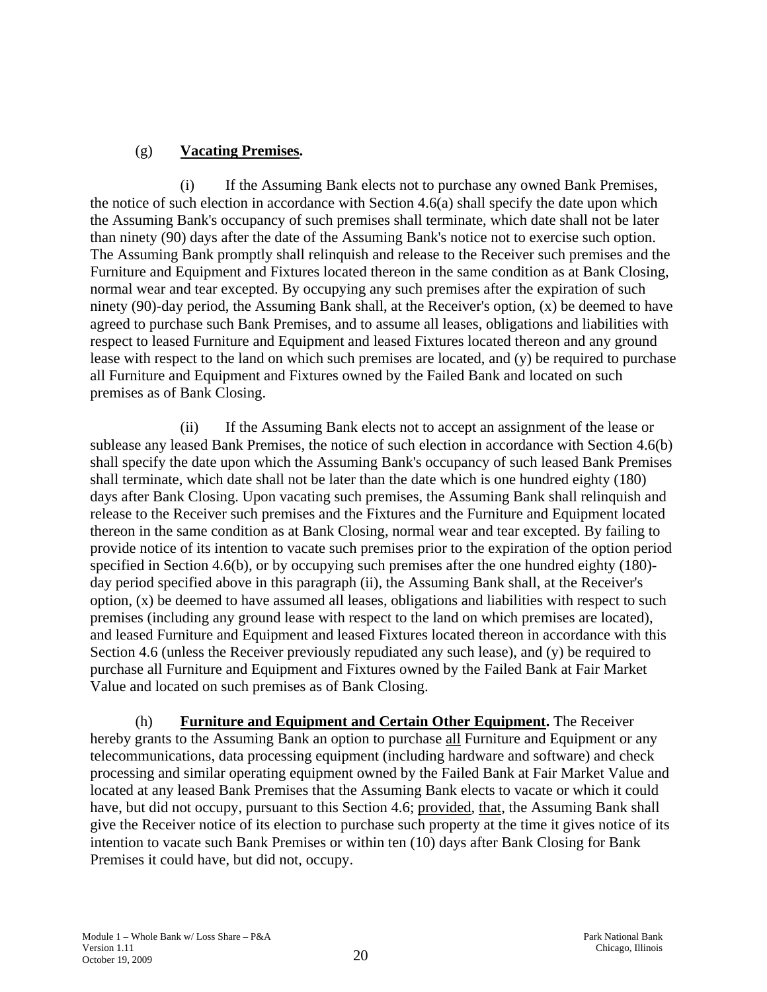### (g) **Vacating Premises.**

(i) If the Assuming Bank elects not to purchase any owned Bank Premises, the notice of such election in accordance with Section 4.6(a) shall specify the date upon which the Assuming Bank's occupancy of such premises shall terminate, which date shall not be later than ninety (90) days after the date of the Assuming Bank's notice not to exercise such option. The Assuming Bank promptly shall relinquish and release to the Receiver such premises and the Furniture and Equipment and Fixtures located thereon in the same condition as at Bank Closing, normal wear and tear excepted. By occupying any such premises after the expiration of such ninety (90)-day period, the Assuming Bank shall, at the Receiver's option, (x) be deemed to have agreed to purchase such Bank Premises, and to assume all leases, obligations and liabilities with respect to leased Furniture and Equipment and leased Fixtures located thereon and any ground lease with respect to the land on which such premises are located, and (y) be required to purchase all Furniture and Equipment and Fixtures owned by the Failed Bank and located on such premises as of Bank Closing.

(ii) If the Assuming Bank elects not to accept an assignment of the lease or sublease any leased Bank Premises, the notice of such election in accordance with Section 4.6(b) shall specify the date upon which the Assuming Bank's occupancy of such leased Bank Premises shall terminate, which date shall not be later than the date which is one hundred eighty (180) days after Bank Closing. Upon vacating such premises, the Assuming Bank shall relinquish and release to the Receiver such premises and the Fixtures and the Furniture and Equipment located thereon in the same condition as at Bank Closing, normal wear and tear excepted. By failing to provide notice of its intention to vacate such premises prior to the expiration of the option period specified in Section 4.6(b), or by occupying such premises after the one hundred eighty (180) day period specified above in this paragraph (ii), the Assuming Bank shall, at the Receiver's option, (x) be deemed to have assumed all leases, obligations and liabilities with respect to such premises (including any ground lease with respect to the land on which premises are located), and leased Furniture and Equipment and leased Fixtures located thereon in accordance with this Section 4.6 (unless the Receiver previously repudiated any such lease), and (y) be required to purchase all Furniture and Equipment and Fixtures owned by the Failed Bank at Fair Market Value and located on such premises as of Bank Closing.

(h) **Furniture and Equipment and Certain Other Equipment.** The Receiver hereby grants to the Assuming Bank an option to purchase all Furniture and Equipment or any telecommunications, data processing equipment (including hardware and software) and check processing and similar operating equipment owned by the Failed Bank at Fair Market Value and located at any leased Bank Premises that the Assuming Bank elects to vacate or which it could have, but did not occupy, pursuant to this Section 4.6; provided, that, the Assuming Bank shall give the Receiver notice of its election to purchase such property at the time it gives notice of its intention to vacate such Bank Premises or within ten (10) days after Bank Closing for Bank Premises it could have, but did not, occupy.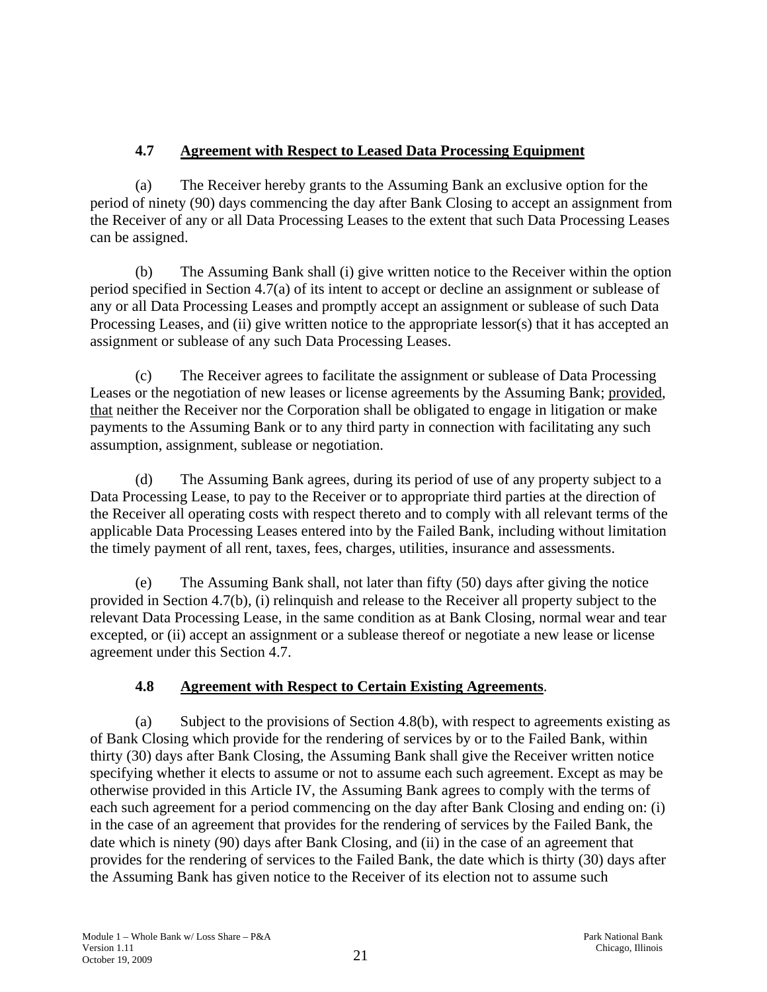# <span id="page-24-0"></span>**4.7 Agreement with Respect to Leased Data Processing Equipment**

(a) The Receiver hereby grants to the Assuming Bank an exclusive option for the period of ninety (90) days commencing the day after Bank Closing to accept an assignment from the Receiver of any or all Data Processing Leases to the extent that such Data Processing Leases can be assigned.

(b) The Assuming Bank shall (i) give written notice to the Receiver within the option period specified in Section 4.7(a) of its intent to accept or decline an assignment or sublease of any or all Data Processing Leases and promptly accept an assignment or sublease of such Data Processing Leases, and (ii) give written notice to the appropriate lessor(s) that it has accepted an assignment or sublease of any such Data Processing Leases.

(c) The Receiver agrees to facilitate the assignment or sublease of Data Processing Leases or the negotiation of new leases or license agreements by the Assuming Bank; provided, that neither the Receiver nor the Corporation shall be obligated to engage in litigation or make payments to the Assuming Bank or to any third party in connection with facilitating any such assumption, assignment, sublease or negotiation.

(d) The Assuming Bank agrees, during its period of use of any property subject to a Data Processing Lease, to pay to the Receiver or to appropriate third parties at the direction of the Receiver all operating costs with respect thereto and to comply with all relevant terms of the applicable Data Processing Leases entered into by the Failed Bank, including without limitation the timely payment of all rent, taxes, fees, charges, utilities, insurance and assessments.

(e) The Assuming Bank shall, not later than fifty (50) days after giving the notice provided in Section 4.7(b), (i) relinquish and release to the Receiver all property subject to the relevant Data Processing Lease, in the same condition as at Bank Closing, normal wear and tear excepted, or (ii) accept an assignment or a sublease thereof or negotiate a new lease or license agreement under this Section 4.7.

# **4.8 Agreement with Respect to Certain Existing Agreements**.

(a) Subject to the provisions of Section 4.8(b), with respect to agreements existing as of Bank Closing which provide for the rendering of services by or to the Failed Bank, within thirty (30) days after Bank Closing, the Assuming Bank shall give the Receiver written notice specifying whether it elects to assume or not to assume each such agreement. Except as may be otherwise provided in this Article IV, the Assuming Bank agrees to comply with the terms of each such agreement for a period commencing on the day after Bank Closing and ending on: (i) in the case of an agreement that provides for the rendering of services by the Failed Bank, the date which is ninety (90) days after Bank Closing, and (ii) in the case of an agreement that provides for the rendering of services to the Failed Bank, the date which is thirty (30) days after the Assuming Bank has given notice to the Receiver of its election not to assume such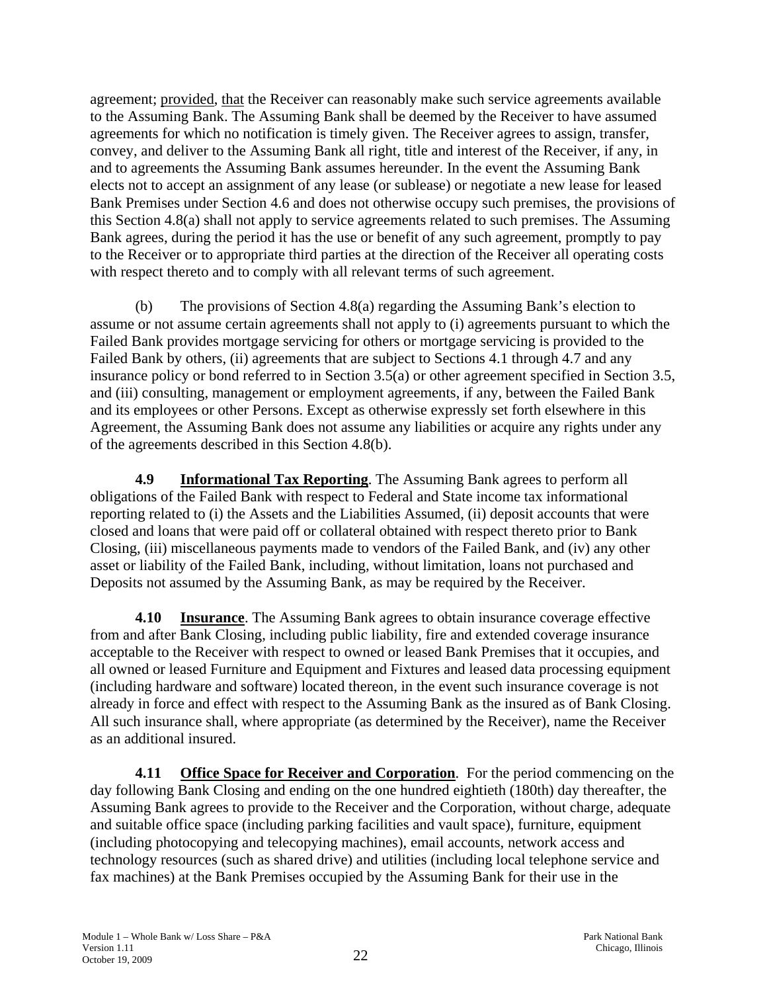<span id="page-25-0"></span>agreement; provided, that the Receiver can reasonably make such service agreements available to the Assuming Bank. The Assuming Bank shall be deemed by the Receiver to have assumed agreements for which no notification is timely given. The Receiver agrees to assign, transfer, convey, and deliver to the Assuming Bank all right, title and interest of the Receiver, if any, in and to agreements the Assuming Bank assumes hereunder. In the event the Assuming Bank elects not to accept an assignment of any lease (or sublease) or negotiate a new lease for leased Bank Premises under Section 4.6 and does not otherwise occupy such premises, the provisions of this Section 4.8(a) shall not apply to service agreements related to such premises. The Assuming Bank agrees, during the period it has the use or benefit of any such agreement, promptly to pay to the Receiver or to appropriate third parties at the direction of the Receiver all operating costs with respect thereto and to comply with all relevant terms of such agreement.

(b) The provisions of Section 4.8(a) regarding the Assuming Bank's election to assume or not assume certain agreements shall not apply to (i) agreements pursuant to which the Failed Bank provides mortgage servicing for others or mortgage servicing is provided to the Failed Bank by others, (ii) agreements that are subject to Sections 4.1 through 4.7 and any insurance policy or bond referred to in Section 3.5(a) or other agreement specified in Section 3.5, and (iii) consulting, management or employment agreements, if any, between the Failed Bank and its employees or other Persons. Except as otherwise expressly set forth elsewhere in this Agreement, the Assuming Bank does not assume any liabilities or acquire any rights under any of the agreements described in this Section 4.8(b).

**4.9** Informational Tax Reporting. The Assuming Bank agrees to perform all obligations of the Failed Bank with respect to Federal and State income tax informational reporting related to (i) the Assets and the Liabilities Assumed, (ii) deposit accounts that were closed and loans that were paid off or collateral obtained with respect thereto prior to Bank Closing, (iii) miscellaneous payments made to vendors of the Failed Bank, and (iv) any other asset or liability of the Failed Bank, including, without limitation, loans not purchased and Deposits not assumed by the Assuming Bank, as may be required by the Receiver.

**4.10 Insurance**. The Assuming Bank agrees to obtain insurance coverage effective from and after Bank Closing, including public liability, fire and extended coverage insurance acceptable to the Receiver with respect to owned or leased Bank Premises that it occupies, and all owned or leased Furniture and Equipment and Fixtures and leased data processing equipment (including hardware and software) located thereon, in the event such insurance coverage is not already in force and effect with respect to the Assuming Bank as the insured as of Bank Closing. All such insurance shall, where appropriate (as determined by the Receiver), name the Receiver as an additional insured.

**4.11 Office Space for Receiver and Corporation**. For the period commencing on the day following Bank Closing and ending on the one hundred eightieth (180th) day thereafter, the Assuming Bank agrees to provide to the Receiver and the Corporation, without charge, adequate and suitable office space (including parking facilities and vault space), furniture, equipment (including photocopying and telecopying machines), email accounts, network access and technology resources (such as shared drive) and utilities (including local telephone service and fax machines) at the Bank Premises occupied by the Assuming Bank for their use in the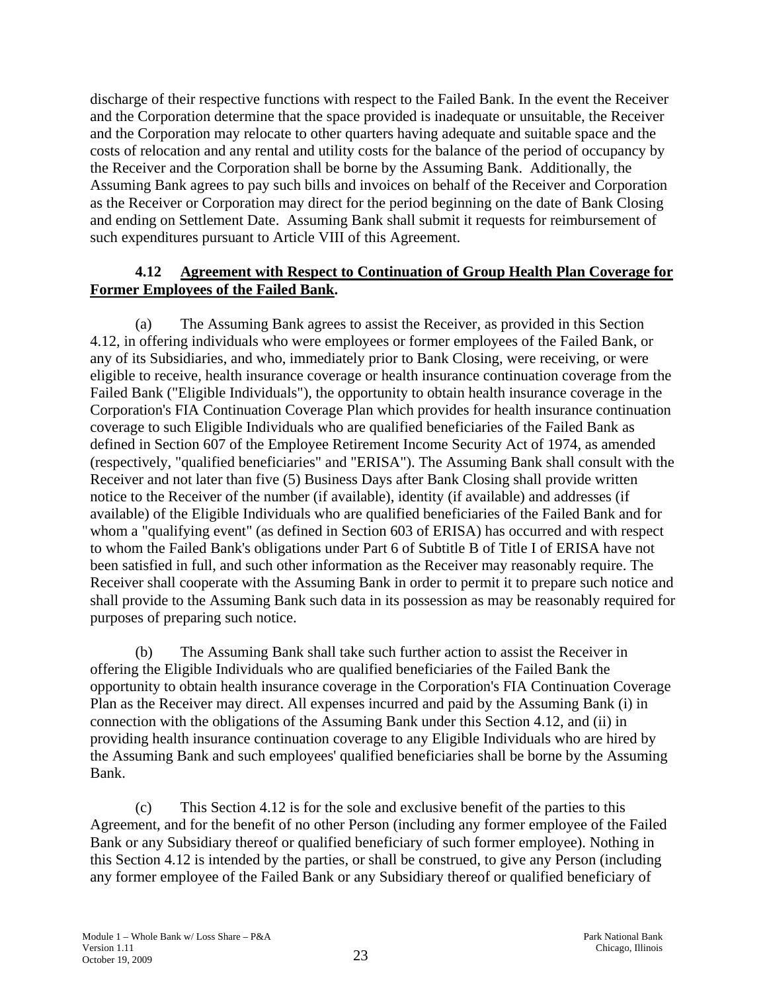<span id="page-26-0"></span>discharge of their respective functions with respect to the Failed Bank. In the event the Receiver and the Corporation determine that the space provided is inadequate or unsuitable, the Receiver and the Corporation may relocate to other quarters having adequate and suitable space and the costs of relocation and any rental and utility costs for the balance of the period of occupancy by the Receiver and the Corporation shall be borne by the Assuming Bank. Additionally, the Assuming Bank agrees to pay such bills and invoices on behalf of the Receiver and Corporation as the Receiver or Corporation may direct for the period beginning on the date of Bank Closing and ending on Settlement Date. Assuming Bank shall submit it requests for reimbursement of such expenditures pursuant to Article VIII of this Agreement.

### **4.12 Agreement with Respect to Continuation of Group Health Plan Coverage for Former Employees of the Failed Bank.**

(a) The Assuming Bank agrees to assist the Receiver, as provided in this Section 4.12, in offering individuals who were employees or former employees of the Failed Bank, or any of its Subsidiaries, and who, immediately prior to Bank Closing, were receiving, or were eligible to receive, health insurance coverage or health insurance continuation coverage from the Failed Bank ("Eligible Individuals"), the opportunity to obtain health insurance coverage in the Corporation's FIA Continuation Coverage Plan which provides for health insurance continuation coverage to such Eligible Individuals who are qualified beneficiaries of the Failed Bank as defined in Section 607 of the Employee Retirement Income Security Act of 1974, as amended (respectively, "qualified beneficiaries" and "ERISA"). The Assuming Bank shall consult with the Receiver and not later than five (5) Business Days after Bank Closing shall provide written notice to the Receiver of the number (if available), identity (if available) and addresses (if available) of the Eligible Individuals who are qualified beneficiaries of the Failed Bank and for whom a "qualifying event" (as defined in Section 603 of ERISA) has occurred and with respect to whom the Failed Bank's obligations under Part 6 of Subtitle B of Title I of ERISA have not been satisfied in full, and such other information as the Receiver may reasonably require. The Receiver shall cooperate with the Assuming Bank in order to permit it to prepare such notice and shall provide to the Assuming Bank such data in its possession as may be reasonably required for purposes of preparing such notice.

(b) The Assuming Bank shall take such further action to assist the Receiver in offering the Eligible Individuals who are qualified beneficiaries of the Failed Bank the opportunity to obtain health insurance coverage in the Corporation's FIA Continuation Coverage Plan as the Receiver may direct. All expenses incurred and paid by the Assuming Bank (i) in connection with the obligations of the Assuming Bank under this Section 4.12, and (ii) in providing health insurance continuation coverage to any Eligible Individuals who are hired by the Assuming Bank and such employees' qualified beneficiaries shall be borne by the Assuming Bank.

(c) This Section 4.12 is for the sole and exclusive benefit of the parties to this Agreement, and for the benefit of no other Person (including any former employee of the Failed Bank or any Subsidiary thereof or qualified beneficiary of such former employee). Nothing in this Section 4.12 is intended by the parties, or shall be construed, to give any Person (including any former employee of the Failed Bank or any Subsidiary thereof or qualified beneficiary of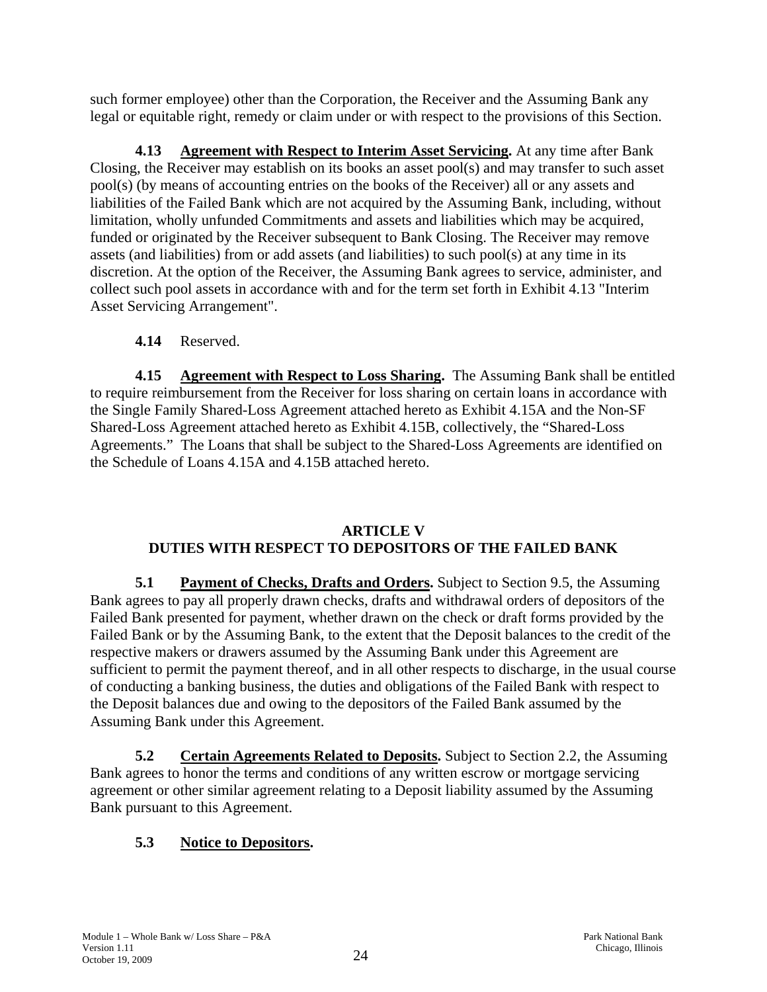<span id="page-27-0"></span>such former employee) other than the Corporation, the Receiver and the Assuming Bank any legal or equitable right, remedy or claim under or with respect to the provisions of this Section.

**4.13** Agreement with Respect to Interim Asset Servicing. At any time after Bank Closing, the Receiver may establish on its books an asset pool(s) and may transfer to such asset pool(s) (by means of accounting entries on the books of the Receiver) all or any assets and liabilities of the Failed Bank which are not acquired by the Assuming Bank, including, without limitation, wholly unfunded Commitments and assets and liabilities which may be acquired, funded or originated by the Receiver subsequent to Bank Closing. The Receiver may remove assets (and liabilities) from or add assets (and liabilities) to such pool(s) at any time in its discretion. At the option of the Receiver, the Assuming Bank agrees to service, administer, and collect such pool assets in accordance with and for the term set forth in Exhibit 4.13 "Interim Asset Servicing Arrangement".

# **4.14** Reserved.

**4.15 Agreement with Respect to Loss Sharing.** The Assuming Bank shall be entitled to require reimbursement from the Receiver for loss sharing on certain loans in accordance with the Single Family Shared-Loss Agreement attached hereto as Exhibit 4.15A and the Non-SF Shared-Loss Agreement attached hereto as Exhibit 4.15B, collectively, the "Shared-Loss Agreements." The Loans that shall be subject to the Shared-Loss Agreements are identified on the Schedule of Loans 4.15A and 4.15B attached hereto.

### **ARTICLE V DUTIES WITH RESPECT TO DEPOSITORS OF THE FAILED BANK**

**5.1 Payment of Checks, Drafts and Orders.** Subject to Section 9.5, the Assuming Bank agrees to pay all properly drawn checks, drafts and withdrawal orders of depositors of the Failed Bank presented for payment, whether drawn on the check or draft forms provided by the Failed Bank or by the Assuming Bank, to the extent that the Deposit balances to the credit of the respective makers or drawers assumed by the Assuming Bank under this Agreement are sufficient to permit the payment thereof, and in all other respects to discharge, in the usual course of conducting a banking business, the duties and obligations of the Failed Bank with respect to the Deposit balances due and owing to the depositors of the Failed Bank assumed by the Assuming Bank under this Agreement.

**5.2 Certain Agreements Related to Deposits.** Subject to Section 2.2, the Assuming Bank agrees to honor the terms and conditions of any written escrow or mortgage servicing agreement or other similar agreement relating to a Deposit liability assumed by the Assuming Bank pursuant to this Agreement.

# **5.3 Notice to Depositors.**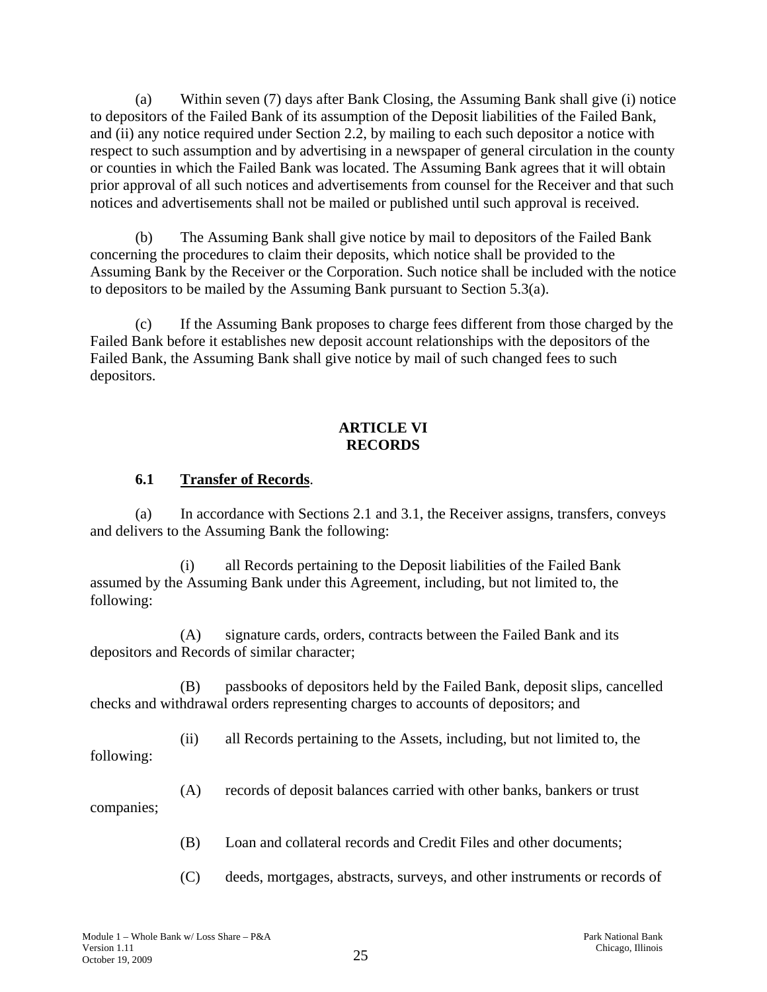<span id="page-28-0"></span>(a) Within seven (7) days after Bank Closing, the Assuming Bank shall give (i) notice to depositors of the Failed Bank of its assumption of the Deposit liabilities of the Failed Bank, and (ii) any notice required under Section 2.2, by mailing to each such depositor a notice with respect to such assumption and by advertising in a newspaper of general circulation in the county or counties in which the Failed Bank was located. The Assuming Bank agrees that it will obtain prior approval of all such notices and advertisements from counsel for the Receiver and that such notices and advertisements shall not be mailed or published until such approval is received.

(b) The Assuming Bank shall give notice by mail to depositors of the Failed Bank concerning the procedures to claim their deposits, which notice shall be provided to the Assuming Bank by the Receiver or the Corporation. Such notice shall be included with the notice to depositors to be mailed by the Assuming Bank pursuant to Section 5.3(a).

(c) If the Assuming Bank proposes to charge fees different from those charged by the Failed Bank before it establishes new deposit account relationships with the depositors of the Failed Bank, the Assuming Bank shall give notice by mail of such changed fees to such depositors.

### **ARTICLE VI RECORDS**

### **6.1 Transfer of Records**.

(a) In accordance with Sections 2.1 and 3.1, the Receiver assigns, transfers, conveys and delivers to the Assuming Bank the following:

(i) all Records pertaining to the Deposit liabilities of the Failed Bank assumed by the Assuming Bank under this Agreement, including, but not limited to, the following:

(A) signature cards, orders, contracts between the Failed Bank and its depositors and Records of similar character;

(B) passbooks of depositors held by the Failed Bank, deposit slips, cancelled checks and withdrawal orders representing charges to accounts of depositors; and

following: (ii) all Records pertaining to the Assets, including, but not limited to, the

companies; (A) records of deposit balances carried with other banks, bankers or trust

(B) Loan and collateral records and Credit Files and other documents;

(C) deeds, mortgages, abstracts, surveys, and other instruments or records of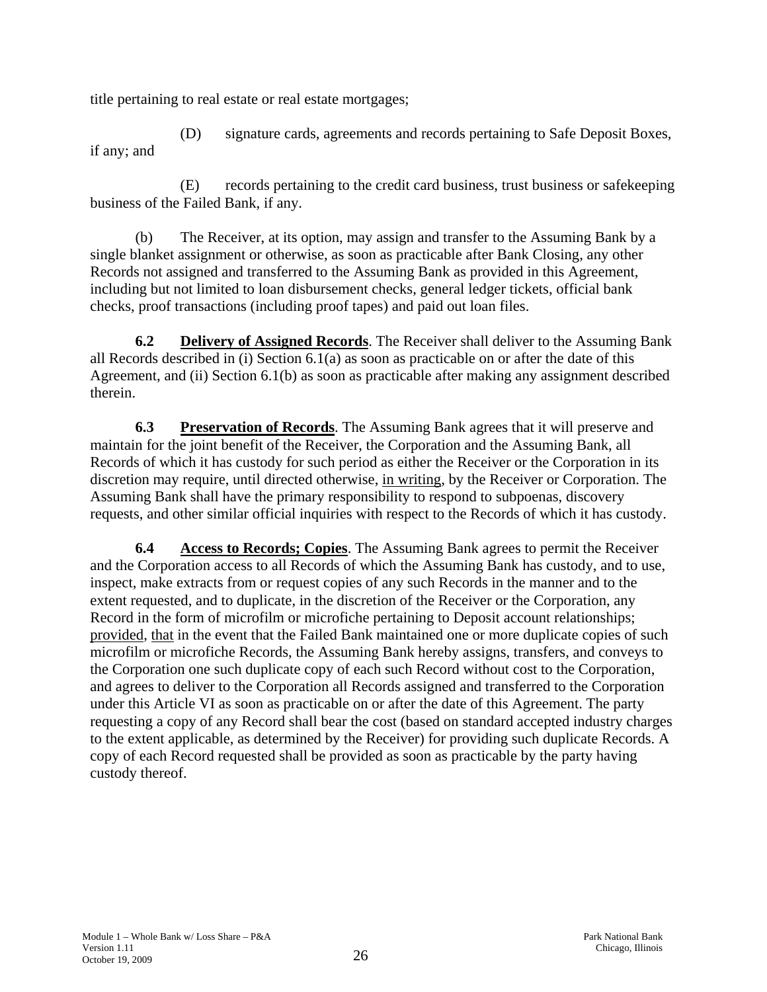<span id="page-29-0"></span>title pertaining to real estate or real estate mortgages;

(D) signature cards, agreements and records pertaining to Safe Deposit Boxes, if any; and

(E) records pertaining to the credit card business, trust business or safekeeping business of the Failed Bank, if any.

(b) The Receiver, at its option, may assign and transfer to the Assuming Bank by a single blanket assignment or otherwise, as soon as practicable after Bank Closing, any other Records not assigned and transferred to the Assuming Bank as provided in this Agreement, including but not limited to loan disbursement checks, general ledger tickets, official bank checks, proof transactions (including proof tapes) and paid out loan files.

**6.2 Delivery of Assigned Records**. The Receiver shall deliver to the Assuming Bank all Records described in (i) Section 6.1(a) as soon as practicable on or after the date of this Agreement, and (ii) Section 6.1(b) as soon as practicable after making any assignment described therein.

**6.3 Preservation of Records**. The Assuming Bank agrees that it will preserve and maintain for the joint benefit of the Receiver, the Corporation and the Assuming Bank, all Records of which it has custody for such period as either the Receiver or the Corporation in its discretion may require, until directed otherwise, in writing, by the Receiver or Corporation. The Assuming Bank shall have the primary responsibility to respond to subpoenas, discovery requests, and other similar official inquiries with respect to the Records of which it has custody.

**6.4** Access to Records; Copies. The Assuming Bank agrees to permit the Receiver and the Corporation access to all Records of which the Assuming Bank has custody, and to use, inspect, make extracts from or request copies of any such Records in the manner and to the extent requested, and to duplicate, in the discretion of the Receiver or the Corporation, any Record in the form of microfilm or microfiche pertaining to Deposit account relationships; provided, that in the event that the Failed Bank maintained one or more duplicate copies of such microfilm or microfiche Records, the Assuming Bank hereby assigns, transfers, and conveys to the Corporation one such duplicate copy of each such Record without cost to the Corporation, and agrees to deliver to the Corporation all Records assigned and transferred to the Corporation under this Article VI as soon as practicable on or after the date of this Agreement. The party requesting a copy of any Record shall bear the cost (based on standard accepted industry charges to the extent applicable, as determined by the Receiver) for providing such duplicate Records. A copy of each Record requested shall be provided as soon as practicable by the party having custody thereof.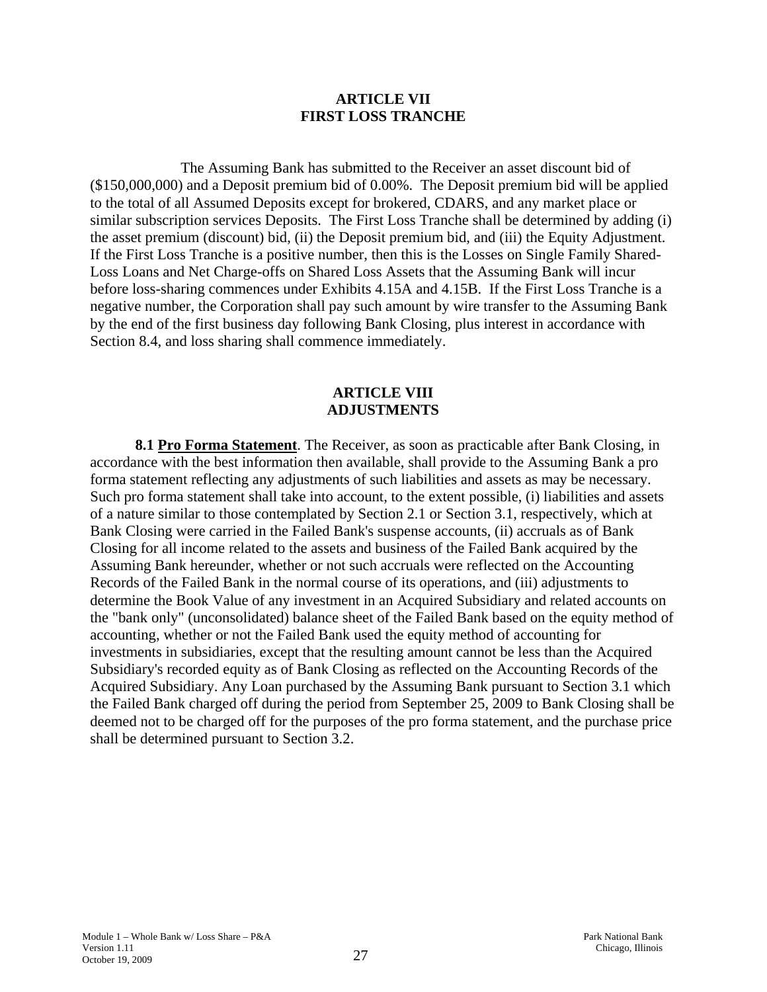#### **ARTICLE VII FIRST LOSS TRANCHE**

<span id="page-30-0"></span> The Assuming Bank has submitted to the Receiver an asset discount bid of (\$150,000,000) and a Deposit premium bid of 0.00%. The Deposit premium bid will be applied to the total of all Assumed Deposits except for brokered, CDARS, and any market place or similar subscription services Deposits. The First Loss Tranche shall be determined by adding (i) the asset premium (discount) bid, (ii) the Deposit premium bid, and (iii) the Equity Adjustment. If the First Loss Tranche is a positive number, then this is the Losses on Single Family Shared-Loss Loans and Net Charge-offs on Shared Loss Assets that the Assuming Bank will incur before loss-sharing commences under Exhibits 4.15A and 4.15B. If the First Loss Tranche is a negative number, the Corporation shall pay such amount by wire transfer to the Assuming Bank by the end of the first business day following Bank Closing, plus interest in accordance with Section 8.4, and loss sharing shall commence immediately.

#### **ARTICLE VIII ADJUSTMENTS**

**8.1 Pro Forma Statement**. The Receiver, as soon as practicable after Bank Closing, in accordance with the best information then available, shall provide to the Assuming Bank a pro forma statement reflecting any adjustments of such liabilities and assets as may be necessary. Such pro forma statement shall take into account, to the extent possible, (i) liabilities and assets of a nature similar to those contemplated by Section 2.1 or Section 3.1, respectively, which at Bank Closing were carried in the Failed Bank's suspense accounts, (ii) accruals as of Bank Closing for all income related to the assets and business of the Failed Bank acquired by the Assuming Bank hereunder, whether or not such accruals were reflected on the Accounting Records of the Failed Bank in the normal course of its operations, and (iii) adjustments to determine the Book Value of any investment in an Acquired Subsidiary and related accounts on the "bank only" (unconsolidated) balance sheet of the Failed Bank based on the equity method of accounting, whether or not the Failed Bank used the equity method of accounting for investments in subsidiaries, except that the resulting amount cannot be less than the Acquired Subsidiary's recorded equity as of Bank Closing as reflected on the Accounting Records of the Acquired Subsidiary. Any Loan purchased by the Assuming Bank pursuant to Section 3.1 which the Failed Bank charged off during the period from September 25, 2009 to Bank Closing shall be deemed not to be charged off for the purposes of the pro forma statement, and the purchase price shall be determined pursuant to Section 3.2.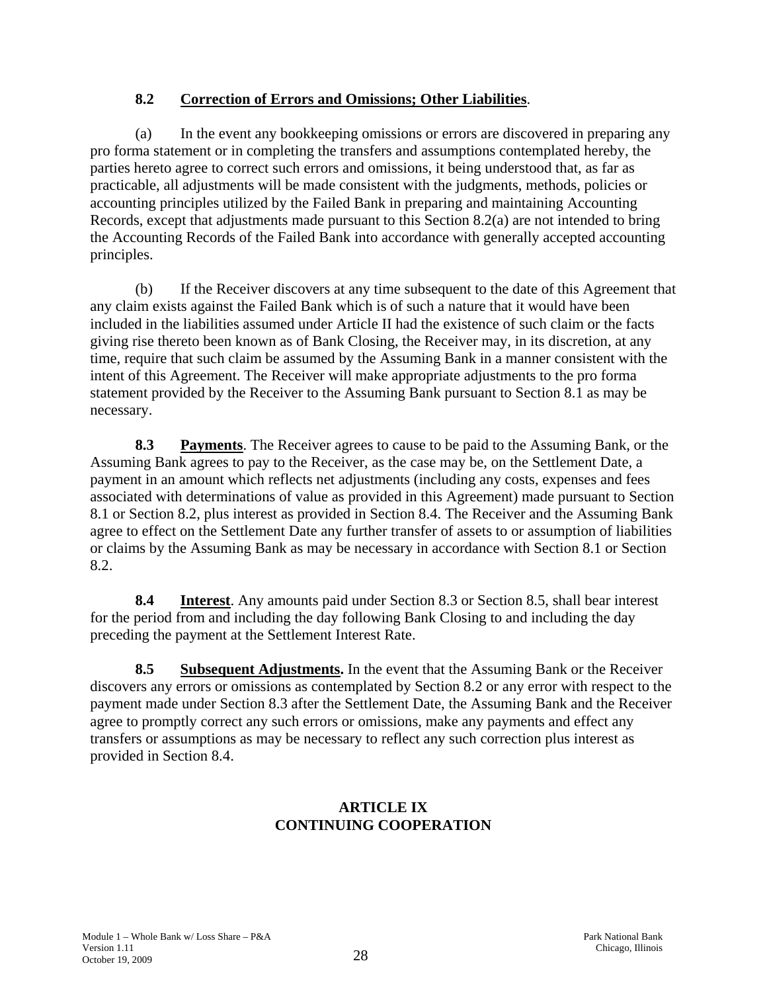## **8.2 Correction of Errors and Omissions; Other Liabilities**.

<span id="page-31-0"></span>(a) In the event any bookkeeping omissions or errors are discovered in preparing any pro forma statement or in completing the transfers and assumptions contemplated hereby, the parties hereto agree to correct such errors and omissions, it being understood that, as far as practicable, all adjustments will be made consistent with the judgments, methods, policies or accounting principles utilized by the Failed Bank in preparing and maintaining Accounting Records, except that adjustments made pursuant to this Section 8.2(a) are not intended to bring the Accounting Records of the Failed Bank into accordance with generally accepted accounting principles.

(b) If the Receiver discovers at any time subsequent to the date of this Agreement that any claim exists against the Failed Bank which is of such a nature that it would have been included in the liabilities assumed under Article II had the existence of such claim or the facts giving rise thereto been known as of Bank Closing, the Receiver may, in its discretion, at any time, require that such claim be assumed by the Assuming Bank in a manner consistent with the intent of this Agreement. The Receiver will make appropriate adjustments to the pro forma statement provided by the Receiver to the Assuming Bank pursuant to Section 8.1 as may be necessary.

**8.3 Payments**. The Receiver agrees to cause to be paid to the Assuming Bank, or the Assuming Bank agrees to pay to the Receiver, as the case may be, on the Settlement Date, a payment in an amount which reflects net adjustments (including any costs, expenses and fees associated with determinations of value as provided in this Agreement) made pursuant to Section 8.1 or Section 8.2, plus interest as provided in Section 8.4. The Receiver and the Assuming Bank agree to effect on the Settlement Date any further transfer of assets to or assumption of liabilities or claims by the Assuming Bank as may be necessary in accordance with Section 8.1 or Section 8.2.

**8.4 Interest**. Any amounts paid under Section 8.3 or Section 8.5, shall bear interest for the period from and including the day following Bank Closing to and including the day preceding the payment at the Settlement Interest Rate.

**8.5 Subsequent Adjustments.** In the event that the Assuming Bank or the Receiver discovers any errors or omissions as contemplated by Section 8.2 or any error with respect to the payment made under Section 8.3 after the Settlement Date, the Assuming Bank and the Receiver agree to promptly correct any such errors or omissions, make any payments and effect any transfers or assumptions as may be necessary to reflect any such correction plus interest as provided in Section 8.4.

# **ARTICLE IX CONTINUING COOPERATION**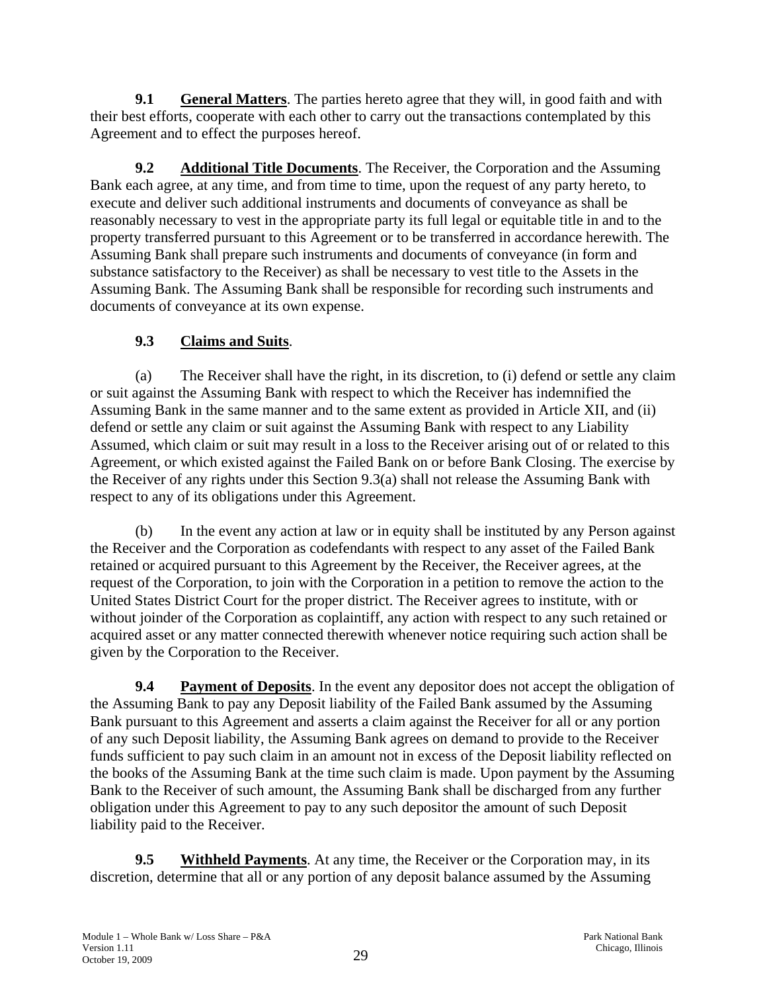<span id="page-32-0"></span>**9.1** General Matters. The parties hereto agree that they will, in good faith and with their best efforts, cooperate with each other to carry out the transactions contemplated by this Agreement and to effect the purposes hereof.

**9.2 Additional Title Documents**. The Receiver, the Corporation and the Assuming Bank each agree, at any time, and from time to time, upon the request of any party hereto, to execute and deliver such additional instruments and documents of conveyance as shall be reasonably necessary to vest in the appropriate party its full legal or equitable title in and to the property transferred pursuant to this Agreement or to be transferred in accordance herewith. The Assuming Bank shall prepare such instruments and documents of conveyance (in form and substance satisfactory to the Receiver) as shall be necessary to vest title to the Assets in the Assuming Bank. The Assuming Bank shall be responsible for recording such instruments and documents of conveyance at its own expense.

# **9.3 Claims and Suits**.

(a) The Receiver shall have the right, in its discretion, to (i) defend or settle any claim or suit against the Assuming Bank with respect to which the Receiver has indemnified the Assuming Bank in the same manner and to the same extent as provided in Article XII, and (ii) defend or settle any claim or suit against the Assuming Bank with respect to any Liability Assumed, which claim or suit may result in a loss to the Receiver arising out of or related to this Agreement, or which existed against the Failed Bank on or before Bank Closing. The exercise by the Receiver of any rights under this Section 9.3(a) shall not release the Assuming Bank with respect to any of its obligations under this Agreement.

(b) In the event any action at law or in equity shall be instituted by any Person against the Receiver and the Corporation as codefendants with respect to any asset of the Failed Bank retained or acquired pursuant to this Agreement by the Receiver, the Receiver agrees, at the request of the Corporation, to join with the Corporation in a petition to remove the action to the United States District Court for the proper district. The Receiver agrees to institute, with or without joinder of the Corporation as coplaintiff, any action with respect to any such retained or acquired asset or any matter connected therewith whenever notice requiring such action shall be given by the Corporation to the Receiver.

**9.4 Payment of Deposits**. In the event any depositor does not accept the obligation of the Assuming Bank to pay any Deposit liability of the Failed Bank assumed by the Assuming Bank pursuant to this Agreement and asserts a claim against the Receiver for all or any portion of any such Deposit liability, the Assuming Bank agrees on demand to provide to the Receiver funds sufficient to pay such claim in an amount not in excess of the Deposit liability reflected on the books of the Assuming Bank at the time such claim is made. Upon payment by the Assuming Bank to the Receiver of such amount, the Assuming Bank shall be discharged from any further obligation under this Agreement to pay to any such depositor the amount of such Deposit liability paid to the Receiver.

**9.5 Withheld Payments**. At any time, the Receiver or the Corporation may, in its discretion, determine that all or any portion of any deposit balance assumed by the Assuming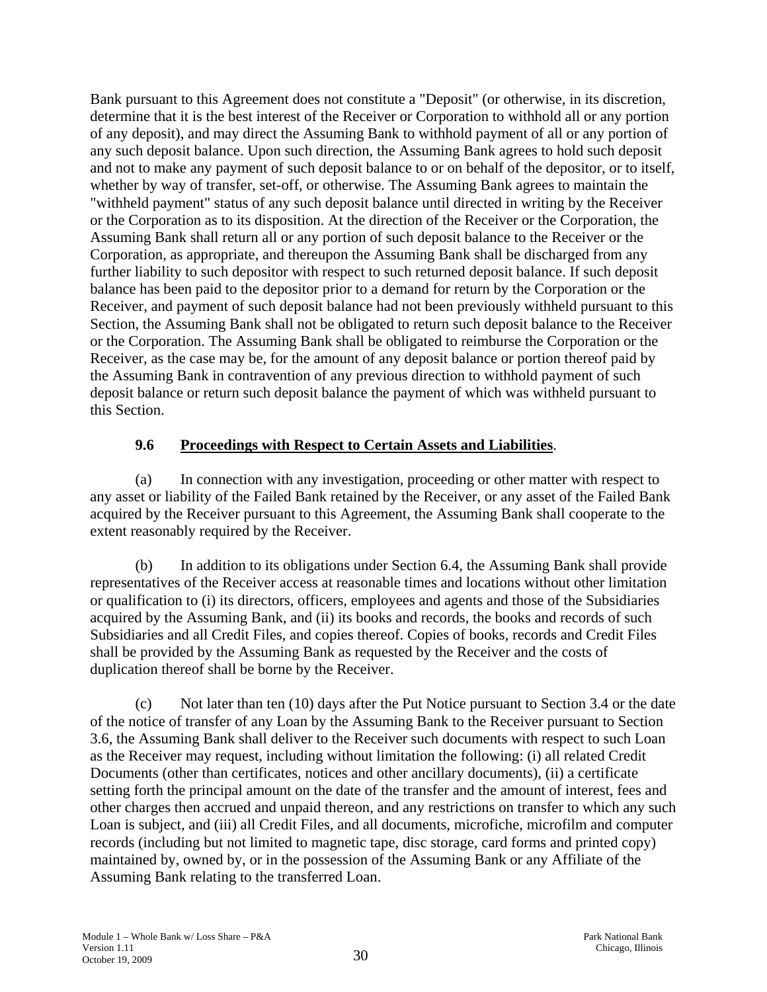<span id="page-33-0"></span>Bank pursuant to this Agreement does not constitute a "Deposit" (or otherwise, in its discretion, determine that it is the best interest of the Receiver or Corporation to withhold all or any portion of any deposit), and may direct the Assuming Bank to withhold payment of all or any portion of any such deposit balance. Upon such direction, the Assuming Bank agrees to hold such deposit and not to make any payment of such deposit balance to or on behalf of the depositor, or to itself, whether by way of transfer, set-off, or otherwise. The Assuming Bank agrees to maintain the "withheld payment" status of any such deposit balance until directed in writing by the Receiver or the Corporation as to its disposition. At the direction of the Receiver or the Corporation, the Assuming Bank shall return all or any portion of such deposit balance to the Receiver or the Corporation, as appropriate, and thereupon the Assuming Bank shall be discharged from any further liability to such depositor with respect to such returned deposit balance. If such deposit balance has been paid to the depositor prior to a demand for return by the Corporation or the Receiver, and payment of such deposit balance had not been previously withheld pursuant to this Section, the Assuming Bank shall not be obligated to return such deposit balance to the Receiver or the Corporation. The Assuming Bank shall be obligated to reimburse the Corporation or the Receiver, as the case may be, for the amount of any deposit balance or portion thereof paid by the Assuming Bank in contravention of any previous direction to withhold payment of such deposit balance or return such deposit balance the payment of which was withheld pursuant to this Section.

### **9.6 Proceedings with Respect to Certain Assets and Liabilities**.

(a) In connection with any investigation, proceeding or other matter with respect to any asset or liability of the Failed Bank retained by the Receiver, or any asset of the Failed Bank acquired by the Receiver pursuant to this Agreement, the Assuming Bank shall cooperate to the extent reasonably required by the Receiver.

(b) In addition to its obligations under Section 6.4, the Assuming Bank shall provide representatives of the Receiver access at reasonable times and locations without other limitation or qualification to (i) its directors, officers, employees and agents and those of the Subsidiaries acquired by the Assuming Bank, and (ii) its books and records, the books and records of such Subsidiaries and all Credit Files, and copies thereof. Copies of books, records and Credit Files shall be provided by the Assuming Bank as requested by the Receiver and the costs of duplication thereof shall be borne by the Receiver.

(c) Not later than ten (10) days after the Put Notice pursuant to Section 3.4 or the date of the notice of transfer of any Loan by the Assuming Bank to the Receiver pursuant to Section 3.6, the Assuming Bank shall deliver to the Receiver such documents with respect to such Loan as the Receiver may request, including without limitation the following: (i) all related Credit Documents (other than certificates, notices and other ancillary documents), (ii) a certificate setting forth the principal amount on the date of the transfer and the amount of interest, fees and other charges then accrued and unpaid thereon, and any restrictions on transfer to which any such Loan is subject, and (iii) all Credit Files, and all documents, microfiche, microfilm and computer records (including but not limited to magnetic tape, disc storage, card forms and printed copy) maintained by, owned by, or in the possession of the Assuming Bank or any Affiliate of the Assuming Bank relating to the transferred Loan.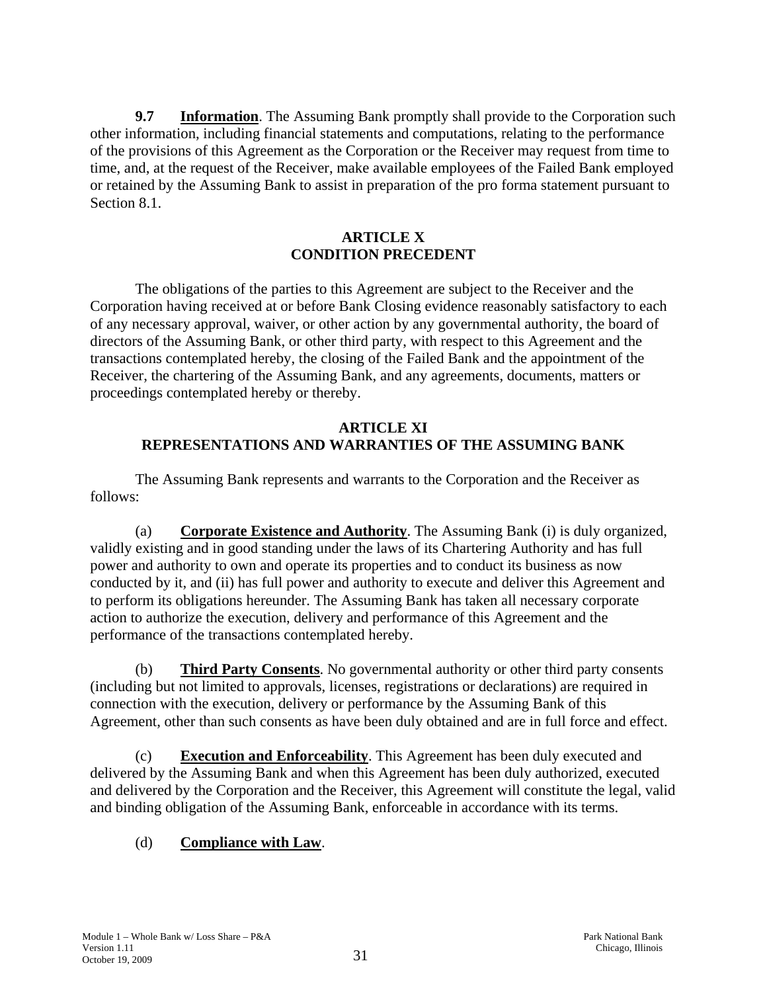<span id="page-34-0"></span>**9.7** Information. The Assuming Bank promptly shall provide to the Corporation such other information, including financial statements and computations, relating to the performance of the provisions of this Agreement as the Corporation or the Receiver may request from time to time, and, at the request of the Receiver, make available employees of the Failed Bank employed or retained by the Assuming Bank to assist in preparation of the pro forma statement pursuant to Section 8.1.

#### **ARTICLE X CONDITION PRECEDENT**

The obligations of the parties to this Agreement are subject to the Receiver and the Corporation having received at or before Bank Closing evidence reasonably satisfactory to each of any necessary approval, waiver, or other action by any governmental authority, the board of directors of the Assuming Bank, or other third party, with respect to this Agreement and the transactions contemplated hereby, the closing of the Failed Bank and the appointment of the Receiver, the chartering of the Assuming Bank, and any agreements, documents, matters or proceedings contemplated hereby or thereby.

## **ARTICLE XI REPRESENTATIONS AND WARRANTIES OF THE ASSUMING BANK**

The Assuming Bank represents and warrants to the Corporation and the Receiver as follows:

(a) **Corporate Existence and Authority**. The Assuming Bank (i) is duly organized, validly existing and in good standing under the laws of its Chartering Authority and has full power and authority to own and operate its properties and to conduct its business as now conducted by it, and (ii) has full power and authority to execute and deliver this Agreement and to perform its obligations hereunder. The Assuming Bank has taken all necessary corporate action to authorize the execution, delivery and performance of this Agreement and the performance of the transactions contemplated hereby.

(b) **Third Party Consents**. No governmental authority or other third party consents (including but not limited to approvals, licenses, registrations or declarations) are required in connection with the execution, delivery or performance by the Assuming Bank of this Agreement, other than such consents as have been duly obtained and are in full force and effect.

(c) **Execution and Enforceability**. This Agreement has been duly executed and delivered by the Assuming Bank and when this Agreement has been duly authorized, executed and delivered by the Corporation and the Receiver, this Agreement will constitute the legal, valid and binding obligation of the Assuming Bank, enforceable in accordance with its terms.

## (d) **Compliance with Law**.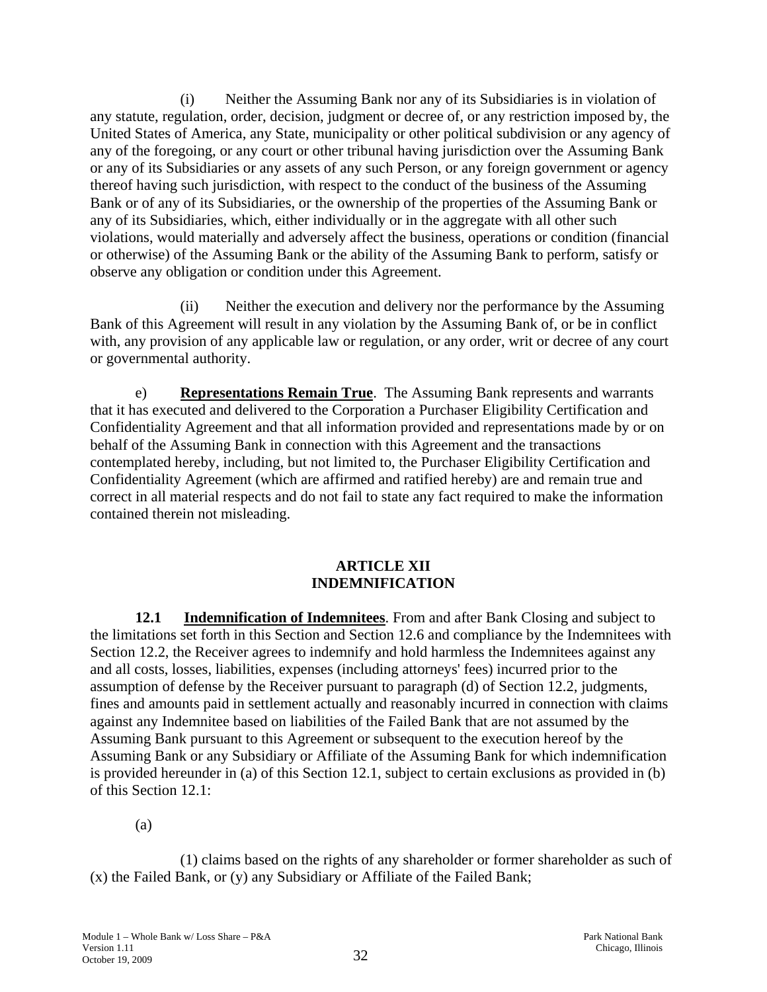<span id="page-35-0"></span> (i) Neither the Assuming Bank nor any of its Subsidiaries is in violation of any statute, regulation, order, decision, judgment or decree of, or any restriction imposed by, the United States of America, any State, municipality or other political subdivision or any agency of any of the foregoing, or any court or other tribunal having jurisdiction over the Assuming Bank or any of its Subsidiaries or any assets of any such Person, or any foreign government or agency thereof having such jurisdiction, with respect to the conduct of the business of the Assuming Bank or of any of its Subsidiaries, or the ownership of the properties of the Assuming Bank or any of its Subsidiaries, which, either individually or in the aggregate with all other such violations, would materially and adversely affect the business, operations or condition (financial or otherwise) of the Assuming Bank or the ability of the Assuming Bank to perform, satisfy or observe any obligation or condition under this Agreement.

(ii) Neither the execution and delivery nor the performance by the Assuming Bank of this Agreement will result in any violation by the Assuming Bank of, or be in conflict with, any provision of any applicable law or regulation, or any order, writ or decree of any court or governmental authority.

e) **Representations Remain True**. The Assuming Bank represents and warrants that it has executed and delivered to the Corporation a Purchaser Eligibility Certification and Confidentiality Agreement and that all information provided and representations made by or on behalf of the Assuming Bank in connection with this Agreement and the transactions contemplated hereby, including, but not limited to, the Purchaser Eligibility Certification and Confidentiality Agreement (which are affirmed and ratified hereby) are and remain true and correct in all material respects and do not fail to state any fact required to make the information contained therein not misleading.

#### **ARTICLE XII INDEMNIFICATION**

**12.1 Indemnification of Indemnitees**. From and after Bank Closing and subject to the limitations set forth in this Section and Section 12.6 and compliance by the Indemnitees with Section 12.2, the Receiver agrees to indemnify and hold harmless the Indemnitees against any and all costs, losses, liabilities, expenses (including attorneys' fees) incurred prior to the assumption of defense by the Receiver pursuant to paragraph (d) of Section 12.2, judgments, fines and amounts paid in settlement actually and reasonably incurred in connection with claims against any Indemnitee based on liabilities of the Failed Bank that are not assumed by the Assuming Bank pursuant to this Agreement or subsequent to the execution hereof by the Assuming Bank or any Subsidiary or Affiliate of the Assuming Bank for which indemnification is provided hereunder in (a) of this Section 12.1, subject to certain exclusions as provided in (b) of this Section 12.1:

(a)

(1) claims based on the rights of any shareholder or former shareholder as such of (x) the Failed Bank, or (y) any Subsidiary or Affiliate of the Failed Bank;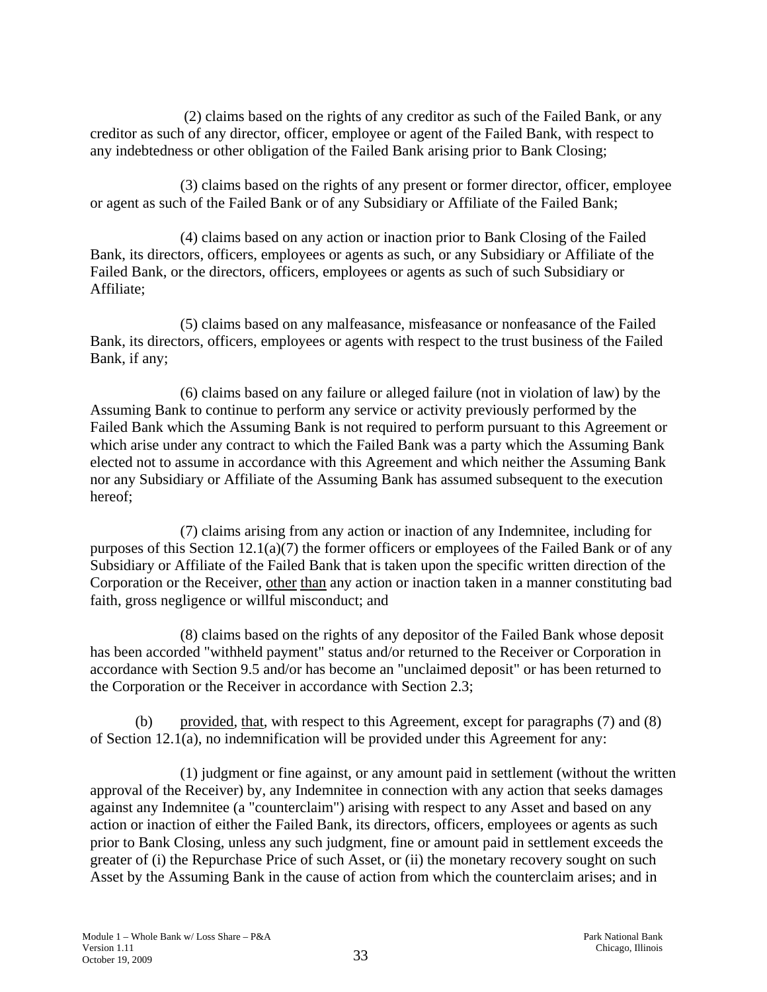(2) claims based on the rights of any creditor as such of the Failed Bank, or any creditor as such of any director, officer, employee or agent of the Failed Bank, with respect to any indebtedness or other obligation of the Failed Bank arising prior to Bank Closing;

(3) claims based on the rights of any present or former director, officer, employee or agent as such of the Failed Bank or of any Subsidiary or Affiliate of the Failed Bank;

(4) claims based on any action or inaction prior to Bank Closing of the Failed Bank, its directors, officers, employees or agents as such, or any Subsidiary or Affiliate of the Failed Bank, or the directors, officers, employees or agents as such of such Subsidiary or Affiliate;

(5) claims based on any malfeasance, misfeasance or nonfeasance of the Failed Bank, its directors, officers, employees or agents with respect to the trust business of the Failed Bank, if any;

(6) claims based on any failure or alleged failure (not in violation of law) by the Assuming Bank to continue to perform any service or activity previously performed by the Failed Bank which the Assuming Bank is not required to perform pursuant to this Agreement or which arise under any contract to which the Failed Bank was a party which the Assuming Bank elected not to assume in accordance with this Agreement and which neither the Assuming Bank nor any Subsidiary or Affiliate of the Assuming Bank has assumed subsequent to the execution hereof;

(7) claims arising from any action or inaction of any Indemnitee, including for purposes of this Section 12.1(a)(7) the former officers or employees of the Failed Bank or of any Subsidiary or Affiliate of the Failed Bank that is taken upon the specific written direction of the Corporation or the Receiver, other than any action or inaction taken in a manner constituting bad faith, gross negligence or willful misconduct; and

(8) claims based on the rights of any depositor of the Failed Bank whose deposit has been accorded "withheld payment" status and/or returned to the Receiver or Corporation in accordance with Section 9.5 and/or has become an "unclaimed deposit" or has been returned to the Corporation or the Receiver in accordance with Section 2.3;

(b) provided, that, with respect to this Agreement, except for paragraphs (7) and (8) of Section 12.1(a), no indemnification will be provided under this Agreement for any:

(1) judgment or fine against, or any amount paid in settlement (without the written approval of the Receiver) by, any Indemnitee in connection with any action that seeks damages against any Indemnitee (a "counterclaim") arising with respect to any Asset and based on any action or inaction of either the Failed Bank, its directors, officers, employees or agents as such prior to Bank Closing, unless any such judgment, fine or amount paid in settlement exceeds the greater of (i) the Repurchase Price of such Asset, or (ii) the monetary recovery sought on such Asset by the Assuming Bank in the cause of action from which the counterclaim arises; and in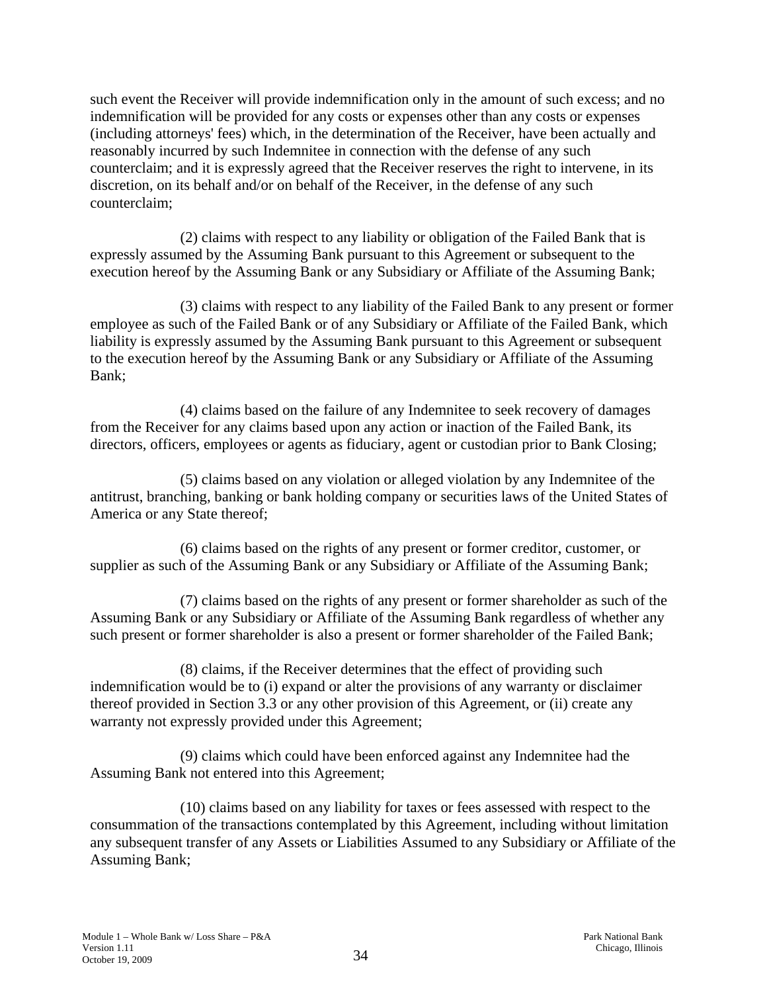such event the Receiver will provide indemnification only in the amount of such excess; and no indemnification will be provided for any costs or expenses other than any costs or expenses (including attorneys' fees) which, in the determination of the Receiver, have been actually and reasonably incurred by such Indemnitee in connection with the defense of any such counterclaim; and it is expressly agreed that the Receiver reserves the right to intervene, in its discretion, on its behalf and/or on behalf of the Receiver, in the defense of any such counterclaim;

(2) claims with respect to any liability or obligation of the Failed Bank that is expressly assumed by the Assuming Bank pursuant to this Agreement or subsequent to the execution hereof by the Assuming Bank or any Subsidiary or Affiliate of the Assuming Bank;

(3) claims with respect to any liability of the Failed Bank to any present or former employee as such of the Failed Bank or of any Subsidiary or Affiliate of the Failed Bank, which liability is expressly assumed by the Assuming Bank pursuant to this Agreement or subsequent to the execution hereof by the Assuming Bank or any Subsidiary or Affiliate of the Assuming Bank;

(4) claims based on the failure of any Indemnitee to seek recovery of damages from the Receiver for any claims based upon any action or inaction of the Failed Bank, its directors, officers, employees or agents as fiduciary, agent or custodian prior to Bank Closing;

(5) claims based on any violation or alleged violation by any Indemnitee of the antitrust, branching, banking or bank holding company or securities laws of the United States of America or any State thereof;

(6) claims based on the rights of any present or former creditor, customer, or supplier as such of the Assuming Bank or any Subsidiary or Affiliate of the Assuming Bank;

(7) claims based on the rights of any present or former shareholder as such of the Assuming Bank or any Subsidiary or Affiliate of the Assuming Bank regardless of whether any such present or former shareholder is also a present or former shareholder of the Failed Bank;

(8) claims, if the Receiver determines that the effect of providing such indemnification would be to (i) expand or alter the provisions of any warranty or disclaimer thereof provided in Section 3.3 or any other provision of this Agreement, or (ii) create any warranty not expressly provided under this Agreement;

(9) claims which could have been enforced against any Indemnitee had the Assuming Bank not entered into this Agreement;

(10) claims based on any liability for taxes or fees assessed with respect to the consummation of the transactions contemplated by this Agreement, including without limitation any subsequent transfer of any Assets or Liabilities Assumed to any Subsidiary or Affiliate of the Assuming Bank;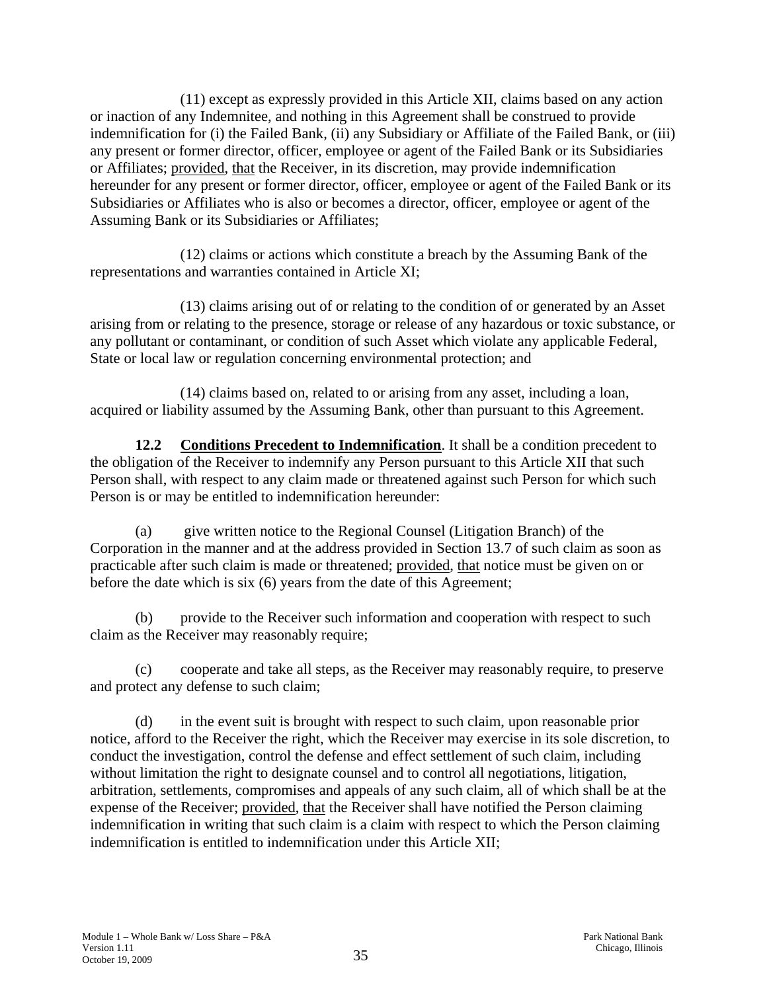(11) except as expressly provided in this Article XII, claims based on any action or inaction of any Indemnitee, and nothing in this Agreement shall be construed to provide indemnification for (i) the Failed Bank, (ii) any Subsidiary or Affiliate of the Failed Bank, or (iii) any present or former director, officer, employee or agent of the Failed Bank or its Subsidiaries or Affiliates; provided, that the Receiver, in its discretion, may provide indemnification hereunder for any present or former director, officer, employee or agent of the Failed Bank or its Subsidiaries or Affiliates who is also or becomes a director, officer, employee or agent of the Assuming Bank or its Subsidiaries or Affiliates;

(12) claims or actions which constitute a breach by the Assuming Bank of the representations and warranties contained in Article XI;

(13) claims arising out of or relating to the condition of or generated by an Asset arising from or relating to the presence, storage or release of any hazardous or toxic substance, or any pollutant or contaminant, or condition of such Asset which violate any applicable Federal, State or local law or regulation concerning environmental protection; and

(14) claims based on, related to or arising from any asset, including a loan, acquired or liability assumed by the Assuming Bank, other than pursuant to this Agreement.

**12.2 Conditions Precedent to Indemnification**. It shall be a condition precedent to the obligation of the Receiver to indemnify any Person pursuant to this Article XII that such Person shall, with respect to any claim made or threatened against such Person for which such Person is or may be entitled to indemnification hereunder:

(a) give written notice to the Regional Counsel (Litigation Branch) of the Corporation in the manner and at the address provided in Section 13.7 of such claim as soon as practicable after such claim is made or threatened; provided, that notice must be given on or before the date which is six (6) years from the date of this Agreement;

(b) provide to the Receiver such information and cooperation with respect to such claim as the Receiver may reasonably require;

(c) cooperate and take all steps, as the Receiver may reasonably require, to preserve and protect any defense to such claim;

(d) in the event suit is brought with respect to such claim, upon reasonable prior notice, afford to the Receiver the right, which the Receiver may exercise in its sole discretion, to conduct the investigation, control the defense and effect settlement of such claim, including without limitation the right to designate counsel and to control all negotiations, litigation, arbitration, settlements, compromises and appeals of any such claim, all of which shall be at the expense of the Receiver; provided, that the Receiver shall have notified the Person claiming indemnification in writing that such claim is a claim with respect to which the Person claiming indemnification is entitled to indemnification under this Article XII;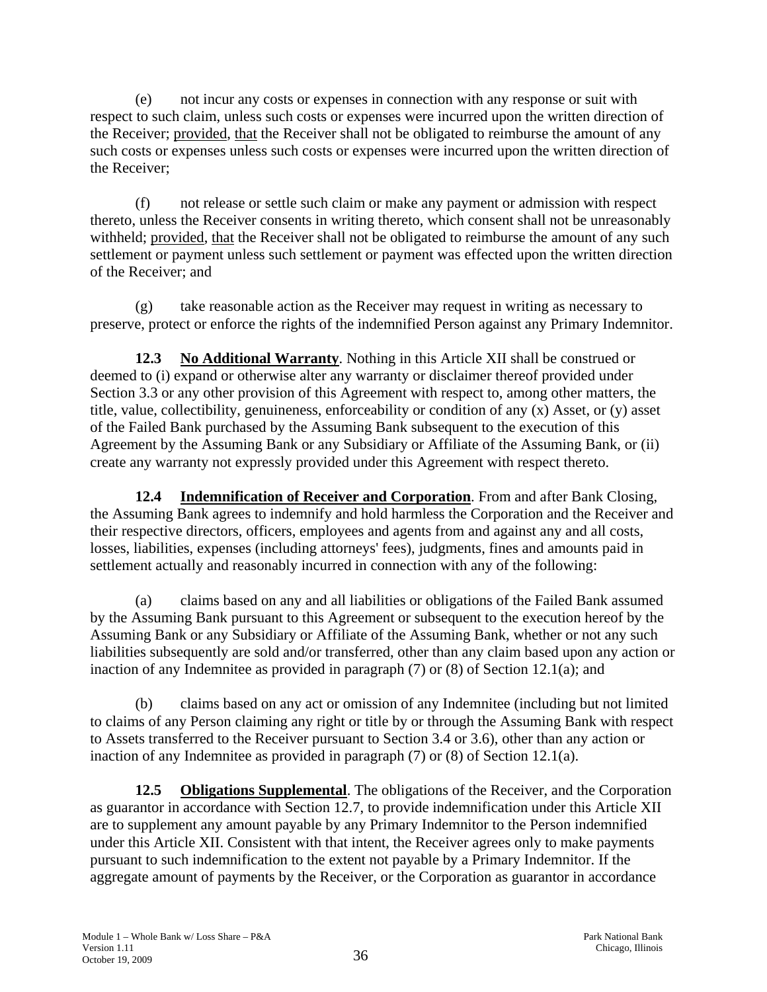(e) not incur any costs or expenses in connection with any response or suit with respect to such claim, unless such costs or expenses were incurred upon the written direction of the Receiver; provided, that the Receiver shall not be obligated to reimburse the amount of any such costs or expenses unless such costs or expenses were incurred upon the written direction of the Receiver;

(f) not release or settle such claim or make any payment or admission with respect thereto, unless the Receiver consents in writing thereto, which consent shall not be unreasonably withheld; provided, that the Receiver shall not be obligated to reimburse the amount of any such settlement or payment unless such settlement or payment was effected upon the written direction of the Receiver; and

(g) take reasonable action as the Receiver may request in writing as necessary to preserve, protect or enforce the rights of the indemnified Person against any Primary Indemnitor.

**12.3 No Additional Warranty**. Nothing in this Article XII shall be construed or deemed to (i) expand or otherwise alter any warranty or disclaimer thereof provided under Section 3.3 or any other provision of this Agreement with respect to, among other matters, the title, value, collectibility, genuineness, enforceability or condition of any (x) Asset, or (y) asset of the Failed Bank purchased by the Assuming Bank subsequent to the execution of this Agreement by the Assuming Bank or any Subsidiary or Affiliate of the Assuming Bank, or (ii) create any warranty not expressly provided under this Agreement with respect thereto.

**12.4 Indemnification of Receiver and Corporation**. From and after Bank Closing, the Assuming Bank agrees to indemnify and hold harmless the Corporation and the Receiver and their respective directors, officers, employees and agents from and against any and all costs, losses, liabilities, expenses (including attorneys' fees), judgments, fines and amounts paid in settlement actually and reasonably incurred in connection with any of the following:

(a) claims based on any and all liabilities or obligations of the Failed Bank assumed by the Assuming Bank pursuant to this Agreement or subsequent to the execution hereof by the Assuming Bank or any Subsidiary or Affiliate of the Assuming Bank, whether or not any such liabilities subsequently are sold and/or transferred, other than any claim based upon any action or inaction of any Indemnitee as provided in paragraph (7) or (8) of Section 12.1(a); and

(b) claims based on any act or omission of any Indemnitee (including but not limited to claims of any Person claiming any right or title by or through the Assuming Bank with respect to Assets transferred to the Receiver pursuant to Section 3.4 or 3.6), other than any action or inaction of any Indemnitee as provided in paragraph (7) or (8) of Section 12.1(a).

**12.5 Obligations Supplemental**. The obligations of the Receiver, and the Corporation as guarantor in accordance with Section 12.7, to provide indemnification under this Article XII are to supplement any amount payable by any Primary Indemnitor to the Person indemnified under this Article XII. Consistent with that intent, the Receiver agrees only to make payments pursuant to such indemnification to the extent not payable by a Primary Indemnitor. If the aggregate amount of payments by the Receiver, or the Corporation as guarantor in accordance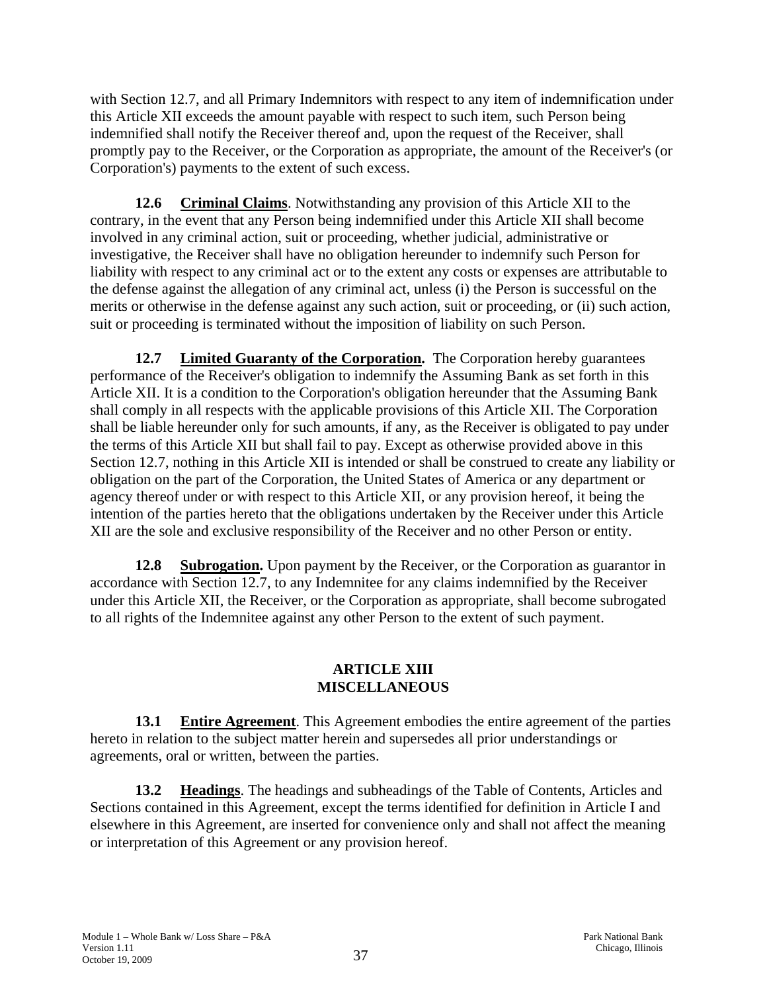with Section 12.7, and all Primary Indemnitors with respect to any item of indemnification under this Article XII exceeds the amount payable with respect to such item, such Person being indemnified shall notify the Receiver thereof and, upon the request of the Receiver, shall promptly pay to the Receiver, or the Corporation as appropriate, the amount of the Receiver's (or Corporation's) payments to the extent of such excess.

**12.6 Criminal Claims**. Notwithstanding any provision of this Article XII to the contrary, in the event that any Person being indemnified under this Article XII shall become involved in any criminal action, suit or proceeding, whether judicial, administrative or investigative, the Receiver shall have no obligation hereunder to indemnify such Person for liability with respect to any criminal act or to the extent any costs or expenses are attributable to the defense against the allegation of any criminal act, unless (i) the Person is successful on the merits or otherwise in the defense against any such action, suit or proceeding, or (ii) such action, suit or proceeding is terminated without the imposition of liability on such Person.

**12.7 Limited Guaranty of the Corporation.** The Corporation hereby guarantees performance of the Receiver's obligation to indemnify the Assuming Bank as set forth in this Article XII. It is a condition to the Corporation's obligation hereunder that the Assuming Bank shall comply in all respects with the applicable provisions of this Article XII. The Corporation shall be liable hereunder only for such amounts, if any, as the Receiver is obligated to pay under the terms of this Article XII but shall fail to pay. Except as otherwise provided above in this Section 12.7, nothing in this Article XII is intended or shall be construed to create any liability or obligation on the part of the Corporation, the United States of America or any department or agency thereof under or with respect to this Article XII, or any provision hereof, it being the intention of the parties hereto that the obligations undertaken by the Receiver under this Article XII are the sole and exclusive responsibility of the Receiver and no other Person or entity.

**12.8 Subrogation.** Upon payment by the Receiver, or the Corporation as guarantor in accordance with Section 12.7, to any Indemnitee for any claims indemnified by the Receiver under this Article XII, the Receiver, or the Corporation as appropriate, shall become subrogated to all rights of the Indemnitee against any other Person to the extent of such payment.

## **ARTICLE XIII MISCELLANEOUS**

**13.1** Entire Agreement. This Agreement embodies the entire agreement of the parties hereto in relation to the subject matter herein and supersedes all prior understandings or agreements, oral or written, between the parties.

**13.2 Headings**. The headings and subheadings of the Table of Contents, Articles and Sections contained in this Agreement, except the terms identified for definition in Article I and elsewhere in this Agreement, are inserted for convenience only and shall not affect the meaning or interpretation of this Agreement or any provision hereof.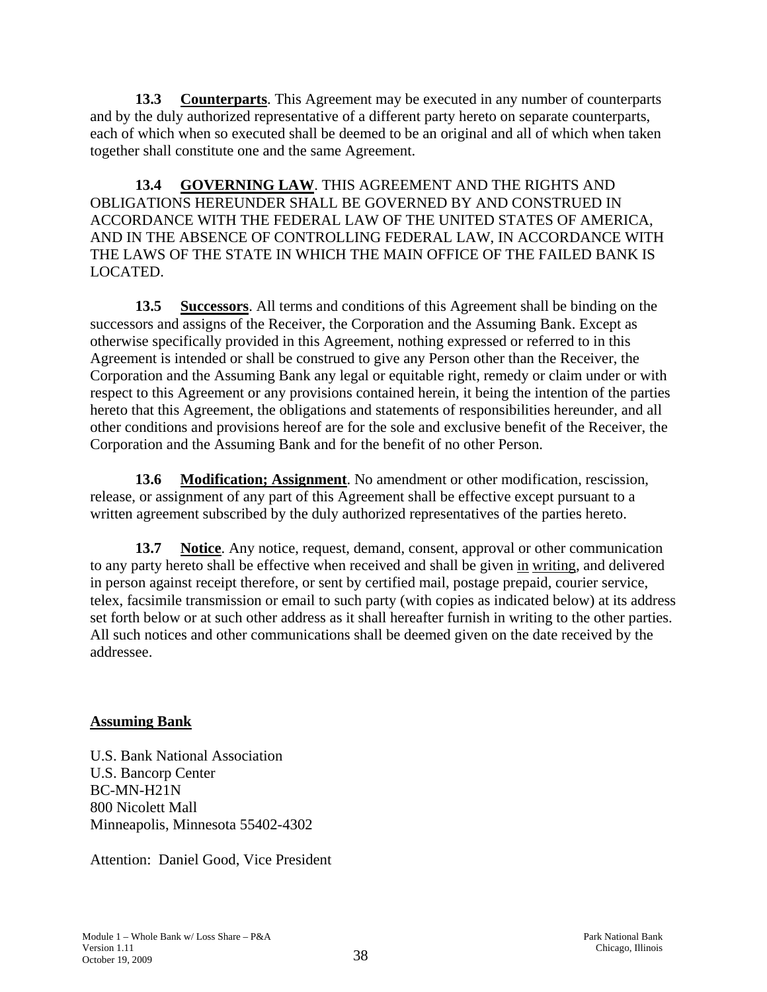**13.3** Counterparts. This Agreement may be executed in any number of counterparts and by the duly authorized representative of a different party hereto on separate counterparts, each of which when so executed shall be deemed to be an original and all of which when taken together shall constitute one and the same Agreement.

13.4 **GOVERNING LAW.** THIS AGREEMENT AND THE RIGHTS AND OBLIGATIONS HEREUNDER SHALL BE GOVERNED BY AND CONSTRUED IN ACCORDANCE WITH THE FEDERAL LAW OF THE UNITED STATES OF AMERICA, AND IN THE ABSENCE OF CONTROLLING FEDERAL LAW, IN ACCORDANCE WITH THE LAWS OF THE STATE IN WHICH THE MAIN OFFICE OF THE FAILED BANK IS LOCATED.

**13.5 Successors.** All terms and conditions of this Agreement shall be binding on the successors and assigns of the Receiver, the Corporation and the Assuming Bank. Except as otherwise specifically provided in this Agreement, nothing expressed or referred to in this Agreement is intended or shall be construed to give any Person other than the Receiver, the Corporation and the Assuming Bank any legal or equitable right, remedy or claim under or with respect to this Agreement or any provisions contained herein, it being the intention of the parties hereto that this Agreement, the obligations and statements of responsibilities hereunder, and all other conditions and provisions hereof are for the sole and exclusive benefit of the Receiver, the Corporation and the Assuming Bank and for the benefit of no other Person.

**13.6 Modification; Assignment**. No amendment or other modification, rescission, release, or assignment of any part of this Agreement shall be effective except pursuant to a written agreement subscribed by the duly authorized representatives of the parties hereto.

**13.7** Notice. Any notice, request, demand, consent, approval or other communication to any party hereto shall be effective when received and shall be given in writing, and delivered in person against receipt therefore, or sent by certified mail, postage prepaid, courier service, telex, facsimile transmission or email to such party (with copies as indicated below) at its address set forth below or at such other address as it shall hereafter furnish in writing to the other parties. All such notices and other communications shall be deemed given on the date received by the addressee.

### **Assuming Bank**

U.S. Bank National Association U.S. Bancorp Center BC-MN-H21N 800 Nicolett Mall Minneapolis, Minnesota 55402-4302

Attention: Daniel Good, Vice President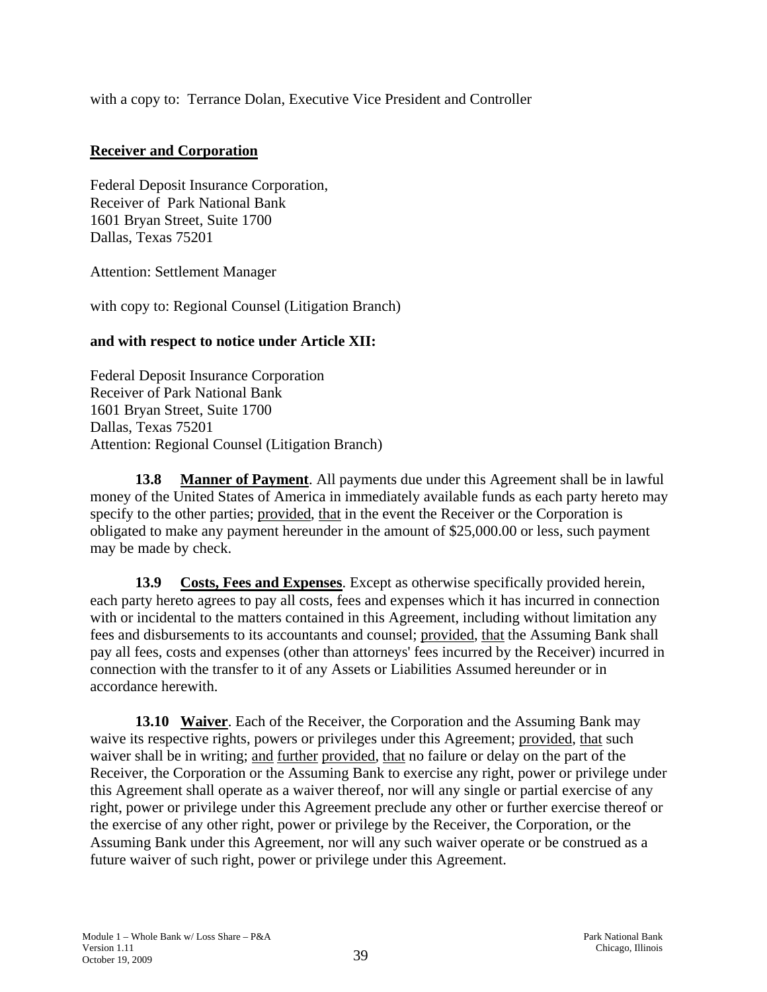with a copy to: Terrance Dolan, Executive Vice President and Controller

## **Receiver and Corporation**

Federal Deposit Insurance Corporation, Receiver of Park National Bank 1601 Bryan Street, Suite 1700 Dallas, Texas 75201

Attention: Settlement Manager

with copy to: Regional Counsel (Litigation Branch)

### **and with respect to notice under Article XII:**

Federal Deposit Insurance Corporation Receiver of Park National Bank 1601 Bryan Street, Suite 1700 Dallas, Texas 75201 Attention: Regional Counsel (Litigation Branch)

 **13.8 Manner of Payment**. All payments due under this Agreement shall be in lawful money of the United States of America in immediately available funds as each party hereto may specify to the other parties; provided, that in the event the Receiver or the Corporation is obligated to make any payment hereunder in the amount of \$25,000.00 or less, such payment may be made by check.

**13.9 Costs, Fees and Expenses**. Except as otherwise specifically provided herein, each party hereto agrees to pay all costs, fees and expenses which it has incurred in connection with or incidental to the matters contained in this Agreement, including without limitation any fees and disbursements to its accountants and counsel; provided, that the Assuming Bank shall pay all fees, costs and expenses (other than attorneys' fees incurred by the Receiver) incurred in connection with the transfer to it of any Assets or Liabilities Assumed hereunder or in accordance herewith.

**13.10 Waiver**. Each of the Receiver, the Corporation and the Assuming Bank may waive its respective rights, powers or privileges under this Agreement; provided, that such waiver shall be in writing; and further provided, that no failure or delay on the part of the Receiver, the Corporation or the Assuming Bank to exercise any right, power or privilege under this Agreement shall operate as a waiver thereof, nor will any single or partial exercise of any right, power or privilege under this Agreement preclude any other or further exercise thereof or the exercise of any other right, power or privilege by the Receiver, the Corporation, or the Assuming Bank under this Agreement, nor will any such waiver operate or be construed as a future waiver of such right, power or privilege under this Agreement.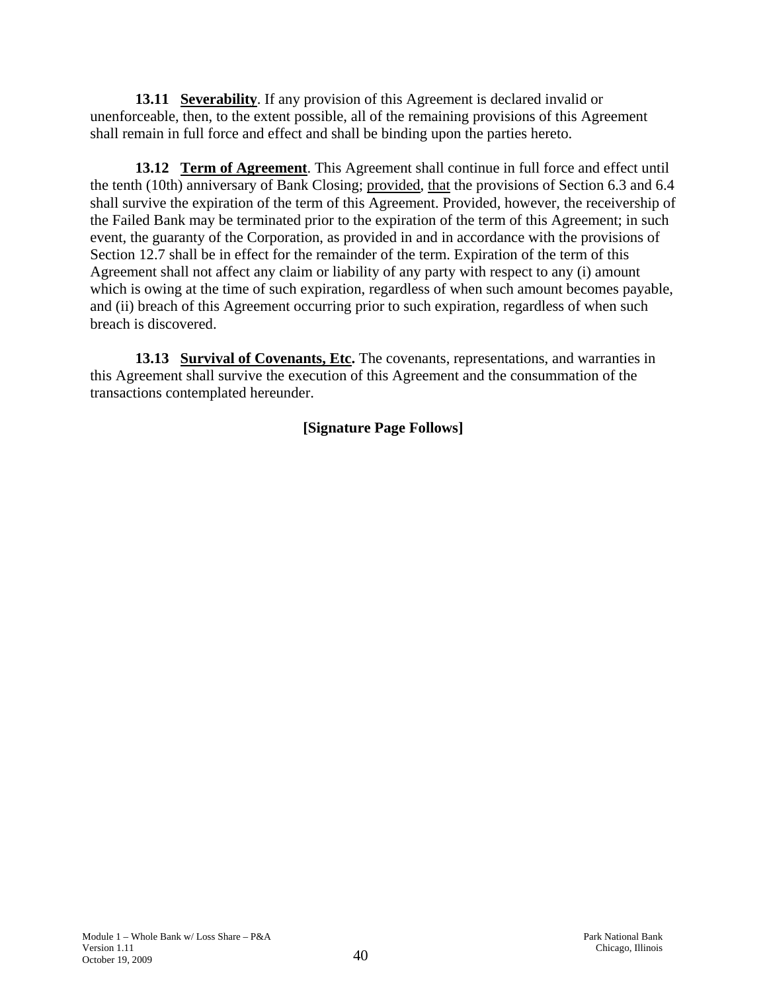**13.11 Severability**. If any provision of this Agreement is declared invalid or unenforceable, then, to the extent possible, all of the remaining provisions of this Agreement shall remain in full force and effect and shall be binding upon the parties hereto.

**13.12 Term of Agreement**. This Agreement shall continue in full force and effect until the tenth (10th) anniversary of Bank Closing; provided, that the provisions of Section 6.3 and 6.4 shall survive the expiration of the term of this Agreement. Provided, however, the receivership of the Failed Bank may be terminated prior to the expiration of the term of this Agreement; in such event, the guaranty of the Corporation, as provided in and in accordance with the provisions of Section 12.7 shall be in effect for the remainder of the term. Expiration of the term of this Agreement shall not affect any claim or liability of any party with respect to any (i) amount which is owing at the time of such expiration, regardless of when such amount becomes payable, and (ii) breach of this Agreement occurring prior to such expiration, regardless of when such breach is discovered.

**13.13 Survival of Covenants, Etc.** The covenants, representations, and warranties in this Agreement shall survive the execution of this Agreement and the consummation of the transactions contemplated hereunder.

# **[Signature Page Follows]**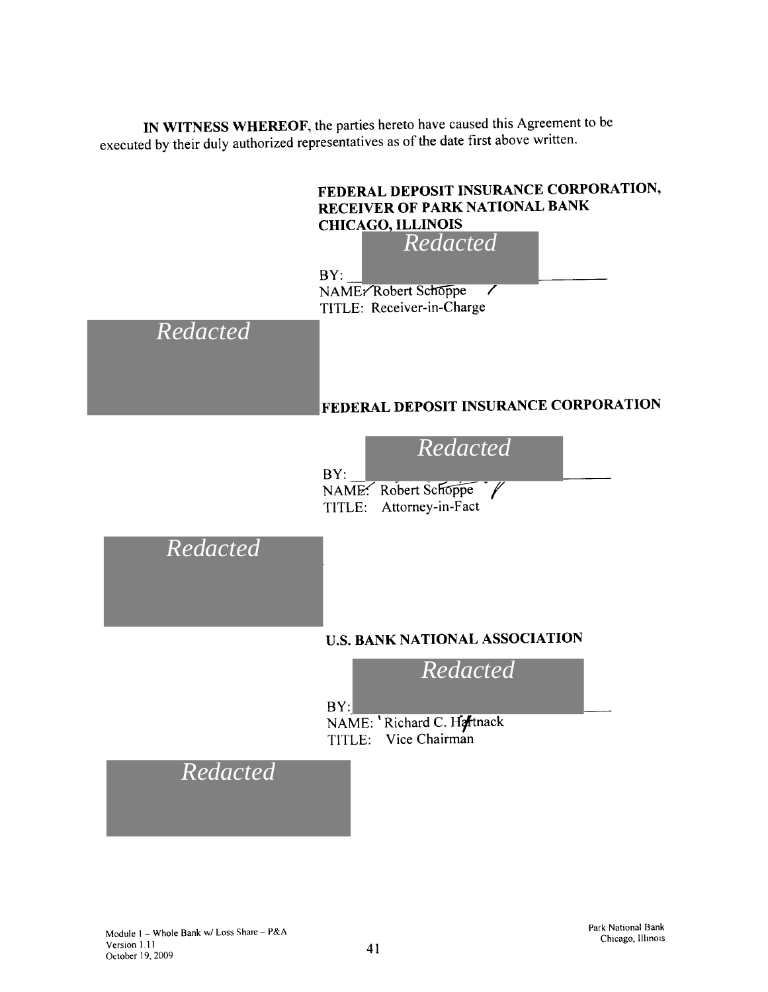IN WITNESS WHEREOF, the parties hereto have caused this Agreement to be executed by their duly authorized representatives as of the date first above written.

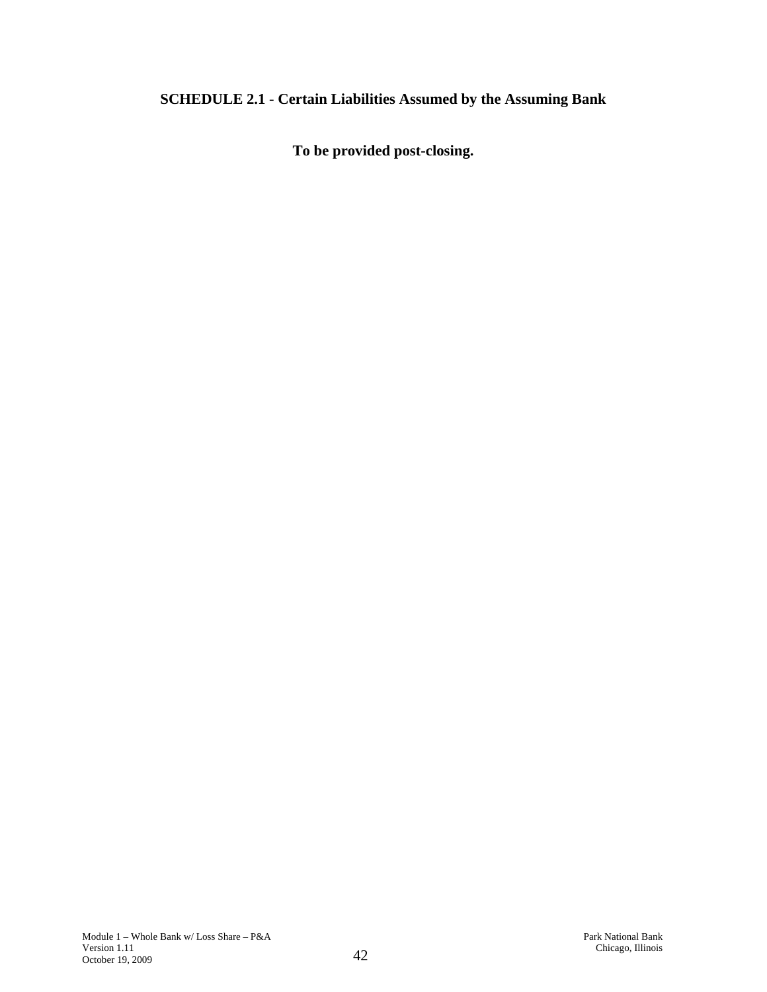# **SCHEDULE 2.1 - Certain Liabilities Assumed by the Assuming Bank**

**To be provided post-closing.**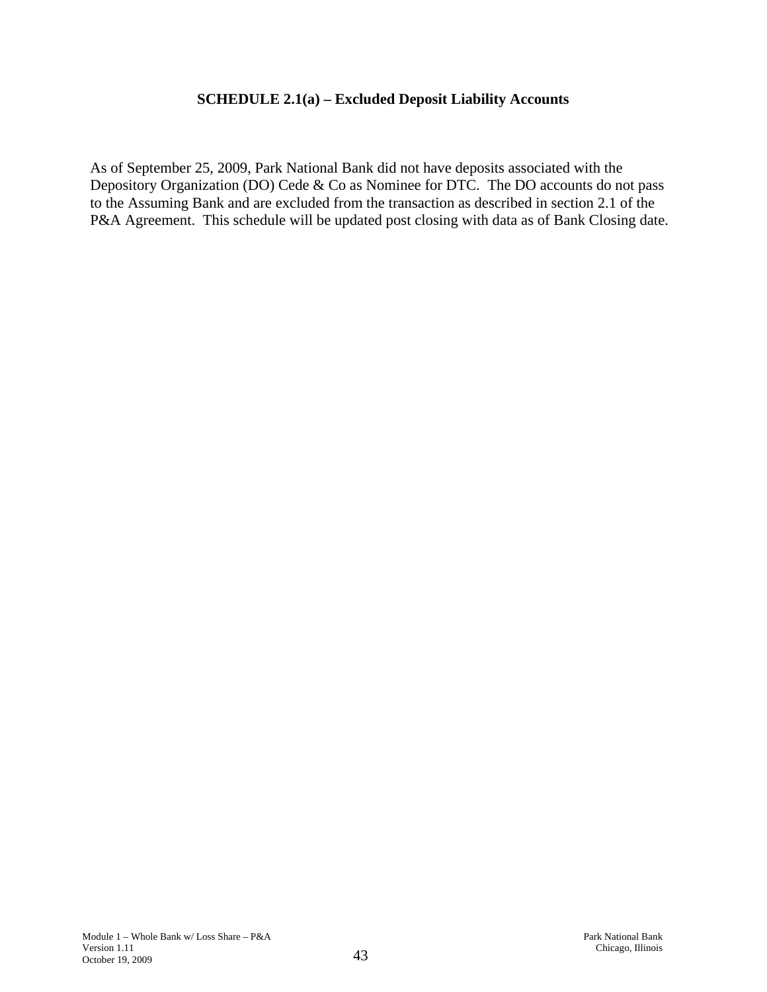### **SCHEDULE 2.1(a) – Excluded Deposit Liability Accounts**

As of September 25, 2009, Park National Bank did not have deposits associated with the Depository Organization (DO) Cede & Co as Nominee for DTC. The DO accounts do not pass to the Assuming Bank and are excluded from the transaction as described in section 2.1 of the P&A Agreement. This schedule will be updated post closing with data as of Bank Closing date.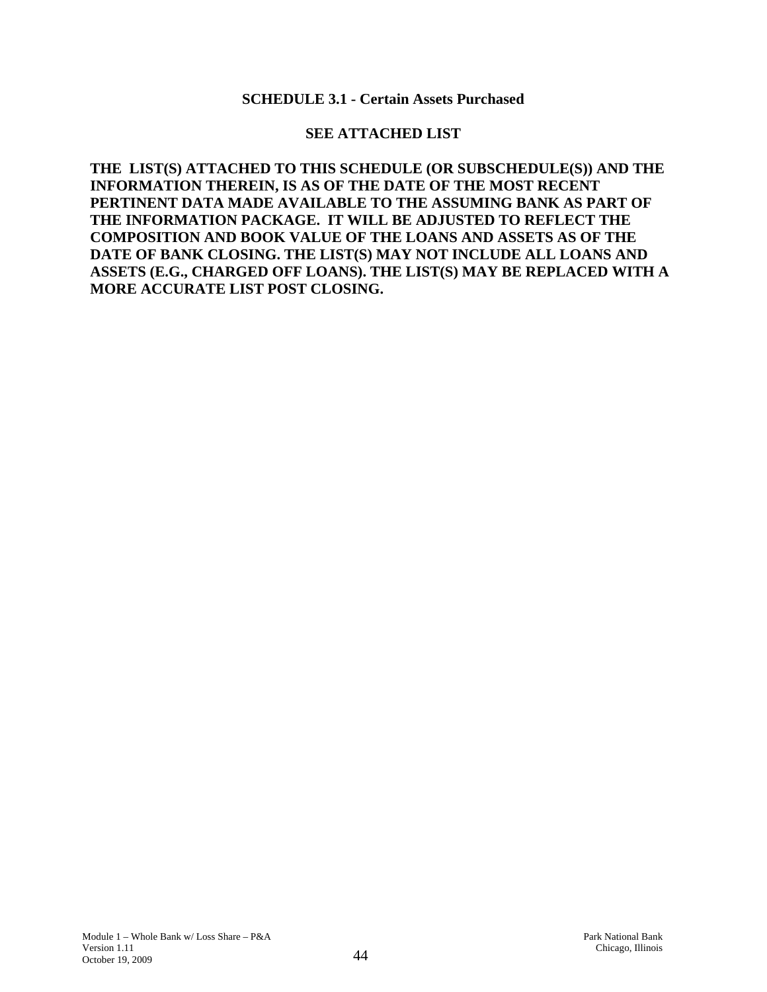#### **SCHEDULE 3.1 - Certain Assets Purchased**

#### **SEE ATTACHED LIST**

THE LIST(S) ATTACHED TO THIS SCHEDULE (OR SUBSCHEDULE(S)) AND THE **INFORMATION THEREIN, IS AS OF THE DATE OF THE MOST RECENT PERTINENT DATA MADE AVAILABLE TO THE ASSUMING BANK AS PART OF THE INFORMATION PACKAGE. IT WILL BE ADJUSTED TO REFLECT THE COMPOSITION AND BOOK VALUE OF THE LOANS AND ASSETS AS OF THE DATE OF BANK CLOSING. THE LIST(S) MAY NOT INCLUDE ALL LOANS AND ASSETS (E.G., CHARGED OFF LOANS). THE LIST(S) MAY BE REPLACED WITH A MORE ACCURATE LIST POST CLOSING.**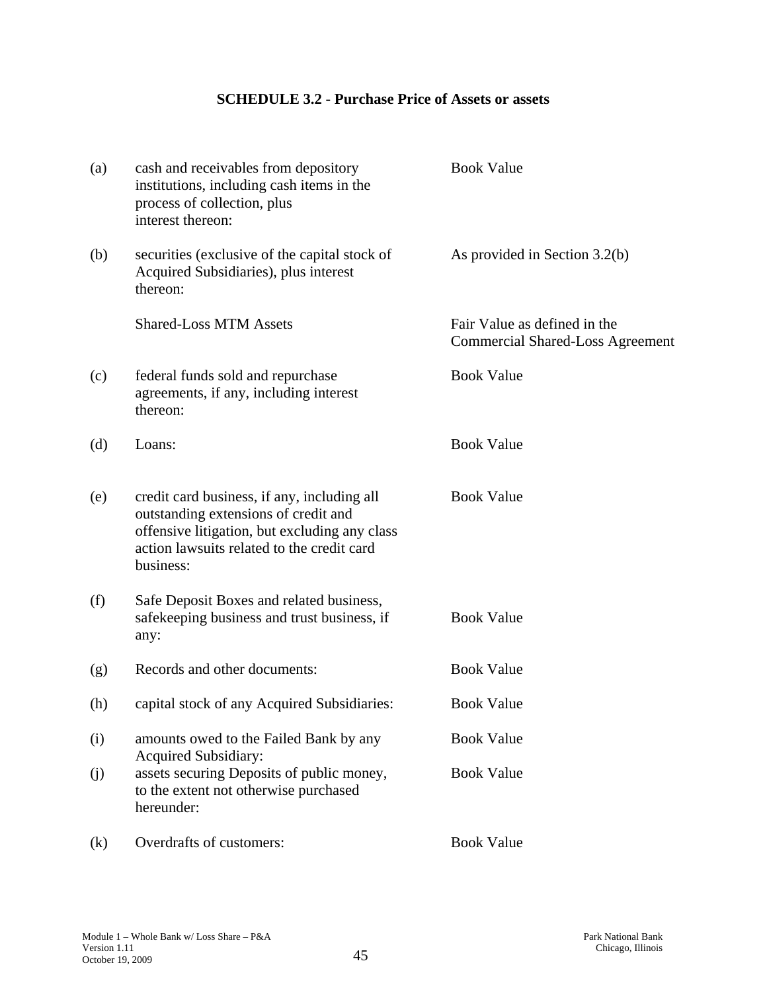# **SCHEDULE 3.2 - Purchase Price of Assets or assets**

| (a) | cash and receivables from depository<br>institutions, including cash items in the<br>process of collection, plus<br>interest thereon:                                                           | <b>Book Value</b>                                                       |
|-----|-------------------------------------------------------------------------------------------------------------------------------------------------------------------------------------------------|-------------------------------------------------------------------------|
| (b) | securities (exclusive of the capital stock of<br>Acquired Subsidiaries), plus interest<br>thereon:                                                                                              | As provided in Section 3.2(b)                                           |
|     | <b>Shared-Loss MTM Assets</b>                                                                                                                                                                   | Fair Value as defined in the<br><b>Commercial Shared-Loss Agreement</b> |
| (c) | federal funds sold and repurchase<br>agreements, if any, including interest<br>thereon:                                                                                                         | <b>Book Value</b>                                                       |
| (d) | Loans:                                                                                                                                                                                          | <b>Book Value</b>                                                       |
| (e) | credit card business, if any, including all<br>outstanding extensions of credit and<br>offensive litigation, but excluding any class<br>action lawsuits related to the credit card<br>business: | <b>Book Value</b>                                                       |
| (f) | Safe Deposit Boxes and related business,<br>safekeeping business and trust business, if<br>any:                                                                                                 | <b>Book Value</b>                                                       |
| (g) | Records and other documents:                                                                                                                                                                    | <b>Book Value</b>                                                       |
| (h) | capital stock of any Acquired Subsidiaries:                                                                                                                                                     | <b>Book Value</b>                                                       |
| (i) | amounts owed to the Failed Bank by any<br><b>Acquired Subsidiary:</b>                                                                                                                           | <b>Book Value</b>                                                       |
| (j) | assets securing Deposits of public money,<br>to the extent not otherwise purchased<br>hereunder:                                                                                                | <b>Book Value</b>                                                       |
| (k) | Overdrafts of customers:                                                                                                                                                                        | <b>Book Value</b>                                                       |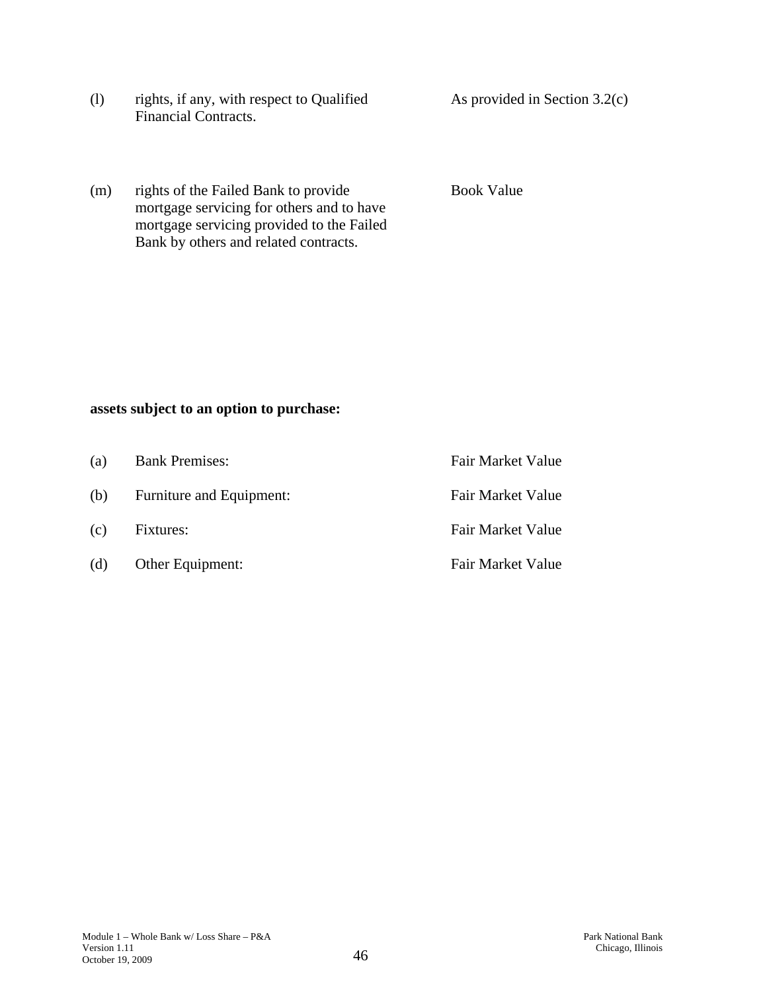(1) rights, if any, with respect to Qualified  $\qquad \qquad$  As provided in Section 3.2(c) Financial Contracts.

(m) rights of the Failed Bank to provide Book Value mortgage servicing for others and to have mortgage servicing provided to the Failed Bank by others and related contracts.

## **assets subject to an option to purchase:**

| (a) | <b>Bank Premises:</b>    | Fair Market Value |
|-----|--------------------------|-------------------|
| (b) | Furniture and Equipment: | Fair Market Value |
| (c) | Fixtures:                | Fair Market Value |
| (d) | Other Equipment:         | Fair Market Value |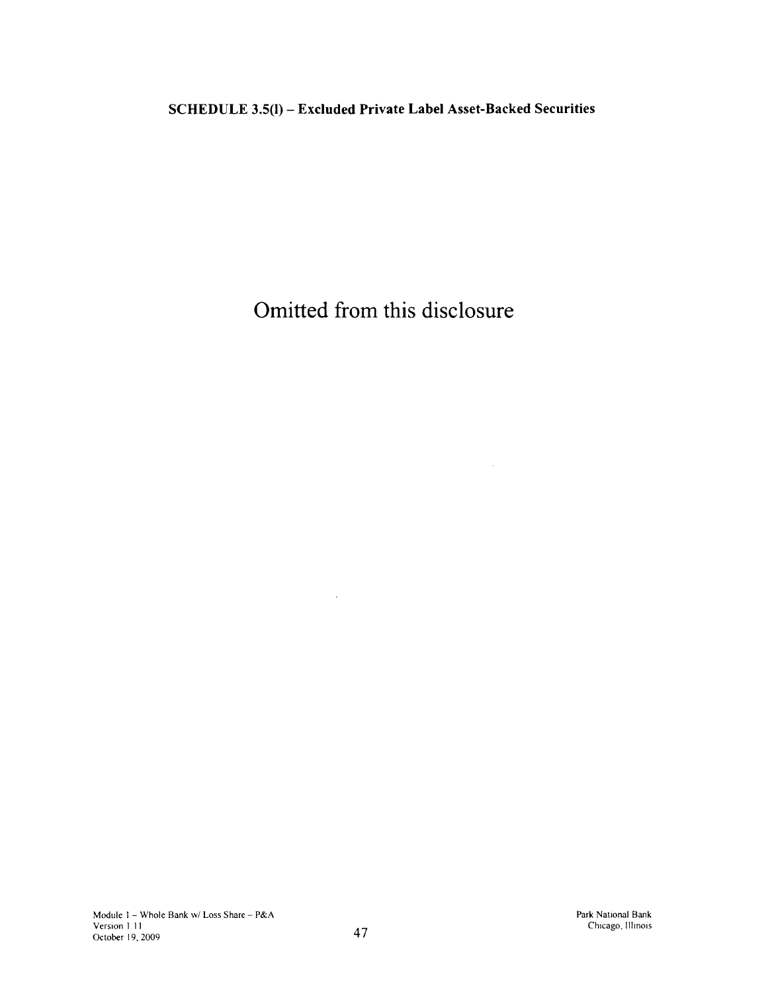# SCHEDULE 3.5(1) - Excluded Private Label Asset-Backed Securities

Omitted from this disclosure

 $\sim$ 

 $\mathcal{L}^{\mathcal{L}}$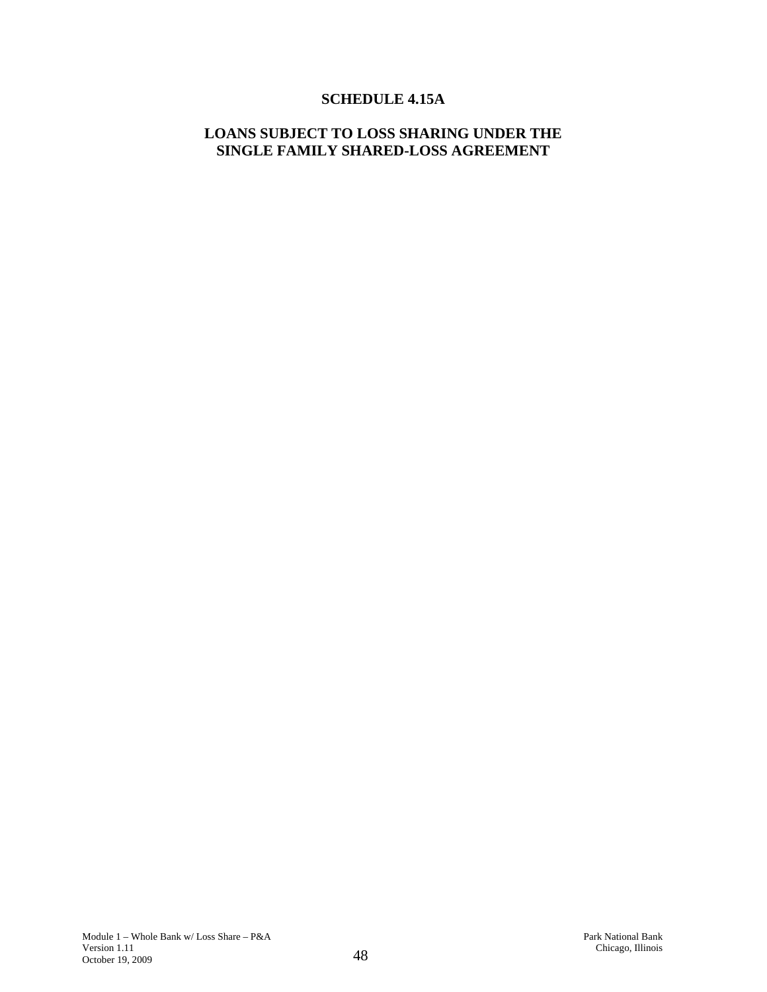### **SCHEDULE 4.15A**

# **LOANS SUBJECT TO LOSS SHARING UNDER THE SINGLE FAMILY SHARED-LOSS AGREEMENT**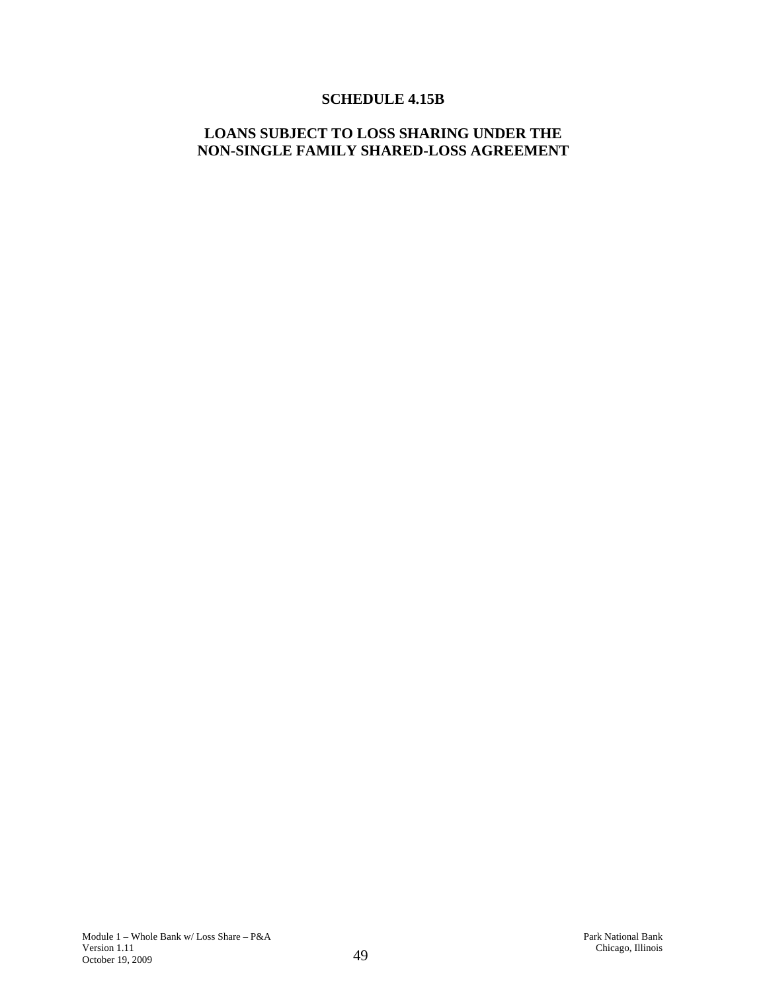### **SCHEDULE 4.15B**

### **LOANS SUBJECT TO LOSS SHARING UNDER THE NON-SINGLE FAMILY SHARED-LOSS AGREEMENT**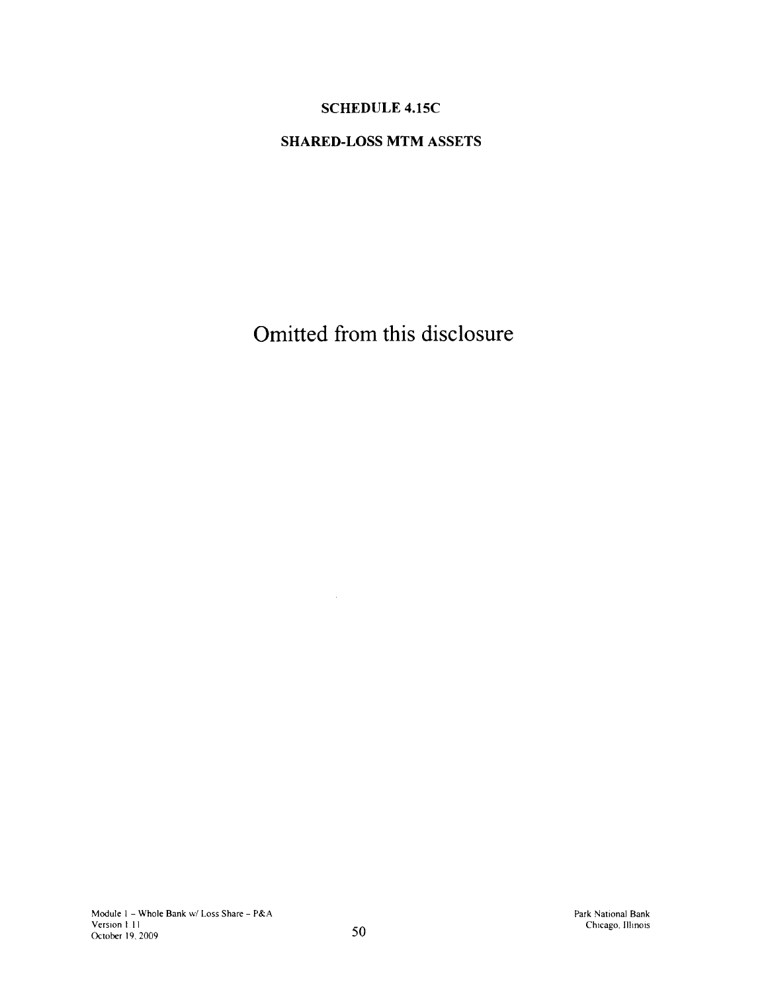# SCHEDULE 4.15C

## SHARED-LOSS MTM ASSETS

Omitted from this disclosure

 $\mathcal{A}^{\mathcal{A}}$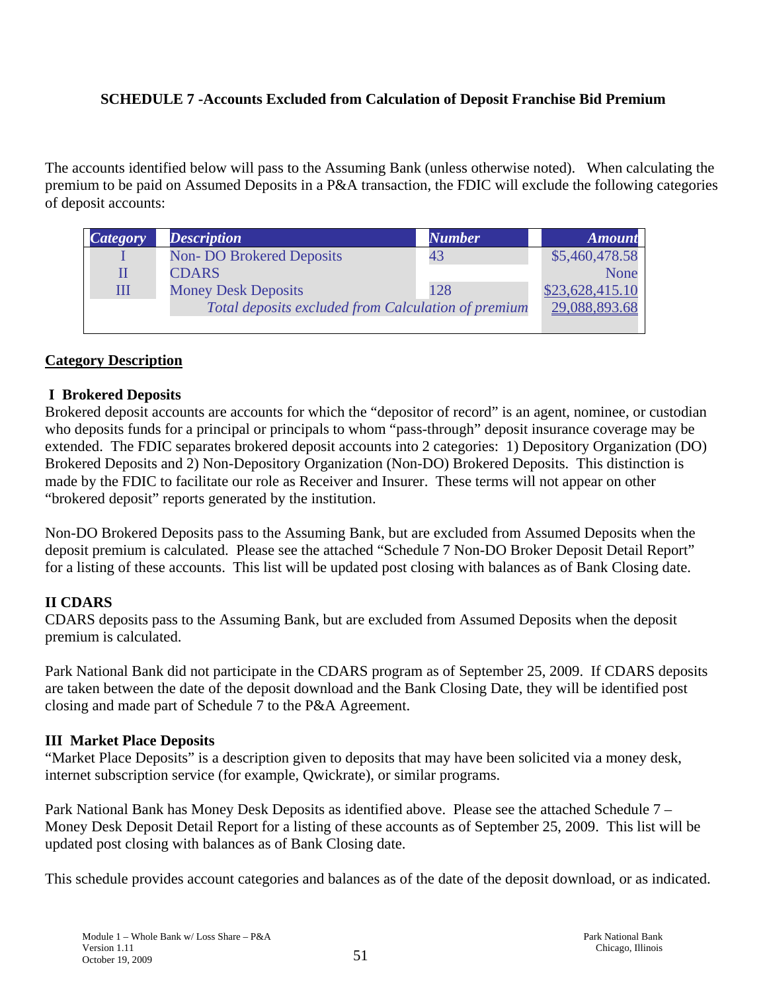# **SCHEDULE 7 -Accounts Excluded from Calculation of Deposit Franchise Bid Premium**

The accounts identified below will pass to the Assuming Bank (unless otherwise noted). When calculating the premium to be paid on Assumed Deposits in a P&A transaction, the FDIC will exclude the following categories of deposit accounts:

| <b>Category</b>                                     | <b>Description</b>              | <b>Number</b> | <b>Amount</b>   |
|-----------------------------------------------------|---------------------------------|---------------|-----------------|
|                                                     | <b>Non-DO Brokered Deposits</b> | 43            | \$5,460,478.58  |
| П                                                   | <b>CDARS</b>                    |               | <b>None</b>     |
| III                                                 | <b>Money Desk Deposits</b>      | 128           | \$23,628,415.10 |
| Total deposits excluded from Calculation of premium |                                 |               | 29,088,893.68   |
|                                                     |                                 |               |                 |

#### **Category Description**

#### **I Brokered Deposits**

Brokered deposit accounts are accounts for which the "depositor of record" is an agent, nominee, or custodian who deposits funds for a principal or principals to whom "pass-through" deposit insurance coverage may be extended. The FDIC separates brokered deposit accounts into 2 categories: 1) Depository Organization (DO) Brokered Deposits and 2) Non-Depository Organization (Non-DO) Brokered Deposits. This distinction is made by the FDIC to facilitate our role as Receiver and Insurer. These terms will not appear on other "brokered deposit" reports generated by the institution.

Non-DO Brokered Deposits pass to the Assuming Bank, but are excluded from Assumed Deposits when the deposit premium is calculated. Please see the attached "Schedule 7 Non-DO Broker Deposit Detail Report" for a listing of these accounts. This list will be updated post closing with balances as of Bank Closing date.

### **II CDARS**

CDARS deposits pass to the Assuming Bank, but are excluded from Assumed Deposits when the deposit premium is calculated.

Park National Bank did not participate in the CDARS program as of September 25, 2009. If CDARS deposits are taken between the date of the deposit download and the Bank Closing Date, they will be identified post closing and made part of Schedule 7 to the P&A Agreement.

#### **III Market Place Deposits**

"Market Place Deposits" is a description given to deposits that may have been solicited via a money desk, internet subscription service (for example, Qwickrate), or similar programs.

Park National Bank has Money Desk Deposits as identified above. Please see the attached Schedule 7 – Money Desk Deposit Detail Report for a listing of these accounts as of September 25, 2009. This list will be updated post closing with balances as of Bank Closing date.

This schedule provides account categories and balances as of the date of the deposit download, or as indicated.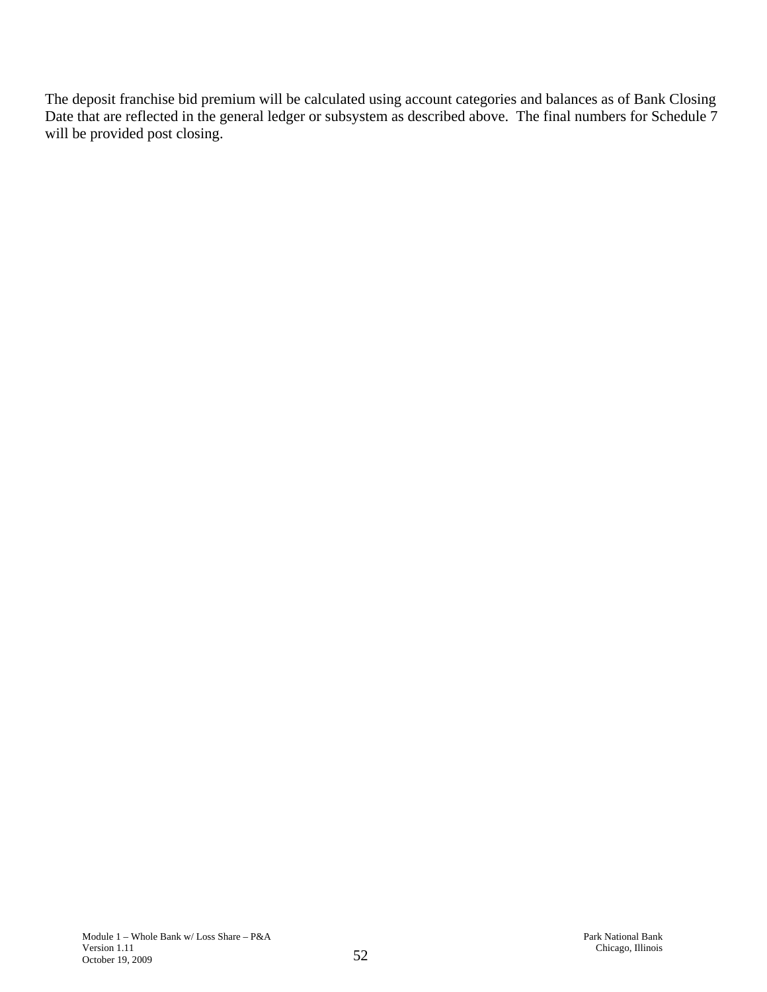The deposit franchise bid premium will be calculated using account categories and balances as of Bank Closing Date that are reflected in the general ledger or subsystem as described above. The final numbers for Schedule 7 will be provided post closing.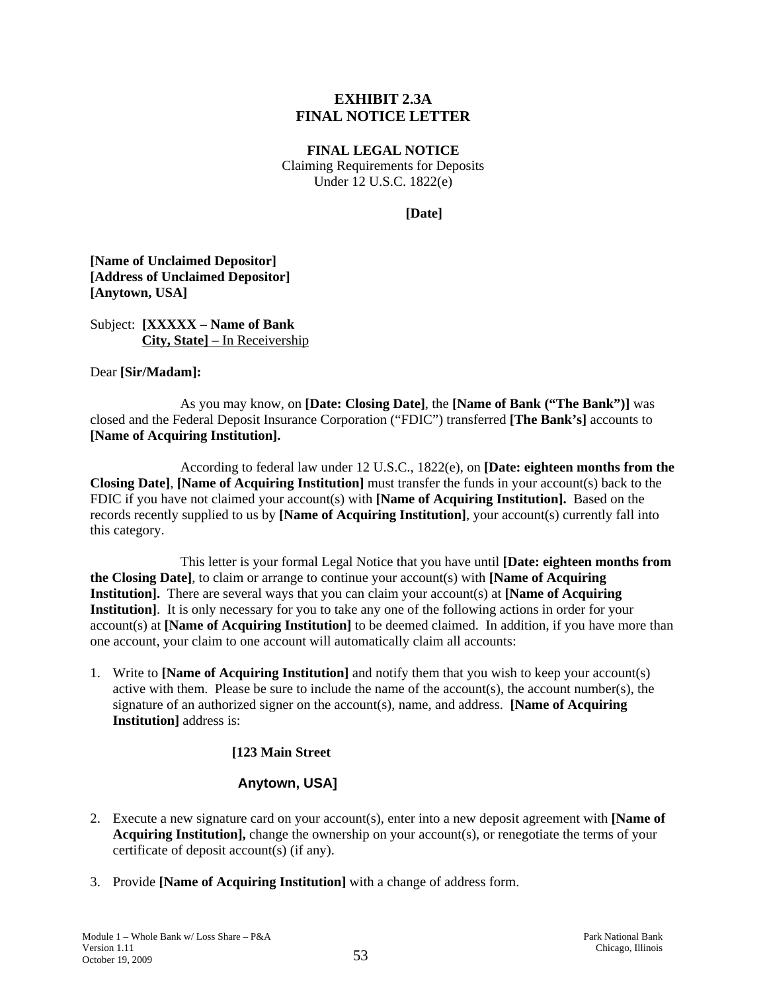#### **EXHIBIT 2.3A FINAL NOTICE LETTER**

#### **FINAL LEGAL NOTICE**

Claiming Requirements for Deposits Under 12 U.S.C. 1822(e)

**[Date]** 

**[Name of Unclaimed Depositor] [Address of Unclaimed Depositor] [Anytown, USA]** 

Subject: **[XXXXX – Name of Bank City, State]** – In Receivership

Dear **[Sir/Madam]:** 

As you may know, on **[Date: Closing Date]**, the **[Name of Bank ("The Bank")]** was closed and the Federal Deposit Insurance Corporation ("FDIC") transferred **[The Bank's]** accounts to **[Name of Acquiring Institution].** 

According to federal law under 12 U.S.C., 1822(e), on **[Date: eighteen months from the Closing Date]**, **[Name of Acquiring Institution]** must transfer the funds in your account(s) back to the FDIC if you have not claimed your account(s) with **[Name of Acquiring Institution].** Based on the records recently supplied to us by **[Name of Acquiring Institution]**, your account(s) currently fall into this category.

This letter is your formal Legal Notice that you have until **[Date: eighteen months from the Closing Date]**, to claim or arrange to continue your account(s) with **[Name of Acquiring Institution].** There are several ways that you can claim your account(s) at **[Name of Acquiring Institution]**. It is only necessary for you to take any one of the following actions in order for your account(s) at **[Name of Acquiring Institution]** to be deemed claimed. In addition, if you have more than one account, your claim to one account will automatically claim all accounts:

1. Write to **[Name of Acquiring Institution**] and notify them that you wish to keep your account(s) active with them. Please be sure to include the name of the account(s), the account number(s), the signature of an authorized signer on the account(s), name, and address. **[Name of Acquiring Institution]** address is:

#### **[123 Main Street**

### **Anytown, USA]**

- 2. Execute a new signature card on your account(s), enter into a new deposit agreement with **[Name of Acquiring Institution],** change the ownership on your account(s), or renegotiate the terms of your certificate of deposit account(s) (if any).
- 3. Provide **[Name of Acquiring Institution]** with a change of address form.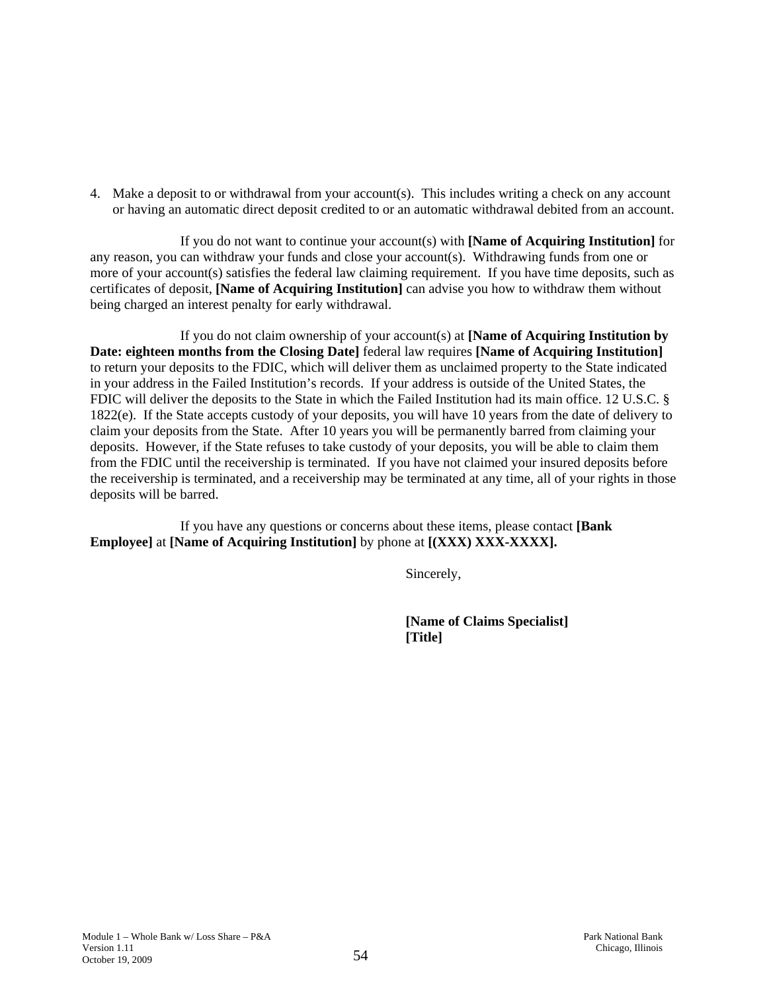4. Make a deposit to or withdrawal from your account(s). This includes writing a check on any account or having an automatic direct deposit credited to or an automatic withdrawal debited from an account.

If you do not want to continue your account(s) with **[Name of Acquiring Institution]** for any reason, you can withdraw your funds and close your account(s). Withdrawing funds from one or more of your account(s) satisfies the federal law claiming requirement. If you have time deposits, such as certificates of deposit, **[Name of Acquiring Institution]** can advise you how to withdraw them without being charged an interest penalty for early withdrawal.

If you do not claim ownership of your account(s) at **[Name of Acquiring Institution by Date: eighteen months from the Closing Date]** federal law requires **[Name of Acquiring Institution]**  to return your deposits to the FDIC, which will deliver them as unclaimed property to the State indicated in your address in the Failed Institution's records. If your address is outside of the United States, the FDIC will deliver the deposits to the State in which the Failed Institution had its main office. 12 U.S.C. § 1822(e). If the State accepts custody of your deposits, you will have 10 years from the date of delivery to claim your deposits from the State. After 10 years you will be permanently barred from claiming your deposits. However, if the State refuses to take custody of your deposits, you will be able to claim them from the FDIC until the receivership is terminated. If you have not claimed your insured deposits before the receivership is terminated, and a receivership may be terminated at any time, all of your rights in those deposits will be barred.

If you have any questions or concerns about these items, please contact **[Bank Employee]** at **[Name of Acquiring Institution]** by phone at **[(XXX) XXX-XXXX].** 

Sincerely,

**[Name of Claims Specialist] [Title]**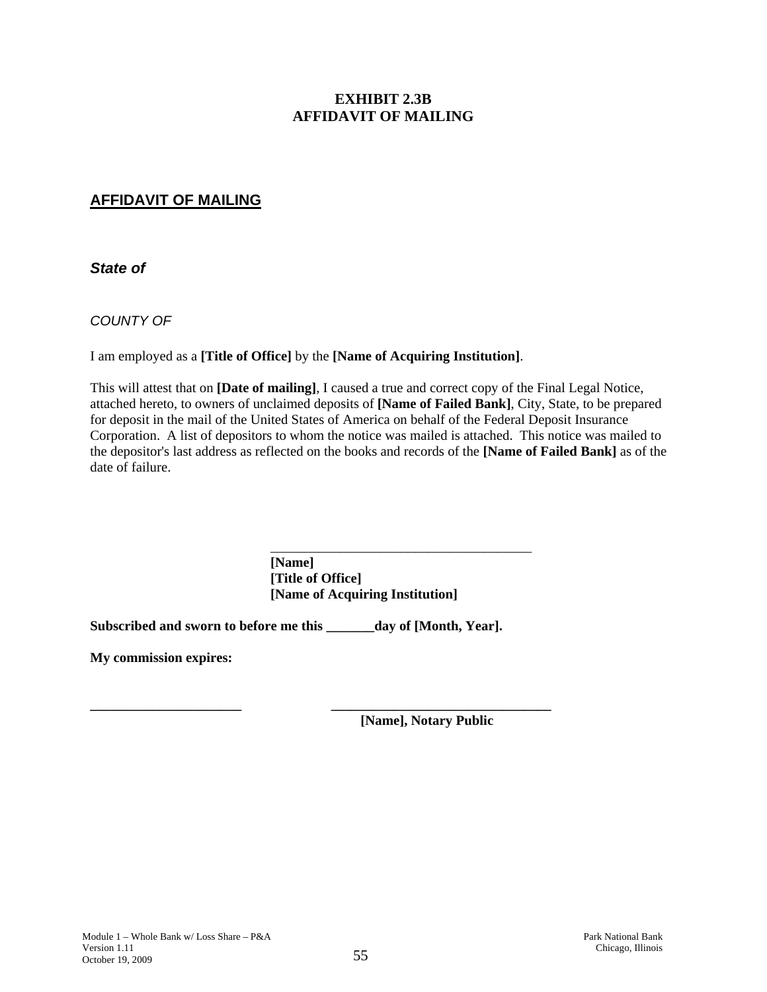### **EXHIBIT 2.3B AFFIDAVIT OF MAILING**

### **AFFIDAVIT OF MAILING**

*State of* 

*COUNTY OF* 

I am employed as a **[Title of Office]** by the **[Name of Acquiring Institution]**.

This will attest that on **[Date of mailing]**, I caused a true and correct copy of the Final Legal Notice, attached hereto, to owners of unclaimed deposits of **[Name of Failed Bank]**, City, State, to be prepared for deposit in the mail of the United States of America on behalf of the Federal Deposit Insurance Corporation. A list of depositors to whom the notice was mailed is attached. This notice was mailed to the depositor's last address as reflected on the books and records of the **[Name of Failed Bank]** as of the date of failure.

 $\overline{\phantom{a}}$  , and the contract of the contract of the contract of the contract of the contract of the contract of the contract of the contract of the contract of the contract of the contract of the contract of the contrac **[Name] [Title of Office] [Name of Acquiring Institution]** 

**Subscribed and sworn to before me this \_\_\_\_\_\_\_day of [Month, Year].** 

**My commission expires:** 

**\_\_\_\_\_\_\_\_\_\_\_\_\_\_\_\_\_\_\_\_\_\_ \_\_\_\_\_\_\_\_\_\_\_\_\_\_\_\_\_\_\_\_\_\_\_\_\_\_\_\_\_\_\_\_ [Name], Notary Public**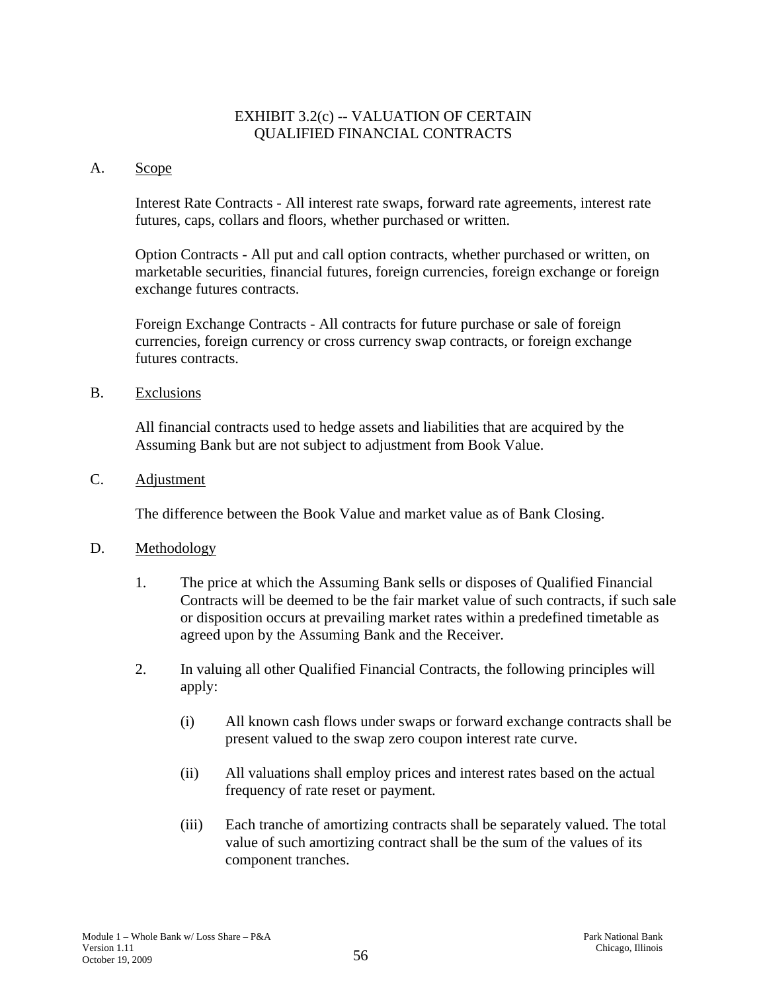### EXHIBIT 3.2(c) -- VALUATION OF CERTAIN QUALIFIED FINANCIAL CONTRACTS

#### A. Scope

Interest Rate Contracts - All interest rate swaps, forward rate agreements, interest rate futures, caps, collars and floors, whether purchased or written.

Option Contracts - All put and call option contracts, whether purchased or written, on marketable securities, financial futures, foreign currencies, foreign exchange or foreign exchange futures contracts.

Foreign Exchange Contracts - All contracts for future purchase or sale of foreign currencies, foreign currency or cross currency swap contracts, or foreign exchange futures contracts.

#### B. Exclusions

All financial contracts used to hedge assets and liabilities that are acquired by the Assuming Bank but are not subject to adjustment from Book Value.

#### C. Adjustment

The difference between the Book Value and market value as of Bank Closing.

### D. Methodology

- 1. The price at which the Assuming Bank sells or disposes of Qualified Financial Contracts will be deemed to be the fair market value of such contracts, if such sale or disposition occurs at prevailing market rates within a predefined timetable as agreed upon by the Assuming Bank and the Receiver.
- 2. In valuing all other Qualified Financial Contracts, the following principles will apply:
	- (i) All known cash flows under swaps or forward exchange contracts shall be present valued to the swap zero coupon interest rate curve.
	- (ii) All valuations shall employ prices and interest rates based on the actual frequency of rate reset or payment.
	- (iii) Each tranche of amortizing contracts shall be separately valued. The total value of such amortizing contract shall be the sum of the values of its component tranches.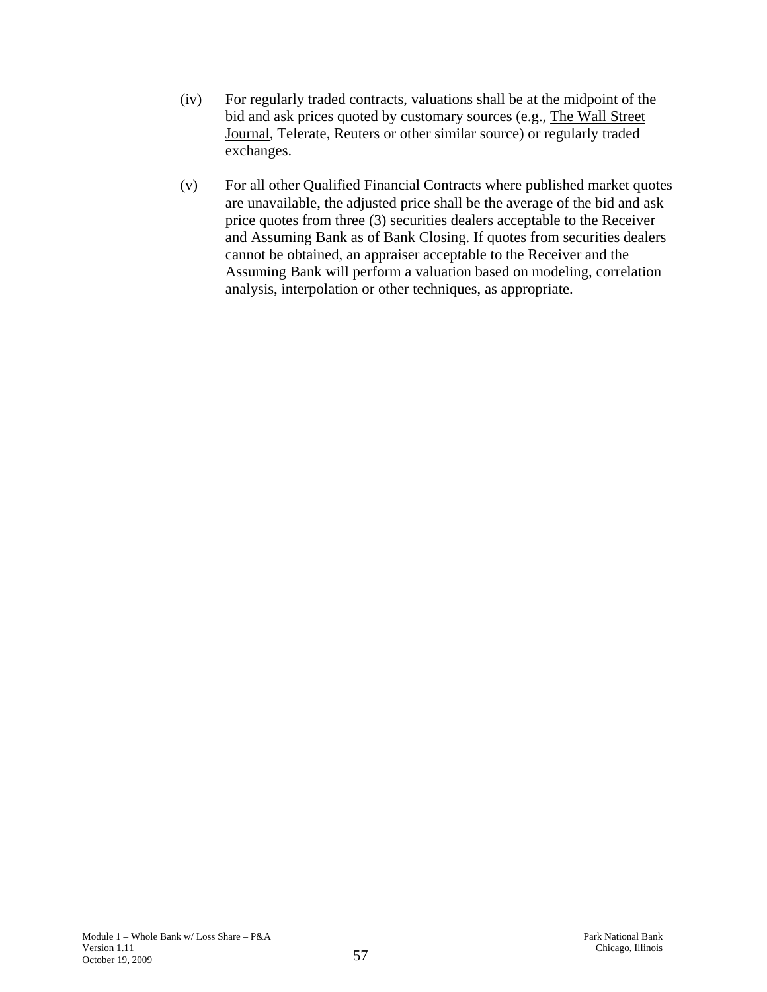- (iv) For regularly traded contracts, valuations shall be at the midpoint of the bid and ask prices quoted by customary sources (e.g., The Wall Street Journal, Telerate, Reuters or other similar source) or regularly traded exchanges.
- (v) For all other Qualified Financial Contracts where published market quotes are unavailable, the adjusted price shall be the average of the bid and ask price quotes from three (3) securities dealers acceptable to the Receiver and Assuming Bank as of Bank Closing. If quotes from securities dealers cannot be obtained, an appraiser acceptable to the Receiver and the Assuming Bank will perform a valuation based on modeling, correlation analysis, interpolation or other techniques, as appropriate.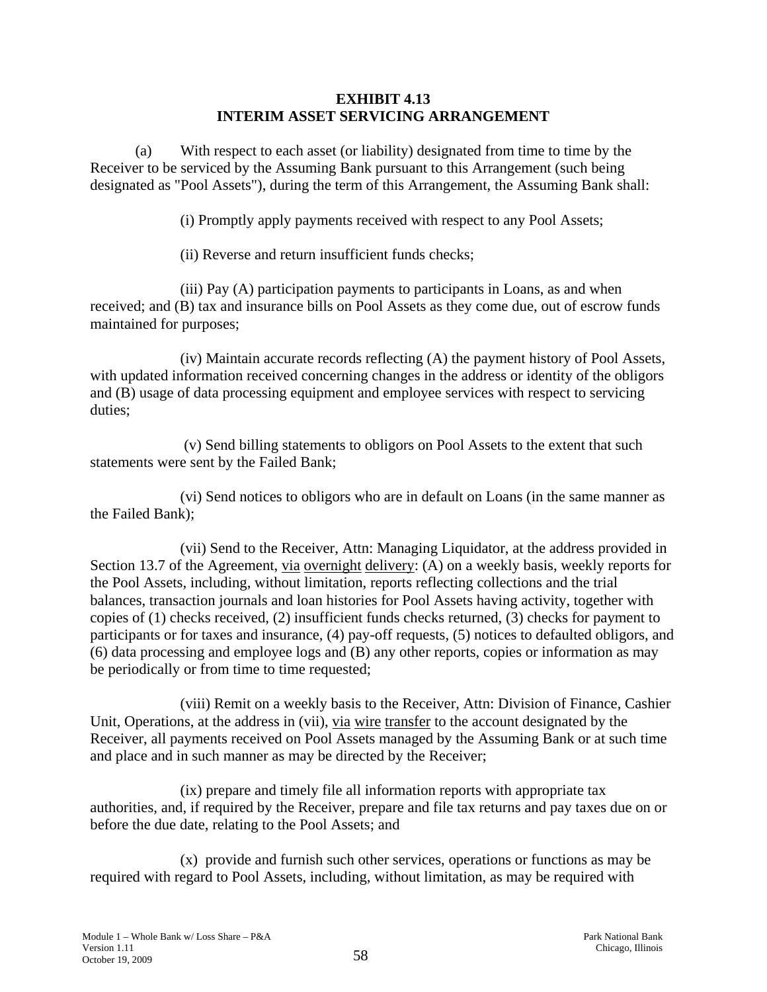#### **EXHIBIT 4.13 INTERIM ASSET SERVICING ARRANGEMENT**

(a) With respect to each asset (or liability) designated from time to time by the Receiver to be serviced by the Assuming Bank pursuant to this Arrangement (such being designated as "Pool Assets"), during the term of this Arrangement, the Assuming Bank shall:

(i) Promptly apply payments received with respect to any Pool Assets;

(ii) Reverse and return insufficient funds checks;

(iii) Pay (A) participation payments to participants in Loans, as and when received; and (B) tax and insurance bills on Pool Assets as they come due, out of escrow funds maintained for purposes;

(iv) Maintain accurate records reflecting (A) the payment history of Pool Assets, with updated information received concerning changes in the address or identity of the obligors and (B) usage of data processing equipment and employee services with respect to servicing duties;

 (v) Send billing statements to obligors on Pool Assets to the extent that such statements were sent by the Failed Bank;

(vi) Send notices to obligors who are in default on Loans (in the same manner as the Failed Bank);

(vii) Send to the Receiver, Attn: Managing Liquidator, at the address provided in Section 13.7 of the Agreement, via overnight delivery: (A) on a weekly basis, weekly reports for the Pool Assets, including, without limitation, reports reflecting collections and the trial balances, transaction journals and loan histories for Pool Assets having activity, together with copies of (1) checks received, (2) insufficient funds checks returned, (3) checks for payment to participants or for taxes and insurance, (4) pay-off requests, (5) notices to defaulted obligors, and (6) data processing and employee logs and (B) any other reports, copies or information as may be periodically or from time to time requested;

(viii) Remit on a weekly basis to the Receiver, Attn: Division of Finance, Cashier Unit, Operations, at the address in (vii), via wire transfer to the account designated by the Receiver, all payments received on Pool Assets managed by the Assuming Bank or at such time and place and in such manner as may be directed by the Receiver;

(ix) prepare and timely file all information reports with appropriate tax authorities, and, if required by the Receiver, prepare and file tax returns and pay taxes due on or before the due date, relating to the Pool Assets; and

(x) provide and furnish such other services, operations or functions as may be required with regard to Pool Assets, including, without limitation, as may be required with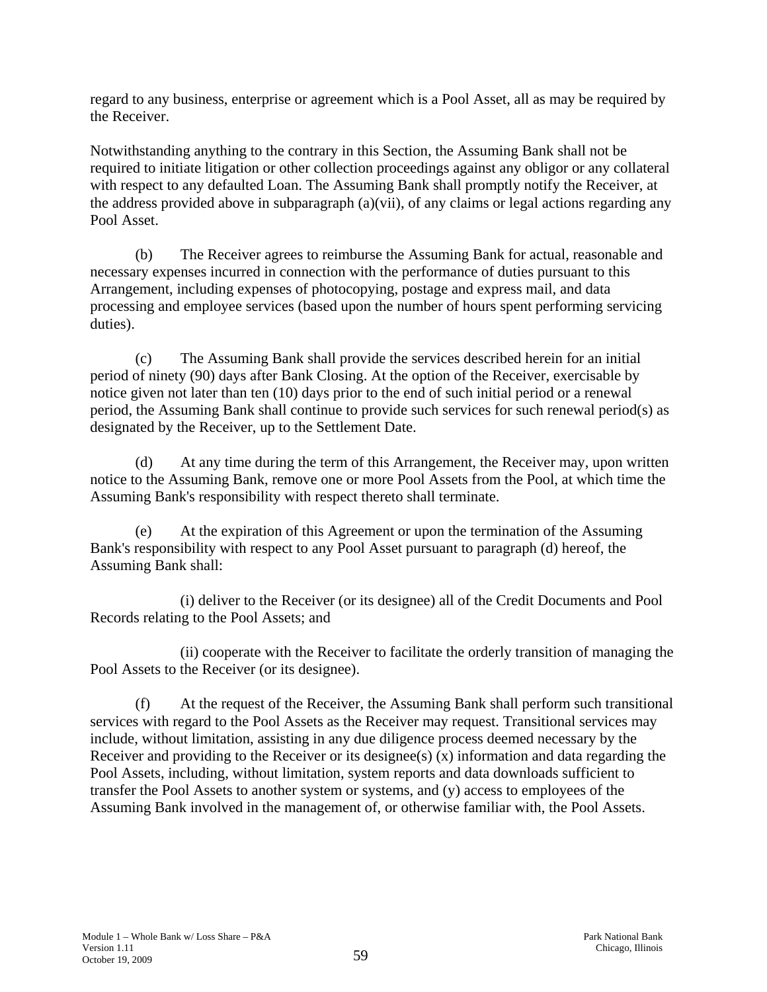regard to any business, enterprise or agreement which is a Pool Asset, all as may be required by the Receiver.

Notwithstanding anything to the contrary in this Section, the Assuming Bank shall not be required to initiate litigation or other collection proceedings against any obligor or any collateral with respect to any defaulted Loan. The Assuming Bank shall promptly notify the Receiver, at the address provided above in subparagraph (a)(vii), of any claims or legal actions regarding any Pool Asset.

(b) The Receiver agrees to reimburse the Assuming Bank for actual, reasonable and necessary expenses incurred in connection with the performance of duties pursuant to this Arrangement, including expenses of photocopying, postage and express mail, and data processing and employee services (based upon the number of hours spent performing servicing duties).

(c) The Assuming Bank shall provide the services described herein for an initial period of ninety (90) days after Bank Closing. At the option of the Receiver, exercisable by notice given not later than ten (10) days prior to the end of such initial period or a renewal period, the Assuming Bank shall continue to provide such services for such renewal period(s) as designated by the Receiver, up to the Settlement Date.

(d) At any time during the term of this Arrangement, the Receiver may, upon written notice to the Assuming Bank, remove one or more Pool Assets from the Pool, at which time the Assuming Bank's responsibility with respect thereto shall terminate.

(e) At the expiration of this Agreement or upon the termination of the Assuming Bank's responsibility with respect to any Pool Asset pursuant to paragraph (d) hereof, the Assuming Bank shall:

(i) deliver to the Receiver (or its designee) all of the Credit Documents and Pool Records relating to the Pool Assets; and

(ii) cooperate with the Receiver to facilitate the orderly transition of managing the Pool Assets to the Receiver (or its designee).

(f) At the request of the Receiver, the Assuming Bank shall perform such transitional services with regard to the Pool Assets as the Receiver may request. Transitional services may include, without limitation, assisting in any due diligence process deemed necessary by the Receiver and providing to the Receiver or its designee(s) (x) information and data regarding the Pool Assets, including, without limitation, system reports and data downloads sufficient to transfer the Pool Assets to another system or systems, and (y) access to employees of the Assuming Bank involved in the management of, or otherwise familiar with, the Pool Assets.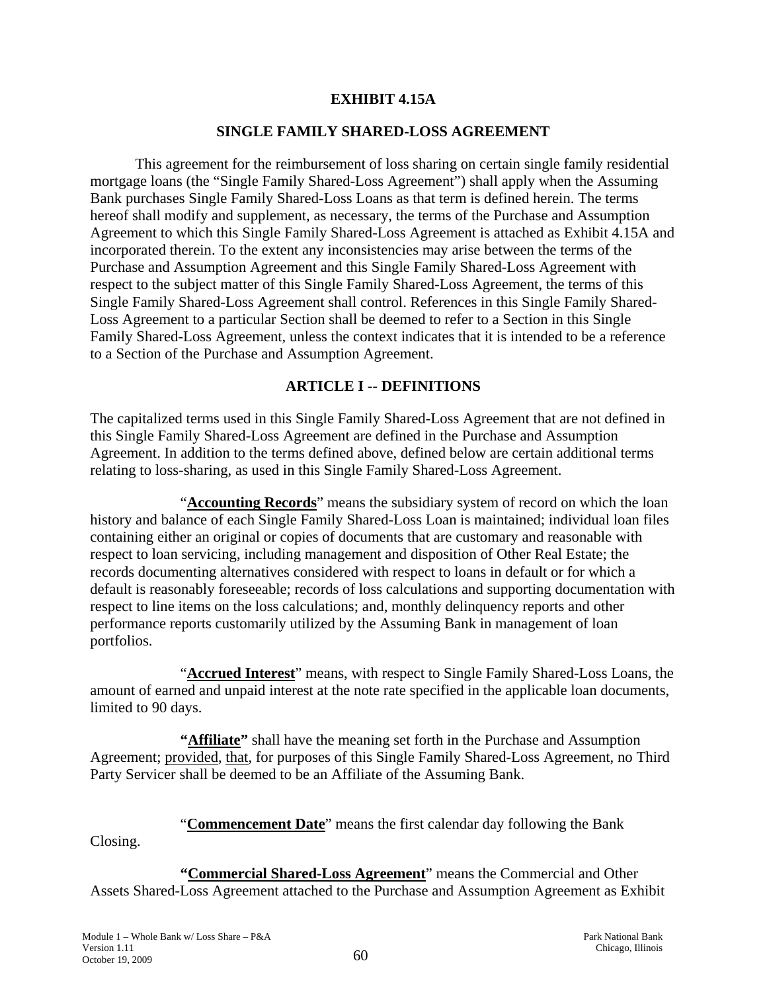#### **EXHIBIT 4.15A**

#### **SINGLE FAMILY SHARED-LOSS AGREEMENT**

This agreement for the reimbursement of loss sharing on certain single family residential mortgage loans (the "Single Family Shared-Loss Agreement") shall apply when the Assuming Bank purchases Single Family Shared-Loss Loans as that term is defined herein. The terms hereof shall modify and supplement, as necessary, the terms of the Purchase and Assumption Agreement to which this Single Family Shared-Loss Agreement is attached as Exhibit 4.15A and incorporated therein. To the extent any inconsistencies may arise between the terms of the Purchase and Assumption Agreement and this Single Family Shared-Loss Agreement with respect to the subject matter of this Single Family Shared-Loss Agreement, the terms of this Single Family Shared-Loss Agreement shall control. References in this Single Family Shared-Loss Agreement to a particular Section shall be deemed to refer to a Section in this Single Family Shared-Loss Agreement, unless the context indicates that it is intended to be a reference to a Section of the Purchase and Assumption Agreement.

#### **ARTICLE I -- DEFINITIONS**

The capitalized terms used in this Single Family Shared-Loss Agreement that are not defined in this Single Family Shared-Loss Agreement are defined in the Purchase and Assumption Agreement. In addition to the terms defined above, defined below are certain additional terms relating to loss-sharing, as used in this Single Family Shared-Loss Agreement.

"**Accounting Records**" means the subsidiary system of record on which the loan history and balance of each Single Family Shared-Loss Loan is maintained; individual loan files containing either an original or copies of documents that are customary and reasonable with respect to loan servicing, including management and disposition of Other Real Estate; the records documenting alternatives considered with respect to loans in default or for which a default is reasonably foreseeable; records of loss calculations and supporting documentation with respect to line items on the loss calculations; and, monthly delinquency reports and other performance reports customarily utilized by the Assuming Bank in management of loan portfolios.

"**Accrued Interest**" means, with respect to Single Family Shared-Loss Loans, the amount of earned and unpaid interest at the note rate specified in the applicable loan documents, limited to 90 days.

**"Affiliate"** shall have the meaning set forth in the Purchase and Assumption Agreement; provided, that, for purposes of this Single Family Shared-Loss Agreement, no Third Party Servicer shall be deemed to be an Affiliate of the Assuming Bank.

"**Commencement Date**" means the first calendar day following the Bank

Closing.

**"Commercial Shared-Loss Agreement**" means the Commercial and Other Assets Shared-Loss Agreement attached to the Purchase and Assumption Agreement as Exhibit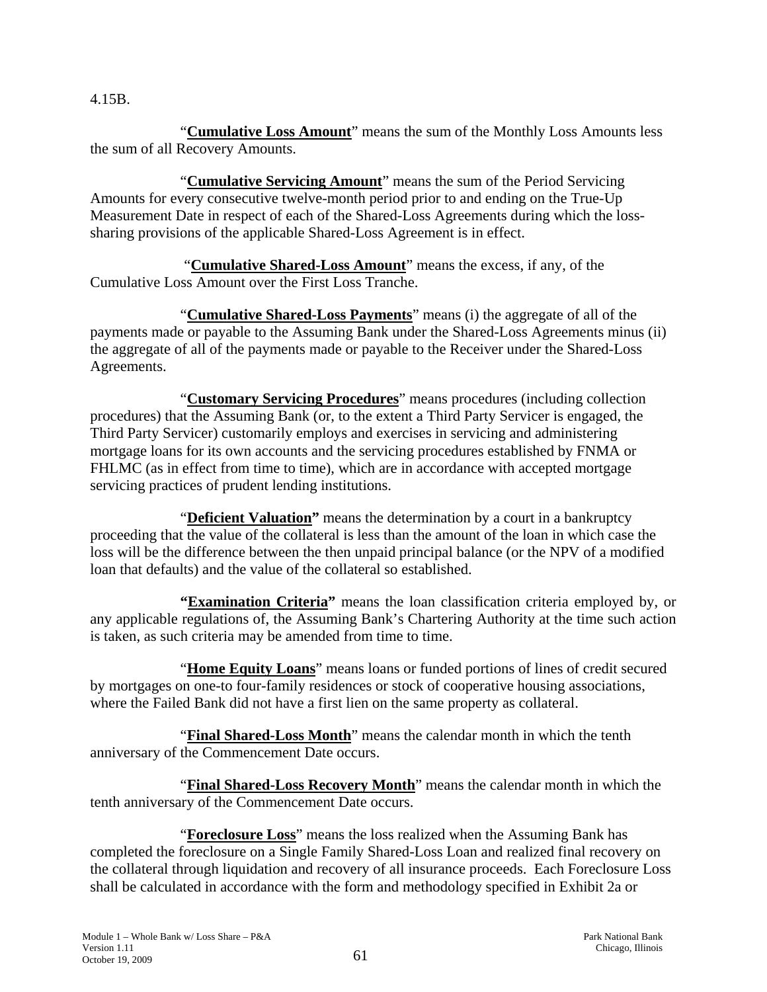4.15B.

"**Cumulative Loss Amount**" means the sum of the Monthly Loss Amounts less the sum of all Recovery Amounts.

"**Cumulative Servicing Amount**" means the sum of the Period Servicing Amounts for every consecutive twelve-month period prior to and ending on the True-Up Measurement Date in respect of each of the Shared-Loss Agreements during which the losssharing provisions of the applicable Shared-Loss Agreement is in effect.

"**Cumulative Shared-Loss Amount**" means the excess, if any, of the Cumulative Loss Amount over the First Loss Tranche.

"**Cumulative Shared-Loss Payments**" means (i) the aggregate of all of the payments made or payable to the Assuming Bank under the Shared-Loss Agreements minus (ii) the aggregate of all of the payments made or payable to the Receiver under the Shared-Loss Agreements.

"**Customary Servicing Procedures**" means procedures (including collection procedures) that the Assuming Bank (or, to the extent a Third Party Servicer is engaged, the Third Party Servicer) customarily employs and exercises in servicing and administering mortgage loans for its own accounts and the servicing procedures established by FNMA or FHLMC (as in effect from time to time), which are in accordance with accepted mortgage servicing practices of prudent lending institutions.

"**Deficient Valuation"** means the determination by a court in a bankruptcy proceeding that the value of the collateral is less than the amount of the loan in which case the loss will be the difference between the then unpaid principal balance (or the NPV of a modified loan that defaults) and the value of the collateral so established.

**"Examination Criteria"** means the loan classification criteria employed by, or any applicable regulations of, the Assuming Bank's Chartering Authority at the time such action is taken, as such criteria may be amended from time to time.

"**Home Equity Loans**" means loans or funded portions of lines of credit secured by mortgages on one-to four-family residences or stock of cooperative housing associations, where the Failed Bank did not have a first lien on the same property as collateral.

"**Final Shared-Loss Month**" means the calendar month in which the tenth anniversary of the Commencement Date occurs.

"**Final Shared-Loss Recovery Month**" means the calendar month in which the tenth anniversary of the Commencement Date occurs.

"**Foreclosure Loss**" means the loss realized when the Assuming Bank has completed the foreclosure on a Single Family Shared-Loss Loan and realized final recovery on the collateral through liquidation and recovery of all insurance proceeds. Each Foreclosure Loss shall be calculated in accordance with the form and methodology specified in Exhibit 2a or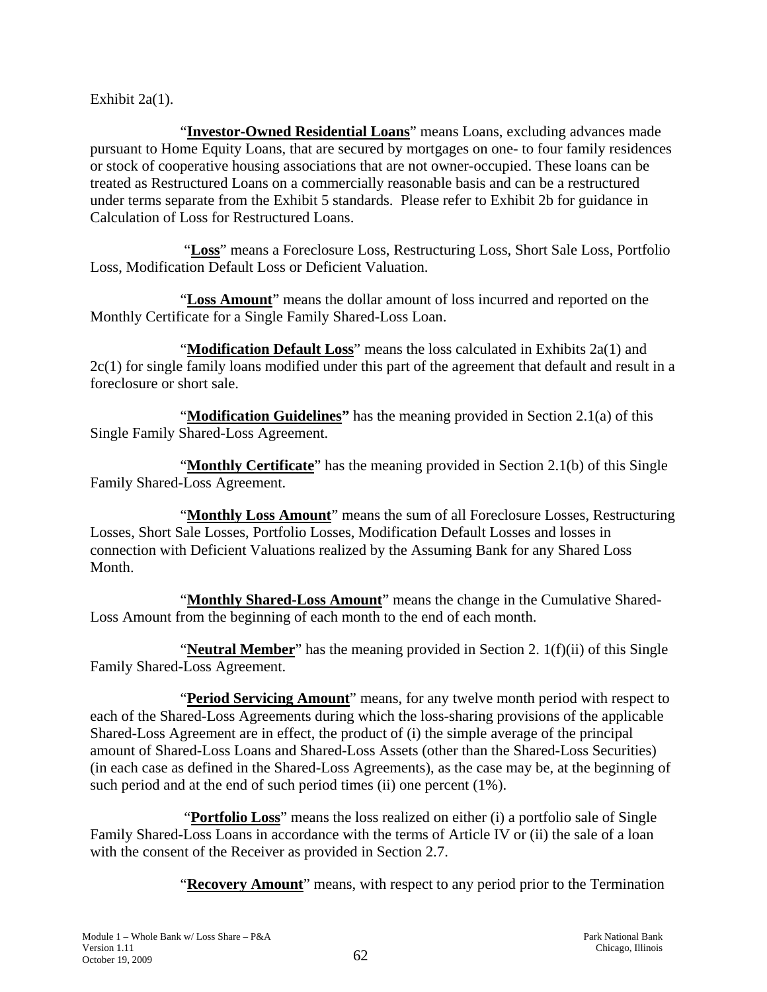Exhibit 2a(1).

"**Investor-Owned Residential Loans**" means Loans, excluding advances made pursuant to Home Equity Loans, that are secured by mortgages on one- to four family residences or stock of cooperative housing associations that are not owner-occupied. These loans can be treated as Restructured Loans on a commercially reasonable basis and can be a restructured under terms separate from the Exhibit 5 standards. Please refer to Exhibit 2b for guidance in Calculation of Loss for Restructured Loans.

"**Loss**" means a Foreclosure Loss, Restructuring Loss, Short Sale Loss, Portfolio Loss, Modification Default Loss or Deficient Valuation.

"**Loss Amount**" means the dollar amount of loss incurred and reported on the Monthly Certificate for a Single Family Shared-Loss Loan.

"**Modification Default Loss**" means the loss calculated in Exhibits 2a(1) and 2c(1) for single family loans modified under this part of the agreement that default and result in a foreclosure or short sale.

"**Modification Guidelines"** has the meaning provided in Section 2.1(a) of this Single Family Shared-Loss Agreement.

"**Monthly Certificate**" has the meaning provided in Section 2.1(b) of this Single Family Shared-Loss Agreement.

"**Monthly Loss Amount**" means the sum of all Foreclosure Losses, Restructuring Losses, Short Sale Losses, Portfolio Losses, Modification Default Losses and losses in connection with Deficient Valuations realized by the Assuming Bank for any Shared Loss Month.

"**Monthly Shared-Loss Amount**" means the change in the Cumulative Shared-Loss Amount from the beginning of each month to the end of each month.

"**Neutral Member**" has the meaning provided in Section 2. 1(f)(ii) of this Single Family Shared-Loss Agreement.

"**Period Servicing Amount**" means, for any twelve month period with respect to each of the Shared-Loss Agreements during which the loss-sharing provisions of the applicable Shared-Loss Agreement are in effect, the product of (i) the simple average of the principal amount of Shared-Loss Loans and Shared-Loss Assets (other than the Shared-Loss Securities) (in each case as defined in the Shared-Loss Agreements), as the case may be, at the beginning of such period and at the end of such period times (ii) one percent (1%).

"**Portfolio Loss**" means the loss realized on either (i) a portfolio sale of Single Family Shared-Loss Loans in accordance with the terms of Article IV or (ii) the sale of a loan with the consent of the Receiver as provided in Section 2.7.

"**Recovery Amount**" means, with respect to any period prior to the Termination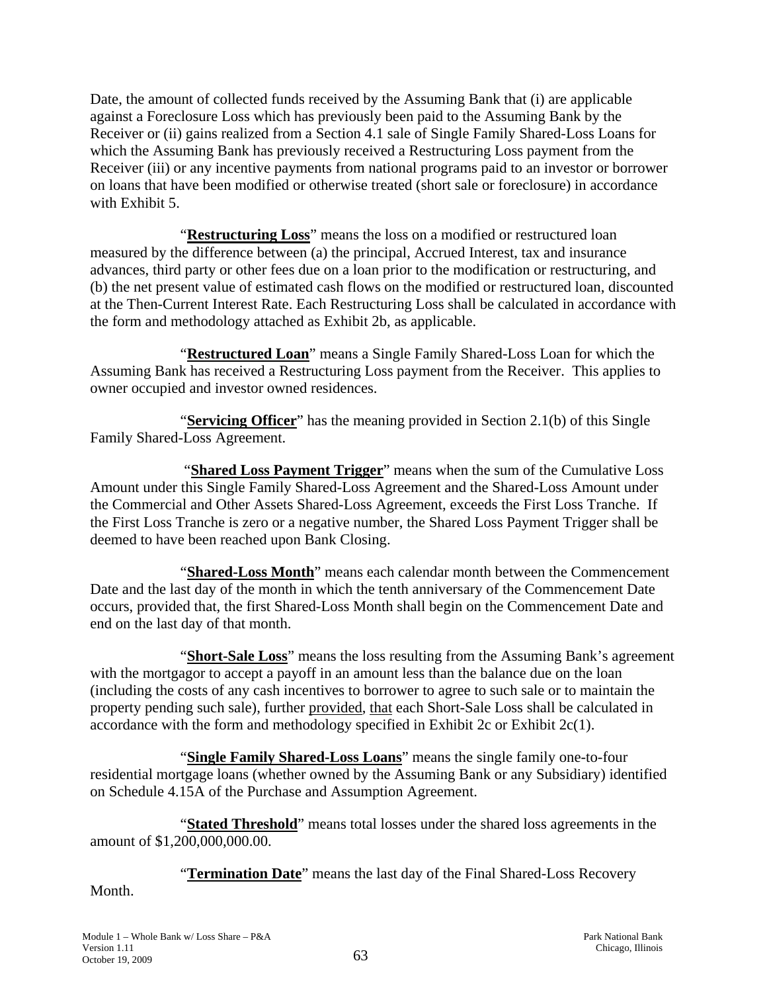Date, the amount of collected funds received by the Assuming Bank that (i) are applicable against a Foreclosure Loss which has previously been paid to the Assuming Bank by the Receiver or (ii) gains realized from a Section 4.1 sale of Single Family Shared-Loss Loans for which the Assuming Bank has previously received a Restructuring Loss payment from the Receiver (iii) or any incentive payments from national programs paid to an investor or borrower on loans that have been modified or otherwise treated (short sale or foreclosure) in accordance with Exhibit 5.

"**Restructuring Loss**" means the loss on a modified or restructured loan measured by the difference between (a) the principal, Accrued Interest, tax and insurance advances, third party or other fees due on a loan prior to the modification or restructuring, and (b) the net present value of estimated cash flows on the modified or restructured loan, discounted at the Then-Current Interest Rate. Each Restructuring Loss shall be calculated in accordance with the form and methodology attached as Exhibit 2b, as applicable.

"**Restructured Loan**" means a Single Family Shared-Loss Loan for which the Assuming Bank has received a Restructuring Loss payment from the Receiver. This applies to owner occupied and investor owned residences.

"**Servicing Officer**" has the meaning provided in Section 2.1(b) of this Single Family Shared-Loss Agreement.

"**Shared Loss Payment Trigger**" means when the sum of the Cumulative Loss Amount under this Single Family Shared-Loss Agreement and the Shared-Loss Amount under the Commercial and Other Assets Shared-Loss Agreement, exceeds the First Loss Tranche. If the First Loss Tranche is zero or a negative number, the Shared Loss Payment Trigger shall be deemed to have been reached upon Bank Closing.

"**Shared-Loss Month**" means each calendar month between the Commencement Date and the last day of the month in which the tenth anniversary of the Commencement Date occurs, provided that, the first Shared-Loss Month shall begin on the Commencement Date and end on the last day of that month.

"**Short-Sale Loss**" means the loss resulting from the Assuming Bank's agreement with the mortgagor to accept a payoff in an amount less than the balance due on the loan (including the costs of any cash incentives to borrower to agree to such sale or to maintain the property pending such sale), further provided, that each Short-Sale Loss shall be calculated in accordance with the form and methodology specified in Exhibit 2c or Exhibit  $2c(1)$ .

"**Single Family Shared-Loss Loans**" means the single family one-to-four residential mortgage loans (whether owned by the Assuming Bank or any Subsidiary) identified on Schedule 4.15A of the Purchase and Assumption Agreement.

"**Stated Threshold**" means total losses under the shared loss agreements in the amount of \$1,200,000,000.00.

"**Termination Date**" means the last day of the Final Shared-Loss Recovery Month.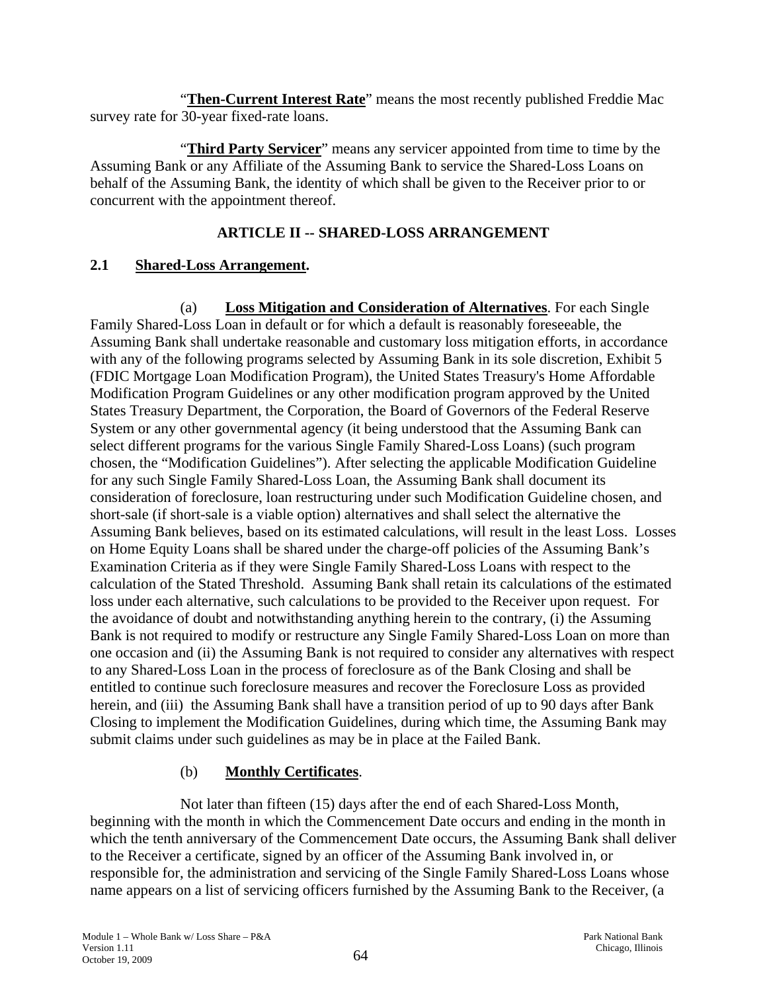"**Then-Current Interest Rate**" means the most recently published Freddie Mac survey rate for 30-year fixed-rate loans.

"**Third Party Servicer**" means any servicer appointed from time to time by the Assuming Bank or any Affiliate of the Assuming Bank to service the Shared-Loss Loans on behalf of the Assuming Bank, the identity of which shall be given to the Receiver prior to or concurrent with the appointment thereof.

## **ARTICLE II -- SHARED-LOSS ARRANGEMENT**

## **2.1 Shared-Loss Arrangement.**

(a) **Loss Mitigation and Consideration of Alternatives**. For each Single Family Shared-Loss Loan in default or for which a default is reasonably foreseeable, the Assuming Bank shall undertake reasonable and customary loss mitigation efforts, in accordance with any of the following programs selected by Assuming Bank in its sole discretion, Exhibit 5 (FDIC Mortgage Loan Modification Program), the United States Treasury's Home Affordable Modification Program Guidelines or any other modification program approved by the United States Treasury Department, the Corporation, the Board of Governors of the Federal Reserve System or any other governmental agency (it being understood that the Assuming Bank can select different programs for the various Single Family Shared-Loss Loans) (such program chosen, the "Modification Guidelines"). After selecting the applicable Modification Guideline for any such Single Family Shared-Loss Loan, the Assuming Bank shall document its consideration of foreclosure, loan restructuring under such Modification Guideline chosen, and short-sale (if short-sale is a viable option) alternatives and shall select the alternative the Assuming Bank believes, based on its estimated calculations, will result in the least Loss. Losses on Home Equity Loans shall be shared under the charge-off policies of the Assuming Bank's Examination Criteria as if they were Single Family Shared-Loss Loans with respect to the calculation of the Stated Threshold. Assuming Bank shall retain its calculations of the estimated loss under each alternative, such calculations to be provided to the Receiver upon request. For the avoidance of doubt and notwithstanding anything herein to the contrary, (i) the Assuming Bank is not required to modify or restructure any Single Family Shared-Loss Loan on more than one occasion and (ii) the Assuming Bank is not required to consider any alternatives with respect to any Shared-Loss Loan in the process of foreclosure as of the Bank Closing and shall be entitled to continue such foreclosure measures and recover the Foreclosure Loss as provided herein, and (iii) the Assuming Bank shall have a transition period of up to 90 days after Bank Closing to implement the Modification Guidelines, during which time, the Assuming Bank may submit claims under such guidelines as may be in place at the Failed Bank.

# (b) **Monthly Certificates**.

Not later than fifteen (15) days after the end of each Shared-Loss Month, beginning with the month in which the Commencement Date occurs and ending in the month in which the tenth anniversary of the Commencement Date occurs, the Assuming Bank shall deliver to the Receiver a certificate, signed by an officer of the Assuming Bank involved in, or responsible for, the administration and servicing of the Single Family Shared-Loss Loans whose name appears on a list of servicing officers furnished by the Assuming Bank to the Receiver, (a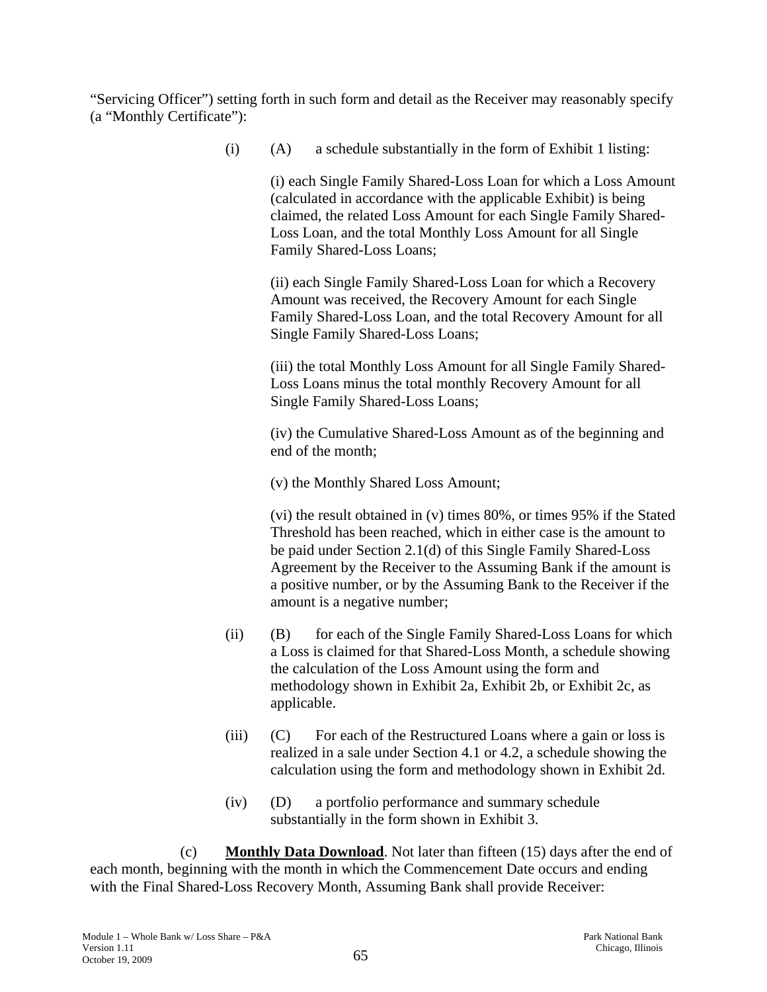"Servicing Officer") setting forth in such form and detail as the Receiver may reasonably specify (a "Monthly Certificate"):

 $(i)$  (A) a schedule substantially in the form of Exhibit 1 listing:

(i) each Single Family Shared-Loss Loan for which a Loss Amount (calculated in accordance with the applicable Exhibit) is being claimed, the related Loss Amount for each Single Family Shared-Loss Loan, and the total Monthly Loss Amount for all Single Family Shared-Loss Loans;

(ii) each Single Family Shared-Loss Loan for which a Recovery Amount was received, the Recovery Amount for each Single Family Shared-Loss Loan, and the total Recovery Amount for all Single Family Shared-Loss Loans;

(iii) the total Monthly Loss Amount for all Single Family Shared-Loss Loans minus the total monthly Recovery Amount for all Single Family Shared-Loss Loans;

(iv) the Cumulative Shared-Loss Amount as of the beginning and end of the month;

(v) the Monthly Shared Loss Amount;

(vi) the result obtained in (v) times 80%, or times 95% if the Stated Threshold has been reached, which in either case is the amount to be paid under Section 2.1(d) of this Single Family Shared-Loss Agreement by the Receiver to the Assuming Bank if the amount is a positive number, or by the Assuming Bank to the Receiver if the amount is a negative number;

- (ii) (B) for each of the Single Family Shared-Loss Loans for which a Loss is claimed for that Shared-Loss Month, a schedule showing the calculation of the Loss Amount using the form and methodology shown in Exhibit 2a, Exhibit 2b, or Exhibit 2c, as applicable.
- (iii) (C) For each of the Restructured Loans where a gain or loss is realized in a sale under Section 4.1 or 4.2, a schedule showing the calculation using the form and methodology shown in Exhibit 2d.
- (iv) (D) a portfolio performance and summary schedule substantially in the form shown in Exhibit 3.

(c) **Monthly Data Download**. Not later than fifteen (15) days after the end of each month, beginning with the month in which the Commencement Date occurs and ending with the Final Shared-Loss Recovery Month, Assuming Bank shall provide Receiver: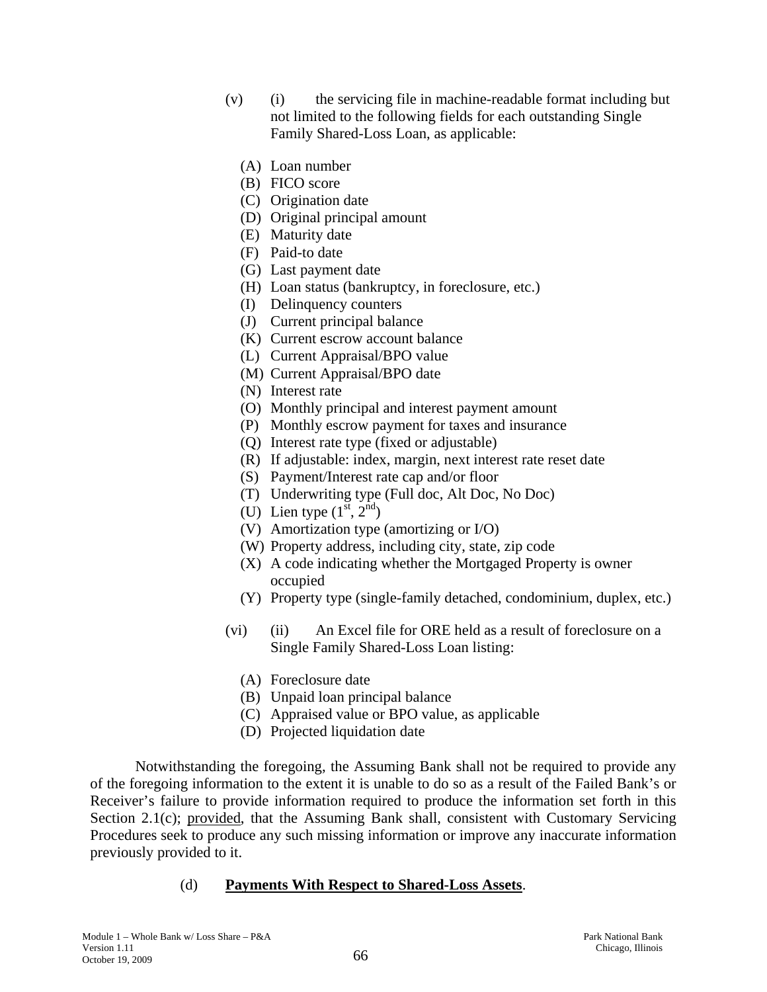- $(v)$  (i) the servicing file in machine-readable format including but not limited to the following fields for each outstanding Single Family Shared-Loss Loan, as applicable:
	- (A) Loan number
	- (B) FICO score
	- (C) Origination date
	- (D) Original principal amount
	- (E) Maturity date
	- (F) Paid-to date
	- (G) Last payment date
	- (H) Loan status (bankruptcy, in foreclosure, etc.)
	- (I) Delinquency counters
	- (J) Current principal balance
	- (K) Current escrow account balance
	- (L) Current Appraisal/BPO value
	- (M) Current Appraisal/BPO date
	- (N) Interest rate
	- (O) Monthly principal and interest payment amount
	- (P) Monthly escrow payment for taxes and insurance
	- (Q) Interest rate type (fixed or adjustable)
	- (R) If adjustable: index, margin, next interest rate reset date
	- (S) Payment/Interest rate cap and/or floor
	- (T) Underwriting type (Full doc, Alt Doc, No Doc)
	- (U) Lien type  $(1^{\overline{s}t}, 2^{\overline{n}d})$
	- (V) Amortization type (amortizing or I/O)
	- (W) Property address, including city, state, zip code
	- (X) A code indicating whether the Mortgaged Property is owner occupied
	- (Y) Property type (single-family detached, condominium, duplex, etc.)
- (vi) (ii) An Excel file for ORE held as a result of foreclosure on a Single Family Shared-Loss Loan listing:
	- (A) Foreclosure date
	- (B) Unpaid loan principal balance
	- (C) Appraised value or BPO value, as applicable
	- (D) Projected liquidation date

Notwithstanding the foregoing, the Assuming Bank shall not be required to provide any of the foregoing information to the extent it is unable to do so as a result of the Failed Bank's or Receiver's failure to provide information required to produce the information set forth in this Section 2.1(c); provided, that the Assuming Bank shall, consistent with Customary Servicing Procedures seek to produce any such missing information or improve any inaccurate information previously provided to it.

(d) **Payments With Respect to Shared-Loss Assets**.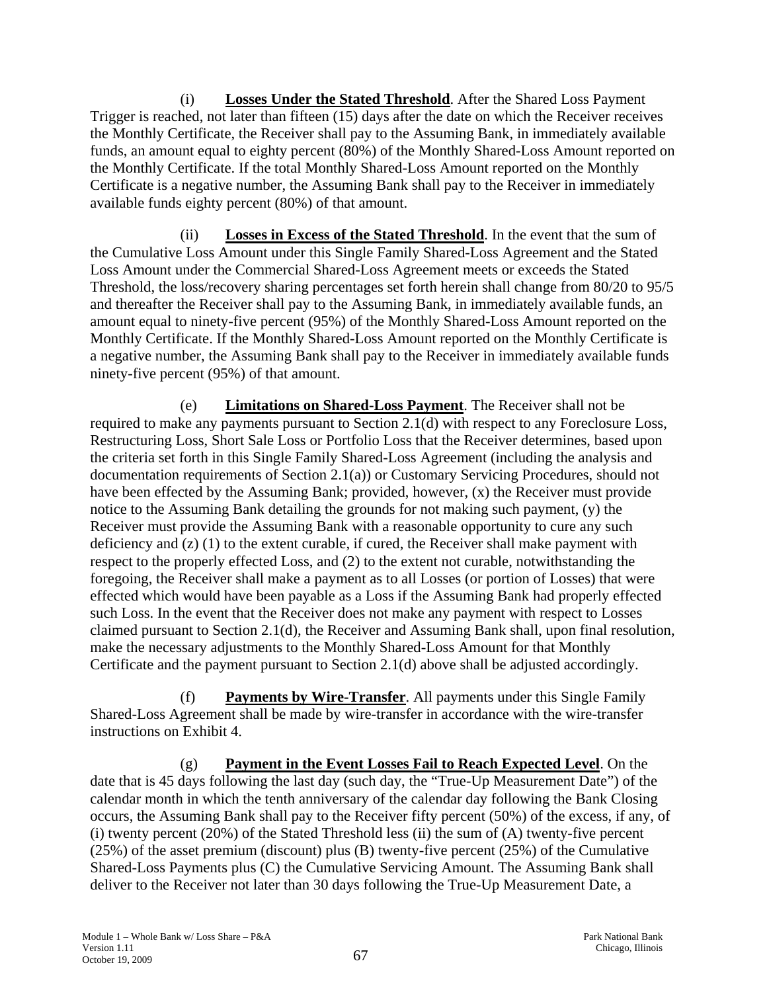(i) **Losses Under the Stated Threshold**. After the Shared Loss Payment Trigger is reached, not later than fifteen (15) days after the date on which the Receiver receives the Monthly Certificate, the Receiver shall pay to the Assuming Bank, in immediately available funds, an amount equal to eighty percent (80%) of the Monthly Shared-Loss Amount reported on the Monthly Certificate. If the total Monthly Shared-Loss Amount reported on the Monthly Certificate is a negative number, the Assuming Bank shall pay to the Receiver in immediately available funds eighty percent (80%) of that amount.

(ii) **Losses in Excess of the Stated Threshold**. In the event that the sum of the Cumulative Loss Amount under this Single Family Shared-Loss Agreement and the Stated Loss Amount under the Commercial Shared-Loss Agreement meets or exceeds the Stated Threshold, the loss/recovery sharing percentages set forth herein shall change from 80/20 to 95/5 and thereafter the Receiver shall pay to the Assuming Bank, in immediately available funds, an amount equal to ninety-five percent (95%) of the Monthly Shared-Loss Amount reported on the Monthly Certificate. If the Monthly Shared-Loss Amount reported on the Monthly Certificate is a negative number, the Assuming Bank shall pay to the Receiver in immediately available funds ninety-five percent (95%) of that amount.

(e) **Limitations on Shared-Loss Payment**. The Receiver shall not be required to make any payments pursuant to Section 2.1(d) with respect to any Foreclosure Loss, Restructuring Loss, Short Sale Loss or Portfolio Loss that the Receiver determines, based upon the criteria set forth in this Single Family Shared-Loss Agreement (including the analysis and documentation requirements of Section 2.1(a)) or Customary Servicing Procedures, should not have been effected by the Assuming Bank; provided, however, (x) the Receiver must provide notice to the Assuming Bank detailing the grounds for not making such payment, (y) the Receiver must provide the Assuming Bank with a reasonable opportunity to cure any such deficiency and (z) (1) to the extent curable, if cured, the Receiver shall make payment with respect to the properly effected Loss, and (2) to the extent not curable, notwithstanding the foregoing, the Receiver shall make a payment as to all Losses (or portion of Losses) that were effected which would have been payable as a Loss if the Assuming Bank had properly effected such Loss. In the event that the Receiver does not make any payment with respect to Losses claimed pursuant to Section 2.1(d), the Receiver and Assuming Bank shall, upon final resolution, make the necessary adjustments to the Monthly Shared-Loss Amount for that Monthly Certificate and the payment pursuant to Section 2.1(d) above shall be adjusted accordingly.

(f) **Payments by Wire-Transfer**. All payments under this Single Family Shared-Loss Agreement shall be made by wire-transfer in accordance with the wire-transfer instructions on Exhibit 4.

 (g) **Payment in the Event Losses Fail to Reach Expected Level**. On the date that is 45 days following the last day (such day, the "True-Up Measurement Date") of the calendar month in which the tenth anniversary of the calendar day following the Bank Closing occurs, the Assuming Bank shall pay to the Receiver fifty percent (50%) of the excess, if any, of  $(i)$  twenty percent (20%) of the Stated Threshold less  $(ii)$  the sum of  $(A)$  twenty-five percent (25%) of the asset premium (discount) plus (B) twenty-five percent (25%) of the Cumulative Shared-Loss Payments plus (C) the Cumulative Servicing Amount. The Assuming Bank shall deliver to the Receiver not later than 30 days following the True-Up Measurement Date, a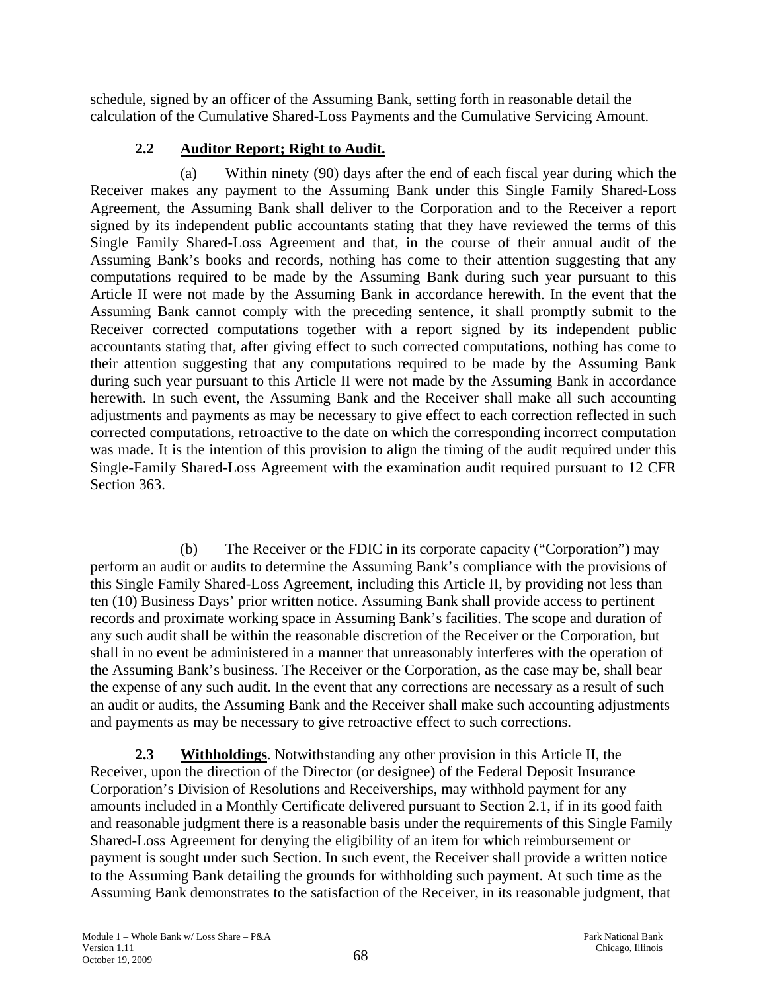schedule, signed by an officer of the Assuming Bank, setting forth in reasonable detail the calculation of the Cumulative Shared-Loss Payments and the Cumulative Servicing Amount.

# **2.2 Auditor Report; Right to Audit.**

(a) Within ninety (90) days after the end of each fiscal year during which the Receiver makes any payment to the Assuming Bank under this Single Family Shared-Loss Agreement, the Assuming Bank shall deliver to the Corporation and to the Receiver a report signed by its independent public accountants stating that they have reviewed the terms of this Single Family Shared-Loss Agreement and that, in the course of their annual audit of the Assuming Bank's books and records, nothing has come to their attention suggesting that any computations required to be made by the Assuming Bank during such year pursuant to this Article II were not made by the Assuming Bank in accordance herewith. In the event that the Assuming Bank cannot comply with the preceding sentence, it shall promptly submit to the Receiver corrected computations together with a report signed by its independent public accountants stating that, after giving effect to such corrected computations, nothing has come to their attention suggesting that any computations required to be made by the Assuming Bank during such year pursuant to this Article II were not made by the Assuming Bank in accordance herewith. In such event, the Assuming Bank and the Receiver shall make all such accounting adjustments and payments as may be necessary to give effect to each correction reflected in such corrected computations, retroactive to the date on which the corresponding incorrect computation was made. It is the intention of this provision to align the timing of the audit required under this Single-Family Shared-Loss Agreement with the examination audit required pursuant to 12 CFR Section 363.

(b) The Receiver or the FDIC in its corporate capacity ("Corporation") may perform an audit or audits to determine the Assuming Bank's compliance with the provisions of this Single Family Shared-Loss Agreement, including this Article II, by providing not less than ten (10) Business Days' prior written notice. Assuming Bank shall provide access to pertinent records and proximate working space in Assuming Bank's facilities. The scope and duration of any such audit shall be within the reasonable discretion of the Receiver or the Corporation, but shall in no event be administered in a manner that unreasonably interferes with the operation of the Assuming Bank's business. The Receiver or the Corporation, as the case may be, shall bear the expense of any such audit. In the event that any corrections are necessary as a result of such an audit or audits, the Assuming Bank and the Receiver shall make such accounting adjustments and payments as may be necessary to give retroactive effect to such corrections.

**2.3 Withholdings**. Notwithstanding any other provision in this Article II, the Receiver, upon the direction of the Director (or designee) of the Federal Deposit Insurance Corporation's Division of Resolutions and Receiverships, may withhold payment for any amounts included in a Monthly Certificate delivered pursuant to Section 2.1, if in its good faith and reasonable judgment there is a reasonable basis under the requirements of this Single Family Shared-Loss Agreement for denying the eligibility of an item for which reimbursement or payment is sought under such Section. In such event, the Receiver shall provide a written notice to the Assuming Bank detailing the grounds for withholding such payment. At such time as the Assuming Bank demonstrates to the satisfaction of the Receiver, in its reasonable judgment, that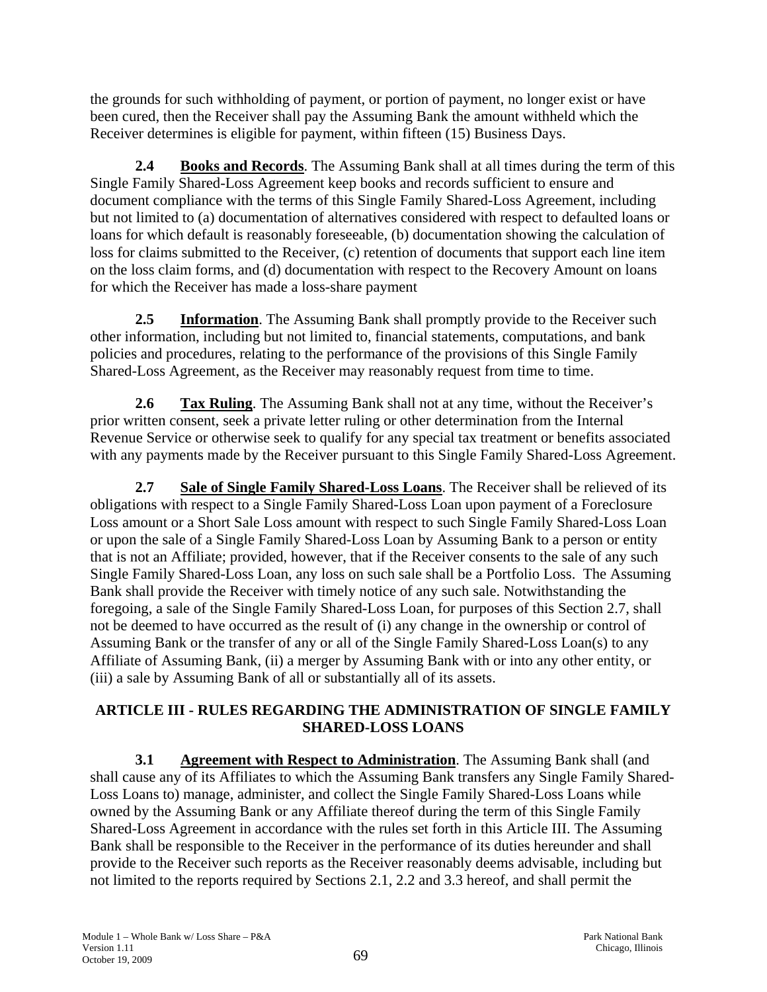the grounds for such withholding of payment, or portion of payment, no longer exist or have been cured, then the Receiver shall pay the Assuming Bank the amount withheld which the Receiver determines is eligible for payment, within fifteen (15) Business Days.

**2.4 Books and Records**. The Assuming Bank shall at all times during the term of this Single Family Shared-Loss Agreement keep books and records sufficient to ensure and document compliance with the terms of this Single Family Shared-Loss Agreement, including but not limited to (a) documentation of alternatives considered with respect to defaulted loans or loans for which default is reasonably foreseeable, (b) documentation showing the calculation of loss for claims submitted to the Receiver, (c) retention of documents that support each line item on the loss claim forms, and (d) documentation with respect to the Recovery Amount on loans for which the Receiver has made a loss-share payment

**2.5 Information**. The Assuming Bank shall promptly provide to the Receiver such other information, including but not limited to, financial statements, computations, and bank policies and procedures, relating to the performance of the provisions of this Single Family Shared-Loss Agreement, as the Receiver may reasonably request from time to time.

**2.6** Tax Ruling. The Assuming Bank shall not at any time, without the Receiver's prior written consent, seek a private letter ruling or other determination from the Internal Revenue Service or otherwise seek to qualify for any special tax treatment or benefits associated with any payments made by the Receiver pursuant to this Single Family Shared-Loss Agreement.

**2.7 Sale of Single Family Shared-Loss Loans**. The Receiver shall be relieved of its obligations with respect to a Single Family Shared-Loss Loan upon payment of a Foreclosure Loss amount or a Short Sale Loss amount with respect to such Single Family Shared-Loss Loan or upon the sale of a Single Family Shared-Loss Loan by Assuming Bank to a person or entity that is not an Affiliate; provided, however, that if the Receiver consents to the sale of any such Single Family Shared-Loss Loan, any loss on such sale shall be a Portfolio Loss. The Assuming Bank shall provide the Receiver with timely notice of any such sale. Notwithstanding the foregoing, a sale of the Single Family Shared-Loss Loan, for purposes of this Section 2.7, shall not be deemed to have occurred as the result of (i) any change in the ownership or control of Assuming Bank or the transfer of any or all of the Single Family Shared-Loss Loan(s) to any Affiliate of Assuming Bank, (ii) a merger by Assuming Bank with or into any other entity, or (iii) a sale by Assuming Bank of all or substantially all of its assets.

## **ARTICLE III - RULES REGARDING THE ADMINISTRATION OF SINGLE FAMILY SHARED-LOSS LOANS**

**3.1 Agreement with Respect to Administration**. The Assuming Bank shall (and shall cause any of its Affiliates to which the Assuming Bank transfers any Single Family Shared-Loss Loans to) manage, administer, and collect the Single Family Shared-Loss Loans while owned by the Assuming Bank or any Affiliate thereof during the term of this Single Family Shared-Loss Agreement in accordance with the rules set forth in this Article III. The Assuming Bank shall be responsible to the Receiver in the performance of its duties hereunder and shall provide to the Receiver such reports as the Receiver reasonably deems advisable, including but not limited to the reports required by Sections 2.1, 2.2 and 3.3 hereof, and shall permit the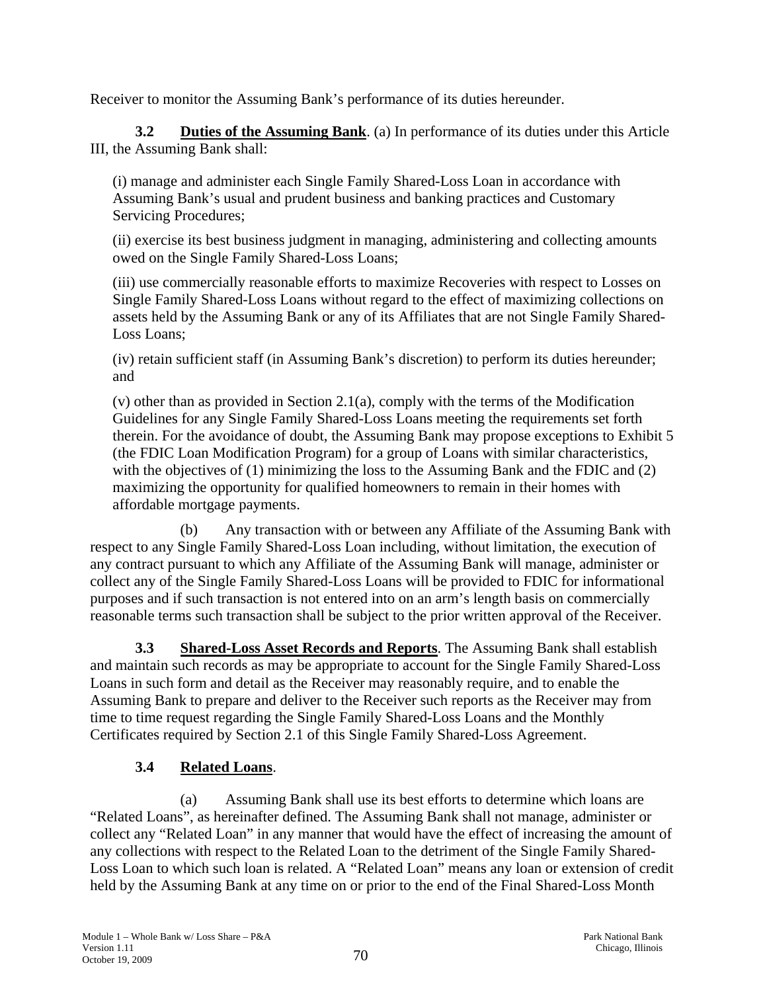Receiver to monitor the Assuming Bank's performance of its duties hereunder.

**3.2 Duties of the Assuming Bank**. (a) In performance of its duties under this Article III, the Assuming Bank shall:

(i) manage and administer each Single Family Shared-Loss Loan in accordance with Assuming Bank's usual and prudent business and banking practices and Customary Servicing Procedures;

(ii) exercise its best business judgment in managing, administering and collecting amounts owed on the Single Family Shared-Loss Loans;

(iii) use commercially reasonable efforts to maximize Recoveries with respect to Losses on Single Family Shared-Loss Loans without regard to the effect of maximizing collections on assets held by the Assuming Bank or any of its Affiliates that are not Single Family Shared-Loss Loans;

(iv) retain sufficient staff (in Assuming Bank's discretion) to perform its duties hereunder; and

(v) other than as provided in Section 2.1(a), comply with the terms of the Modification Guidelines for any Single Family Shared-Loss Loans meeting the requirements set forth therein. For the avoidance of doubt, the Assuming Bank may propose exceptions to Exhibit 5 (the FDIC Loan Modification Program) for a group of Loans with similar characteristics, with the objectives of (1) minimizing the loss to the Assuming Bank and the FDIC and (2) maximizing the opportunity for qualified homeowners to remain in their homes with affordable mortgage payments.

(b) Any transaction with or between any Affiliate of the Assuming Bank with respect to any Single Family Shared-Loss Loan including, without limitation, the execution of any contract pursuant to which any Affiliate of the Assuming Bank will manage, administer or collect any of the Single Family Shared-Loss Loans will be provided to FDIC for informational purposes and if such transaction is not entered into on an arm's length basis on commercially reasonable terms such transaction shall be subject to the prior written approval of the Receiver.

**3.3 Shared-Loss Asset Records and Reports**. The Assuming Bank shall establish and maintain such records as may be appropriate to account for the Single Family Shared-Loss Loans in such form and detail as the Receiver may reasonably require, and to enable the Assuming Bank to prepare and deliver to the Receiver such reports as the Receiver may from time to time request regarding the Single Family Shared-Loss Loans and the Monthly Certificates required by Section 2.1 of this Single Family Shared-Loss Agreement.

## **3.4 Related Loans**.

(a) Assuming Bank shall use its best efforts to determine which loans are "Related Loans", as hereinafter defined. The Assuming Bank shall not manage, administer or collect any "Related Loan" in any manner that would have the effect of increasing the amount of any collections with respect to the Related Loan to the detriment of the Single Family Shared-Loss Loan to which such loan is related. A "Related Loan" means any loan or extension of credit held by the Assuming Bank at any time on or prior to the end of the Final Shared-Loss Month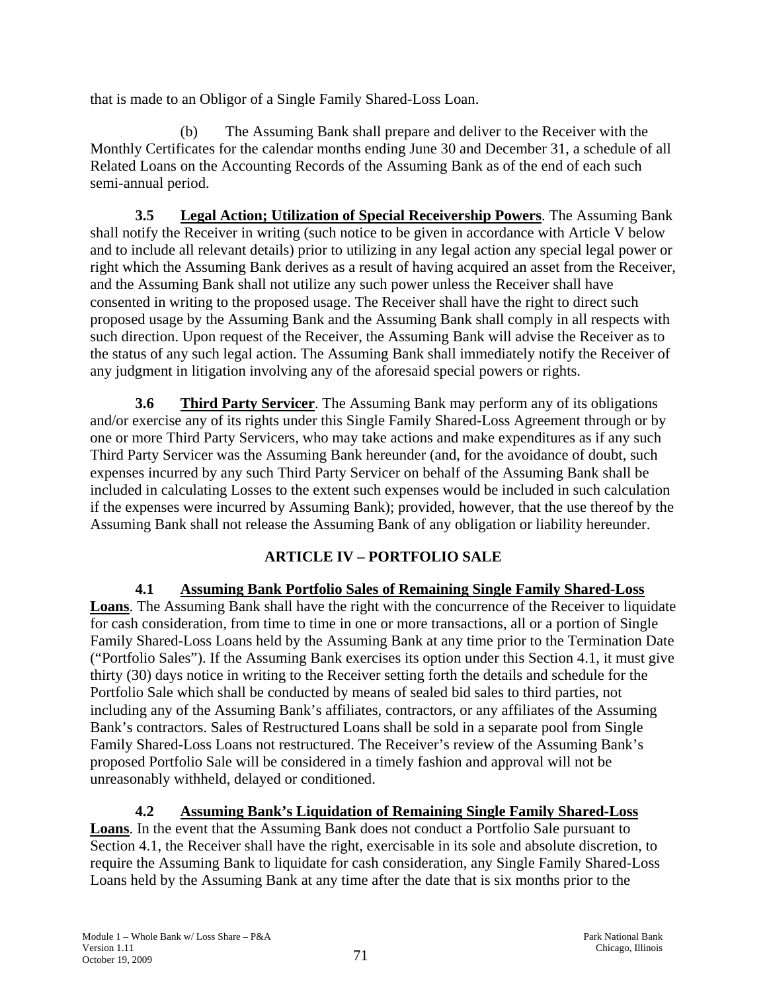that is made to an Obligor of a Single Family Shared-Loss Loan.

(b) The Assuming Bank shall prepare and deliver to the Receiver with the Monthly Certificates for the calendar months ending June 30 and December 31, a schedule of all Related Loans on the Accounting Records of the Assuming Bank as of the end of each such semi-annual period.

**3.5 Legal Action; Utilization of Special Receivership Powers**. The Assuming Bank shall notify the Receiver in writing (such notice to be given in accordance with Article V below and to include all relevant details) prior to utilizing in any legal action any special legal power or right which the Assuming Bank derives as a result of having acquired an asset from the Receiver, and the Assuming Bank shall not utilize any such power unless the Receiver shall have consented in writing to the proposed usage. The Receiver shall have the right to direct such proposed usage by the Assuming Bank and the Assuming Bank shall comply in all respects with such direction. Upon request of the Receiver, the Assuming Bank will advise the Receiver as to the status of any such legal action. The Assuming Bank shall immediately notify the Receiver of any judgment in litigation involving any of the aforesaid special powers or rights.

**3.6 Third Party Servicer**. The Assuming Bank may perform any of its obligations and/or exercise any of its rights under this Single Family Shared-Loss Agreement through or by one or more Third Party Servicers, who may take actions and make expenditures as if any such Third Party Servicer was the Assuming Bank hereunder (and, for the avoidance of doubt, such expenses incurred by any such Third Party Servicer on behalf of the Assuming Bank shall be included in calculating Losses to the extent such expenses would be included in such calculation if the expenses were incurred by Assuming Bank); provided, however, that the use thereof by the Assuming Bank shall not release the Assuming Bank of any obligation or liability hereunder.

## **ARTICLE IV – PORTFOLIO SALE**

**4.1 Assuming Bank Portfolio Sales of Remaining Single Family Shared-Loss** 

**Loans**. The Assuming Bank shall have the right with the concurrence of the Receiver to liquidate for cash consideration, from time to time in one or more transactions, all or a portion of Single Family Shared-Loss Loans held by the Assuming Bank at any time prior to the Termination Date ("Portfolio Sales"). If the Assuming Bank exercises its option under this Section 4.1, it must give thirty (30) days notice in writing to the Receiver setting forth the details and schedule for the Portfolio Sale which shall be conducted by means of sealed bid sales to third parties, not including any of the Assuming Bank's affiliates, contractors, or any affiliates of the Assuming Bank's contractors. Sales of Restructured Loans shall be sold in a separate pool from Single Family Shared-Loss Loans not restructured. The Receiver's review of the Assuming Bank's proposed Portfolio Sale will be considered in a timely fashion and approval will not be unreasonably withheld, delayed or conditioned.

## **4.2 Assuming Bank's Liquidation of Remaining Single Family Shared-Loss**

**Loans**. In the event that the Assuming Bank does not conduct a Portfolio Sale pursuant to Section 4.1, the Receiver shall have the right, exercisable in its sole and absolute discretion, to require the Assuming Bank to liquidate for cash consideration, any Single Family Shared-Loss Loans held by the Assuming Bank at any time after the date that is six months prior to the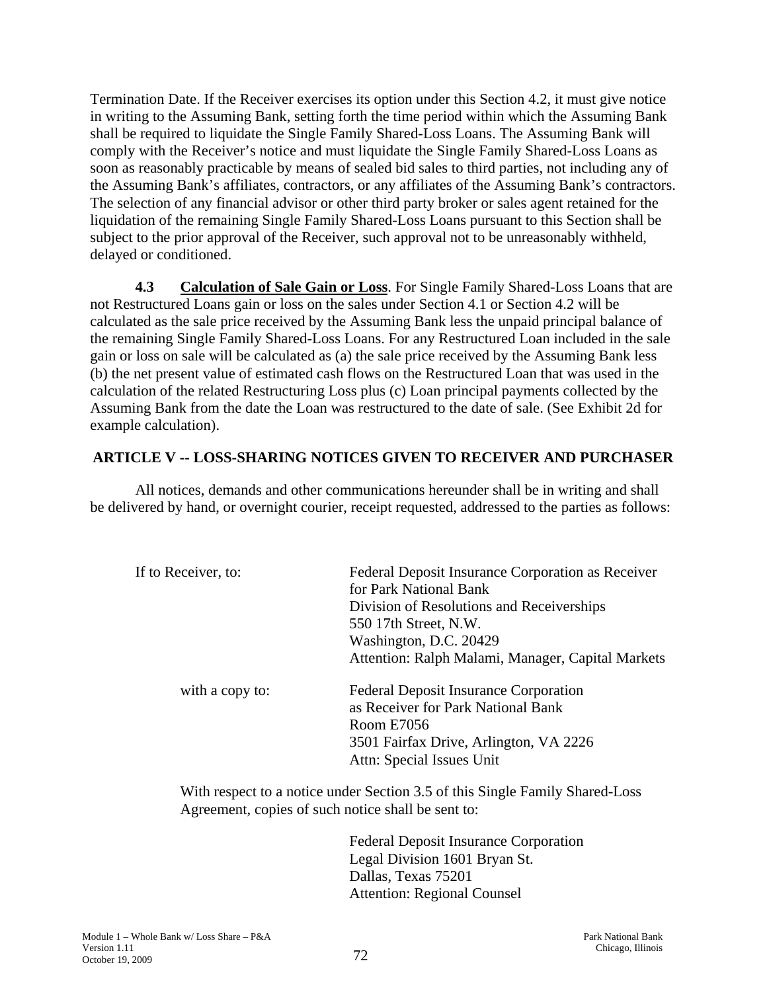Termination Date. If the Receiver exercises its option under this Section 4.2, it must give notice in writing to the Assuming Bank, setting forth the time period within which the Assuming Bank shall be required to liquidate the Single Family Shared-Loss Loans. The Assuming Bank will comply with the Receiver's notice and must liquidate the Single Family Shared-Loss Loans as soon as reasonably practicable by means of sealed bid sales to third parties, not including any of the Assuming Bank's affiliates, contractors, or any affiliates of the Assuming Bank's contractors. The selection of any financial advisor or other third party broker or sales agent retained for the liquidation of the remaining Single Family Shared-Loss Loans pursuant to this Section shall be subject to the prior approval of the Receiver, such approval not to be unreasonably withheld, delayed or conditioned.

**4.3 Calculation of Sale Gain or Loss**. For Single Family Shared-Loss Loans that are not Restructured Loans gain or loss on the sales under Section 4.1 or Section 4.2 will be calculated as the sale price received by the Assuming Bank less the unpaid principal balance of the remaining Single Family Shared-Loss Loans. For any Restructured Loan included in the sale gain or loss on sale will be calculated as (a) the sale price received by the Assuming Bank less (b) the net present value of estimated cash flows on the Restructured Loan that was used in the calculation of the related Restructuring Loss plus (c) Loan principal payments collected by the Assuming Bank from the date the Loan was restructured to the date of sale. (See Exhibit 2d for example calculation).

### **ARTICLE V -- LOSS-SHARING NOTICES GIVEN TO RECEIVER AND PURCHASER**

All notices, demands and other communications hereunder shall be in writing and shall be delivered by hand, or overnight courier, receipt requested, addressed to the parties as follows:

| If to Receiver, to: | Federal Deposit Insurance Corporation as Receiver<br>for Park National Bank<br>Division of Resolutions and Receiverships<br>550 17th Street, N.W.<br>Washington, D.C. 20429<br>Attention: Ralph Malami, Manager, Capital Markets |
|---------------------|----------------------------------------------------------------------------------------------------------------------------------------------------------------------------------------------------------------------------------|
| with a copy to:     | <b>Federal Deposit Insurance Corporation</b><br>as Receiver for Park National Bank<br>Room E7056<br>3501 Fairfax Drive, Arlington, VA 2226<br>Attn: Special Issues Unit                                                          |

With respect to a notice under Section 3.5 of this Single Family Shared-Loss Agreement, copies of such notice shall be sent to:

> Federal Deposit Insurance Corporation Legal Division 1601 Bryan St. Dallas, Texas 75201 Attention: Regional Counsel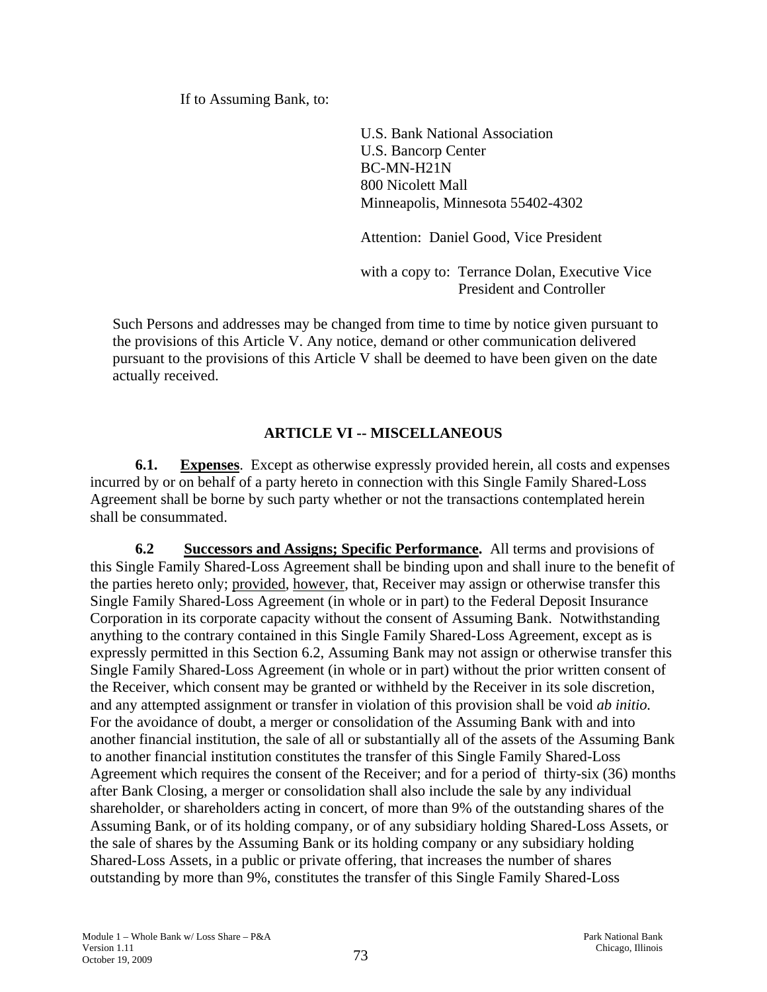If to Assuming Bank, to:

U.S. Bank National Association U.S. Bancorp Center BC-MN-H21N 800 Nicolett Mall Minneapolis, Minnesota 55402-4302

Attention: Daniel Good, Vice President

with a copy to: Terrance Dolan, Executive Vice President and Controller

Such Persons and addresses may be changed from time to time by notice given pursuant to the provisions of this Article V. Any notice, demand or other communication delivered pursuant to the provisions of this Article V shall be deemed to have been given on the date actually received.

## **ARTICLE VI -- MISCELLANEOUS**

**6.1. Expenses**. Except as otherwise expressly provided herein, all costs and expenses incurred by or on behalf of a party hereto in connection with this Single Family Shared-Loss Agreement shall be borne by such party whether or not the transactions contemplated herein shall be consummated.

**6.2 Successors and Assigns; Specific Performance.** All terms and provisions of this Single Family Shared-Loss Agreement shall be binding upon and shall inure to the benefit of the parties hereto only; provided, however, that, Receiver may assign or otherwise transfer this Single Family Shared-Loss Agreement (in whole or in part) to the Federal Deposit Insurance Corporation in its corporate capacity without the consent of Assuming Bank. Notwithstanding anything to the contrary contained in this Single Family Shared-Loss Agreement, except as is expressly permitted in this Section 6.2, Assuming Bank may not assign or otherwise transfer this Single Family Shared-Loss Agreement (in whole or in part) without the prior written consent of the Receiver, which consent may be granted or withheld by the Receiver in its sole discretion, and any attempted assignment or transfer in violation of this provision shall be void *ab initio.*  For the avoidance of doubt, a merger or consolidation of the Assuming Bank with and into another financial institution, the sale of all or substantially all of the assets of the Assuming Bank to another financial institution constitutes the transfer of this Single Family Shared-Loss Agreement which requires the consent of the Receiver; and for a period of thirty-six (36) months after Bank Closing, a merger or consolidation shall also include the sale by any individual shareholder, or shareholders acting in concert, of more than 9% of the outstanding shares of the Assuming Bank, or of its holding company, or of any subsidiary holding Shared-Loss Assets, or the sale of shares by the Assuming Bank or its holding company or any subsidiary holding Shared-Loss Assets, in a public or private offering, that increases the number of shares outstanding by more than 9%, constitutes the transfer of this Single Family Shared-Loss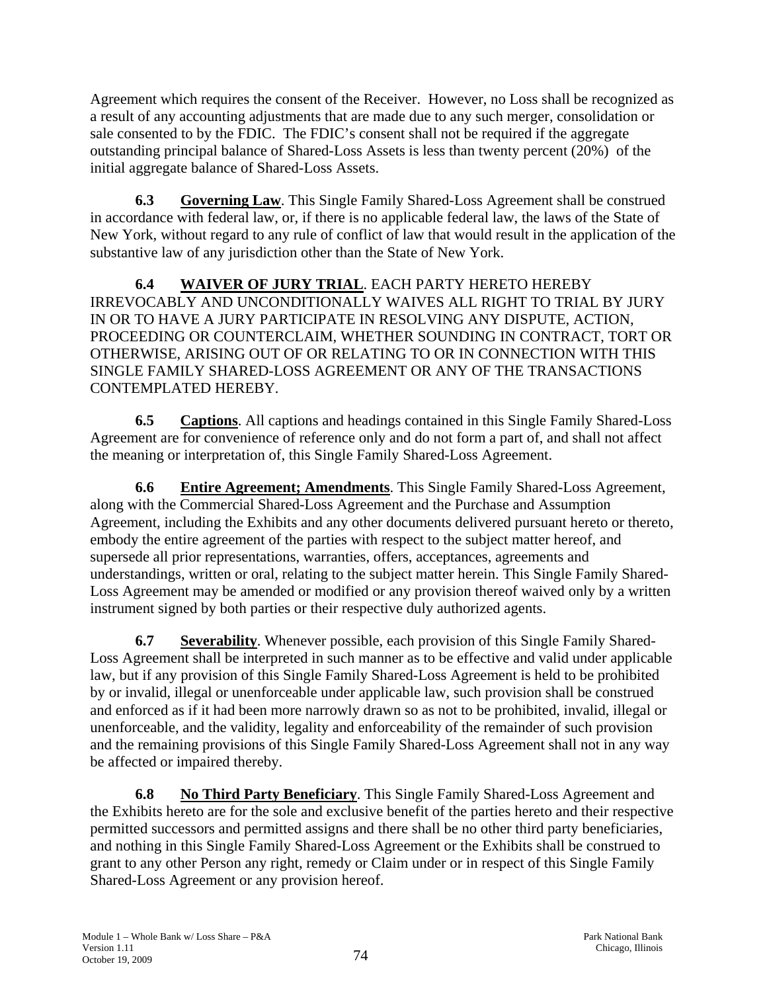Agreement which requires the consent of the Receiver. However, no Loss shall be recognized as a result of any accounting adjustments that are made due to any such merger, consolidation or sale consented to by the FDIC. The FDIC's consent shall not be required if the aggregate outstanding principal balance of Shared-Loss Assets is less than twenty percent (20%) of the initial aggregate balance of Shared-Loss Assets.

**6.3 Governing Law**. This Single Family Shared-Loss Agreement shall be construed in accordance with federal law, or, if there is no applicable federal law, the laws of the State of New York, without regard to any rule of conflict of law that would result in the application of the substantive law of any jurisdiction other than the State of New York.

**6.4 WAIVER OF JURY TRIAL**. EACH PARTY HERETO HEREBY IRREVOCABLY AND UNCONDITIONALLY WAIVES ALL RIGHT TO TRIAL BY JURY IN OR TO HAVE A JURY PARTICIPATE IN RESOLVING ANY DISPUTE, ACTION, PROCEEDING OR COUNTERCLAIM, WHETHER SOUNDING IN CONTRACT, TORT OR OTHERWISE, ARISING OUT OF OR RELATING TO OR IN CONNECTION WITH THIS SINGLE FAMILY SHARED-LOSS AGREEMENT OR ANY OF THE TRANSACTIONS CONTEMPLATED HEREBY.

**6.5 Captions**. All captions and headings contained in this Single Family Shared-Loss Agreement are for convenience of reference only and do not form a part of, and shall not affect the meaning or interpretation of, this Single Family Shared-Loss Agreement.

**6.6 Entire Agreement; Amendments**. This Single Family Shared-Loss Agreement, along with the Commercial Shared-Loss Agreement and the Purchase and Assumption Agreement, including the Exhibits and any other documents delivered pursuant hereto or thereto, embody the entire agreement of the parties with respect to the subject matter hereof, and supersede all prior representations, warranties, offers, acceptances, agreements and understandings, written or oral, relating to the subject matter herein. This Single Family Shared-Loss Agreement may be amended or modified or any provision thereof waived only by a written instrument signed by both parties or their respective duly authorized agents.

**6.7 Severability**. Whenever possible, each provision of this Single Family Shared-Loss Agreement shall be interpreted in such manner as to be effective and valid under applicable law, but if any provision of this Single Family Shared-Loss Agreement is held to be prohibited by or invalid, illegal or unenforceable under applicable law, such provision shall be construed and enforced as if it had been more narrowly drawn so as not to be prohibited, invalid, illegal or unenforceable, and the validity, legality and enforceability of the remainder of such provision and the remaining provisions of this Single Family Shared-Loss Agreement shall not in any way be affected or impaired thereby.

**6.8 No Third Party Beneficiary**. This Single Family Shared-Loss Agreement and the Exhibits hereto are for the sole and exclusive benefit of the parties hereto and their respective permitted successors and permitted assigns and there shall be no other third party beneficiaries, and nothing in this Single Family Shared-Loss Agreement or the Exhibits shall be construed to grant to any other Person any right, remedy or Claim under or in respect of this Single Family Shared-Loss Agreement or any provision hereof.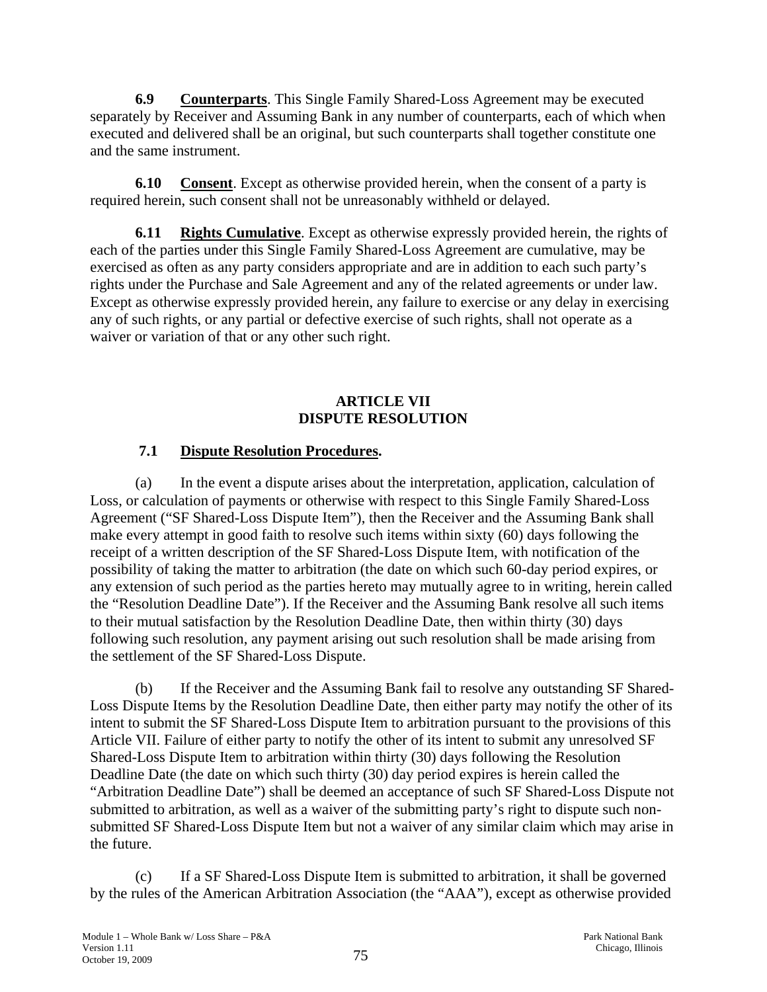**6.9 Counterparts**. This Single Family Shared-Loss Agreement may be executed separately by Receiver and Assuming Bank in any number of counterparts, each of which when executed and delivered shall be an original, but such counterparts shall together constitute one and the same instrument.

**6.10 Consent**. Except as otherwise provided herein, when the consent of a party is required herein, such consent shall not be unreasonably withheld or delayed.

**6.11 Rights Cumulative.** Except as otherwise expressly provided herein, the rights of each of the parties under this Single Family Shared-Loss Agreement are cumulative, may be exercised as often as any party considers appropriate and are in addition to each such party's rights under the Purchase and Sale Agreement and any of the related agreements or under law. Except as otherwise expressly provided herein, any failure to exercise or any delay in exercising any of such rights, or any partial or defective exercise of such rights, shall not operate as a waiver or variation of that or any other such right.

## **ARTICLE VII DISPUTE RESOLUTION**

# **7.1 Dispute Resolution Procedures.**

(a) In the event a dispute arises about the interpretation, application, calculation of Loss, or calculation of payments or otherwise with respect to this Single Family Shared-Loss Agreement ("SF Shared-Loss Dispute Item"), then the Receiver and the Assuming Bank shall make every attempt in good faith to resolve such items within sixty (60) days following the receipt of a written description of the SF Shared-Loss Dispute Item, with notification of the possibility of taking the matter to arbitration (the date on which such 60-day period expires, or any extension of such period as the parties hereto may mutually agree to in writing, herein called the "Resolution Deadline Date"). If the Receiver and the Assuming Bank resolve all such items to their mutual satisfaction by the Resolution Deadline Date, then within thirty (30) days following such resolution, any payment arising out such resolution shall be made arising from the settlement of the SF Shared-Loss Dispute.

(b) If the Receiver and the Assuming Bank fail to resolve any outstanding SF Shared-Loss Dispute Items by the Resolution Deadline Date, then either party may notify the other of its intent to submit the SF Shared-Loss Dispute Item to arbitration pursuant to the provisions of this Article VII. Failure of either party to notify the other of its intent to submit any unresolved SF Shared-Loss Dispute Item to arbitration within thirty (30) days following the Resolution Deadline Date (the date on which such thirty (30) day period expires is herein called the "Arbitration Deadline Date") shall be deemed an acceptance of such SF Shared-Loss Dispute not submitted to arbitration, as well as a waiver of the submitting party's right to dispute such nonsubmitted SF Shared-Loss Dispute Item but not a waiver of any similar claim which may arise in the future.

(c) If a SF Shared-Loss Dispute Item is submitted to arbitration, it shall be governed by the rules of the American Arbitration Association (the "AAA"), except as otherwise provided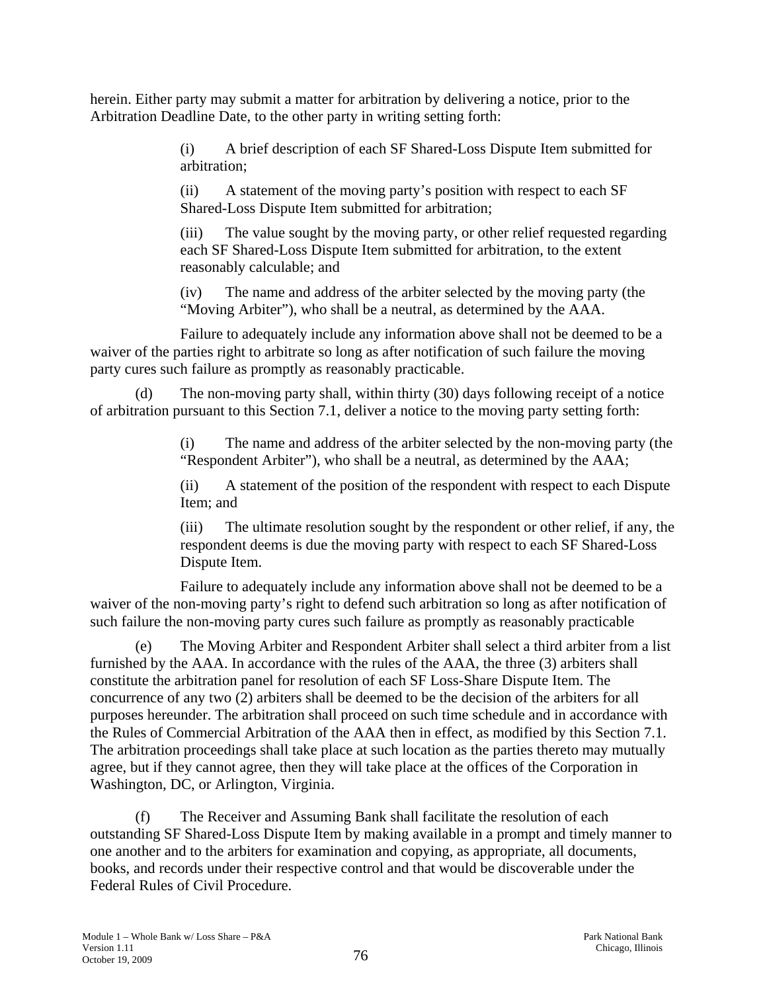herein. Either party may submit a matter for arbitration by delivering a notice, prior to the Arbitration Deadline Date, to the other party in writing setting forth:

> (i) A brief description of each SF Shared-Loss Dispute Item submitted for arbitration;

(ii) A statement of the moving party's position with respect to each SF Shared-Loss Dispute Item submitted for arbitration;

(iii) The value sought by the moving party, or other relief requested regarding each SF Shared-Loss Dispute Item submitted for arbitration, to the extent reasonably calculable; and

(iv) The name and address of the arbiter selected by the moving party (the "Moving Arbiter"), who shall be a neutral, as determined by the AAA.

Failure to adequately include any information above shall not be deemed to be a waiver of the parties right to arbitrate so long as after notification of such failure the moving party cures such failure as promptly as reasonably practicable.

(d) The non-moving party shall, within thirty (30) days following receipt of a notice of arbitration pursuant to this Section 7.1, deliver a notice to the moving party setting forth:

> (i) The name and address of the arbiter selected by the non-moving party (the "Respondent Arbiter"), who shall be a neutral, as determined by the AAA;

> (ii) A statement of the position of the respondent with respect to each Dispute Item; and

> (iii) The ultimate resolution sought by the respondent or other relief, if any, the respondent deems is due the moving party with respect to each SF Shared-Loss Dispute Item.

Failure to adequately include any information above shall not be deemed to be a waiver of the non-moving party's right to defend such arbitration so long as after notification of such failure the non-moving party cures such failure as promptly as reasonably practicable

(e) The Moving Arbiter and Respondent Arbiter shall select a third arbiter from a list furnished by the AAA. In accordance with the rules of the AAA, the three (3) arbiters shall constitute the arbitration panel for resolution of each SF Loss-Share Dispute Item. The concurrence of any two (2) arbiters shall be deemed to be the decision of the arbiters for all purposes hereunder. The arbitration shall proceed on such time schedule and in accordance with the Rules of Commercial Arbitration of the AAA then in effect, as modified by this Section 7.1. The arbitration proceedings shall take place at such location as the parties thereto may mutually agree, but if they cannot agree, then they will take place at the offices of the Corporation in Washington, DC, or Arlington, Virginia.

(f) The Receiver and Assuming Bank shall facilitate the resolution of each outstanding SF Shared-Loss Dispute Item by making available in a prompt and timely manner to one another and to the arbiters for examination and copying, as appropriate, all documents, books, and records under their respective control and that would be discoverable under the Federal Rules of Civil Procedure.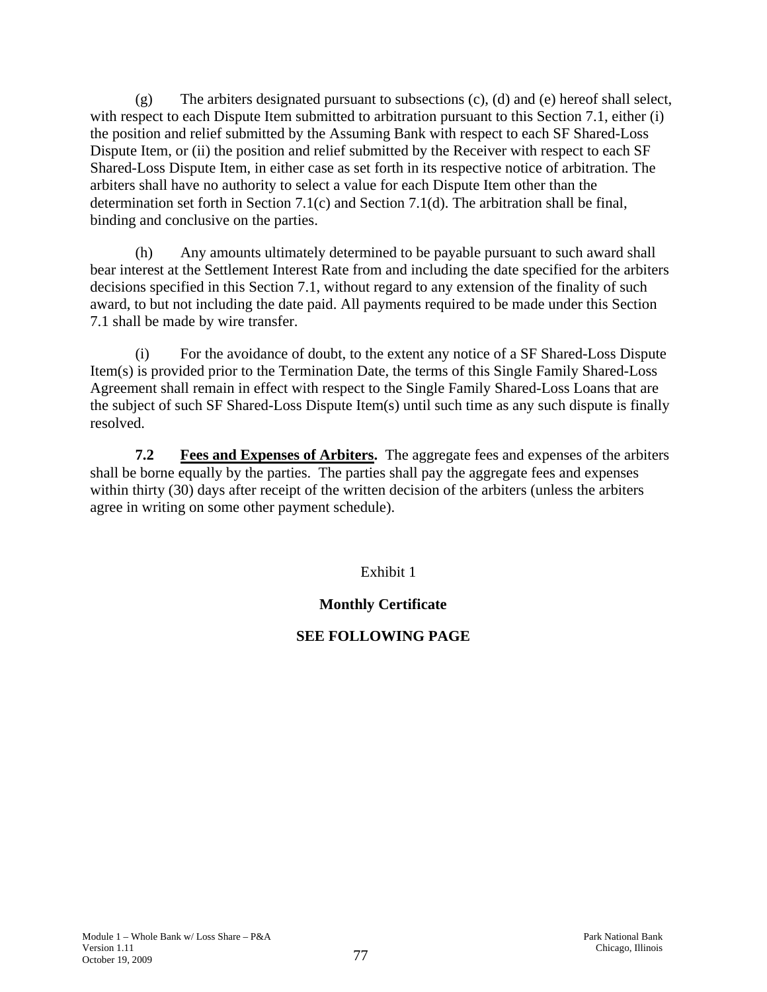(g) The arbiters designated pursuant to subsections (c), (d) and (e) hereof shall select, with respect to each Dispute Item submitted to arbitration pursuant to this Section 7.1, either (i) the position and relief submitted by the Assuming Bank with respect to each SF Shared-Loss Dispute Item, or (ii) the position and relief submitted by the Receiver with respect to each SF Shared-Loss Dispute Item, in either case as set forth in its respective notice of arbitration. The arbiters shall have no authority to select a value for each Dispute Item other than the determination set forth in Section 7.1(c) and Section 7.1(d). The arbitration shall be final, binding and conclusive on the parties.

(h) Any amounts ultimately determined to be payable pursuant to such award shall bear interest at the Settlement Interest Rate from and including the date specified for the arbiters decisions specified in this Section 7.1, without regard to any extension of the finality of such award, to but not including the date paid. All payments required to be made under this Section 7.1 shall be made by wire transfer.

(i) For the avoidance of doubt, to the extent any notice of a SF Shared-Loss Dispute Item(s) is provided prior to the Termination Date, the terms of this Single Family Shared-Loss Agreement shall remain in effect with respect to the Single Family Shared-Loss Loans that are the subject of such SF Shared-Loss Dispute Item(s) until such time as any such dispute is finally resolved.

**7.2 Fees and Expenses of Arbiters.** The aggregate fees and expenses of the arbiters shall be borne equally by the parties. The parties shall pay the aggregate fees and expenses within thirty (30) days after receipt of the written decision of the arbiters (unless the arbiters agree in writing on some other payment schedule).

Exhibit 1

# **Monthly Certificate**

# **SEE FOLLOWING PAGE**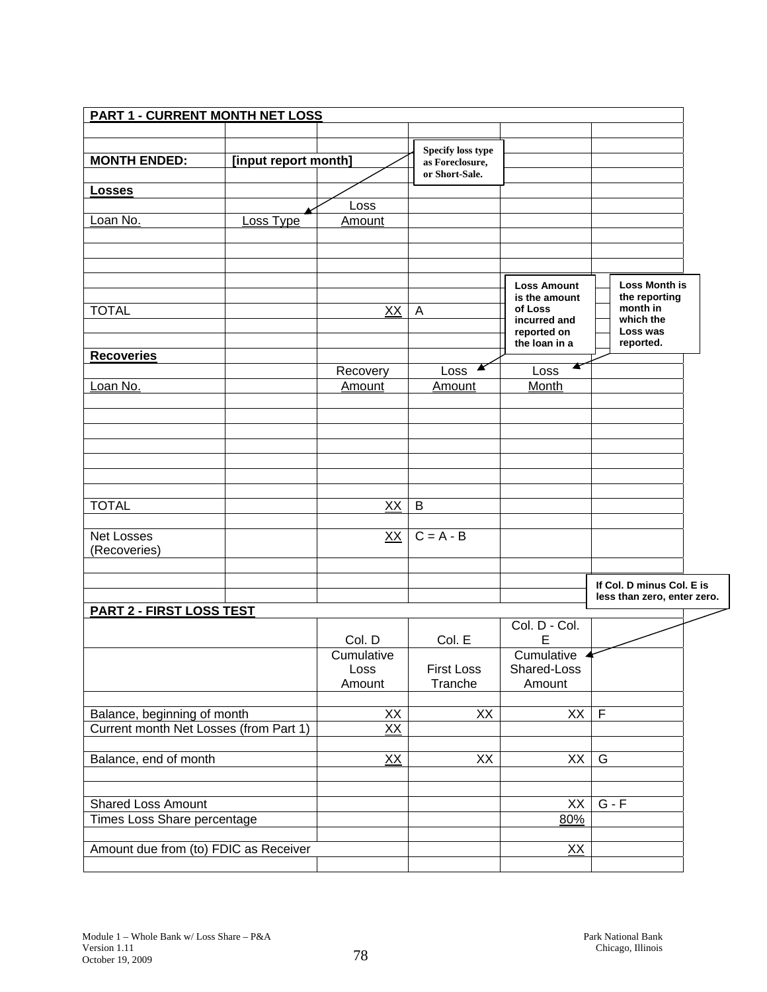| <b>PART 1 - CURRENT MONTH NET LOSS</b> |                      |            |                                   |                         |                             |
|----------------------------------------|----------------------|------------|-----------------------------------|-------------------------|-----------------------------|
|                                        |                      |            |                                   |                         |                             |
|                                        |                      |            | <b>Specify loss type</b>          |                         |                             |
| <b>MONTH ENDED:</b>                    | [input report month] |            | as Foreclosure,<br>or Short-Sale. |                         |                             |
| <b>Losses</b>                          |                      |            |                                   |                         |                             |
|                                        |                      | Loss       |                                   |                         |                             |
| Loan No.                               | Loss Type            | Amount     |                                   |                         |                             |
|                                        |                      |            |                                   |                         |                             |
|                                        |                      |            |                                   |                         |                             |
|                                        |                      |            |                                   |                         |                             |
|                                        |                      |            |                                   | <b>Loss Amount</b>      | <b>Loss Month is</b>        |
|                                        |                      |            |                                   | is the amount           | the reporting               |
| <b>TOTAL</b>                           |                      | XX         | A                                 | of Loss<br>incurred and | month in<br>which the       |
|                                        |                      |            |                                   | reported on             | Loss was                    |
|                                        |                      |            |                                   | the loan in a           | reported.                   |
| <b>Recoveries</b>                      |                      |            | $Loss \nightharpoonup$            | ×                       |                             |
| Loan No.                               |                      | Recovery   |                                   | Loss<br>Month           |                             |
|                                        |                      | Amount     | Amount                            |                         |                             |
|                                        |                      |            |                                   |                         |                             |
|                                        |                      |            |                                   |                         |                             |
|                                        |                      |            |                                   |                         |                             |
|                                        |                      |            |                                   |                         |                             |
|                                        |                      |            |                                   |                         |                             |
|                                        |                      |            |                                   |                         |                             |
| <b>TOTAL</b>                           |                      | XX         | $\mathsf B$                       |                         |                             |
|                                        |                      |            |                                   |                         |                             |
| <b>Net Losses</b>                      |                      | XX         | $C = A - B$                       |                         |                             |
| (Recoveries)                           |                      |            |                                   |                         |                             |
|                                        |                      |            |                                   |                         |                             |
|                                        |                      |            |                                   |                         | If Col. D minus Col. E is   |
|                                        |                      |            |                                   |                         | less than zero, enter zero. |
| <b>PART 2 - FIRST LOSS TEST</b>        |                      |            |                                   |                         |                             |
|                                        |                      | Col. D     | Col. E                            | Col. D - Col.<br>Е      |                             |
|                                        |                      | Cumulative |                                   | Cumulative              |                             |
|                                        |                      | Loss       | <b>First Loss</b>                 | Shared-Loss             |                             |
|                                        |                      | Amount     | Tranche                           | Amount                  |                             |
|                                        |                      |            |                                   |                         |                             |
| Balance, beginning of month            |                      | XX         | XX                                | XX                      | $\mathsf F$                 |
| Current month Net Losses (from Part 1) |                      | XX         |                                   |                         |                             |
|                                        |                      |            |                                   |                         |                             |
| Balance, end of month                  |                      | XX         | XX                                | XX                      | G                           |
|                                        |                      |            |                                   |                         |                             |
|                                        |                      |            |                                   |                         |                             |
| Shared Loss Amount                     |                      |            |                                   | XX                      | $G - F$                     |
| Times Loss Share percentage            |                      |            |                                   | 80%                     |                             |
|                                        |                      |            |                                   |                         |                             |
| Amount due from (to) FDIC as Receiver  |                      |            |                                   | <u>XX</u>               |                             |
|                                        |                      |            |                                   |                         |                             |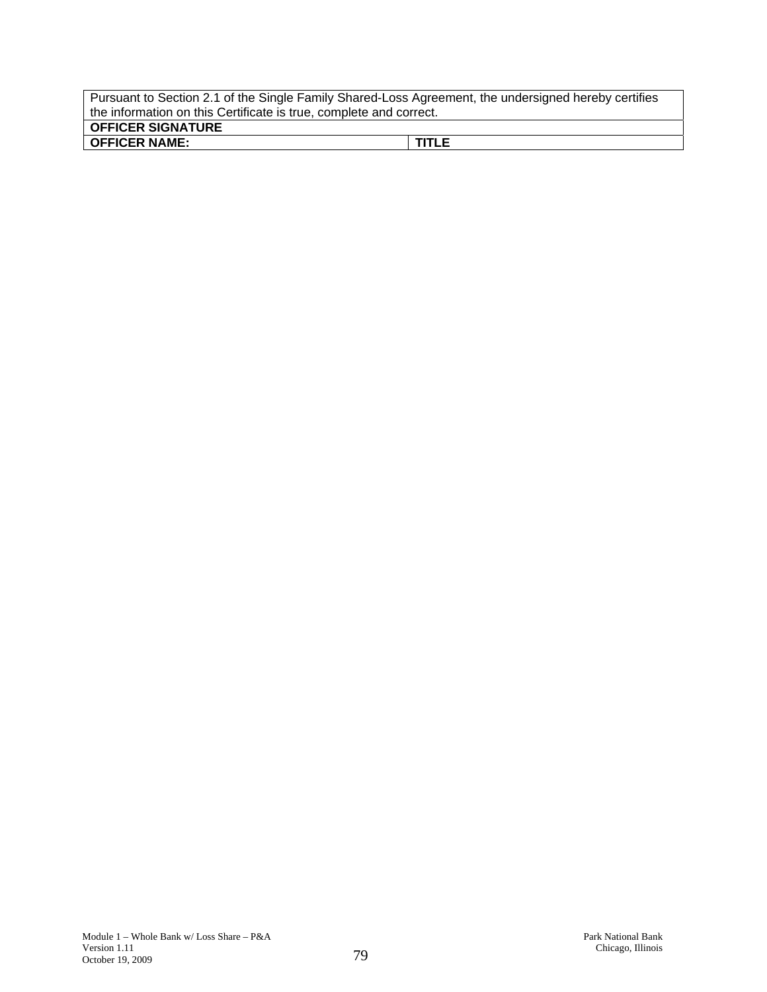| Pursuant to Section 2.1 of the Single Family Shared-Loss Agreement, the undersigned hereby certifies |  |  |  |
|------------------------------------------------------------------------------------------------------|--|--|--|
| the information on this Certificate is true, complete and correct.                                   |  |  |  |
| <b>OFFICER SIGNATURE</b>                                                                             |  |  |  |
| <b>TITLE</b><br><b>OFFICER NAME:</b>                                                                 |  |  |  |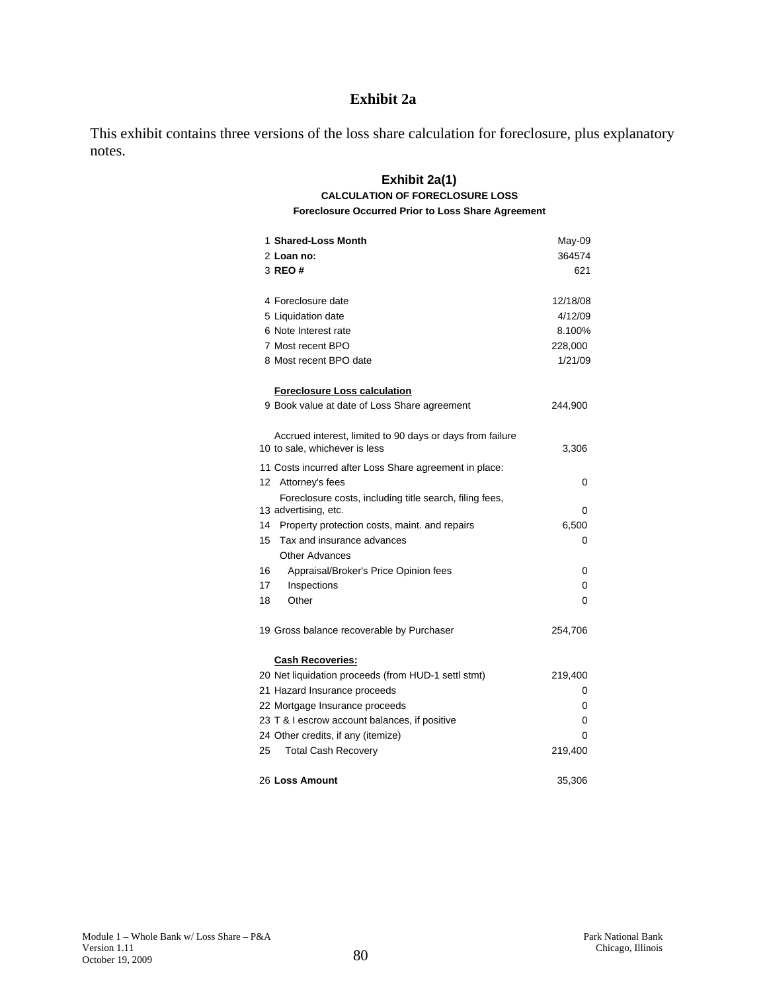### **Exhibit 2a**

This exhibit contains three versions of the loss share calculation for foreclosure, plus explanatory notes.

#### **Exhibit 2a(1) CALCULATION OF FORECLOSURE LOSS Foreclosure Occurred Prior to Loss Share Agreement**

|    | 1 Shared-Loss Month<br>2 Loan no:<br>3 REO #              | May-09<br>364574<br>621 |
|----|-----------------------------------------------------------|-------------------------|
|    | 4 Foreclosure date                                        | 12/18/08                |
|    | 5 Liquidation date                                        | 4/12/09                 |
|    | 6 Note Interest rate                                      | 8.100%                  |
|    | 7 Most recent BPO                                         | 228,000                 |
|    | 8 Most recent BPO date                                    | 1/21/09                 |
|    | <b>Foreclosure Loss calculation</b>                       |                         |
|    | 9 Book value at date of Loss Share agreement              | 244,900                 |
|    | Accrued interest, limited to 90 days or days from failure |                         |
|    | 10 to sale, whichever is less                             | 3,306                   |
|    | 11 Costs incurred after Loss Share agreement in place:    |                         |
| 12 | Attorney's fees                                           | 0                       |
|    | Foreclosure costs, including title search, filing fees,   |                         |
|    | 13 advertising, etc.                                      | 0                       |
| 14 | Property protection costs, maint. and repairs             | 6,500                   |
| 15 | Tax and insurance advances                                | 0                       |
|    | <b>Other Advances</b>                                     |                         |
| 16 | Appraisal/Broker's Price Opinion fees                     | 0                       |
| 17 | Inspections                                               | 0                       |
| 18 | Other                                                     | 0                       |
|    | 19 Gross balance recoverable by Purchaser                 | 254,706                 |
|    | <b>Cash Recoveries:</b>                                   |                         |
|    | 20 Net liquidation proceeds (from HUD-1 settl stmt)       | 219,400                 |
|    | 21 Hazard Insurance proceeds                              | 0                       |
|    | 22 Mortgage Insurance proceeds                            | 0                       |
|    | 23 T & I escrow account balances, if positive             | 0                       |
|    | 24 Other credits, if any (itemize)                        | 0                       |
| 25 | <b>Total Cash Recovery</b>                                | 219,400                 |
|    | 26 Loss Amount                                            | 35,306                  |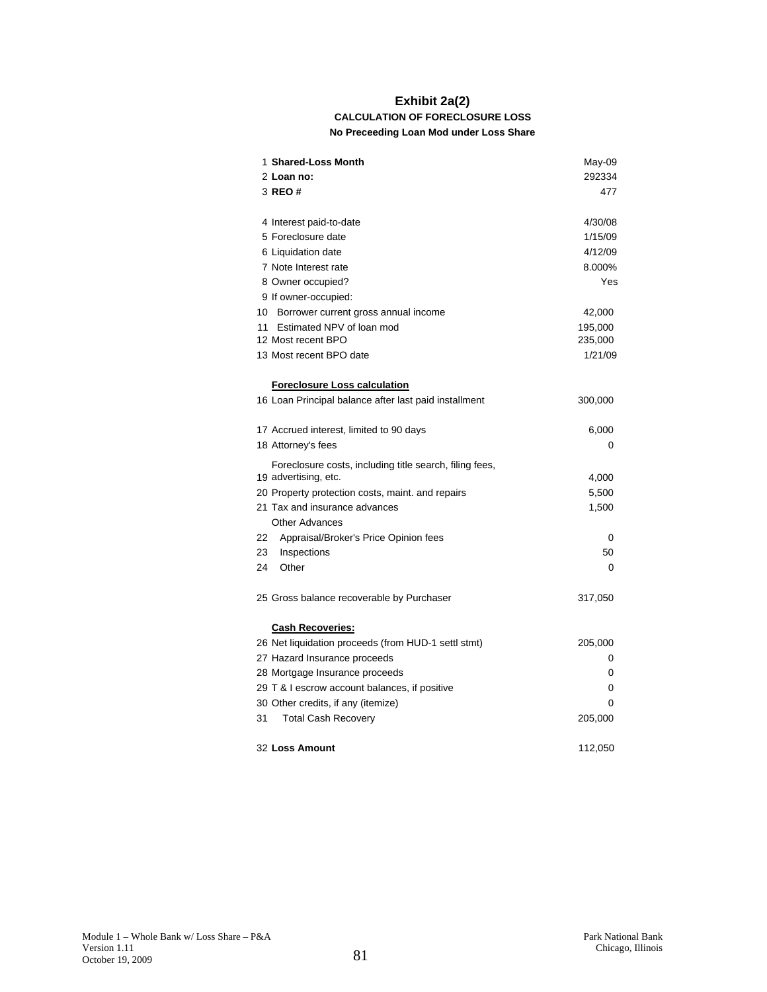#### **Exhibit 2a(2)**

#### **CALCULATION OF FORECLOSURE LOSS**

#### **No Preceeding Loan Mod under Loss Share**

| 1 Shared-Loss Month                                                             | May-09         |
|---------------------------------------------------------------------------------|----------------|
| 2 Loan no:                                                                      | 292334         |
| 3 REO #                                                                         | 477            |
| 4 Interest paid-to-date                                                         | 4/30/08        |
| 5 Foreclosure date                                                              | 1/15/09        |
| 6 Liquidation date                                                              | 4/12/09        |
| 7 Note Interest rate                                                            | 8.000%         |
| 8 Owner occupied?                                                               | Yes            |
| 9 If owner-occupied:                                                            |                |
| 10<br>Borrower current gross annual income                                      | 42,000         |
| Estimated NPV of loan mod<br>11                                                 | 195,000        |
| 12 Most recent BPO                                                              | 235,000        |
| 13 Most recent BPO date                                                         | 1/21/09        |
| <b>Foreclosure Loss calculation</b>                                             |                |
| 16 Loan Principal balance after last paid installment                           | 300,000        |
| 17 Accrued interest, limited to 90 days                                         | 6,000          |
| 18 Attorney's fees                                                              | 0              |
| Foreclosure costs, including title search, filing fees,<br>19 advertising, etc. |                |
| 20 Property protection costs, maint. and repairs                                | 4,000<br>5,500 |
| 21 Tax and insurance advances                                                   | 1,500          |
| <b>Other Advances</b>                                                           |                |
| 22<br>Appraisal/Broker's Price Opinion fees                                     | 0              |
| 23<br>Inspections                                                               | 50             |
| 24<br>Other                                                                     | 0              |
| 25 Gross balance recoverable by Purchaser                                       | 317,050        |
| <b>Cash Recoveries:</b>                                                         |                |
| 26 Net liquidation proceeds (from HUD-1 settl stmt)                             | 205,000        |
| 27 Hazard Insurance proceeds                                                    | 0              |
| 28 Mortgage Insurance proceeds                                                  | 0              |
| 29 T & I escrow account balances, if positive                                   | 0              |
| 30 Other credits, if any (itemize)                                              | 0              |
| 31<br><b>Total Cash Recovery</b>                                                | 205,000        |
| 32 Loss Amount                                                                  | 112,050        |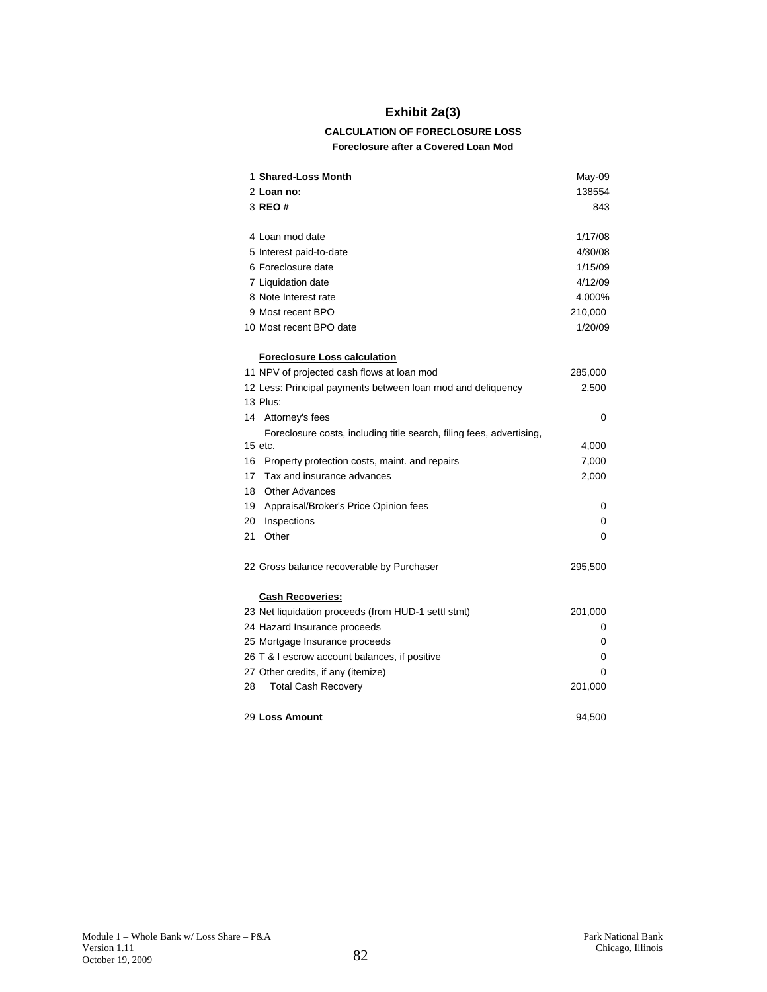## **Exhibit 2a(3)**

#### **CALCULATION OF FORECLOSURE LOSS Foreclosure after a Covered Loan Mod**

| 1 Shared-Loss Month                                                  | May-09   |
|----------------------------------------------------------------------|----------|
| 2 Loan no:                                                           | 138554   |
| 3 REO #                                                              | 843      |
|                                                                      |          |
| 4 Loan mod date                                                      | 1/17/08  |
| 5 Interest paid-to-date                                              | 4/30/08  |
| 6 Foreclosure date                                                   | 1/15/09  |
| 7 Liquidation date                                                   | 4/12/09  |
| 8 Note Interest rate                                                 | 4.000%   |
| 9 Most recent BPO                                                    | 210,000  |
| 10 Most recent BPO date                                              | 1/20/09  |
|                                                                      |          |
| <b>Foreclosure Loss calculation</b>                                  |          |
| 11 NPV of projected cash flows at loan mod                           | 285,000  |
| 12 Less: Principal payments between loan mod and deliquency          | 2,500    |
| 13 Plus:                                                             |          |
| 14<br>Attorney's fees                                                | 0        |
| Foreclosure costs, including title search, filing fees, advertising, |          |
| 15 etc.                                                              | 4,000    |
| 16<br>Property protection costs, maint. and repairs                  | 7,000    |
| 17<br>Tax and insurance advances                                     | 2,000    |
| <b>Other Advances</b><br>18                                          |          |
| 19 Appraisal/Broker's Price Opinion fees                             | 0        |
| 20<br>Inspections                                                    | 0        |
| 21<br>Other                                                          | $\Omega$ |
|                                                                      |          |
| 22 Gross balance recoverable by Purchaser                            | 295,500  |
|                                                                      |          |
| <b>Cash Recoveries:</b>                                              |          |
| 23 Net liquidation proceeds (from HUD-1 settl stmt)                  | 201,000  |
| 24 Hazard Insurance proceeds                                         | 0        |
| 25 Mortgage Insurance proceeds                                       | 0        |
| 26 T & I escrow account balances, if positive                        | 0        |
| 27 Other credits, if any (itemize)                                   | 0        |
| 28<br><b>Total Cash Recovery</b>                                     | 201,000  |
|                                                                      |          |
| 29 Loss Amount                                                       | 94,500   |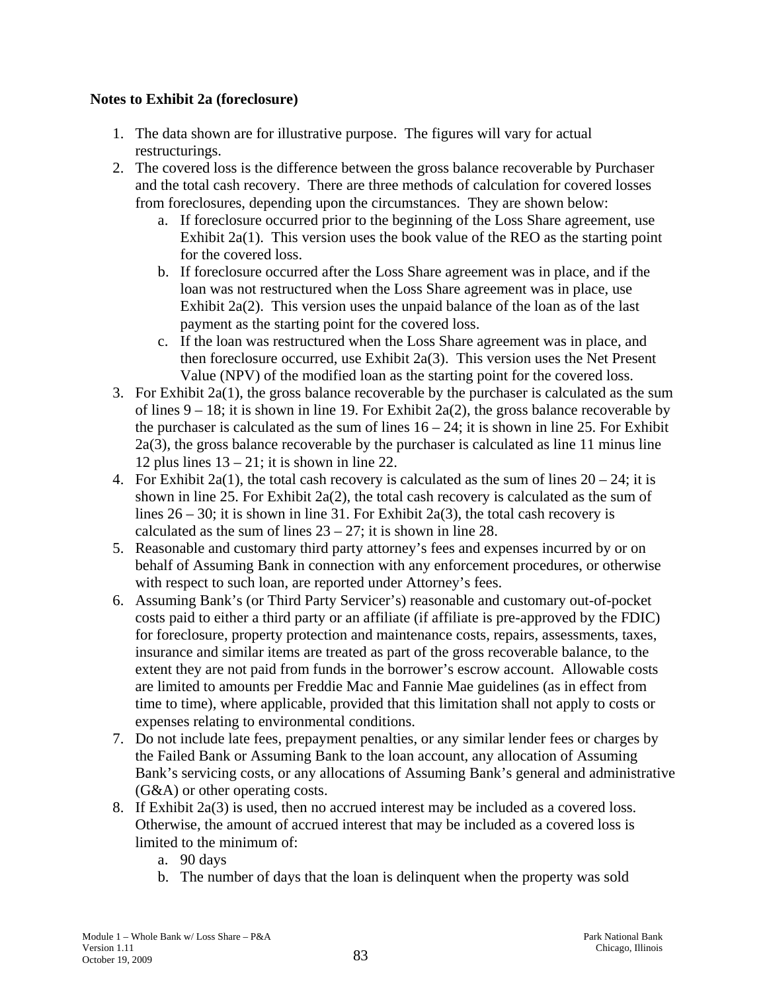## **Notes to Exhibit 2a (foreclosure)**

- 1. The data shown are for illustrative purpose. The figures will vary for actual restructurings.
- 2. The covered loss is the difference between the gross balance recoverable by Purchaser and the total cash recovery. There are three methods of calculation for covered losses from foreclosures, depending upon the circumstances. They are shown below:
	- a. If foreclosure occurred prior to the beginning of the Loss Share agreement, use Exhibit 2a(1). This version uses the book value of the REO as the starting point for the covered loss.
	- b. If foreclosure occurred after the Loss Share agreement was in place, and if the loan was not restructured when the Loss Share agreement was in place, use Exhibit 2a(2). This version uses the unpaid balance of the loan as of the last payment as the starting point for the covered loss.
	- c. If the loan was restructured when the Loss Share agreement was in place, and then foreclosure occurred, use Exhibit 2a(3). This version uses the Net Present Value (NPV) of the modified loan as the starting point for the covered loss.
- 3. For Exhibit  $2a(1)$ , the gross balance recoverable by the purchaser is calculated as the sum of lines  $9 - 18$ ; it is shown in line 19. For Exhibit 2a(2), the gross balance recoverable by the purchaser is calculated as the sum of lines  $16 - 24$ ; it is shown in line 25. For Exhibit 2a(3), the gross balance recoverable by the purchaser is calculated as line 11 minus line 12 plus lines  $13 - 21$ ; it is shown in line 22.
- 4. For Exhibit 2a(1), the total cash recovery is calculated as the sum of lines  $20 24$ ; it is shown in line 25. For Exhibit 2a(2), the total cash recovery is calculated as the sum of lines  $26 - 30$ ; it is shown in line 31. For Exhibit 2a(3), the total cash recovery is calculated as the sum of lines  $23 - 27$ ; it is shown in line 28.
- 5. Reasonable and customary third party attorney's fees and expenses incurred by or on behalf of Assuming Bank in connection with any enforcement procedures, or otherwise with respect to such loan, are reported under Attorney's fees.
- 6. Assuming Bank's (or Third Party Servicer's) reasonable and customary out-of-pocket costs paid to either a third party or an affiliate (if affiliate is pre-approved by the FDIC) for foreclosure, property protection and maintenance costs, repairs, assessments, taxes, insurance and similar items are treated as part of the gross recoverable balance, to the extent they are not paid from funds in the borrower's escrow account. Allowable costs are limited to amounts per Freddie Mac and Fannie Mae guidelines (as in effect from time to time), where applicable, provided that this limitation shall not apply to costs or expenses relating to environmental conditions.
- 7. Do not include late fees, prepayment penalties, or any similar lender fees or charges by the Failed Bank or Assuming Bank to the loan account, any allocation of Assuming Bank's servicing costs, or any allocations of Assuming Bank's general and administrative (G&A) or other operating costs.
- 8. If Exhibit  $2a(3)$  is used, then no accrued interest may be included as a covered loss. Otherwise, the amount of accrued interest that may be included as a covered loss is limited to the minimum of:
	- a. 90 days
	- b. The number of days that the loan is delinquent when the property was sold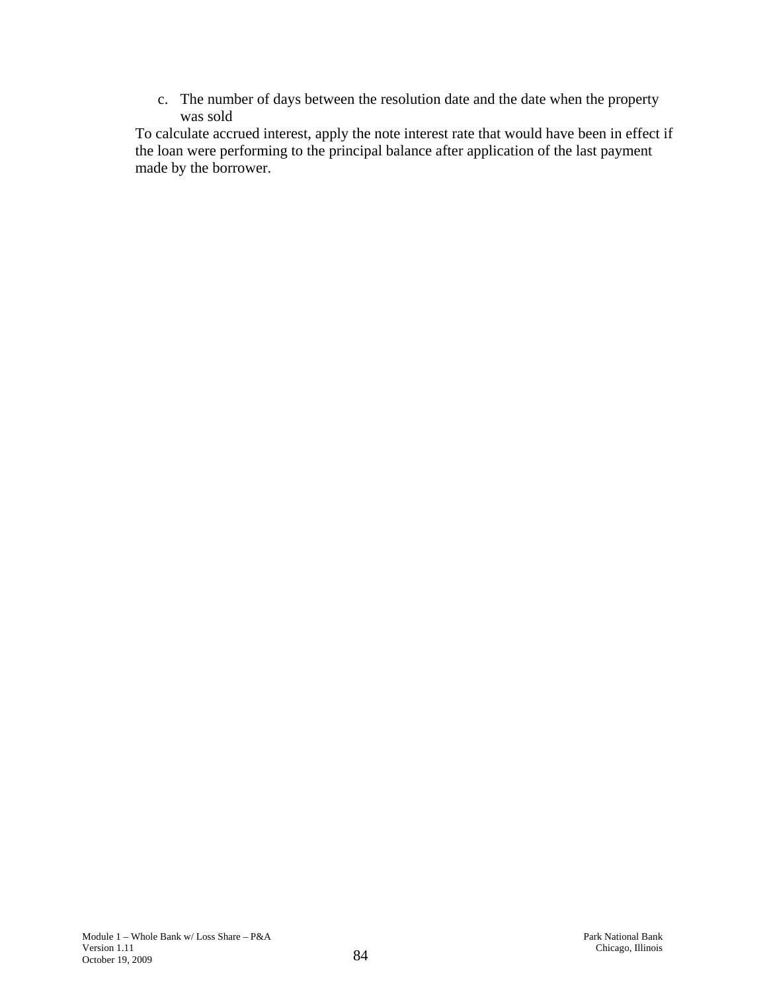c. The number of days between the resolution date and the date when the property was sold

To calculate accrued interest, apply the note interest rate that would have been in effect if the loan were performing to the principal balance after application of the last payment made by the borrower.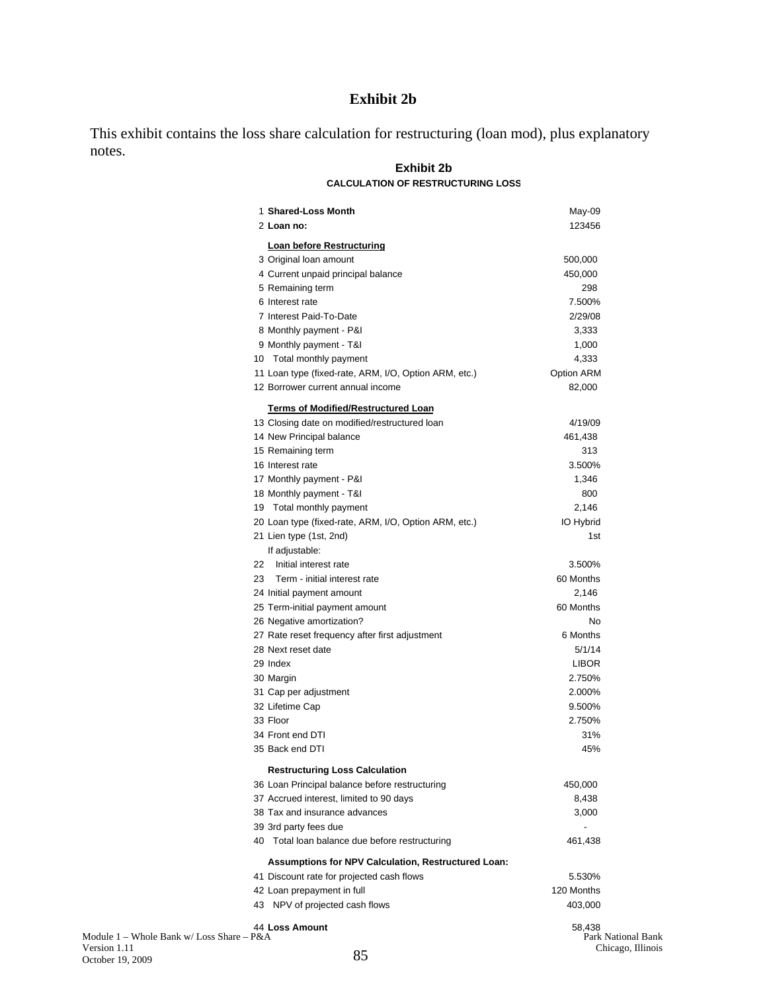## **Exhibit 2b**

This exhibit contains the loss share calculation for restructuring (loan mod), plus explanatory notes.

#### **Exhibit 2b CALCULATION OF RESTRUCTURING LOSS**

|       | 1 Shared-Loss Month                                   | May-09     |                    |
|-------|-------------------------------------------------------|------------|--------------------|
|       | 2 Loan no:                                            | 123456     |                    |
|       |                                                       |            |                    |
|       | <b>Loan before Restructuring</b>                      |            |                    |
|       | 3 Original loan amount                                | 500,000    |                    |
|       | 4 Current unpaid principal balance                    | 450,000    |                    |
|       | 5 Remaining term                                      | 298        |                    |
|       | 6 Interest rate                                       | 7.500%     |                    |
|       | 7 Interest Paid-To-Date                               | 2/29/08    |                    |
|       | 8 Monthly payment - P&I                               | 3,333      |                    |
|       | 9 Monthly payment - T&I                               | 1,000      |                    |
|       | 10 Total monthly payment                              | 4,333      |                    |
|       | 11 Loan type (fixed-rate, ARM, I/O, Option ARM, etc.) | Option ARM |                    |
|       | 12 Borrower current annual income                     | 82,000     |                    |
|       | <b>Terms of Modified/Restructured Loan</b>            |            |                    |
|       | 13 Closing date on modified/restructured loan         | 4/19/09    |                    |
|       | 14 New Principal balance                              | 461,438    |                    |
|       | 15 Remaining term                                     | 313        |                    |
|       |                                                       |            |                    |
|       | 16 Interest rate                                      | 3.500%     |                    |
|       | 17 Monthly payment - P&I                              | 1,346      |                    |
|       | 18 Monthly payment - T&I                              | 800        |                    |
| 19    | Total monthly payment                                 | 2,146      |                    |
|       | 20 Loan type (fixed-rate, ARM, I/O, Option ARM, etc.) | IO Hybrid  |                    |
|       | 21 Lien type (1st, 2nd)                               | 1st        |                    |
|       | If adjustable:                                        |            |                    |
| 22    | Initial interest rate                                 | 3.500%     |                    |
| 23    | Term - initial interest rate                          | 60 Months  |                    |
|       | 24 Initial payment amount                             | 2,146      |                    |
|       | 25 Term-initial payment amount                        | 60 Months  |                    |
|       | 26 Negative amortization?                             | No         |                    |
|       | 27 Rate reset frequency after first adjustment        | 6 Months   |                    |
|       | 28 Next reset date                                    | 5/1/14     |                    |
|       | 29 Index                                              | LIBOR      |                    |
|       | 30 Margin                                             | 2.750%     |                    |
|       | 31 Cap per adjustment                                 | 2.000%     |                    |
|       | 32 Lifetime Cap                                       | 9.500%     |                    |
|       | 33 Floor                                              | 2.750%     |                    |
|       | 34 Front end DTI                                      | 31%        |                    |
|       | 35 Back end DTI                                       | 45%        |                    |
|       |                                                       |            |                    |
|       | <b>Restructuring Loss Calculation</b>                 |            |                    |
|       | 36 Loan Principal balance before restructuring        | 450,000    |                    |
|       | 37 Accrued interest, limited to 90 days               | 8,438      |                    |
|       | 38 Tax and insurance advances                         | 3,000      |                    |
|       | 39 3rd party fees due                                 |            |                    |
|       | 40 Total loan balance due before restructuring        | 461,438    |                    |
|       | Assumptions for NPV Calculation, Restructured Loan:   |            |                    |
|       | 41 Discount rate for projected cash flows             | 5.530%     |                    |
|       | 42 Loan prepayment in full                            | 120 Months |                    |
| 43    | NPV of projected cash flows                           | 403,000    |                    |
|       |                                                       |            |                    |
|       | 44 Loss Amount                                        | 58,438     |                    |
| - P&A |                                                       |            | Park National Bank |
|       | OΓ                                                    |            | Chicago, Illinois  |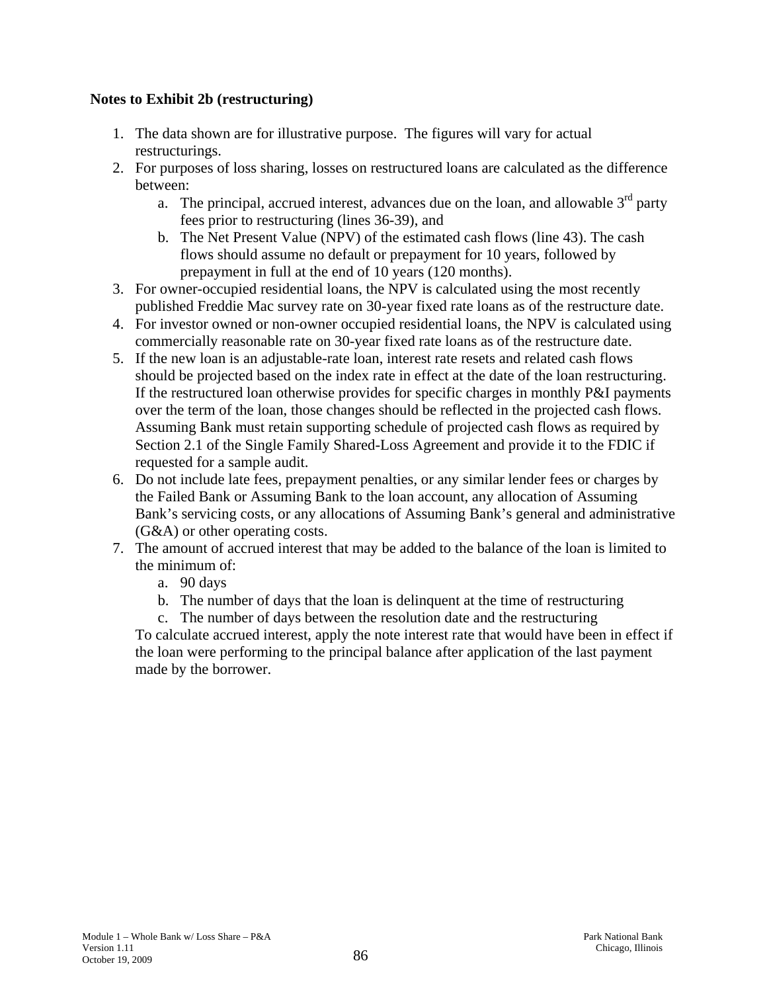## **Notes to Exhibit 2b (restructuring)**

- 1. The data shown are for illustrative purpose. The figures will vary for actual restructurings.
- 2. For purposes of loss sharing, losses on restructured loans are calculated as the difference between:
	- a. The principal, accrued interest, advances due on the loan, and allowable  $3<sup>rd</sup>$  party fees prior to restructuring (lines 36-39), and
	- b. The Net Present Value (NPV) of the estimated cash flows (line 43). The cash flows should assume no default or prepayment for 10 years, followed by prepayment in full at the end of 10 years (120 months).
- 3. For owner-occupied residential loans, the NPV is calculated using the most recently published Freddie Mac survey rate on 30-year fixed rate loans as of the restructure date.
- 4. For investor owned or non-owner occupied residential loans, the NPV is calculated using commercially reasonable rate on 30-year fixed rate loans as of the restructure date.
- 5. If the new loan is an adjustable-rate loan, interest rate resets and related cash flows should be projected based on the index rate in effect at the date of the loan restructuring. If the restructured loan otherwise provides for specific charges in monthly P&I payments over the term of the loan, those changes should be reflected in the projected cash flows. Assuming Bank must retain supporting schedule of projected cash flows as required by Section 2.1 of the Single Family Shared-Loss Agreement and provide it to the FDIC if requested for a sample audit.
- 6. Do not include late fees, prepayment penalties, or any similar lender fees or charges by the Failed Bank or Assuming Bank to the loan account, any allocation of Assuming Bank's servicing costs, or any allocations of Assuming Bank's general and administrative (G&A) or other operating costs.
- 7. The amount of accrued interest that may be added to the balance of the loan is limited to the minimum of:
	- a. 90 days
	- b. The number of days that the loan is delinquent at the time of restructuring

c. The number of days between the resolution date and the restructuring To calculate accrued interest, apply the note interest rate that would have been in effect if the loan were performing to the principal balance after application of the last payment made by the borrower.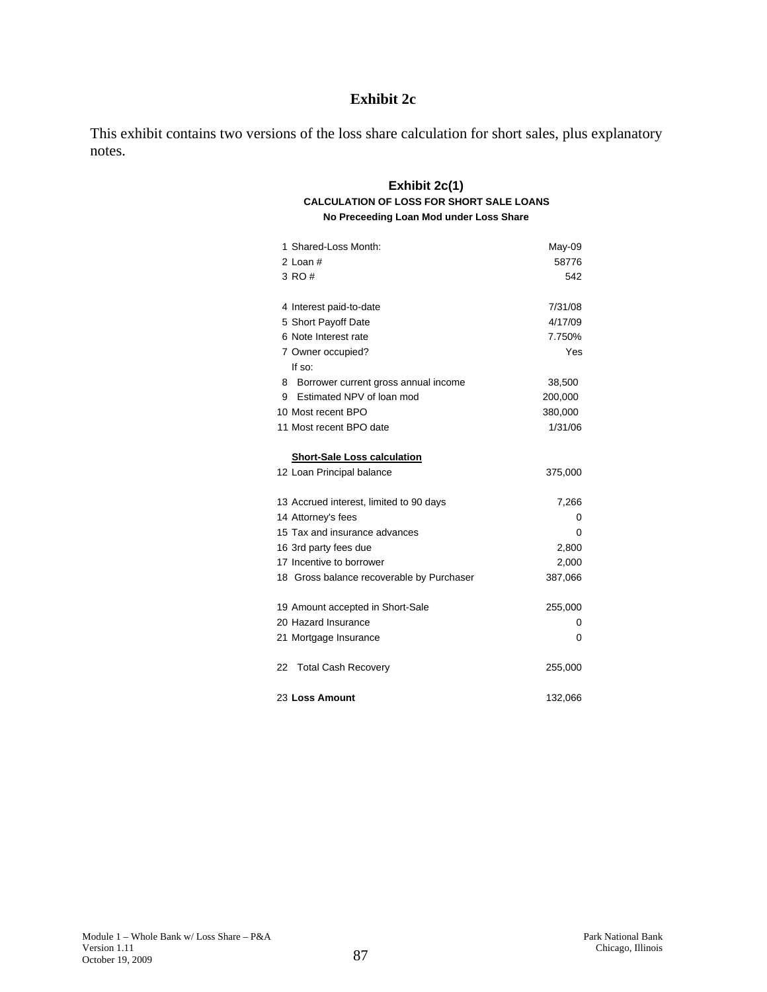### **Exhibit 2c**

This exhibit contains two versions of the loss share calculation for short sales, plus explanatory notes.

#### **Exhibit 2c(1) CALCULATION OF LOSS FOR SHORT SALE LOANS No Preceeding Loan Mod under Loss Share**

| 1 Shared-Loss Month:                      | May-09  |
|-------------------------------------------|---------|
| 2 Loan #                                  | 58776   |
| 3 RO #                                    | 542     |
|                                           |         |
| 4 Interest paid-to-date                   | 7/31/08 |
| 5 Short Payoff Date                       | 4/17/09 |
| 6 Note Interest rate                      | 7.750%  |
| 7 Owner occupied?                         | Yes     |
| If so:                                    |         |
| Borrower current gross annual income<br>8 | 38,500  |
| Estimated NPV of loan mod<br>9            | 200,000 |
| 10 Most recent BPO                        | 380,000 |
| 11 Most recent BPO date                   | 1/31/06 |
|                                           |         |
| <b>Short-Sale Loss calculation</b>        |         |
| 12 Loan Principal balance                 | 375,000 |
|                                           |         |
| 13 Accrued interest, limited to 90 days   | 7,266   |
| 14 Attorney's fees                        | 0       |
| 15 Tax and insurance advances             | 0       |
| 16 3rd party fees due                     | 2,800   |
| 17 Incentive to borrower                  | 2,000   |
| 18 Gross balance recoverable by Purchaser | 387,066 |
|                                           |         |
| 19 Amount accepted in Short-Sale          | 255,000 |
| 20 Hazard Insurance                       | 0       |
| 21 Mortgage Insurance                     | 0       |
|                                           |         |
| 22 Total Cash Recovery                    | 255,000 |
|                                           |         |
| 23 Loss Amount                            | 132,066 |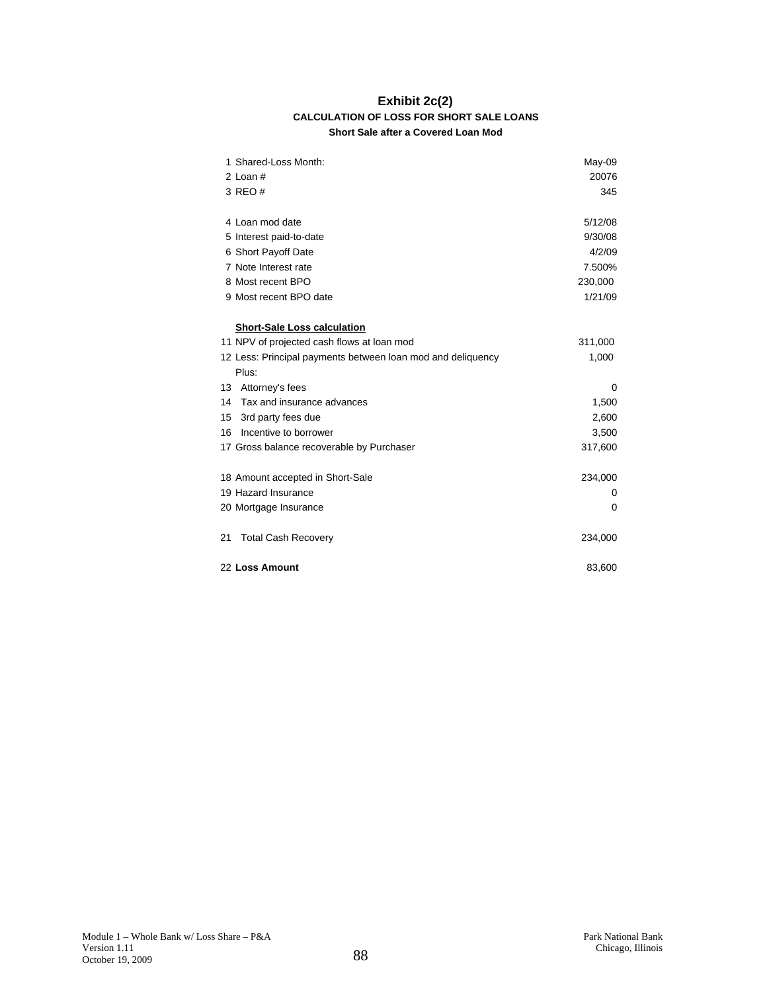#### **Exhibit 2c(2) CALCULATION OF LOSS FOR SHORT SALE LOANS Short Sale after a Covered Loan Mod**

| 1 Shared-Loss Month:                                        | May-09  |
|-------------------------------------------------------------|---------|
| 2 Loan $#$                                                  | 20076   |
| 3 REO #                                                     | 345     |
|                                                             |         |
| 4 Loan mod date                                             | 5/12/08 |
| 5 Interest paid-to-date                                     | 9/30/08 |
| 6 Short Payoff Date                                         | 4/2/09  |
| 7 Note Interest rate                                        | 7.500%  |
| 8 Most recent BPO                                           | 230,000 |
| 9 Most recent BPO date                                      | 1/21/09 |
|                                                             |         |
| <b>Short-Sale Loss calculation</b>                          |         |
| 11 NPV of projected cash flows at loan mod                  | 311,000 |
| 12 Less: Principal payments between loan mod and deliquency | 1,000   |
| Plus:                                                       |         |
| 13<br>Attorney's fees                                       | 0       |
| Tax and insurance advances<br>14                            | 1,500   |
| 15<br>3rd party fees due                                    | 2,600   |
| Incentive to borrower<br>16                                 | 3,500   |
| 17 Gross balance recoverable by Purchaser                   | 317,600 |
|                                                             |         |
| 18 Amount accepted in Short-Sale                            | 234,000 |
| 19 Hazard Insurance                                         | 0       |
| 20 Mortgage Insurance                                       | 0       |
|                                                             |         |
| <b>Total Cash Recovery</b><br>21                            | 234,000 |
|                                                             |         |
| 22 Loss Amount                                              | 83,600  |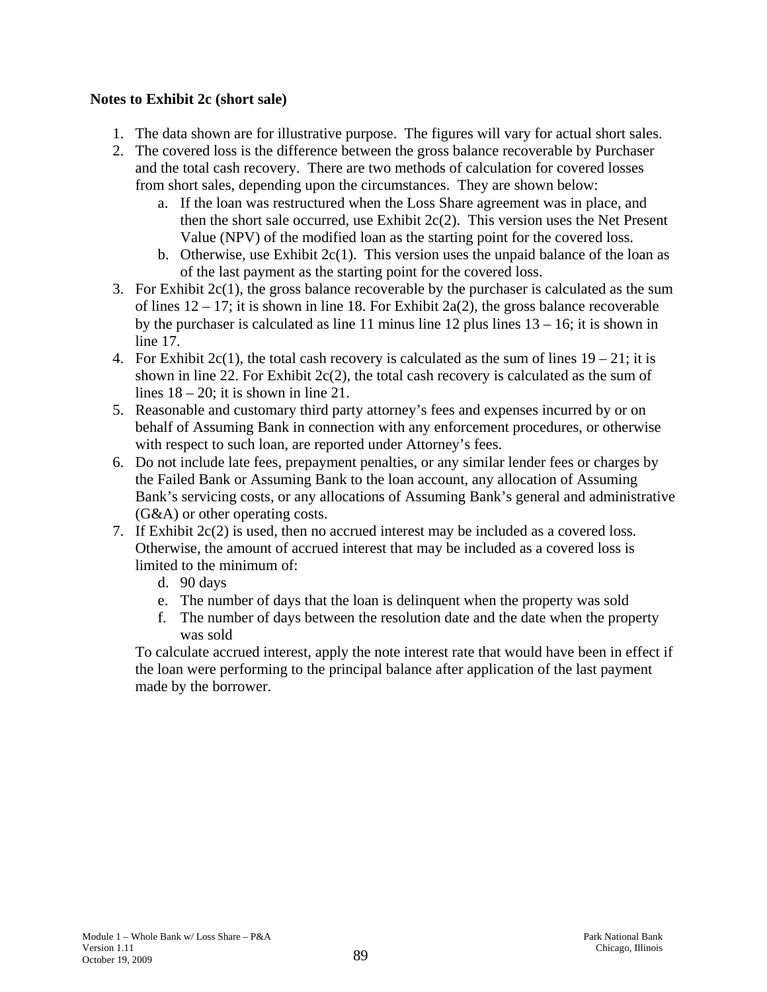## **Notes to Exhibit 2c (short sale)**

- 1. The data shown are for illustrative purpose. The figures will vary for actual short sales.
- 2. The covered loss is the difference between the gross balance recoverable by Purchaser and the total cash recovery. There are two methods of calculation for covered losses from short sales, depending upon the circumstances. They are shown below:
	- a. If the loan was restructured when the Loss Share agreement was in place, and then the short sale occurred, use Exhibit  $2c(2)$ . This version uses the Net Present Value (NPV) of the modified loan as the starting point for the covered loss.
	- b. Otherwise, use Exhibit  $2c(1)$ . This version uses the unpaid balance of the loan as of the last payment as the starting point for the covered loss.
- 3. For Exhibit  $2c(1)$ , the gross balance recoverable by the purchaser is calculated as the sum of lines  $12 - 17$ ; it is shown in line 18. For Exhibit 2a(2), the gross balance recoverable by the purchaser is calculated as line 11 minus line  $12$  plus lines  $13 - 16$ ; it is shown in line 17.
- 4. For Exhibit 2c(1), the total cash recovery is calculated as the sum of lines  $19 21$ ; it is shown in line 22. For Exhibit  $2c(2)$ , the total cash recovery is calculated as the sum of lines  $18 - 20$ ; it is shown in line 21.
- 5. Reasonable and customary third party attorney's fees and expenses incurred by or on behalf of Assuming Bank in connection with any enforcement procedures, or otherwise with respect to such loan, are reported under Attorney's fees.
- 6. Do not include late fees, prepayment penalties, or any similar lender fees or charges by the Failed Bank or Assuming Bank to the loan account, any allocation of Assuming Bank's servicing costs, or any allocations of Assuming Bank's general and administrative (G&A) or other operating costs.
- 7. If Exhibit  $2c(2)$  is used, then no accrued interest may be included as a covered loss. Otherwise, the amount of accrued interest that may be included as a covered loss is limited to the minimum of:
	- d. 90 days
	- e. The number of days that the loan is delinquent when the property was sold
	- f. The number of days between the resolution date and the date when the property was sold

To calculate accrued interest, apply the note interest rate that would have been in effect if the loan were performing to the principal balance after application of the last payment made by the borrower.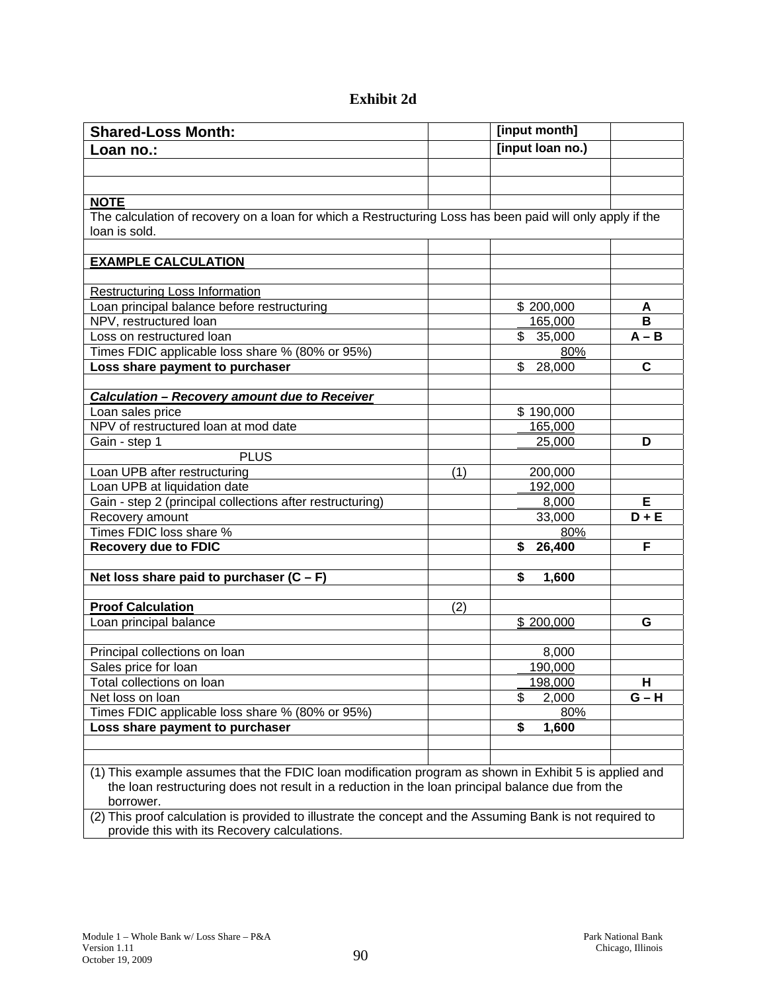# **Exhibit 2d**

| [input month]<br><b>Shared-Loss Month:</b>                                                                |     |                        |              |
|-----------------------------------------------------------------------------------------------------------|-----|------------------------|--------------|
| [input loan no.)<br>Loan no.:                                                                             |     |                        |              |
|                                                                                                           |     |                        |              |
|                                                                                                           |     |                        |              |
| <b>NOTE</b>                                                                                               |     |                        |              |
| The calculation of recovery on a loan for which a Restructuring Loss has been paid will only apply if the |     |                        |              |
| loan is sold.                                                                                             |     |                        |              |
|                                                                                                           |     |                        |              |
| <b>EXAMPLE CALCULATION</b>                                                                                |     |                        |              |
|                                                                                                           |     |                        |              |
| <b>Restructuring Loss Information</b>                                                                     |     |                        |              |
| Loan principal balance before restructuring                                                               |     | \$200,000              | A            |
| NPV, restructured loan                                                                                    |     | 165,000                | B            |
| Loss on restructured loan                                                                                 |     | $\overline{\$}$ 35,000 | $A - B$      |
| Times FDIC applicable loss share % (80% or 95%)                                                           |     | 80%                    |              |
| Loss share payment to purchaser                                                                           |     | \$28,000               | C            |
|                                                                                                           |     |                        |              |
| Calculation - Recovery amount due to Receiver                                                             |     |                        |              |
| Loan sales price                                                                                          |     | \$190,000              |              |
| NPV of restructured loan at mod date                                                                      |     | 165,000                |              |
| Gain - step 1                                                                                             |     | 25,000                 | D            |
| <b>PLUS</b>                                                                                               |     |                        |              |
| Loan UPB after restructuring                                                                              | (1) | 200,000                |              |
| Loan UPB at liquidation date                                                                              |     | 192,000                |              |
| Gain - step 2 (principal collections after restructuring)                                                 |     | 8,000                  | Е<br>$D + E$ |
| Recovery amount<br>Times FDIC loss share %                                                                |     | 33,000<br>80%          |              |
| <b>Recovery due to FDIC</b>                                                                               |     | \$26,400               | F            |
|                                                                                                           |     |                        |              |
| Net loss share paid to purchaser $(C - F)$                                                                |     | \$<br>1,600            |              |
|                                                                                                           |     |                        |              |
| <b>Proof Calculation</b>                                                                                  | (2) |                        |              |
| Loan principal balance                                                                                    |     | \$200,000              | G            |
|                                                                                                           |     |                        |              |
| Principal collections on loan                                                                             |     | 8,000                  |              |
| Sales price for loan                                                                                      |     | 190,000                |              |
| Total collections on loan                                                                                 |     | 198,000                | H            |
| Net loss on loan                                                                                          |     | \$<br>2,000            | $G - H$      |
| Times FDIC applicable loss share % (80% or 95%)                                                           |     | 80%                    |              |
| Loss share payment to purchaser                                                                           |     | 1,600<br>\$            |              |
|                                                                                                           |     |                        |              |
|                                                                                                           |     |                        |              |
| (1) This example assumes that the FDIC loan modification program as shown in Exhibit 5 is applied and     |     |                        |              |
| the loan restructuring does not result in a reduction in the loan principal balance due from the          |     |                        |              |
| borrower.                                                                                                 |     |                        |              |
| (2) This proof calculation is provided to illustrate the concept and the Assuming Bank is not required to |     |                        |              |
| provide this with its Recovery calculations.                                                              |     |                        |              |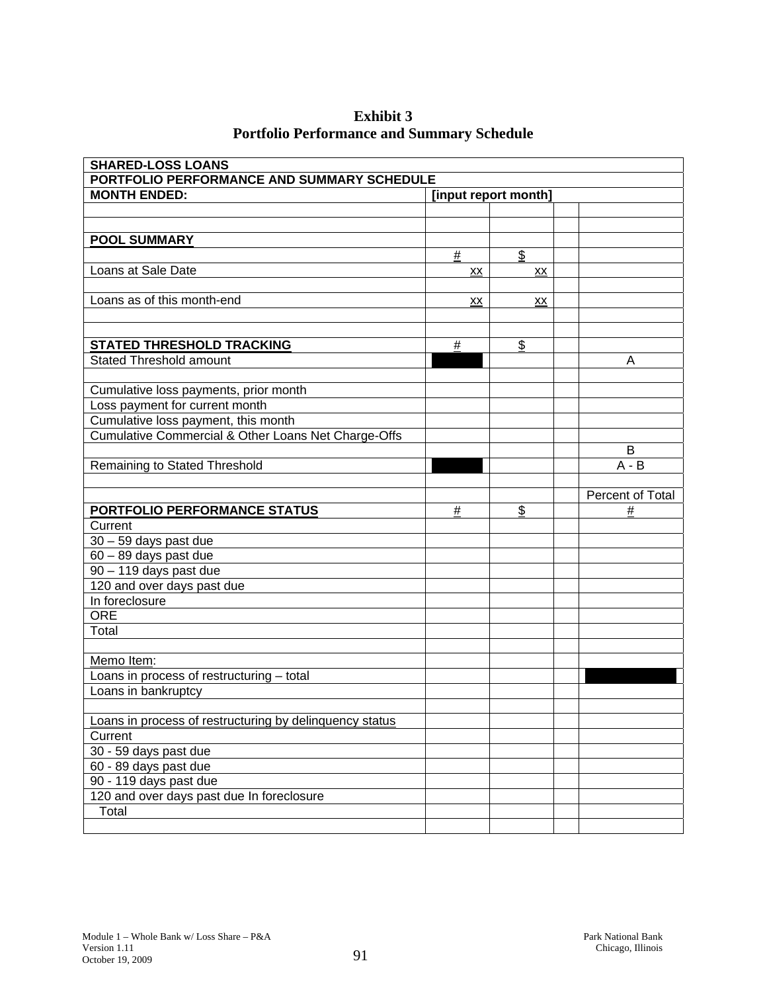| <b>SHARED-LOSS LOANS</b><br>PORTFOLIO PERFORMANCE AND SUMMARY SCHEDULE |                      |               |                  |
|------------------------------------------------------------------------|----------------------|---------------|------------------|
| <b>MONTH ENDED:</b>                                                    | [input report month] |               |                  |
|                                                                        |                      |               |                  |
|                                                                        |                      |               |                  |
| <b>POOL SUMMARY</b>                                                    |                      |               |                  |
|                                                                        | #                    | $\frac{1}{2}$ |                  |
| Loans at Sale Date                                                     | XX                   | XX            |                  |
| Loans as of this month-end                                             |                      |               |                  |
|                                                                        | XX                   | XX            |                  |
| <b>STATED THRESHOLD TRACKING</b>                                       | $\#$                 | $\frac{1}{2}$ |                  |
| <b>Stated Threshold amount</b>                                         |                      |               | A                |
| Cumulative loss payments, prior month                                  |                      |               |                  |
| Loss payment for current month                                         |                      |               |                  |
| Cumulative loss payment, this month                                    |                      |               |                  |
| Cumulative Commercial & Other Loans Net Charge-Offs                    |                      |               |                  |
|                                                                        |                      |               | B                |
| Remaining to Stated Threshold                                          |                      |               | $A - B$          |
|                                                                        |                      |               |                  |
|                                                                        |                      |               | Percent of Total |
| <b>PORTFOLIO PERFORMANCE STATUS</b>                                    | $\#$                 | $\frac{1}{2}$ | #                |
| Current                                                                |                      |               |                  |
| $30 - 59$ days past due                                                |                      |               |                  |
| $60 - 89$ days past due                                                |                      |               |                  |
| $90 - 119$ days past due                                               |                      |               |                  |
| 120 and over days past due                                             |                      |               |                  |
| In foreclosure                                                         |                      |               |                  |
| <b>ORE</b>                                                             |                      |               |                  |
| Total                                                                  |                      |               |                  |
|                                                                        |                      |               |                  |
| Memo Item:                                                             |                      |               |                  |
| Loans in process of restructuring - total                              |                      |               |                  |
| Loans in bankruptcy                                                    |                      |               |                  |
|                                                                        |                      |               |                  |
| Loans in process of restructuring by delinguency status                |                      |               |                  |
| Current                                                                |                      |               |                  |
| 30 - 59 days past due                                                  |                      |               |                  |
| 60 - 89 days past due                                                  |                      |               |                  |
| 90 - 119 days past due                                                 |                      |               |                  |
| 120 and over days past due In foreclosure                              |                      |               |                  |
| Total                                                                  |                      |               |                  |
|                                                                        |                      |               |                  |

## **Exhibit 3 Portfolio Performance and Summary Schedule**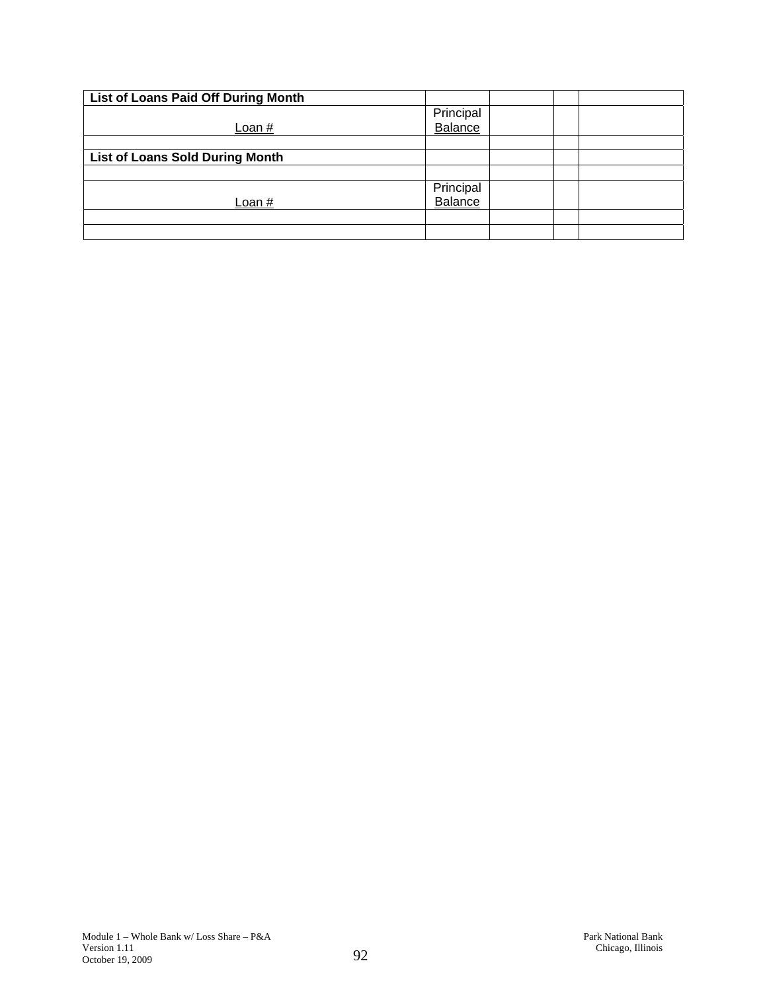| List of Loans Paid Off During Month    |                      |  |  |
|----------------------------------------|----------------------|--|--|
|                                        | Principal            |  |  |
| Loan #                                 | Balance              |  |  |
|                                        |                      |  |  |
| <b>List of Loans Sold During Month</b> |                      |  |  |
|                                        |                      |  |  |
|                                        | Principal<br>Balance |  |  |
| Loan #                                 |                      |  |  |
|                                        |                      |  |  |
|                                        |                      |  |  |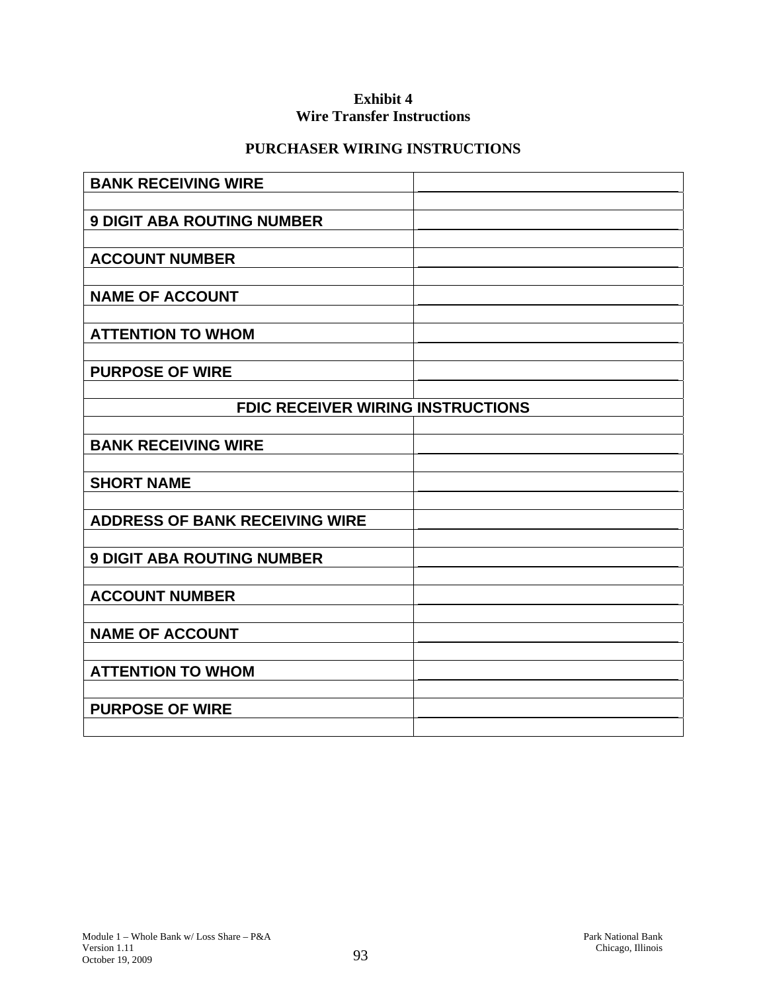## **Exhibit 4 Wire Transfer Instructions**

# **PURCHASER WIRING INSTRUCTIONS**

| <b>BANK RECEIVING WIRE</b>               |  |
|------------------------------------------|--|
|                                          |  |
| <b>9 DIGIT ABA ROUTING NUMBER</b>        |  |
|                                          |  |
| <b>ACCOUNT NUMBER</b>                    |  |
|                                          |  |
| <b>NAME OF ACCOUNT</b>                   |  |
|                                          |  |
| <b>ATTENTION TO WHOM</b>                 |  |
| <b>PURPOSE OF WIRE</b>                   |  |
|                                          |  |
| <b>FDIC RECEIVER WIRING INSTRUCTIONS</b> |  |
|                                          |  |
| <b>BANK RECEIVING WIRE</b>               |  |
|                                          |  |
| <b>SHORT NAME</b>                        |  |
|                                          |  |
| <b>ADDRESS OF BANK RECEIVING WIRE</b>    |  |
|                                          |  |
| <b>9 DIGIT ABA ROUTING NUMBER</b>        |  |
|                                          |  |
| <b>ACCOUNT NUMBER</b>                    |  |
| <b>NAME OF ACCOUNT</b>                   |  |
|                                          |  |
| <b>ATTENTION TO WHOM</b>                 |  |
|                                          |  |
| <b>PURPOSE OF WIRE</b>                   |  |
|                                          |  |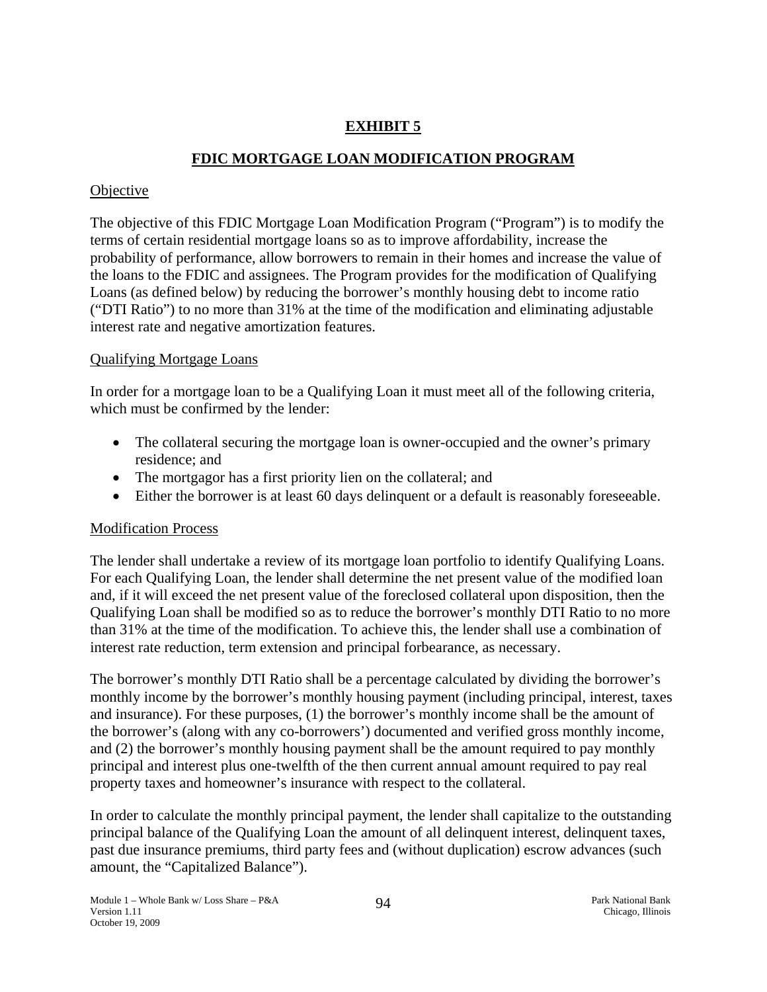# **EXHIBIT 5**

# **FDIC MORTGAGE LOAN MODIFICATION PROGRAM**

## **Objective**

The objective of this FDIC Mortgage Loan Modification Program ("Program") is to modify the terms of certain residential mortgage loans so as to improve affordability, increase the probability of performance, allow borrowers to remain in their homes and increase the value of the loans to the FDIC and assignees. The Program provides for the modification of Qualifying Loans (as defined below) by reducing the borrower's monthly housing debt to income ratio ("DTI Ratio") to no more than 31% at the time of the modification and eliminating adjustable interest rate and negative amortization features.

## Qualifying Mortgage Loans

In order for a mortgage loan to be a Qualifying Loan it must meet all of the following criteria, which must be confirmed by the lender:

- The collateral securing the mortgage loan is owner-occupied and the owner's primary residence; and
- The mortgagor has a first priority lien on the collateral; and
- Either the borrower is at least 60 days delinquent or a default is reasonably foreseeable.

## Modification Process

The lender shall undertake a review of its mortgage loan portfolio to identify Qualifying Loans. For each Qualifying Loan, the lender shall determine the net present value of the modified loan and, if it will exceed the net present value of the foreclosed collateral upon disposition, then the Qualifying Loan shall be modified so as to reduce the borrower's monthly DTI Ratio to no more than 31% at the time of the modification. To achieve this, the lender shall use a combination of interest rate reduction, term extension and principal forbearance, as necessary.

The borrower's monthly DTI Ratio shall be a percentage calculated by dividing the borrower's monthly income by the borrower's monthly housing payment (including principal, interest, taxes and insurance). For these purposes, (1) the borrower's monthly income shall be the amount of the borrower's (along with any co-borrowers') documented and verified gross monthly income, and (2) the borrower's monthly housing payment shall be the amount required to pay monthly principal and interest plus one-twelfth of the then current annual amount required to pay real property taxes and homeowner's insurance with respect to the collateral.

In order to calculate the monthly principal payment, the lender shall capitalize to the outstanding principal balance of the Qualifying Loan the amount of all delinquent interest, delinquent taxes, past due insurance premiums, third party fees and (without duplication) escrow advances (such amount, the "Capitalized Balance").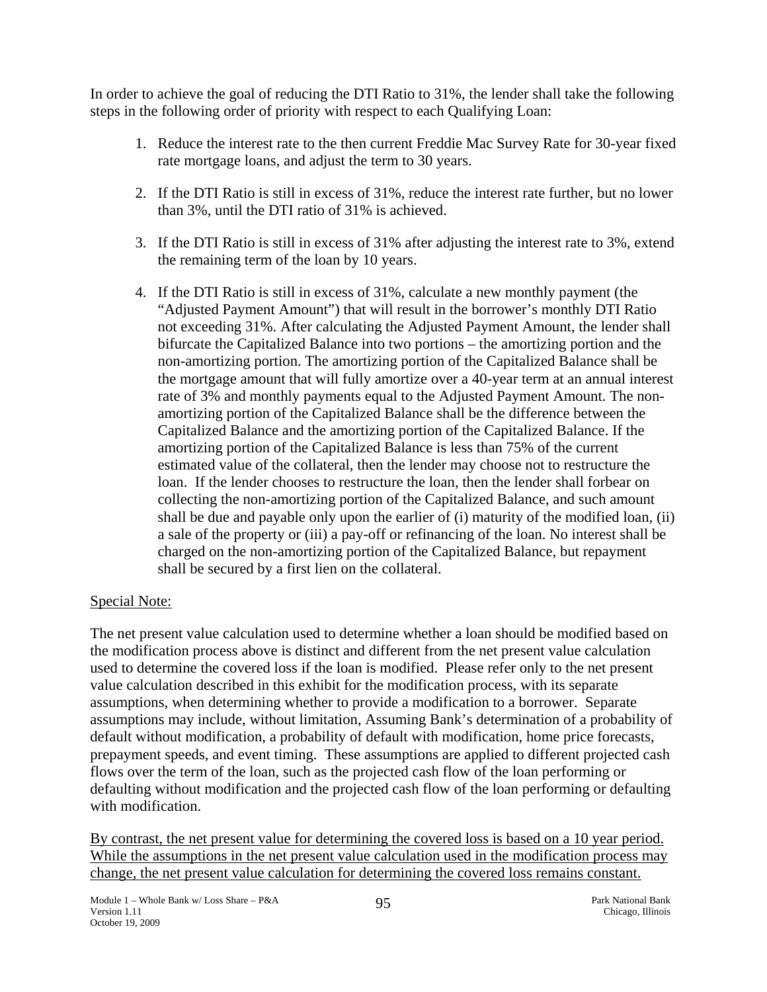In order to achieve the goal of reducing the DTI Ratio to 31%, the lender shall take the following steps in the following order of priority with respect to each Qualifying Loan:

- 1. Reduce the interest rate to the then current Freddie Mac Survey Rate for 30-year fixed rate mortgage loans, and adjust the term to 30 years.
- 2. If the DTI Ratio is still in excess of 31%, reduce the interest rate further, but no lower than 3%, until the DTI ratio of 31% is achieved.
- 3. If the DTI Ratio is still in excess of 31% after adjusting the interest rate to 3%, extend the remaining term of the loan by 10 years.
- 4. If the DTI Ratio is still in excess of 31%, calculate a new monthly payment (the "Adjusted Payment Amount") that will result in the borrower's monthly DTI Ratio not exceeding 31%. After calculating the Adjusted Payment Amount, the lender shall bifurcate the Capitalized Balance into two portions – the amortizing portion and the non-amortizing portion. The amortizing portion of the Capitalized Balance shall be the mortgage amount that will fully amortize over a 40-year term at an annual interest rate of 3% and monthly payments equal to the Adjusted Payment Amount. The nonamortizing portion of the Capitalized Balance shall be the difference between the Capitalized Balance and the amortizing portion of the Capitalized Balance. If the amortizing portion of the Capitalized Balance is less than 75% of the current estimated value of the collateral, then the lender may choose not to restructure the loan. If the lender chooses to restructure the loan, then the lender shall forbear on collecting the non-amortizing portion of the Capitalized Balance, and such amount shall be due and payable only upon the earlier of (i) maturity of the modified loan, (ii) a sale of the property or (iii) a pay-off or refinancing of the loan. No interest shall be charged on the non-amortizing portion of the Capitalized Balance, but repayment shall be secured by a first lien on the collateral.

## Special Note:

The net present value calculation used to determine whether a loan should be modified based on the modification process above is distinct and different from the net present value calculation used to determine the covered loss if the loan is modified. Please refer only to the net present value calculation described in this exhibit for the modification process, with its separate assumptions, when determining whether to provide a modification to a borrower. Separate assumptions may include, without limitation, Assuming Bank's determination of a probability of default without modification, a probability of default with modification, home price forecasts, prepayment speeds, and event timing. These assumptions are applied to different projected cash flows over the term of the loan, such as the projected cash flow of the loan performing or defaulting without modification and the projected cash flow of the loan performing or defaulting with modification.

change, the net present value calculation for determining the covered loss remains constant.<br>
Module 1 – Whole Bank w/ Loss Share – P&A Park National Bank Chicago, Illinois<br>
Version 1.11 Chicago, Illinois By contrast, the net present value for determining the covered loss is based on a 10 year period. While the assumptions in the net present value calculation used in the modification process may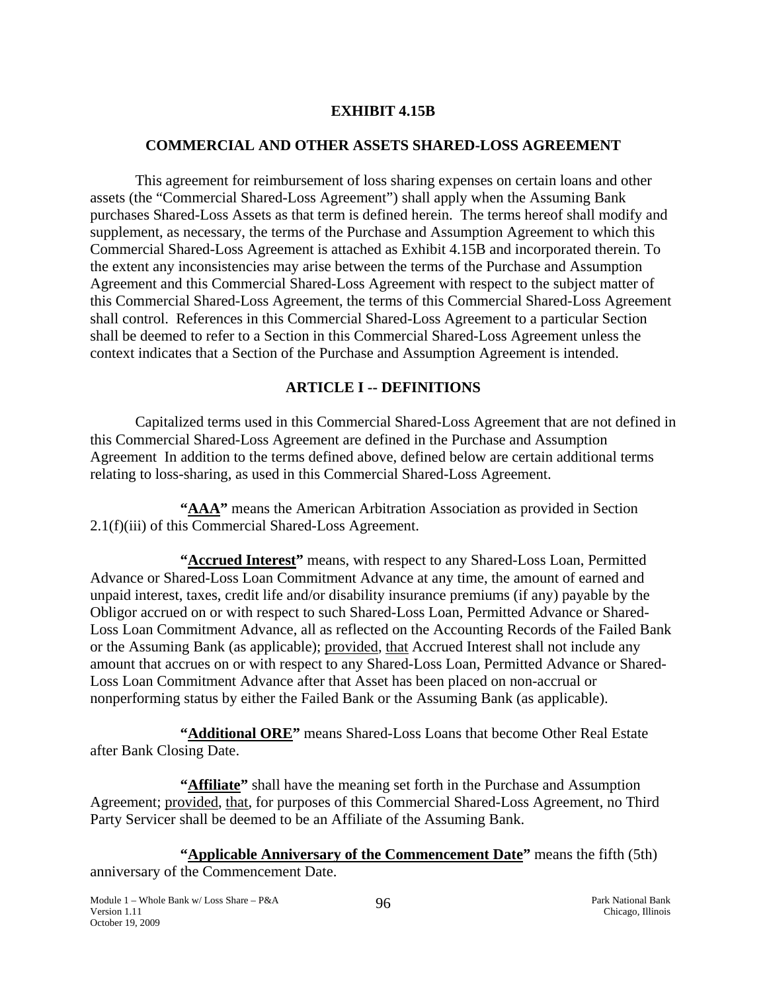### **EXHIBIT 4.15B**

### **COMMERCIAL AND OTHER ASSETS SHARED-LOSS AGREEMENT**

This agreement for reimbursement of loss sharing expenses on certain loans and other assets (the "Commercial Shared-Loss Agreement") shall apply when the Assuming Bank purchases Shared-Loss Assets as that term is defined herein. The terms hereof shall modify and supplement, as necessary, the terms of the Purchase and Assumption Agreement to which this Commercial Shared-Loss Agreement is attached as Exhibit 4.15B and incorporated therein. To the extent any inconsistencies may arise between the terms of the Purchase and Assumption Agreement and this Commercial Shared-Loss Agreement with respect to the subject matter of this Commercial Shared-Loss Agreement, the terms of this Commercial Shared-Loss Agreement shall control. References in this Commercial Shared-Loss Agreement to a particular Section shall be deemed to refer to a Section in this Commercial Shared-Loss Agreement unless the context indicates that a Section of the Purchase and Assumption Agreement is intended.

### **ARTICLE I -- DEFINITIONS**

Capitalized terms used in this Commercial Shared-Loss Agreement that are not defined in this Commercial Shared-Loss Agreement are defined in the Purchase and Assumption Agreement In addition to the terms defined above, defined below are certain additional terms relating to loss-sharing, as used in this Commercial Shared-Loss Agreement.

**"AAA"** means the American Arbitration Association as provided in Section 2.1(f)(iii) of this Commercial Shared-Loss Agreement.

**"Accrued Interest"** means, with respect to any Shared-Loss Loan, Permitted Advance or Shared-Loss Loan Commitment Advance at any time, the amount of earned and unpaid interest, taxes, credit life and/or disability insurance premiums (if any) payable by the Obligor accrued on or with respect to such Shared-Loss Loan, Permitted Advance or Shared-Loss Loan Commitment Advance, all as reflected on the Accounting Records of the Failed Bank or the Assuming Bank (as applicable); provided, that Accrued Interest shall not include any amount that accrues on or with respect to any Shared-Loss Loan, Permitted Advance or Shared-Loss Loan Commitment Advance after that Asset has been placed on non-accrual or nonperforming status by either the Failed Bank or the Assuming Bank (as applicable).

"**Additional ORE**" means Shared-Loss Loans that become Other Real Estate after Bank Closing Date.

"**Affiliate**" shall have the meaning set forth in the Purchase and Assumption Agreement; provided, that, for purposes of this Commercial Shared-Loss Agreement, no Third Party Servicer shall be deemed to be an Affiliate of the Assuming Bank.

**Examplicable Anniversary of the Commencement Date**" means the fifth (5th) anniversary of the Commencement Date.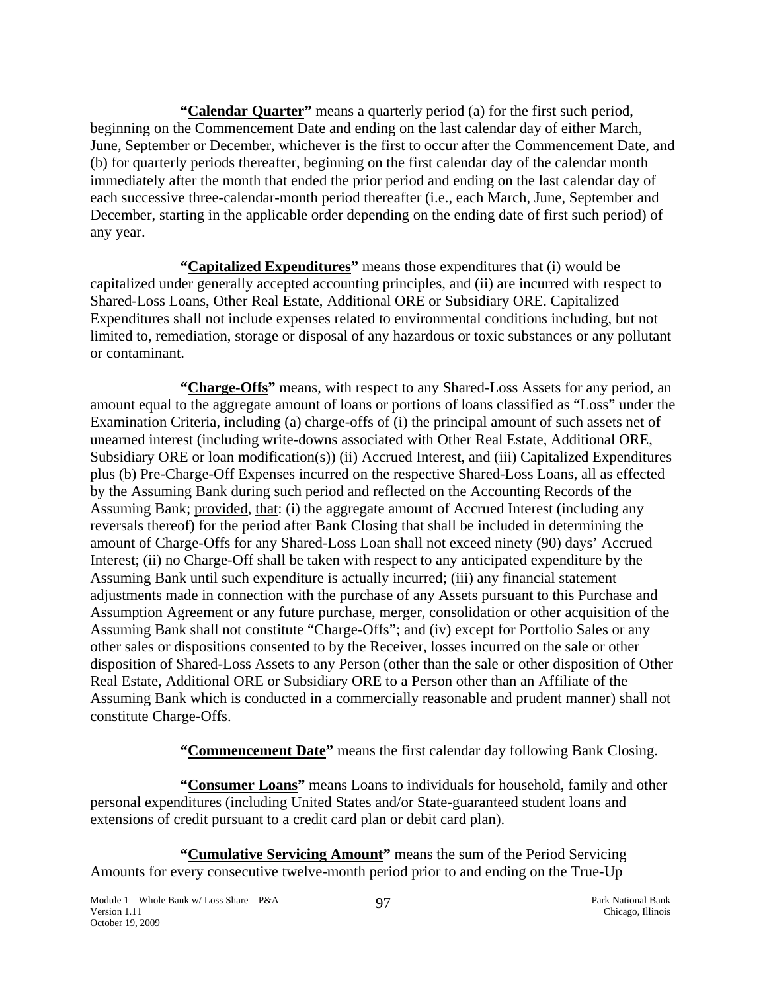**"Calendar Quarter"** means a quarterly period (a) for the first such period, beginning on the Commencement Date and ending on the last calendar day of either March, June, September or December, whichever is the first to occur after the Commencement Date, and (b) for quarterly periods thereafter, beginning on the first calendar day of the calendar month immediately after the month that ended the prior period and ending on the last calendar day of each successive three-calendar-month period thereafter (i.e., each March, June, September and December, starting in the applicable order depending on the ending date of first such period) of any year.

**"Capitalized Expenditures"** means those expenditures that (i) would be capitalized under generally accepted accounting principles, and (ii) are incurred with respect to Shared-Loss Loans, Other Real Estate, Additional ORE or Subsidiary ORE. Capitalized Expenditures shall not include expenses related to environmental conditions including, but not limited to, remediation, storage or disposal of any hazardous or toxic substances or any pollutant or contaminant.

**"Charge-Offs"** means, with respect to any Shared-Loss Assets for any period, an amount equal to the aggregate amount of loans or portions of loans classified as "Loss" under the Examination Criteria, including (a) charge-offs of (i) the principal amount of such assets net of unearned interest (including write-downs associated with Other Real Estate, Additional ORE, Subsidiary ORE or loan modification(s)) (ii) Accrued Interest, and (iii) Capitalized Expenditures plus (b) Pre-Charge-Off Expenses incurred on the respective Shared-Loss Loans, all as effected by the Assuming Bank during such period and reflected on the Accounting Records of the Assuming Bank; provided, that: (i) the aggregate amount of Accrued Interest (including any reversals thereof) for the period after Bank Closing that shall be included in determining the amount of Charge-Offs for any Shared-Loss Loan shall not exceed ninety (90) days' Accrued Interest; (ii) no Charge-Off shall be taken with respect to any anticipated expenditure by the Assuming Bank until such expenditure is actually incurred; (iii) any financial statement adjustments made in connection with the purchase of any Assets pursuant to this Purchase and Assumption Agreement or any future purchase, merger, consolidation or other acquisition of the Assuming Bank shall not constitute "Charge-Offs"; and (iv) except for Portfolio Sales or any other sales or dispositions consented to by the Receiver, losses incurred on the sale or other disposition of Shared-Loss Assets to any Person (other than the sale or other disposition of Other Real Estate, Additional ORE or Subsidiary ORE to a Person other than an Affiliate of the Assuming Bank which is conducted in a commercially reasonable and prudent manner) shall not constitute Charge-Offs.

**"Commencement Date"** means the first calendar day following Bank Closing.

**"Consumer Loans"** means Loans to individuals for household, family and other personal expenditures (including United States and/or State-guaranteed student loans and extensions of credit pursuant to a credit card plan or debit card plan).

**"Cumulative Servicing Amount"** means the sum of the Period Servicing Amounts for every consecutive twelve-month period prior to and ending on the True-Up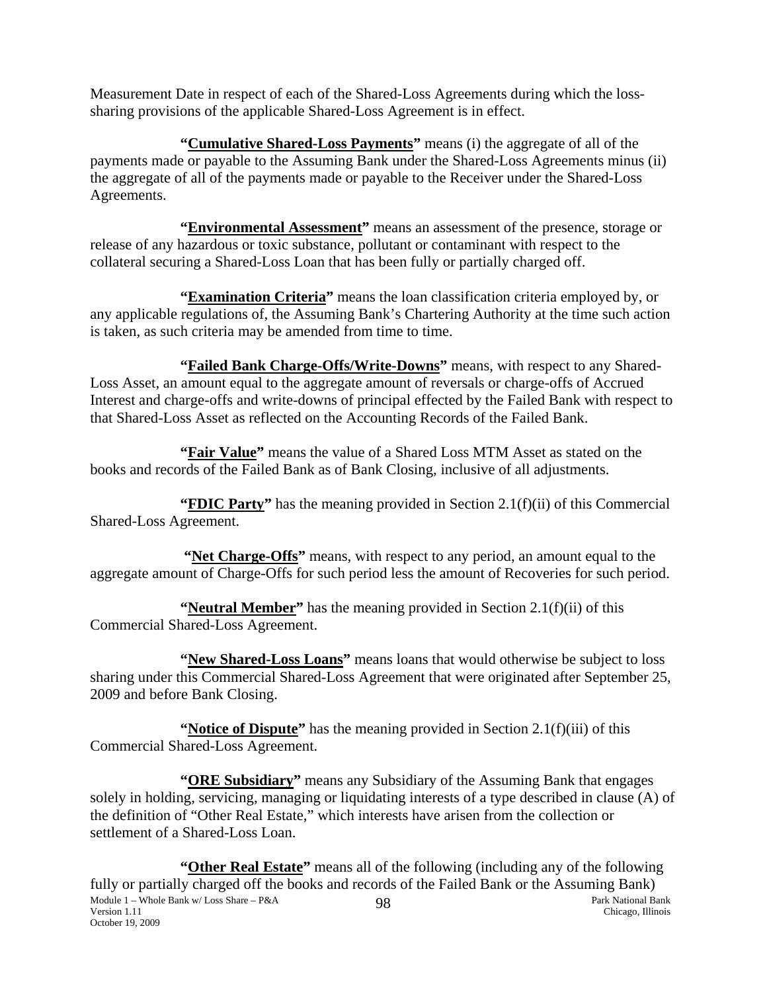Measurement Date in respect of each of the Shared-Loss Agreements during which the losssharing provisions of the applicable Shared-Loss Agreement is in effect.

**"Cumulative Shared-Loss Payments"** means (i) the aggregate of all of the payments made or payable to the Assuming Bank under the Shared-Loss Agreements minus (ii) the aggregate of all of the payments made or payable to the Receiver under the Shared-Loss Agreements.

**"Environmental Assessment"** means an assessment of the presence, storage or release of any hazardous or toxic substance, pollutant or contaminant with respect to the collateral securing a Shared-Loss Loan that has been fully or partially charged off.

**"Examination Criteria"** means the loan classification criteria employed by, or any applicable regulations of, the Assuming Bank's Chartering Authority at the time such action is taken, as such criteria may be amended from time to time.

**"Failed Bank Charge-Offs/Write-Downs"** means, with respect to any Shared-Loss Asset, an amount equal to the aggregate amount of reversals or charge-offs of Accrued Interest and charge-offs and write-downs of principal effected by the Failed Bank with respect to that Shared-Loss Asset as reflected on the Accounting Records of the Failed Bank.

**"Fair Value"** means the value of a Shared Loss MTM Asset as stated on the books and records of the Failed Bank as of Bank Closing, inclusive of all adjustments.

**"FDIC Party"** has the meaning provided in Section 2.1(f)(ii) of this Commercial Shared-Loss Agreement.

**"Net Charge-Offs"** means, with respect to any period, an amount equal to the aggregate amount of Charge-Offs for such period less the amount of Recoveries for such period.

 Commercial Shared-Loss Agreement. **"Neutral Member"** has the meaning provided in Section 2.1(f)(ii) of this

**"New Shared-Loss Loans"** means loans that would otherwise be subject to loss sharing under this Commercial Shared-Loss Agreement that were originated after September 25, 2009 and before Bank Closing.

**"Notice of Dispute"** has the meaning provided in Section 2.1(f)(iii) of this Commercial Shared-Loss Agreement.

**"ORE Subsidiary"** means any Subsidiary of the Assuming Bank that engages solely in holding, servicing, managing or liquidating interests of a type described in clause (A) of the definition of "Other Real Estate," which interests have arisen from the collection or settlement of a Shared-Loss Loan.

**"Other Real Estate"** means all of the following (including any of the following fully or partially charged off the books and records of the Failed Bank or the Assuming Bank) Module 1 – Whole Bank w/ Loss Share – P&A 98 Park National Bank Chicago, Illinois Version 1.11 Chicago, Illinois October 19, 2009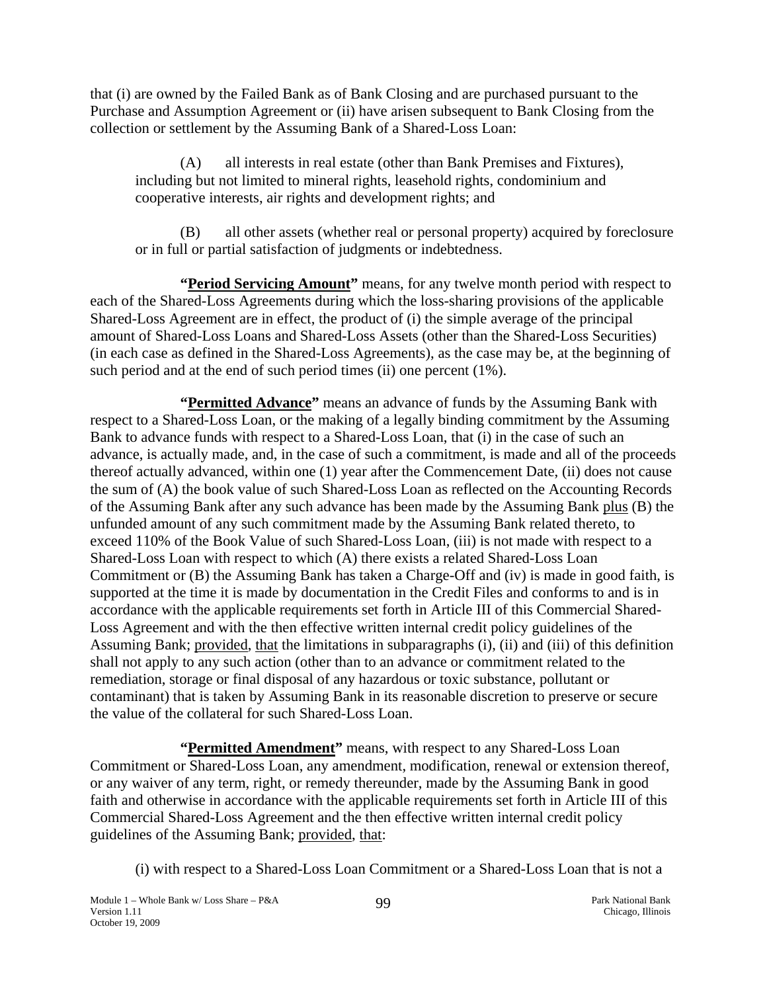that (i) are owned by the Failed Bank as of Bank Closing and are purchased pursuant to the Purchase and Assumption Agreement or (ii) have arisen subsequent to Bank Closing from the collection or settlement by the Assuming Bank of a Shared-Loss Loan:

(A) all interests in real estate (other than Bank Premises and Fixtures), including but not limited to mineral rights, leasehold rights, condominium and cooperative interests, air rights and development rights; and

(B) all other assets (whether real or personal property) acquired by foreclosure or in full or partial satisfaction of judgments or indebtedness.

**"Period Servicing Amount"** means, for any twelve month period with respect to each of the Shared-Loss Agreements during which the loss-sharing provisions of the applicable Shared-Loss Agreement are in effect, the product of (i) the simple average of the principal amount of Shared-Loss Loans and Shared-Loss Assets (other than the Shared-Loss Securities) (in each case as defined in the Shared-Loss Agreements), as the case may be, at the beginning of such period and at the end of such period times (ii) one percent (1%).

**"Permitted Advance"** means an advance of funds by the Assuming Bank with respect to a Shared-Loss Loan, or the making of a legally binding commitment by the Assuming Bank to advance funds with respect to a Shared-Loss Loan, that (i) in the case of such an advance, is actually made, and, in the case of such a commitment, is made and all of the proceeds thereof actually advanced, within one (1) year after the Commencement Date, (ii) does not cause the sum of (A) the book value of such Shared-Loss Loan as reflected on the Accounting Records of the Assuming Bank after any such advance has been made by the Assuming Bank plus (B) the unfunded amount of any such commitment made by the Assuming Bank related thereto, to exceed 110% of the Book Value of such Shared-Loss Loan, (iii) is not made with respect to a Shared-Loss Loan with respect to which (A) there exists a related Shared-Loss Loan Commitment or (B) the Assuming Bank has taken a Charge-Off and (iv) is made in good faith, is supported at the time it is made by documentation in the Credit Files and conforms to and is in accordance with the applicable requirements set forth in Article III of this Commercial Shared-Loss Agreement and with the then effective written internal credit policy guidelines of the Assuming Bank; provided, that the limitations in subparagraphs (i), (ii) and (iii) of this definition shall not apply to any such action (other than to an advance or commitment related to the remediation, storage or final disposal of any hazardous or toxic substance, pollutant or contaminant) that is taken by Assuming Bank in its reasonable discretion to preserve or secure the value of the collateral for such Shared-Loss Loan.

**"Permitted Amendment"** means, with respect to any Shared-Loss Loan Commitment or Shared-Loss Loan, any amendment, modification, renewal or extension thereof, or any waiver of any term, right, or remedy thereunder, made by the Assuming Bank in good faith and otherwise in accordance with the applicable requirements set forth in Article III of this Commercial Shared-Loss Agreement and the then effective written internal credit policy guidelines of the Assuming Bank; provided, that:

(i) with respect to a Shared-Loss Loan Commitment or a Shared-Loss Loan that is not a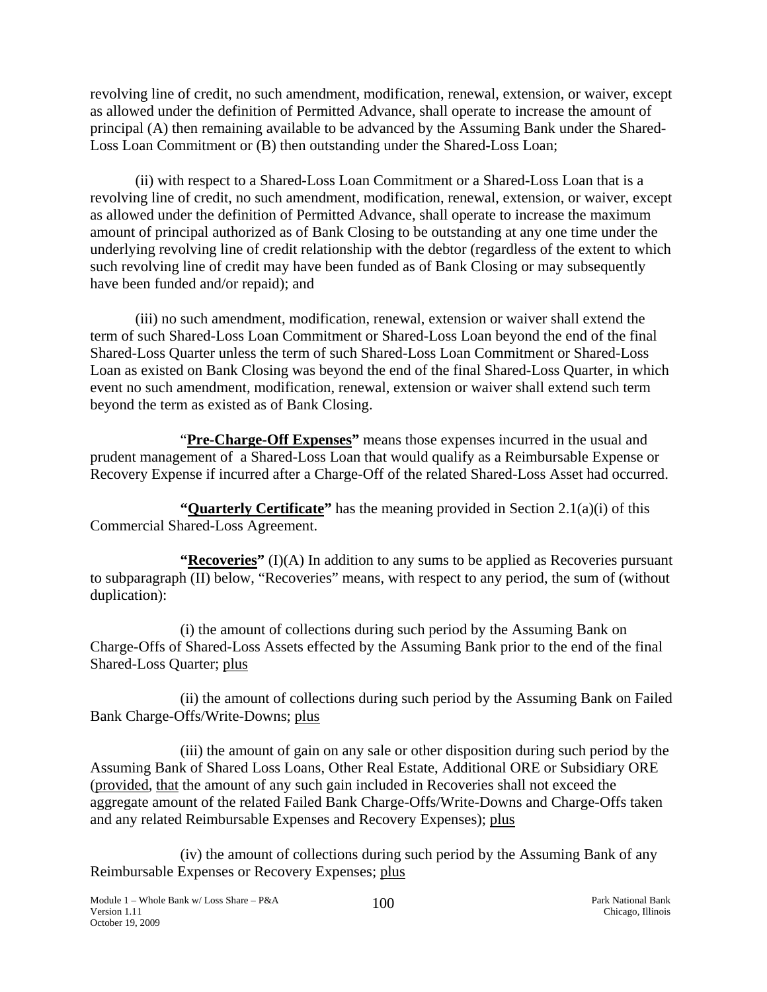revolving line of credit, no such amendment, modification, renewal, extension, or waiver, except as allowed under the definition of Permitted Advance, shall operate to increase the amount of principal (A) then remaining available to be advanced by the Assuming Bank under the Shared-Loss Loan Commitment or (B) then outstanding under the Shared-Loss Loan;

(ii) with respect to a Shared-Loss Loan Commitment or a Shared-Loss Loan that is a revolving line of credit, no such amendment, modification, renewal, extension, or waiver, except as allowed under the definition of Permitted Advance, shall operate to increase the maximum amount of principal authorized as of Bank Closing to be outstanding at any one time under the underlying revolving line of credit relationship with the debtor (regardless of the extent to which such revolving line of credit may have been funded as of Bank Closing or may subsequently have been funded and/or repaid); and

(iii) no such amendment, modification, renewal, extension or waiver shall extend the term of such Shared-Loss Loan Commitment or Shared-Loss Loan beyond the end of the final Shared-Loss Quarter unless the term of such Shared-Loss Loan Commitment or Shared-Loss Loan as existed on Bank Closing was beyond the end of the final Shared-Loss Quarter, in which event no such amendment, modification, renewal, extension or waiver shall extend such term beyond the term as existed as of Bank Closing.

"**Pre-Charge-Off Expenses"** means those expenses incurred in the usual and prudent management of a Shared-Loss Loan that would qualify as a Reimbursable Expense or Recovery Expense if incurred after a Charge-Off of the related Shared-Loss Asset had occurred.

**"Quarterly Certificate"** has the meaning provided in Section 2.1(a)(i) of this Commercial Shared-Loss Agreement.

**"Recoveries"** (I)(A) In addition to any sums to be applied as Recoveries pursuant to subparagraph (II) below, "Recoveries" means, with respect to any period, the sum of (without duplication):

**Shared-Loss Quarter; plus** (i) the amount of collections during such period by the Assuming Bank on Charge-Offs of Shared-Loss Assets effected by the Assuming Bank prior to the end of the final

(ii) the amount of collections during such period by the Assuming Bank on Failed Bank Charge-Offs/Write-Downs; plus

(iii) the amount of gain on any sale or other disposition during such period by the Assuming Bank of Shared Loss Loans, Other Real Estate, Additional ORE or Subsidiary ORE (provided, that the amount of any such gain included in Recoveries shall not exceed the aggregate amount of the related Failed Bank Charge-Offs/Write-Downs and Charge-Offs taken and any related Reimbursable Expenses and Recovery Expenses); plus

(iv) the amount of collections during such period by the Assuming Bank of any Reimbursable Expenses or Recovery Expenses; plus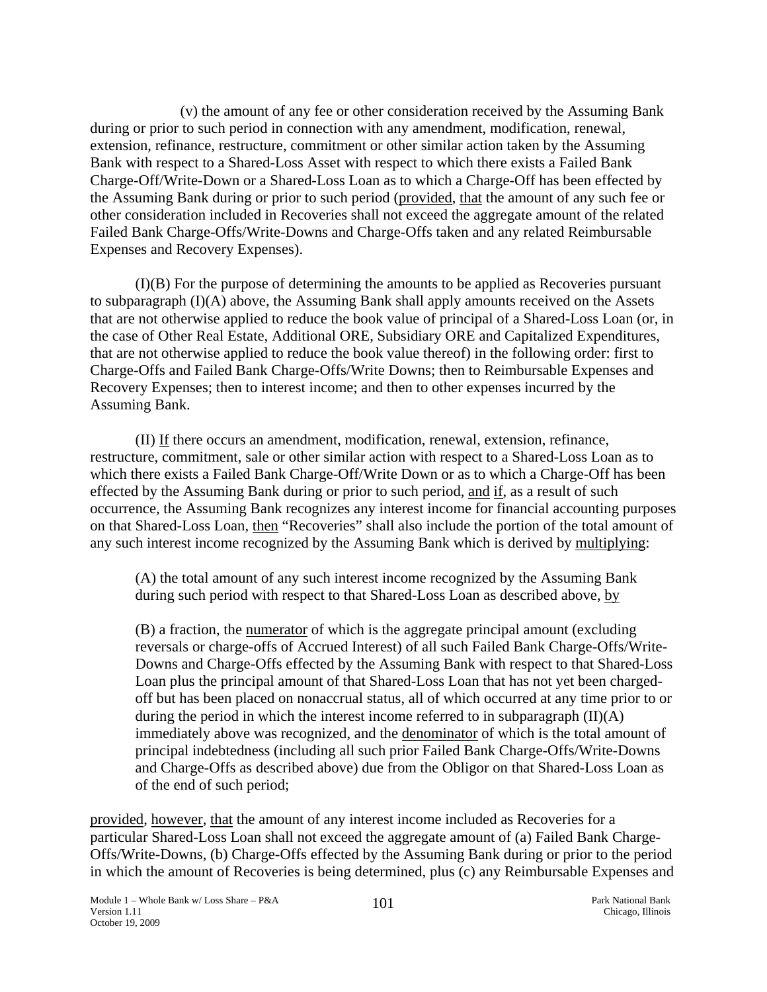(v) the amount of any fee or other consideration received by the Assuming Bank during or prior to such period in connection with any amendment, modification, renewal, extension, refinance, restructure, commitment or other similar action taken by the Assuming Bank with respect to a Shared-Loss Asset with respect to which there exists a Failed Bank Charge-Off/Write-Down or a Shared-Loss Loan as to which a Charge-Off has been effected by the Assuming Bank during or prior to such period (provided, that the amount of any such fee or other consideration included in Recoveries shall not exceed the aggregate amount of the related Failed Bank Charge-Offs/Write-Downs and Charge-Offs taken and any related Reimbursable Expenses and Recovery Expenses).

(I)(B) For the purpose of determining the amounts to be applied as Recoveries pursuant to subparagraph  $(I)(A)$  above, the Assuming Bank shall apply amounts received on the Assets that are not otherwise applied to reduce the book value of principal of a Shared-Loss Loan (or, in the case of Other Real Estate, Additional ORE, Subsidiary ORE and Capitalized Expenditures, that are not otherwise applied to reduce the book value thereof) in the following order: first to Charge-Offs and Failed Bank Charge-Offs/Write Downs; then to Reimbursable Expenses and Recovery Expenses; then to interest income; and then to other expenses incurred by the Assuming Bank.

(II) If there occurs an amendment, modification, renewal, extension, refinance, restructure, commitment, sale or other similar action with respect to a Shared-Loss Loan as to which there exists a Failed Bank Charge-Off/Write Down or as to which a Charge-Off has been effected by the Assuming Bank during or prior to such period, and if, as a result of such occurrence, the Assuming Bank recognizes any interest income for financial accounting purposes on that Shared-Loss Loan, then "Recoveries" shall also include the portion of the total amount of any such interest income recognized by the Assuming Bank which is derived by multiplying:

(A) the total amount of any such interest income recognized by the Assuming Bank during such period with respect to that Shared-Loss Loan as described above, by

(B) a fraction, the numerator of which is the aggregate principal amount (excluding reversals or charge-offs of Accrued Interest) of all such Failed Bank Charge-Offs/Write-Downs and Charge-Offs effected by the Assuming Bank with respect to that Shared-Loss Loan plus the principal amount of that Shared-Loss Loan that has not yet been chargedoff but has been placed on nonaccrual status, all of which occurred at any time prior to or during the period in which the interest income referred to in subparagraph (II)(A) immediately above was recognized, and the denominator of which is the total amount of principal indebtedness (including all such prior Failed Bank Charge-Offs/Write-Downs and Charge-Offs as described above) due from the Obligor on that Shared-Loss Loan as of the end of such period;

provided, however, that the amount of any interest income included as Recoveries for a particular Shared-Loss Loan shall not exceed the aggregate amount of (a) Failed Bank Charge-Offs/Write-Downs, (b) Charge-Offs effected by the Assuming Bank during or prior to the period in which the amount of Recoveries is being determined, plus (c) any Reimbursable Expenses and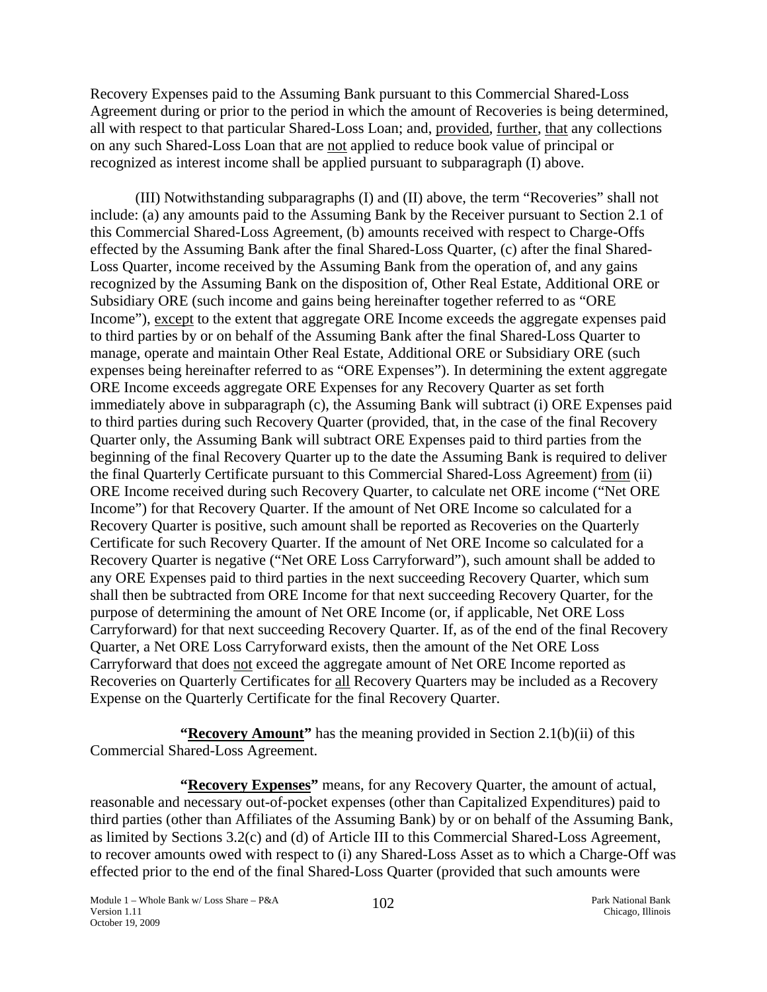Recovery Expenses paid to the Assuming Bank pursuant to this Commercial Shared-Loss Agreement during or prior to the period in which the amount of Recoveries is being determined, all with respect to that particular Shared-Loss Loan; and, provided, further, that any collections on any such Shared-Loss Loan that are not applied to reduce book value of principal or recognized as interest income shall be applied pursuant to subparagraph (I) above.

(III) Notwithstanding subparagraphs (I) and (II) above, the term "Recoveries" shall not include: (a) any amounts paid to the Assuming Bank by the Receiver pursuant to Section 2.1 of this Commercial Shared-Loss Agreement, (b) amounts received with respect to Charge-Offs effected by the Assuming Bank after the final Shared-Loss Quarter, (c) after the final Shared-Loss Quarter, income received by the Assuming Bank from the operation of, and any gains recognized by the Assuming Bank on the disposition of, Other Real Estate, Additional ORE or Subsidiary ORE (such income and gains being hereinafter together referred to as "ORE Income"), except to the extent that aggregate ORE Income exceeds the aggregate expenses paid to third parties by or on behalf of the Assuming Bank after the final Shared-Loss Quarter to manage, operate and maintain Other Real Estate, Additional ORE or Subsidiary ORE (such expenses being hereinafter referred to as "ORE Expenses"). In determining the extent aggregate ORE Income exceeds aggregate ORE Expenses for any Recovery Quarter as set forth immediately above in subparagraph (c), the Assuming Bank will subtract (i) ORE Expenses paid to third parties during such Recovery Quarter (provided, that, in the case of the final Recovery Quarter only, the Assuming Bank will subtract ORE Expenses paid to third parties from the beginning of the final Recovery Quarter up to the date the Assuming Bank is required to deliver the final Quarterly Certificate pursuant to this Commercial Shared-Loss Agreement) from (ii) ORE Income received during such Recovery Quarter, to calculate net ORE income ("Net ORE Income") for that Recovery Quarter. If the amount of Net ORE Income so calculated for a Recovery Quarter is positive, such amount shall be reported as Recoveries on the Quarterly Certificate for such Recovery Quarter. If the amount of Net ORE Income so calculated for a Recovery Quarter is negative ("Net ORE Loss Carryforward"), such amount shall be added to any ORE Expenses paid to third parties in the next succeeding Recovery Quarter, which sum shall then be subtracted from ORE Income for that next succeeding Recovery Quarter, for the purpose of determining the amount of Net ORE Income (or, if applicable, Net ORE Loss Carryforward) for that next succeeding Recovery Quarter. If, as of the end of the final Recovery Quarter, a Net ORE Loss Carryforward exists, then the amount of the Net ORE Loss Carryforward that does not exceed the aggregate amount of Net ORE Income reported as Recoveries on Quarterly Certificates for all Recovery Quarters may be included as a Recovery Expense on the Quarterly Certificate for the final Recovery Quarter.

**"Recovery Amount"** has the meaning provided in Section 2.1(b)(ii) of this Commercial Shared-Loss Agreement.

**"Recovery Expenses"** means, for any Recovery Quarter, the amount of actual, reasonable and necessary out-of-pocket expenses (other than Capitalized Expenditures) paid to third parties (other than Affiliates of the Assuming Bank) by or on behalf of the Assuming Bank, as limited by Sections 3.2(c) and (d) of Article III to this Commercial Shared-Loss Agreement, to recover amounts owed with respect to (i) any Shared-Loss Asset as to which a Charge-Off was effected prior to the end of the final Shared-Loss Quarter (provided that such amounts were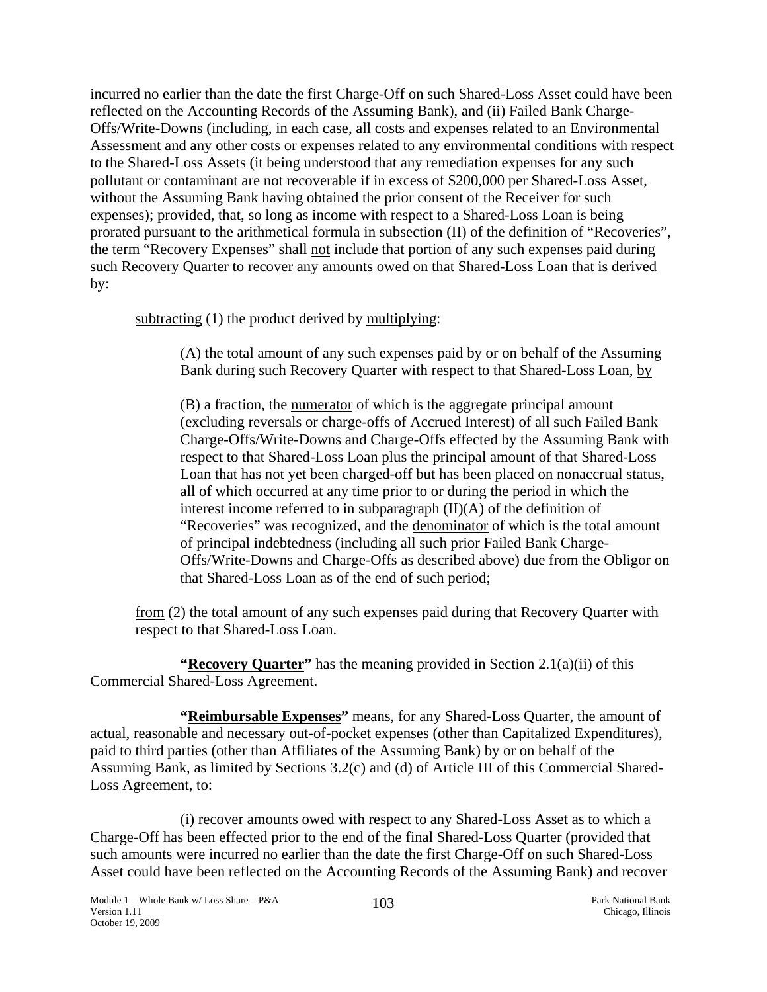incurred no earlier than the date the first Charge-Off on such Shared-Loss Asset could have been reflected on the Accounting Records of the Assuming Bank), and (ii) Failed Bank Charge-Offs/Write-Downs (including, in each case, all costs and expenses related to an Environmental Assessment and any other costs or expenses related to any environmental conditions with respect to the Shared-Loss Assets (it being understood that any remediation expenses for any such pollutant or contaminant are not recoverable if in excess of \$200,000 per Shared-Loss Asset, without the Assuming Bank having obtained the prior consent of the Receiver for such expenses); provided, that, so long as income with respect to a Shared-Loss Loan is being prorated pursuant to the arithmetical formula in subsection (II) of the definition of "Recoveries", the term "Recovery Expenses" shall not include that portion of any such expenses paid during such Recovery Quarter to recover any amounts owed on that Shared-Loss Loan that is derived by:

subtracting (1) the product derived by multiplying:

(A) the total amount of any such expenses paid by or on behalf of the Assuming Bank during such Recovery Quarter with respect to that Shared-Loss Loan, by

(B) a fraction, the numerator of which is the aggregate principal amount (excluding reversals or charge-offs of Accrued Interest) of all such Failed Bank Charge-Offs/Write-Downs and Charge-Offs effected by the Assuming Bank with respect to that Shared-Loss Loan plus the principal amount of that Shared-Loss Loan that has not yet been charged-off but has been placed on nonaccrual status, all of which occurred at any time prior to or during the period in which the interest income referred to in subparagraph  $(II)(A)$  of the definition of "Recoveries" was recognized, and the denominator of which is the total amount of principal indebtedness (including all such prior Failed Bank Charge-Offs/Write-Downs and Charge-Offs as described above) due from the Obligor on that Shared-Loss Loan as of the end of such period;

from (2) the total amount of any such expenses paid during that Recovery Quarter with respect to that Shared-Loss Loan.

**"Recovery Quarter"** has the meaning provided in Section 2.1(a)(ii) of this Commercial Shared-Loss Agreement.

**"Reimbursable Expenses"** means, for any Shared-Loss Quarter, the amount of actual, reasonable and necessary out-of-pocket expenses (other than Capitalized Expenditures), paid to third parties (other than Affiliates of the Assuming Bank) by or on behalf of the Assuming Bank, as limited by Sections 3.2(c) and (d) of Article III of this Commercial Shared-Loss Agreement, to:

(i) recover amounts owed with respect to any Shared-Loss Asset as to which a Charge-Off has been effected prior to the end of the final Shared-Loss Quarter (provided that such amounts were incurred no earlier than the date the first Charge-Off on such Shared-Loss Asset could have been reflected on the Accounting Records of the Assuming Bank) and recover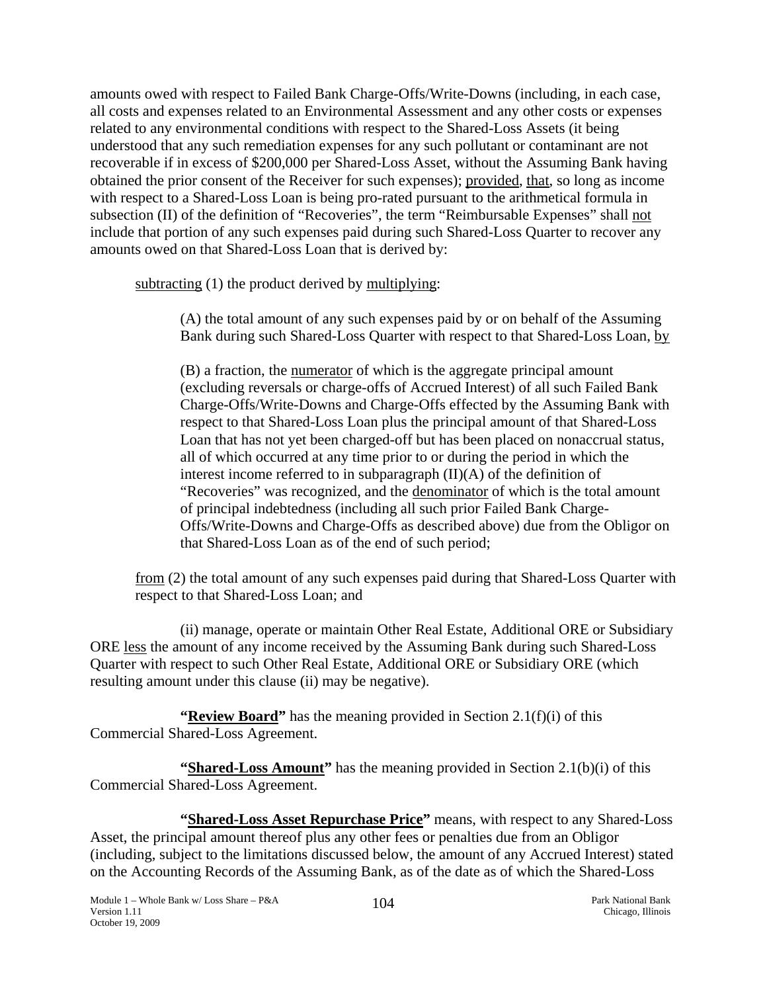amounts owed with respect to Failed Bank Charge-Offs/Write-Downs (including, in each case, all costs and expenses related to an Environmental Assessment and any other costs or expenses related to any environmental conditions with respect to the Shared-Loss Assets (it being understood that any such remediation expenses for any such pollutant or contaminant are not recoverable if in excess of \$200,000 per Shared-Loss Asset, without the Assuming Bank having obtained the prior consent of the Receiver for such expenses); provided, that, so long as income with respect to a Shared-Loss Loan is being pro-rated pursuant to the arithmetical formula in subsection (II) of the definition of "Recoveries", the term "Reimbursable Expenses" shall not include that portion of any such expenses paid during such Shared-Loss Quarter to recover any amounts owed on that Shared-Loss Loan that is derived by:

subtracting (1) the product derived by multiplying:

(A) the total amount of any such expenses paid by or on behalf of the Assuming Bank during such Shared-Loss Quarter with respect to that Shared-Loss Loan, by

(B) a fraction, the numerator of which is the aggregate principal amount (excluding reversals or charge-offs of Accrued Interest) of all such Failed Bank Charge-Offs/Write-Downs and Charge-Offs effected by the Assuming Bank with respect to that Shared-Loss Loan plus the principal amount of that Shared-Loss Loan that has not yet been charged-off but has been placed on nonaccrual status, all of which occurred at any time prior to or during the period in which the interest income referred to in subparagraph (II)(A) of the definition of "Recoveries" was recognized, and the denominator of which is the total amount of principal indebtedness (including all such prior Failed Bank Charge-Offs/Write-Downs and Charge-Offs as described above) due from the Obligor on that Shared-Loss Loan as of the end of such period;

from (2) the total amount of any such expenses paid during that Shared-Loss Quarter with respect to that Shared-Loss Loan; and

(ii) manage, operate or maintain Other Real Estate, Additional ORE or Subsidiary ORE less the amount of any income received by the Assuming Bank during such Shared-Loss Quarter with respect to such Other Real Estate, Additional ORE or Subsidiary ORE (which resulting amount under this clause (ii) may be negative).

**"Review Board"** has the meaning provided in Section 2.1(f)(i) of this Commercial Shared-Loss Agreement.

**"Shared-Loss Amount"** has the meaning provided in Section 2.1(b)(i) of this Commercial Shared-Loss Agreement.

**"Shared-Loss Asset Repurchase Price"** means, with respect to any Shared-Loss Asset, the principal amount thereof plus any other fees or penalties due from an Obligor (including, subject to the limitations discussed below, the amount of any Accrued Interest) stated on the Accounting Records of the Assuming Bank, as of the date as of which the Shared-Loss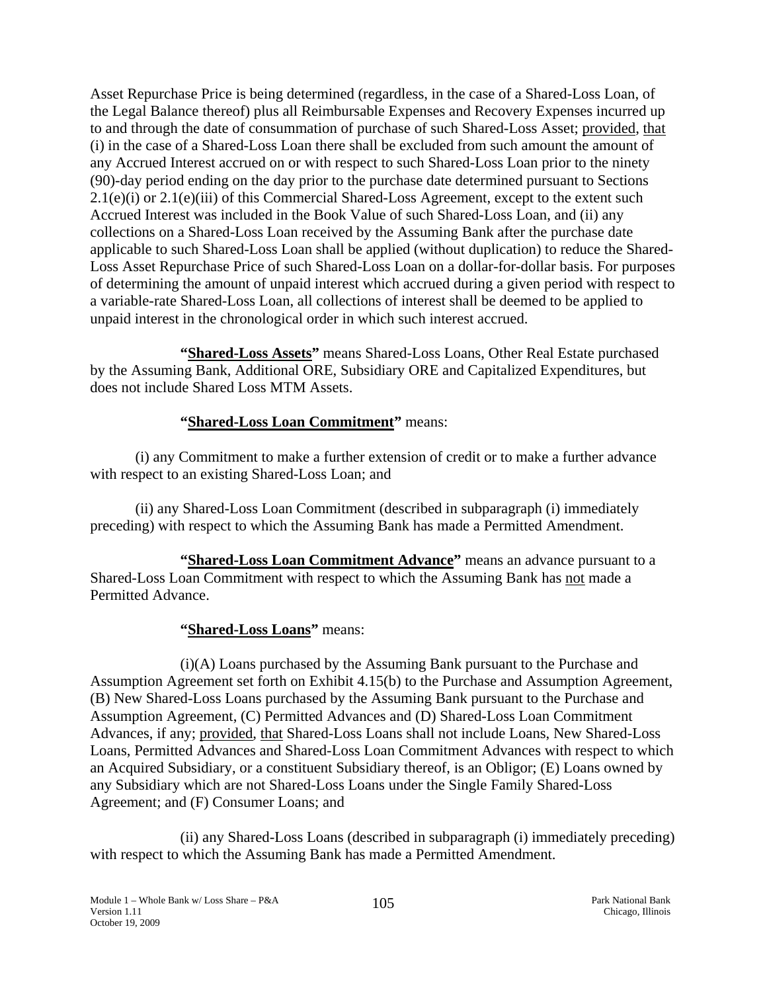Asset Repurchase Price is being determined (regardless, in the case of a Shared-Loss Loan, of the Legal Balance thereof) plus all Reimbursable Expenses and Recovery Expenses incurred up to and through the date of consummation of purchase of such Shared-Loss Asset; provided, that (i) in the case of a Shared-Loss Loan there shall be excluded from such amount the amount of any Accrued Interest accrued on or with respect to such Shared-Loss Loan prior to the ninety (90)-day period ending on the day prior to the purchase date determined pursuant to Sections 2.1(e)(i) or 2.1(e)(iii) of this Commercial Shared-Loss Agreement, except to the extent such Accrued Interest was included in the Book Value of such Shared-Loss Loan, and (ii) any collections on a Shared-Loss Loan received by the Assuming Bank after the purchase date applicable to such Shared-Loss Loan shall be applied (without duplication) to reduce the Shared-Loss Asset Repurchase Price of such Shared-Loss Loan on a dollar-for-dollar basis. For purposes of determining the amount of unpaid interest which accrued during a given period with respect to a variable-rate Shared-Loss Loan, all collections of interest shall be deemed to be applied to unpaid interest in the chronological order in which such interest accrued.

**"Shared-Loss Assets"** means Shared-Loss Loans, Other Real Estate purchased by the Assuming Bank, Additional ORE, Subsidiary ORE and Capitalized Expenditures, but does not include Shared Loss MTM Assets.

#### "Shared-Loss Loan Commitment" means:

(i) any Commitment to make a further extension of credit or to make a further advance with respect to an existing Shared-Loss Loan; and

(ii) any Shared-Loss Loan Commitment (described in subparagraph (i) immediately preceding) with respect to which the Assuming Bank has made a Permitted Amendment.

**"Shared-Loss Loan Commitment Advance"** means an advance pursuant to a Shared-Loss Loan Commitment with respect to which the Assuming Bank has not made a Permitted Advance.

#### **"Shared-Loss Loans"** means:

(i)(A) Loans purchased by the Assuming Bank pursuant to the Purchase and Assumption Agreement set forth on Exhibit 4.15(b) to the Purchase and Assumption Agreement, (B) New Shared-Loss Loans purchased by the Assuming Bank pursuant to the Purchase and Assumption Agreement, (C) Permitted Advances and (D) Shared-Loss Loan Commitment Advances, if any; provided, that Shared-Loss Loans shall not include Loans, New Shared-Loss Loans, Permitted Advances and Shared-Loss Loan Commitment Advances with respect to which an Acquired Subsidiary, or a constituent Subsidiary thereof, is an Obligor; (E) Loans owned by any Subsidiary which are not Shared-Loss Loans under the Single Family Shared-Loss Agreement; and (F) Consumer Loans; and

(ii) any Shared-Loss Loans (described in subparagraph (i) immediately preceding) with respect to which the Assuming Bank has made a Permitted Amendment.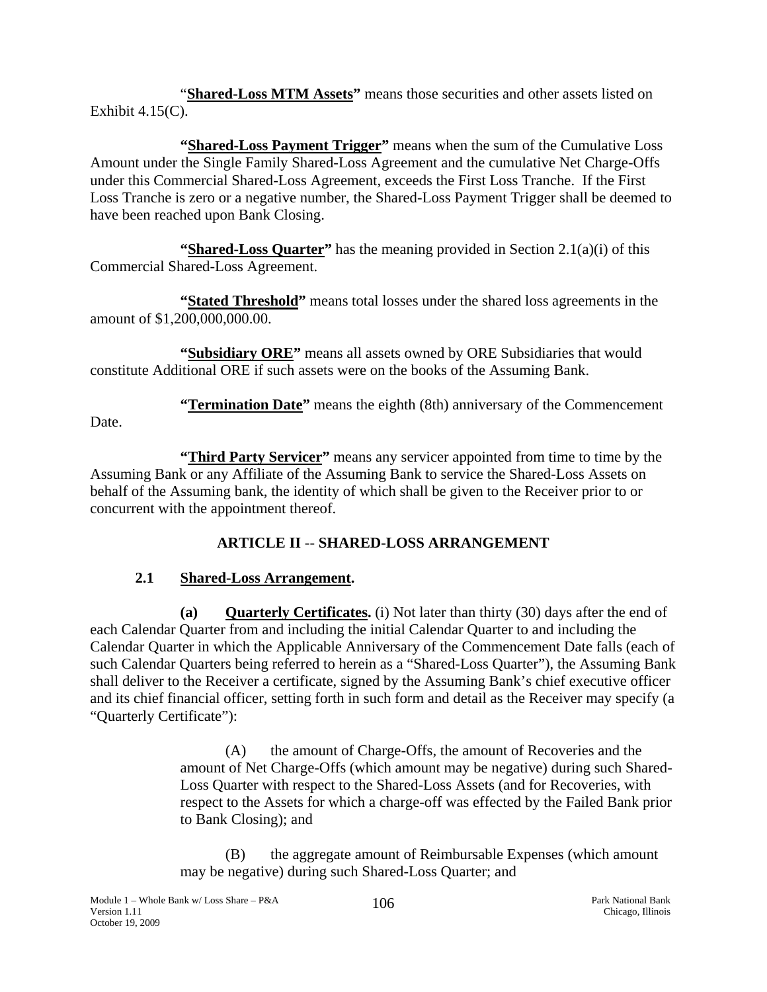"**Shared-Loss MTM Assets"** means those securities and other assets listed on Exhibit  $4.15(C)$ .

**"Shared-Loss Payment Trigger"** means when the sum of the Cumulative Loss Amount under the Single Family Shared-Loss Agreement and the cumulative Net Charge-Offs under this Commercial Shared-Loss Agreement, exceeds the First Loss Tranche. If the First Loss Tranche is zero or a negative number, the Shared-Loss Payment Trigger shall be deemed to have been reached upon Bank Closing.

**"Shared-Loss Quarter"** has the meaning provided in Section 2.1(a)(i) of this Commercial Shared-Loss Agreement.

**"Stated Threshold"** means total losses under the shared loss agreements in the amount of \$1,200,000,000.00.

**"Subsidiary ORE"** means all assets owned by ORE Subsidiaries that would constitute Additional ORE if such assets were on the books of the Assuming Bank.

**"Termination Date"** means the eighth (8th) anniversary of the Commencement

**"Third Party Servicer"** means any servicer appointed from time to time by the Assuming Bank or any Affiliate of the Assuming Bank to service the Shared-Loss Assets on behalf of the Assuming bank, the identity of which shall be given to the Receiver prior to or concurrent with the appointment thereof.

# **ARTICLE II** -- **SHARED-LOSS ARRANGEMENT**

# **2.1 Shared-Loss Arrangement.**

Date.

**(a) Quarterly Certificates.** (i) Not later than thirty (30) days after the end of each Calendar Quarter from and including the initial Calendar Quarter to and including the Calendar Quarter in which the Applicable Anniversary of the Commencement Date falls (each of such Calendar Quarters being referred to herein as a "Shared-Loss Quarter"), the Assuming Bank shall deliver to the Receiver a certificate, signed by the Assuming Bank's chief executive officer and its chief financial officer, setting forth in such form and detail as the Receiver may specify (a "Quarterly Certificate"):

> (A) the amount of Charge-Offs, the amount of Recoveries and the amount of Net Charge-Offs (which amount may be negative) during such Shared-Loss Quarter with respect to the Shared-Loss Assets (and for Recoveries, with respect to the Assets for which a charge-off was effected by the Failed Bank prior to Bank Closing); and

(B) the aggregate amount of Reimbursable Expenses (which amount may be negative) during such Shared-Loss Quarter; and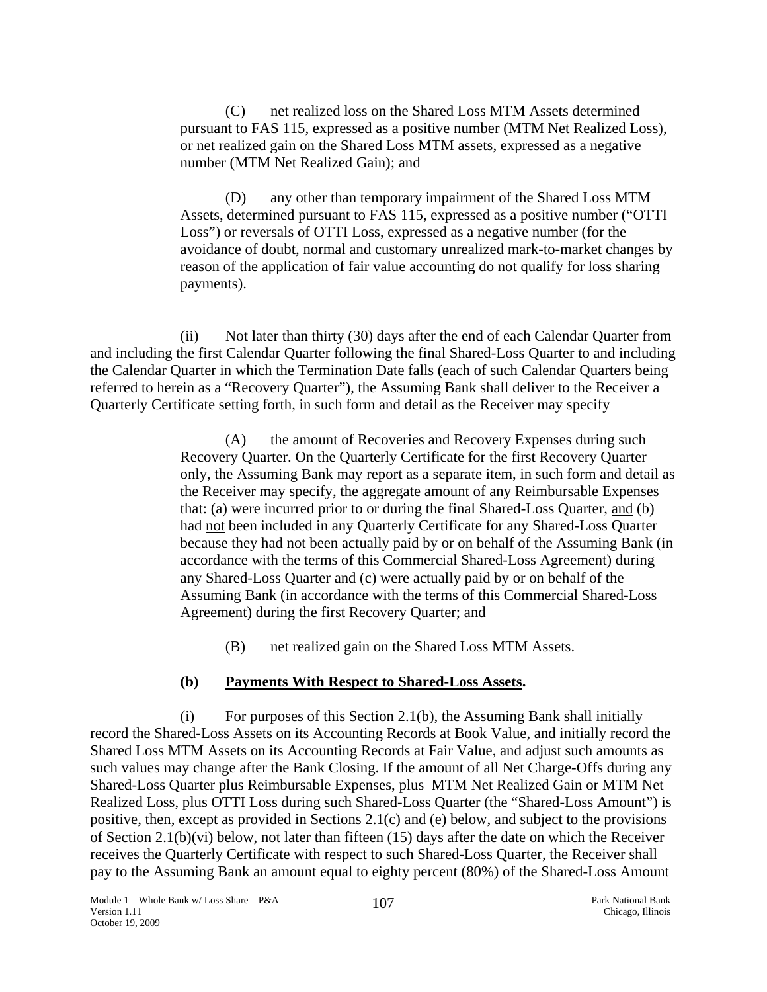(C) net realized loss on the Shared Loss MTM Assets determined pursuant to FAS 115, expressed as a positive number (MTM Net Realized Loss), or net realized gain on the Shared Loss MTM assets, expressed as a negative number (MTM Net Realized Gain); and

(D) any other than temporary impairment of the Shared Loss MTM Assets, determined pursuant to FAS 115, expressed as a positive number ("OTTI Loss") or reversals of OTTI Loss, expressed as a negative number (for the avoidance of doubt, normal and customary unrealized mark-to-market changes by reason of the application of fair value accounting do not qualify for loss sharing payments).

(ii) Not later than thirty (30) days after the end of each Calendar Quarter from and including the first Calendar Quarter following the final Shared-Loss Quarter to and including the Calendar Quarter in which the Termination Date falls (each of such Calendar Quarters being referred to herein as a "Recovery Quarter"), the Assuming Bank shall deliver to the Receiver a Quarterly Certificate setting forth, in such form and detail as the Receiver may specify

> (A) the amount of Recoveries and Recovery Expenses during such Recovery Quarter. On the Quarterly Certificate for the first Recovery Quarter only, the Assuming Bank may report as a separate item, in such form and detail as the Receiver may specify, the aggregate amount of any Reimbursable Expenses that: (a) were incurred prior to or during the final Shared-Loss Quarter, and (b) had not been included in any Quarterly Certificate for any Shared-Loss Quarter because they had not been actually paid by or on behalf of the Assuming Bank (in accordance with the terms of this Commercial Shared-Loss Agreement) during any Shared-Loss Quarter and (c) were actually paid by or on behalf of the Assuming Bank (in accordance with the terms of this Commercial Shared-Loss Agreement) during the first Recovery Quarter; and

(B) net realized gain on the Shared Loss MTM Assets.

# **(b) Payments With Respect to Shared-Loss Assets.**

(i) For purposes of this Section 2.1(b), the Assuming Bank shall initially record the Shared-Loss Assets on its Accounting Records at Book Value, and initially record the Shared Loss MTM Assets on its Accounting Records at Fair Value, and adjust such amounts as such values may change after the Bank Closing. If the amount of all Net Charge-Offs during any Shared-Loss Quarter plus Reimbursable Expenses, plus MTM Net Realized Gain or MTM Net Realized Loss, plus OTTI Loss during such Shared-Loss Quarter (the "Shared-Loss Amount") is positive, then, except as provided in Sections 2.1(c) and (e) below, and subject to the provisions of Section 2.1(b)(vi) below, not later than fifteen (15) days after the date on which the Receiver receives the Quarterly Certificate with respect to such Shared-Loss Quarter, the Receiver shall pay to the Assuming Bank an amount equal to eighty percent (80%) of the Shared-Loss Amount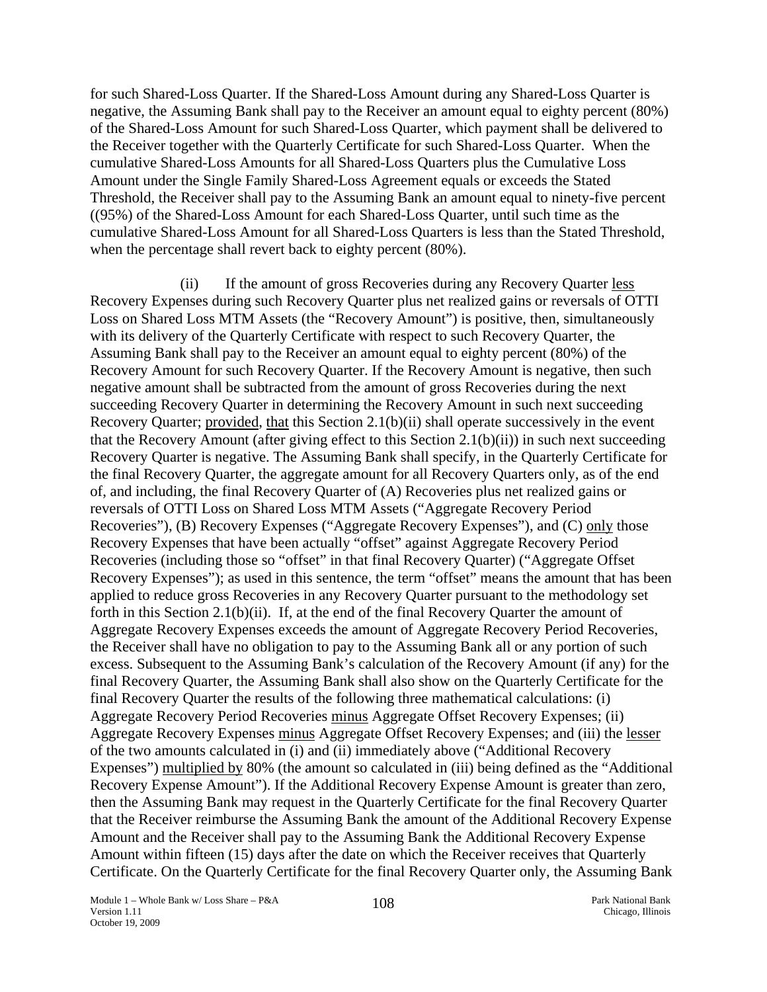for such Shared-Loss Quarter. If the Shared-Loss Amount during any Shared-Loss Quarter is negative, the Assuming Bank shall pay to the Receiver an amount equal to eighty percent (80%) of the Shared-Loss Amount for such Shared-Loss Quarter, which payment shall be delivered to the Receiver together with the Quarterly Certificate for such Shared-Loss Quarter. When the cumulative Shared-Loss Amounts for all Shared-Loss Quarters plus the Cumulative Loss Amount under the Single Family Shared-Loss Agreement equals or exceeds the Stated Threshold, the Receiver shall pay to the Assuming Bank an amount equal to ninety-five percent ((95%) of the Shared-Loss Amount for each Shared-Loss Quarter, until such time as the cumulative Shared-Loss Amount for all Shared-Loss Quarters is less than the Stated Threshold, when the percentage shall revert back to eighty percent (80%).

(ii) If the amount of gross Recoveries during any Recovery Quarter less Recovery Expenses during such Recovery Quarter plus net realized gains or reversals of OTTI Loss on Shared Loss MTM Assets (the "Recovery Amount") is positive, then, simultaneously with its delivery of the Quarterly Certificate with respect to such Recovery Quarter, the Assuming Bank shall pay to the Receiver an amount equal to eighty percent (80%) of the Recovery Amount for such Recovery Quarter. If the Recovery Amount is negative, then such negative amount shall be subtracted from the amount of gross Recoveries during the next succeeding Recovery Quarter in determining the Recovery Amount in such next succeeding Recovery Quarter; provided, that this Section 2.1(b)(ii) shall operate successively in the event that the Recovery Amount (after giving effect to this Section 2.1(b)(ii)) in such next succeeding Recovery Quarter is negative. The Assuming Bank shall specify, in the Quarterly Certificate for the final Recovery Quarter, the aggregate amount for all Recovery Quarters only, as of the end of, and including, the final Recovery Quarter of (A) Recoveries plus net realized gains or reversals of OTTI Loss on Shared Loss MTM Assets ("Aggregate Recovery Period Recoveries"), (B) Recovery Expenses ("Aggregate Recovery Expenses"), and (C) only those Recovery Expenses that have been actually "offset" against Aggregate Recovery Period Recoveries (including those so "offset" in that final Recovery Quarter) ("Aggregate Offset Recovery Expenses"); as used in this sentence, the term "offset" means the amount that has been applied to reduce gross Recoveries in any Recovery Quarter pursuant to the methodology set forth in this Section 2.1(b)(ii). If, at the end of the final Recovery Quarter the amount of Aggregate Recovery Expenses exceeds the amount of Aggregate Recovery Period Recoveries, the Receiver shall have no obligation to pay to the Assuming Bank all or any portion of such excess. Subsequent to the Assuming Bank's calculation of the Recovery Amount (if any) for the final Recovery Quarter, the Assuming Bank shall also show on the Quarterly Certificate for the final Recovery Quarter the results of the following three mathematical calculations: (i) Aggregate Recovery Period Recoveries minus Aggregate Offset Recovery Expenses; (ii) Aggregate Recovery Expenses minus Aggregate Offset Recovery Expenses; and (iii) the lesser of the two amounts calculated in (i) and (ii) immediately above ("Additional Recovery Expenses") multiplied by 80% (the amount so calculated in (iii) being defined as the "Additional Recovery Expense Amount"). If the Additional Recovery Expense Amount is greater than zero, then the Assuming Bank may request in the Quarterly Certificate for the final Recovery Quarter that the Receiver reimburse the Assuming Bank the amount of the Additional Recovery Expense Amount and the Receiver shall pay to the Assuming Bank the Additional Recovery Expense Amount within fifteen (15) days after the date on which the Receiver receives that Quarterly Certificate. On the Quarterly Certificate for the final Recovery Quarter only, the Assuming Bank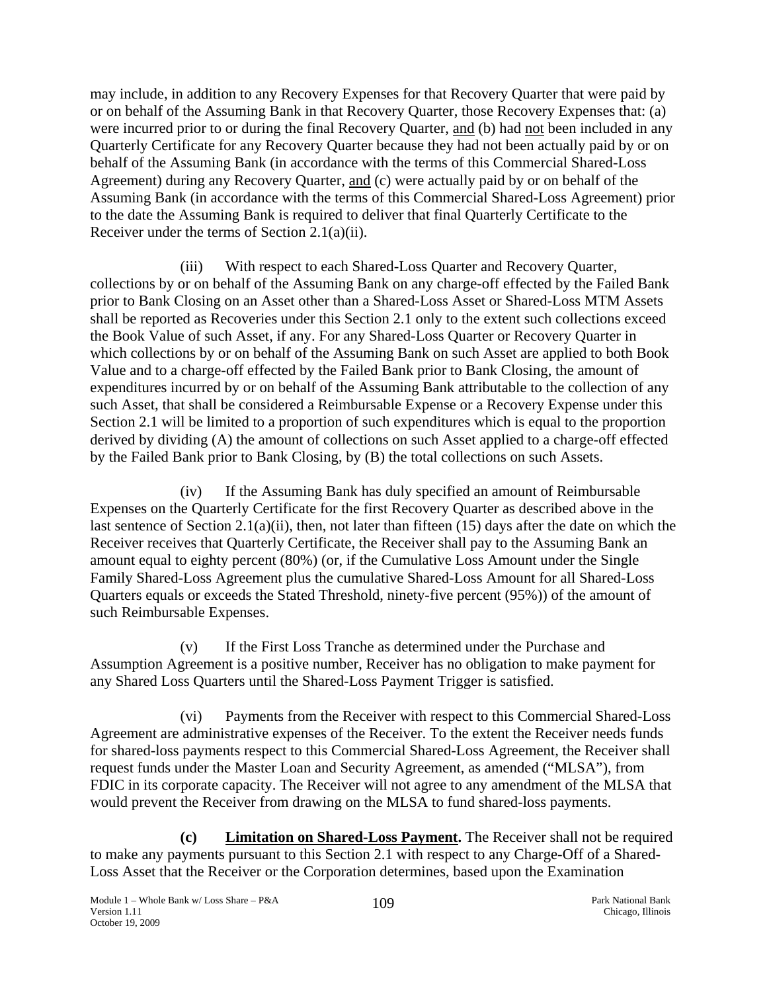may include, in addition to any Recovery Expenses for that Recovery Quarter that were paid by or on behalf of the Assuming Bank in that Recovery Quarter, those Recovery Expenses that: (a) were incurred prior to or during the final Recovery Quarter, and (b) had not been included in any Quarterly Certificate for any Recovery Quarter because they had not been actually paid by or on behalf of the Assuming Bank (in accordance with the terms of this Commercial Shared-Loss Agreement) during any Recovery Quarter, and (c) were actually paid by or on behalf of the Assuming Bank (in accordance with the terms of this Commercial Shared-Loss Agreement) prior to the date the Assuming Bank is required to deliver that final Quarterly Certificate to the Receiver under the terms of Section 2.1(a)(ii).

(iii) With respect to each Shared-Loss Quarter and Recovery Quarter, collections by or on behalf of the Assuming Bank on any charge-off effected by the Failed Bank prior to Bank Closing on an Asset other than a Shared-Loss Asset or Shared-Loss MTM Assets shall be reported as Recoveries under this Section 2.1 only to the extent such collections exceed the Book Value of such Asset, if any. For any Shared-Loss Quarter or Recovery Quarter in which collections by or on behalf of the Assuming Bank on such Asset are applied to both Book Value and to a charge-off effected by the Failed Bank prior to Bank Closing, the amount of expenditures incurred by or on behalf of the Assuming Bank attributable to the collection of any such Asset, that shall be considered a Reimbursable Expense or a Recovery Expense under this Section 2.1 will be limited to a proportion of such expenditures which is equal to the proportion derived by dividing (A) the amount of collections on such Asset applied to a charge-off effected by the Failed Bank prior to Bank Closing, by (B) the total collections on such Assets.

(iv) If the Assuming Bank has duly specified an amount of Reimbursable Expenses on the Quarterly Certificate for the first Recovery Quarter as described above in the last sentence of Section 2.1(a)(ii), then, not later than fifteen (15) days after the date on which the Receiver receives that Quarterly Certificate, the Receiver shall pay to the Assuming Bank an amount equal to eighty percent (80%) (or, if the Cumulative Loss Amount under the Single Family Shared-Loss Agreement plus the cumulative Shared-Loss Amount for all Shared-Loss Quarters equals or exceeds the Stated Threshold, ninety-five percent (95%)) of the amount of such Reimbursable Expenses.

(v) If the First Loss Tranche as determined under the Purchase and Assumption Agreement is a positive number, Receiver has no obligation to make payment for any Shared Loss Quarters until the Shared-Loss Payment Trigger is satisfied.

(vi) Payments from the Receiver with respect to this Commercial Shared-Loss Agreement are administrative expenses of the Receiver. To the extent the Receiver needs funds for shared-loss payments respect to this Commercial Shared-Loss Agreement, the Receiver shall request funds under the Master Loan and Security Agreement, as amended ("MLSA"), from FDIC in its corporate capacity. The Receiver will not agree to any amendment of the MLSA that would prevent the Receiver from drawing on the MLSA to fund shared-loss payments.

**(c) Limitation on Shared-Loss Payment.** The Receiver shall not be required to make any payments pursuant to this Section 2.1 with respect to any Charge-Off of a Shared-Loss Asset that the Receiver or the Corporation determines, based upon the Examination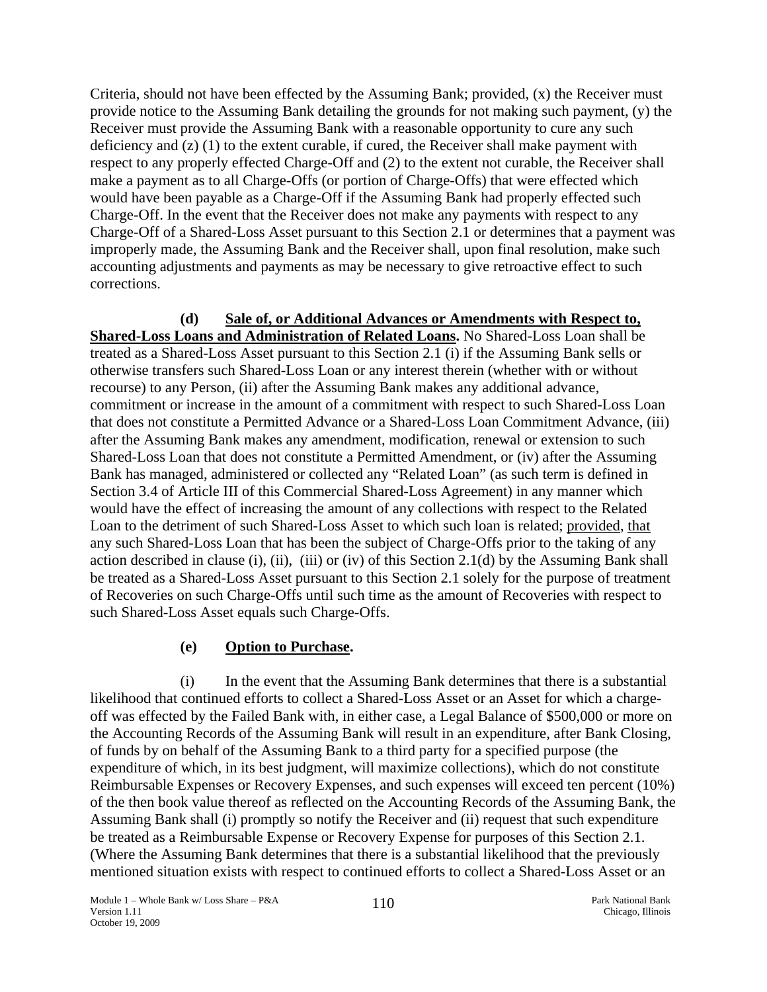Criteria, should not have been effected by the Assuming Bank; provided, (x) the Receiver must provide notice to the Assuming Bank detailing the grounds for not making such payment, (y) the Receiver must provide the Assuming Bank with a reasonable opportunity to cure any such deficiency and  $(z)$  (1) to the extent curable, if cured, the Receiver shall make payment with respect to any properly effected Charge-Off and (2) to the extent not curable, the Receiver shall make a payment as to all Charge-Offs (or portion of Charge-Offs) that were effected which would have been payable as a Charge-Off if the Assuming Bank had properly effected such Charge-Off. In the event that the Receiver does not make any payments with respect to any Charge-Off of a Shared-Loss Asset pursuant to this Section 2.1 or determines that a payment was improperly made, the Assuming Bank and the Receiver shall, upon final resolution, make such accounting adjustments and payments as may be necessary to give retroactive effect to such corrections.

Loan to the detriment of such Shared-Loss Asset to which such loan is related; provided, that **(d) Sale of, or Additional Advances or Amendments with Respect to, Shared-Loss Loans and Administration of Related Loans.** No Shared-Loss Loan shall be treated as a Shared-Loss Asset pursuant to this Section 2.1 (i) if the Assuming Bank sells or otherwise transfers such Shared-Loss Loan or any interest therein (whether with or without recourse) to any Person, (ii) after the Assuming Bank makes any additional advance, commitment or increase in the amount of a commitment with respect to such Shared-Loss Loan that does not constitute a Permitted Advance or a Shared-Loss Loan Commitment Advance, (iii) after the Assuming Bank makes any amendment, modification, renewal or extension to such Shared-Loss Loan that does not constitute a Permitted Amendment, or (iv) after the Assuming Bank has managed, administered or collected any "Related Loan" (as such term is defined in Section 3.4 of Article III of this Commercial Shared-Loss Agreement) in any manner which would have the effect of increasing the amount of any collections with respect to the Related any such Shared-Loss Loan that has been the subject of Charge-Offs prior to the taking of any action described in clause (i), (ii), (iii) or (iv) of this Section 2.1(d) by the Assuming Bank shall be treated as a Shared-Loss Asset pursuant to this Section 2.1 solely for the purpose of treatment of Recoveries on such Charge-Offs until such time as the amount of Recoveries with respect to such Shared-Loss Asset equals such Charge-Offs.

# **(e) Option to Purchase.**

(i) In the event that the Assuming Bank determines that there is a substantial likelihood that continued efforts to collect a Shared-Loss Asset or an Asset for which a chargeoff was effected by the Failed Bank with, in either case, a Legal Balance of \$500,000 or more on the Accounting Records of the Assuming Bank will result in an expenditure, after Bank Closing, of funds by on behalf of the Assuming Bank to a third party for a specified purpose (the expenditure of which, in its best judgment, will maximize collections), which do not constitute Reimbursable Expenses or Recovery Expenses, and such expenses will exceed ten percent (10%) of the then book value thereof as reflected on the Accounting Records of the Assuming Bank, the Assuming Bank shall (i) promptly so notify the Receiver and (ii) request that such expenditure be treated as a Reimbursable Expense or Recovery Expense for purposes of this Section 2.1. (Where the Assuming Bank determines that there is a substantial likelihood that the previously mentioned situation exists with respect to continued efforts to collect a Shared-Loss Asset or an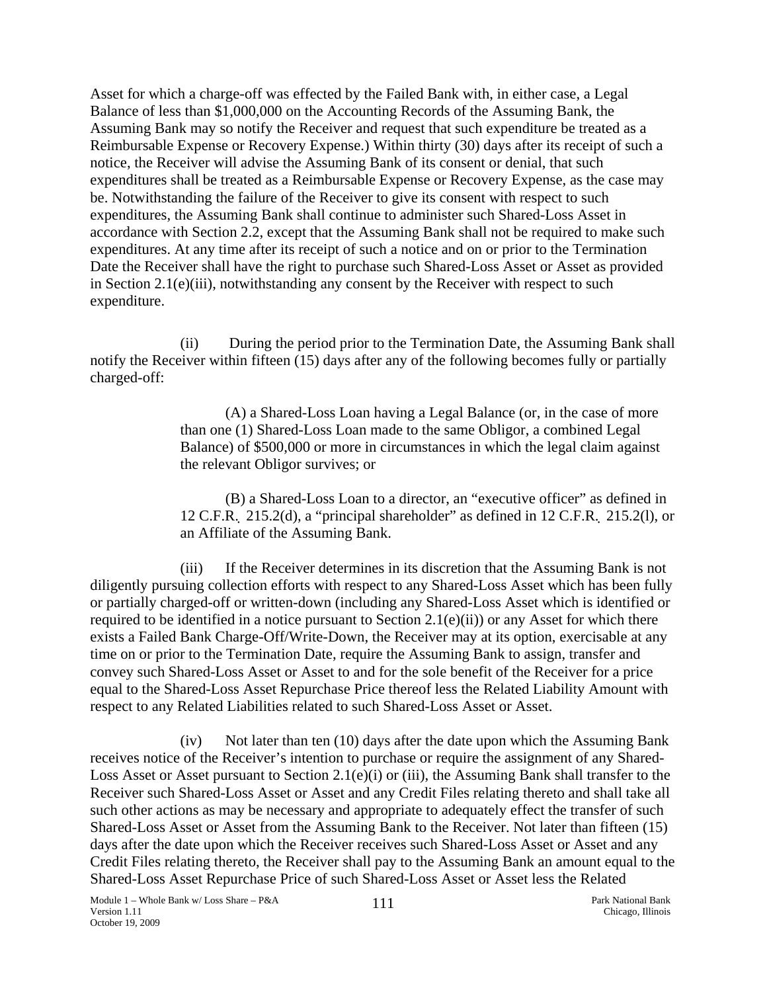Asset for which a charge-off was effected by the Failed Bank with, in either case, a Legal Balance of less than \$1,000,000 on the Accounting Records of the Assuming Bank, the Assuming Bank may so notify the Receiver and request that such expenditure be treated as a Reimbursable Expense or Recovery Expense.) Within thirty (30) days after its receipt of such a notice, the Receiver will advise the Assuming Bank of its consent or denial, that such expenditures shall be treated as a Reimbursable Expense or Recovery Expense, as the case may be. Notwithstanding the failure of the Receiver to give its consent with respect to such expenditures, the Assuming Bank shall continue to administer such Shared-Loss Asset in accordance with Section 2.2, except that the Assuming Bank shall not be required to make such expenditures. At any time after its receipt of such a notice and on or prior to the Termination Date the Receiver shall have the right to purchase such Shared-Loss Asset or Asset as provided in Section 2.1(e)(iii), notwithstanding any consent by the Receiver with respect to such expenditure.

(ii) During the period prior to the Termination Date, the Assuming Bank shall notify the Receiver within fifteen (15) days after any of the following becomes fully or partially charged-off:

> (A) a Shared-Loss Loan having a Legal Balance (or, in the case of more than one (1) Shared-Loss Loan made to the same Obligor, a combined Legal Balance) of \$500,000 or more in circumstances in which the legal claim against the relevant Obligor survives; or

(B) a Shared-Loss Loan to a director, an "executive officer" as defined in 12 C.F.R. 215.2(d), a "principal shareholder" as defined in 12 C.F.R. 215.2(l), or an Affiliate of the Assuming Bank.

(iii) If the Receiver determines in its discretion that the Assuming Bank is not diligently pursuing collection efforts with respect to any Shared-Loss Asset which has been fully or partially charged-off or written-down (including any Shared-Loss Asset which is identified or required to be identified in a notice pursuant to Section 2.1(e)(ii)) or any Asset for which there exists a Failed Bank Charge-Off/Write-Down, the Receiver may at its option, exercisable at any time on or prior to the Termination Date, require the Assuming Bank to assign, transfer and convey such Shared-Loss Asset or Asset to and for the sole benefit of the Receiver for a price equal to the Shared-Loss Asset Repurchase Price thereof less the Related Liability Amount with respect to any Related Liabilities related to such Shared-Loss Asset or Asset.

(iv) Not later than ten (10) days after the date upon which the Assuming Bank receives notice of the Receiver's intention to purchase or require the assignment of any Shared-Loss Asset or Asset pursuant to Section 2.1(e)(i) or (iii), the Assuming Bank shall transfer to the Receiver such Shared-Loss Asset or Asset and any Credit Files relating thereto and shall take all such other actions as may be necessary and appropriate to adequately effect the transfer of such Shared-Loss Asset or Asset from the Assuming Bank to the Receiver. Not later than fifteen (15) days after the date upon which the Receiver receives such Shared-Loss Asset or Asset and any Credit Files relating thereto, the Receiver shall pay to the Assuming Bank an amount equal to the Shared-Loss Asset Repurchase Price of such Shared-Loss Asset or Asset less the Related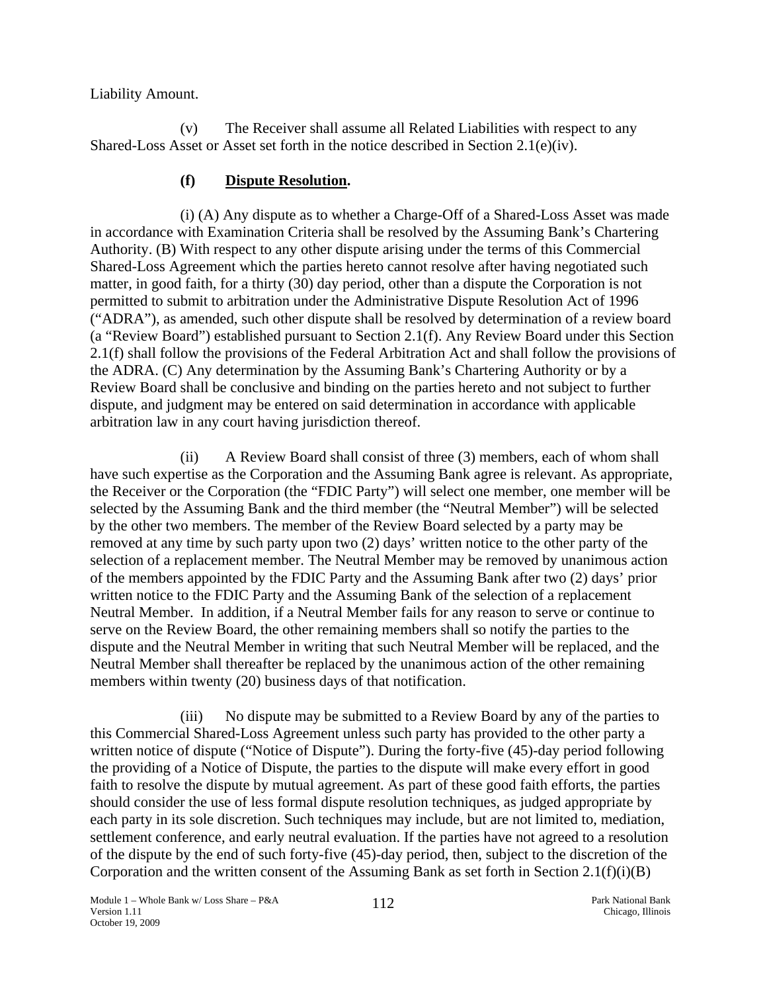Liability Amount.

(v) The Receiver shall assume all Related Liabilities with respect to any Shared-Loss Asset or Asset set forth in the notice described in Section 2.1(e)(iv).

### **(f) Dispute Resolution.**

(i) (A) Any dispute as to whether a Charge-Off of a Shared-Loss Asset was made in accordance with Examination Criteria shall be resolved by the Assuming Bank's Chartering Authority. (B) With respect to any other dispute arising under the terms of this Commercial Shared-Loss Agreement which the parties hereto cannot resolve after having negotiated such matter, in good faith, for a thirty (30) day period, other than a dispute the Corporation is not permitted to submit to arbitration under the Administrative Dispute Resolution Act of 1996 ("ADRA"), as amended, such other dispute shall be resolved by determination of a review board (a "Review Board") established pursuant to Section 2.1(f). Any Review Board under this Section 2.1(f) shall follow the provisions of the Federal Arbitration Act and shall follow the provisions of the ADRA. (C) Any determination by the Assuming Bank's Chartering Authority or by a Review Board shall be conclusive and binding on the parties hereto and not subject to further dispute, and judgment may be entered on said determination in accordance with applicable arbitration law in any court having jurisdiction thereof.

(ii) A Review Board shall consist of three (3) members, each of whom shall have such expertise as the Corporation and the Assuming Bank agree is relevant. As appropriate, the Receiver or the Corporation (the "FDIC Party") will select one member, one member will be selected by the Assuming Bank and the third member (the "Neutral Member") will be selected by the other two members. The member of the Review Board selected by a party may be removed at any time by such party upon two (2) days' written notice to the other party of the selection of a replacement member. The Neutral Member may be removed by unanimous action of the members appointed by the FDIC Party and the Assuming Bank after two (2) days' prior written notice to the FDIC Party and the Assuming Bank of the selection of a replacement Neutral Member. In addition, if a Neutral Member fails for any reason to serve or continue to serve on the Review Board, the other remaining members shall so notify the parties to the dispute and the Neutral Member in writing that such Neutral Member will be replaced, and the Neutral Member shall thereafter be replaced by the unanimous action of the other remaining members within twenty (20) business days of that notification.

(iii) No dispute may be submitted to a Review Board by any of the parties to this Commercial Shared-Loss Agreement unless such party has provided to the other party a written notice of dispute ("Notice of Dispute"). During the forty-five (45)-day period following the providing of a Notice of Dispute, the parties to the dispute will make every effort in good faith to resolve the dispute by mutual agreement. As part of these good faith efforts, the parties should consider the use of less formal dispute resolution techniques, as judged appropriate by each party in its sole discretion. Such techniques may include, but are not limited to, mediation, settlement conference, and early neutral evaluation. If the parties have not agreed to a resolution of the dispute by the end of such forty-five (45)-day period, then, subject to the discretion of the Corporation and the written consent of the Assuming Bank as set forth in Section 2.1(f)(i)(B)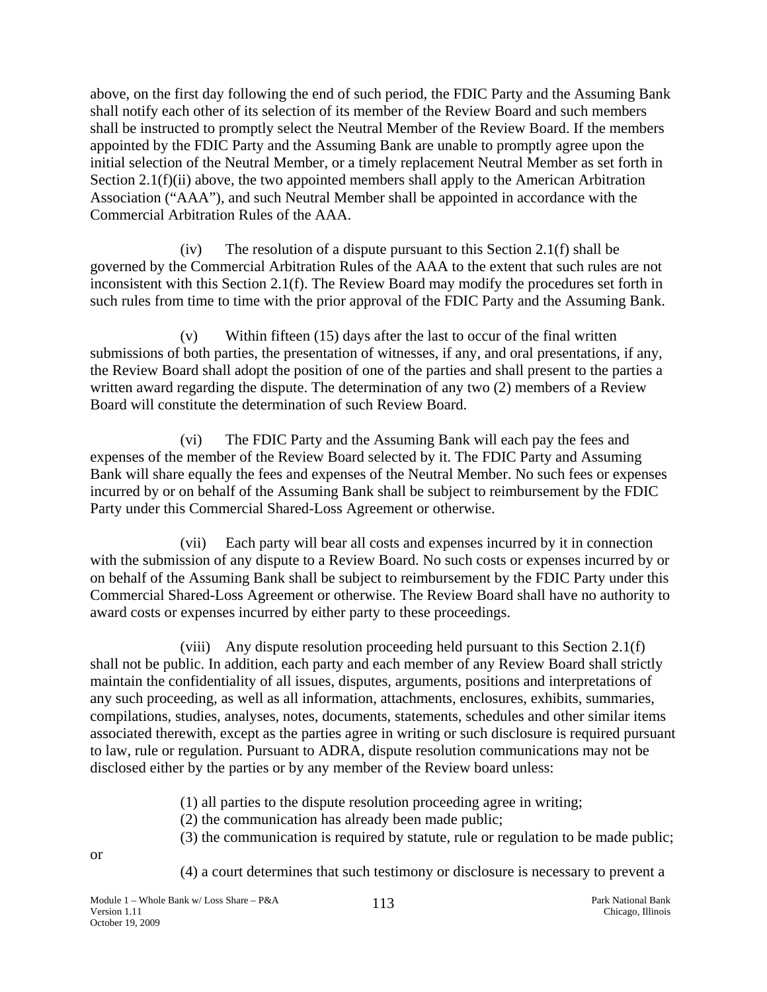above, on the first day following the end of such period, the FDIC Party and the Assuming Bank shall notify each other of its selection of its member of the Review Board and such members shall be instructed to promptly select the Neutral Member of the Review Board. If the members appointed by the FDIC Party and the Assuming Bank are unable to promptly agree upon the initial selection of the Neutral Member, or a timely replacement Neutral Member as set forth in Section 2.1(f)(ii) above, the two appointed members shall apply to the American Arbitration Association ("AAA"), and such Neutral Member shall be appointed in accordance with the Commercial Arbitration Rules of the AAA.

(iv) The resolution of a dispute pursuant to this Section 2.1(f) shall be governed by the Commercial Arbitration Rules of the AAA to the extent that such rules are not inconsistent with this Section 2.1(f). The Review Board may modify the procedures set forth in such rules from time to time with the prior approval of the FDIC Party and the Assuming Bank.

(v) Within fifteen (15) days after the last to occur of the final written submissions of both parties, the presentation of witnesses, if any, and oral presentations, if any, the Review Board shall adopt the position of one of the parties and shall present to the parties a written award regarding the dispute. The determination of any two  $(2)$  members of a Review Board will constitute the determination of such Review Board.

(vi) The FDIC Party and the Assuming Bank will each pay the fees and expenses of the member of the Review Board selected by it. The FDIC Party and Assuming Bank will share equally the fees and expenses of the Neutral Member. No such fees or expenses incurred by or on behalf of the Assuming Bank shall be subject to reimbursement by the FDIC Party under this Commercial Shared-Loss Agreement or otherwise.

(vii) Each party will bear all costs and expenses incurred by it in connection with the submission of any dispute to a Review Board. No such costs or expenses incurred by or on behalf of the Assuming Bank shall be subject to reimbursement by the FDIC Party under this Commercial Shared-Loss Agreement or otherwise. The Review Board shall have no authority to award costs or expenses incurred by either party to these proceedings.

(viii) Any dispute resolution proceeding held pursuant to this Section 2.1(f) shall not be public. In addition, each party and each member of any Review Board shall strictly maintain the confidentiality of all issues, disputes, arguments, positions and interpretations of any such proceeding, as well as all information, attachments, enclosures, exhibits, summaries, compilations, studies, analyses, notes, documents, statements, schedules and other similar items associated therewith, except as the parties agree in writing or such disclosure is required pursuant to law, rule or regulation. Pursuant to ADRA, dispute resolution communications may not be disclosed either by the parties or by any member of the Review board unless:

(1) all parties to the dispute resolution proceeding agree in writing;

- (2) the communication has already been made public;
- (3) the communication is required by statute, rule or regulation to be made public;

or

(4) a court determines that such testimony or disclosure is necessary to prevent a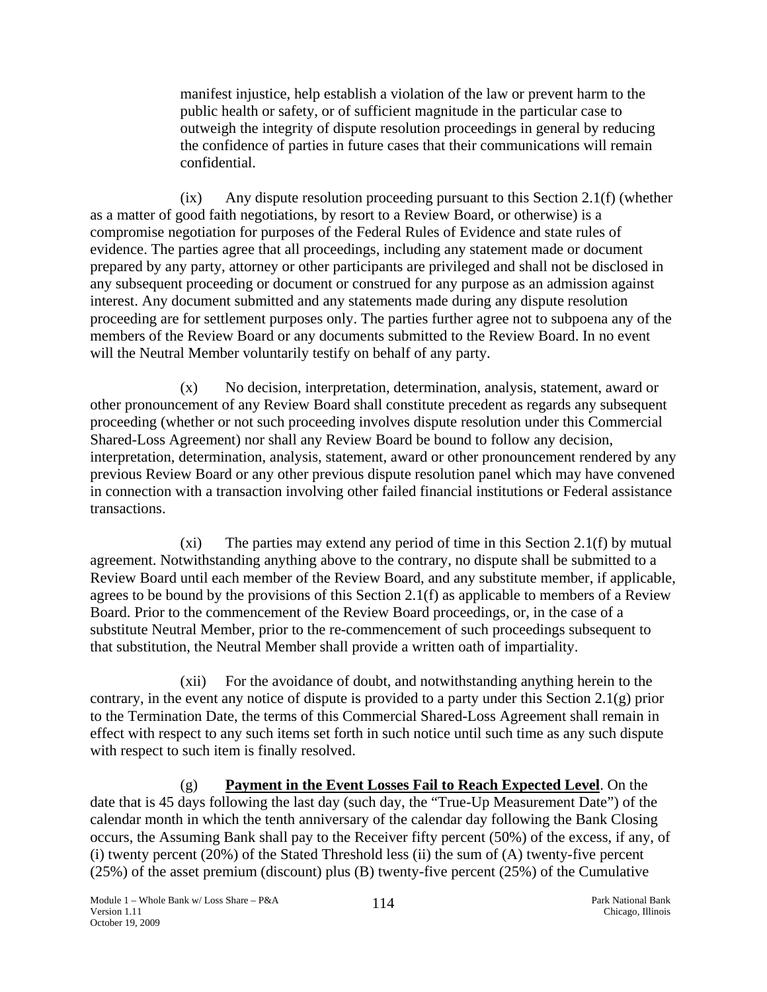manifest injustice, help establish a violation of the law or prevent harm to the public health or safety, or of sufficient magnitude in the particular case to outweigh the integrity of dispute resolution proceedings in general by reducing the confidence of parties in future cases that their communications will remain confidential.

 $(ix)$  Any dispute resolution proceeding pursuant to this Section 2.1(f) (whether as a matter of good faith negotiations, by resort to a Review Board, or otherwise) is a compromise negotiation for purposes of the Federal Rules of Evidence and state rules of evidence. The parties agree that all proceedings, including any statement made or document prepared by any party, attorney or other participants are privileged and shall not be disclosed in any subsequent proceeding or document or construed for any purpose as an admission against interest. Any document submitted and any statements made during any dispute resolution proceeding are for settlement purposes only. The parties further agree not to subpoena any of the members of the Review Board or any documents submitted to the Review Board. In no event will the Neutral Member voluntarily testify on behalf of any party.

(x) No decision, interpretation, determination, analysis, statement, award or other pronouncement of any Review Board shall constitute precedent as regards any subsequent proceeding (whether or not such proceeding involves dispute resolution under this Commercial Shared-Loss Agreement) nor shall any Review Board be bound to follow any decision, interpretation, determination, analysis, statement, award or other pronouncement rendered by any previous Review Board or any other previous dispute resolution panel which may have convened in connection with a transaction involving other failed financial institutions or Federal assistance transactions.

(xi) The parties may extend any period of time in this Section 2.1(f) by mutual agreement. Notwithstanding anything above to the contrary, no dispute shall be submitted to a Review Board until each member of the Review Board, and any substitute member, if applicable, agrees to be bound by the provisions of this Section 2.1(f) as applicable to members of a Review Board. Prior to the commencement of the Review Board proceedings, or, in the case of a substitute Neutral Member, prior to the re-commencement of such proceedings subsequent to that substitution, the Neutral Member shall provide a written oath of impartiality.

(xii) For the avoidance of doubt, and notwithstanding anything herein to the contrary, in the event any notice of dispute is provided to a party under this Section 2.1(g) prior to the Termination Date, the terms of this Commercial Shared-Loss Agreement shall remain in effect with respect to any such items set forth in such notice until such time as any such dispute with respect to such item is finally resolved.

 (g) **Payment in the Event Losses Fail to Reach Expected Level**. On the date that is 45 days following the last day (such day, the "True-Up Measurement Date") of the calendar month in which the tenth anniversary of the calendar day following the Bank Closing occurs, the Assuming Bank shall pay to the Receiver fifty percent (50%) of the excess, if any, of  $(i)$  twenty percent (20%) of the Stated Threshold less  $(ii)$  the sum of  $(A)$  twenty-five percent (25%) of the asset premium (discount) plus (B) twenty-five percent (25%) of the Cumulative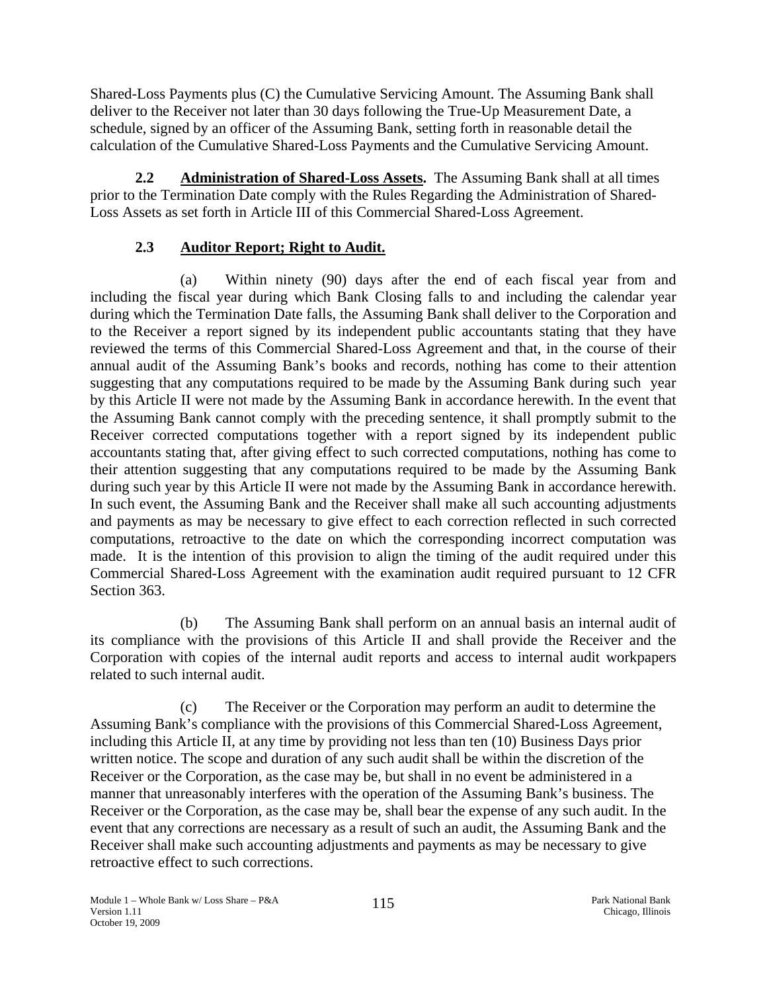Shared-Loss Payments plus (C) the Cumulative Servicing Amount. The Assuming Bank shall deliver to the Receiver not later than 30 days following the True-Up Measurement Date, a schedule, signed by an officer of the Assuming Bank, setting forth in reasonable detail the calculation of the Cumulative Shared-Loss Payments and the Cumulative Servicing Amount.

**2.2 Administration of Shared-Loss Assets.** The Assuming Bank shall at all times prior to the Termination Date comply with the Rules Regarding the Administration of Shared-Loss Assets as set forth in Article III of this Commercial Shared-Loss Agreement.

# **2.3 Auditor Report; Right to Audit.**

(a) Within ninety (90) days after the end of each fiscal year from and including the fiscal year during which Bank Closing falls to and including the calendar year during which the Termination Date falls, the Assuming Bank shall deliver to the Corporation and to the Receiver a report signed by its independent public accountants stating that they have reviewed the terms of this Commercial Shared-Loss Agreement and that, in the course of their annual audit of the Assuming Bank's books and records, nothing has come to their attention suggesting that any computations required to be made by the Assuming Bank during such year by this Article II were not made by the Assuming Bank in accordance herewith. In the event that the Assuming Bank cannot comply with the preceding sentence, it shall promptly submit to the Receiver corrected computations together with a report signed by its independent public accountants stating that, after giving effect to such corrected computations, nothing has come to their attention suggesting that any computations required to be made by the Assuming Bank during such year by this Article II were not made by the Assuming Bank in accordance herewith. In such event, the Assuming Bank and the Receiver shall make all such accounting adjustments and payments as may be necessary to give effect to each correction reflected in such corrected computations, retroactive to the date on which the corresponding incorrect computation was made. It is the intention of this provision to align the timing of the audit required under this Commercial Shared-Loss Agreement with the examination audit required pursuant to 12 CFR Section 363.

(b) The Assuming Bank shall perform on an annual basis an internal audit of its compliance with the provisions of this Article II and shall provide the Receiver and the Corporation with copies of the internal audit reports and access to internal audit workpapers related to such internal audit.

(c) The Receiver or the Corporation may perform an audit to determine the Assuming Bank's compliance with the provisions of this Commercial Shared-Loss Agreement, including this Article II, at any time by providing not less than ten (10) Business Days prior written notice. The scope and duration of any such audit shall be within the discretion of the Receiver or the Corporation, as the case may be, but shall in no event be administered in a manner that unreasonably interferes with the operation of the Assuming Bank's business. The Receiver or the Corporation, as the case may be, shall bear the expense of any such audit. In the event that any corrections are necessary as a result of such an audit, the Assuming Bank and the Receiver shall make such accounting adjustments and payments as may be necessary to give retroactive effect to such corrections.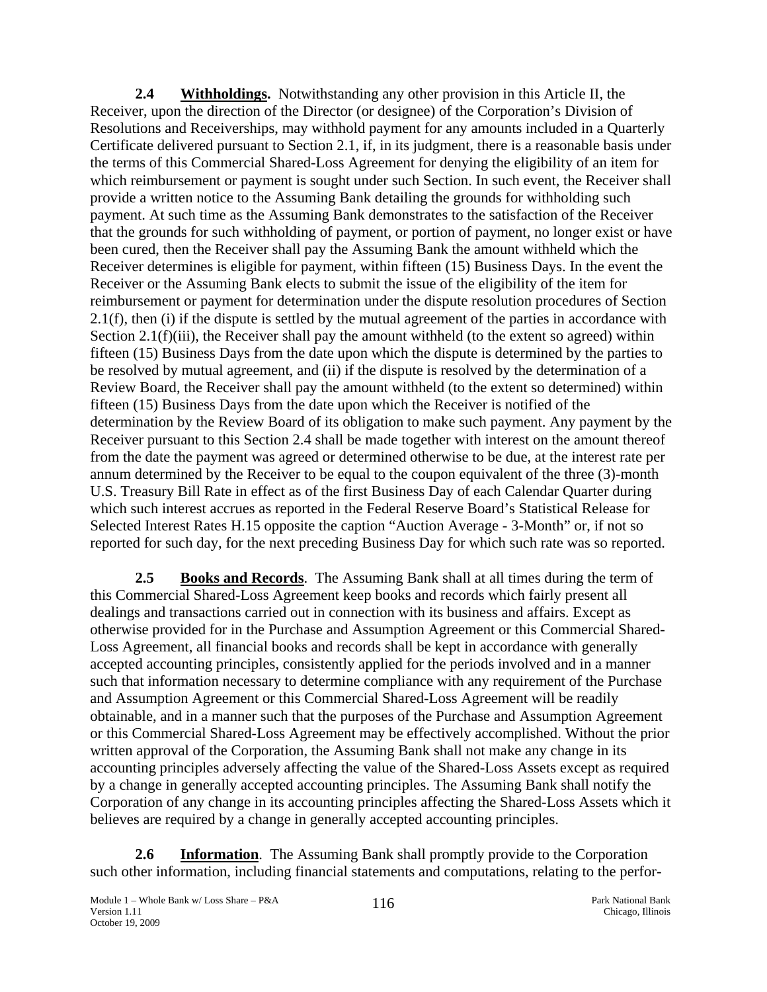**2.4 Withholdings.** Notwithstanding any other provision in this Article II, the Receiver, upon the direction of the Director (or designee) of the Corporation's Division of Resolutions and Receiverships, may withhold payment for any amounts included in a Quarterly Certificate delivered pursuant to Section 2.1, if, in its judgment, there is a reasonable basis under the terms of this Commercial Shared-Loss Agreement for denying the eligibility of an item for which reimbursement or payment is sought under such Section. In such event, the Receiver shall provide a written notice to the Assuming Bank detailing the grounds for withholding such payment. At such time as the Assuming Bank demonstrates to the satisfaction of the Receiver that the grounds for such withholding of payment, or portion of payment, no longer exist or have been cured, then the Receiver shall pay the Assuming Bank the amount withheld which the Receiver determines is eligible for payment, within fifteen (15) Business Days. In the event the Receiver or the Assuming Bank elects to submit the issue of the eligibility of the item for reimbursement or payment for determination under the dispute resolution procedures of Section 2.1(f), then (i) if the dispute is settled by the mutual agreement of the parties in accordance with Section 2.1(f)(iii), the Receiver shall pay the amount withheld (to the extent so agreed) within fifteen (15) Business Days from the date upon which the dispute is determined by the parties to be resolved by mutual agreement, and (ii) if the dispute is resolved by the determination of a Review Board, the Receiver shall pay the amount withheld (to the extent so determined) within fifteen (15) Business Days from the date upon which the Receiver is notified of the determination by the Review Board of its obligation to make such payment. Any payment by the Receiver pursuant to this Section 2.4 shall be made together with interest on the amount thereof from the date the payment was agreed or determined otherwise to be due, at the interest rate per annum determined by the Receiver to be equal to the coupon equivalent of the three (3)-month U.S. Treasury Bill Rate in effect as of the first Business Day of each Calendar Quarter during which such interest accrues as reported in the Federal Reserve Board's Statistical Release for Selected Interest Rates H.15 opposite the caption "Auction Average - 3-Month" or, if not so reported for such day, for the next preceding Business Day for which such rate was so reported.

**2.5 Books and Records**. The Assuming Bank shall at all times during the term of this Commercial Shared-Loss Agreement keep books and records which fairly present all dealings and transactions carried out in connection with its business and affairs. Except as otherwise provided for in the Purchase and Assumption Agreement or this Commercial Shared-Loss Agreement, all financial books and records shall be kept in accordance with generally accepted accounting principles, consistently applied for the periods involved and in a manner such that information necessary to determine compliance with any requirement of the Purchase and Assumption Agreement or this Commercial Shared-Loss Agreement will be readily obtainable, and in a manner such that the purposes of the Purchase and Assumption Agreement or this Commercial Shared-Loss Agreement may be effectively accomplished. Without the prior written approval of the Corporation, the Assuming Bank shall not make any change in its accounting principles adversely affecting the value of the Shared-Loss Assets except as required by a change in generally accepted accounting principles. The Assuming Bank shall notify the Corporation of any change in its accounting principles affecting the Shared-Loss Assets which it believes are required by a change in generally accepted accounting principles.

**2.6 Information**. The Assuming Bank shall promptly provide to the Corporation such other information, including financial statements and computations, relating to the perfor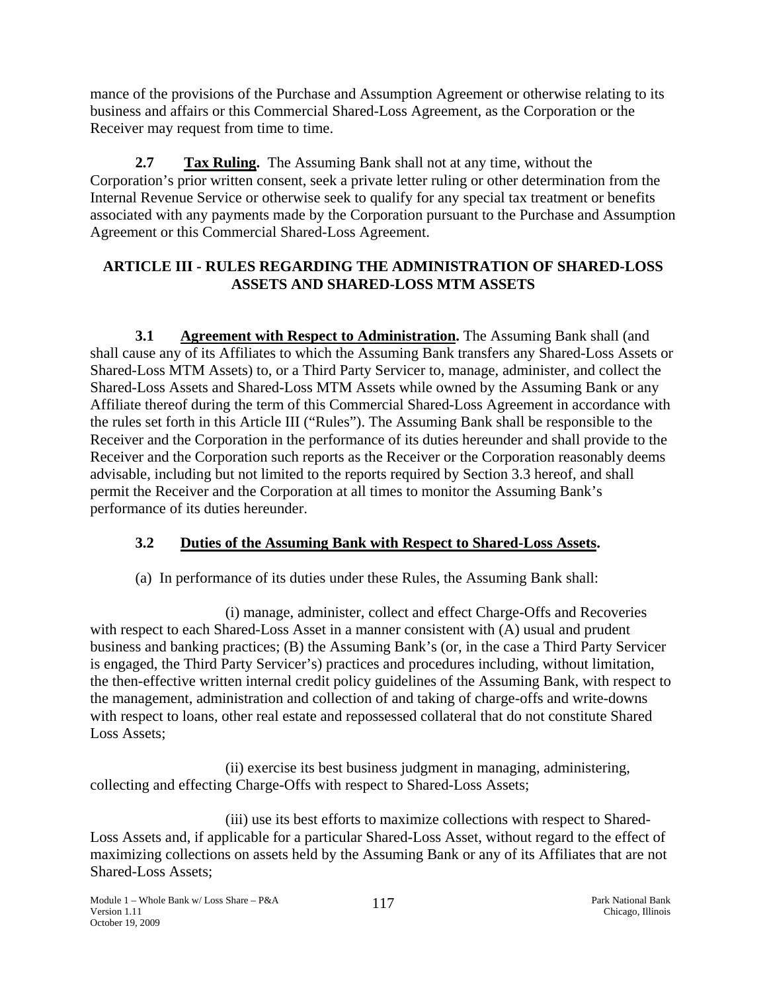mance of the provisions of the Purchase and Assumption Agreement or otherwise relating to its business and affairs or this Commercial Shared-Loss Agreement, as the Corporation or the Receiver may request from time to time.

**2.7 Tax Ruling.** The Assuming Bank shall not at any time, without the Corporation's prior written consent, seek a private letter ruling or other determination from the Internal Revenue Service or otherwise seek to qualify for any special tax treatment or benefits associated with any payments made by the Corporation pursuant to the Purchase and Assumption Agreement or this Commercial Shared-Loss Agreement.

# **ARTICLE III - RULES REGARDING THE ADMINISTRATION OF SHARED-LOSS ASSETS AND SHARED-LOSS MTM ASSETS**

**3.1** Agreement with Respect to Administration. The Assuming Bank shall (and shall cause any of its Affiliates to which the Assuming Bank transfers any Shared-Loss Assets or Shared-Loss MTM Assets) to, or a Third Party Servicer to, manage, administer, and collect the Shared-Loss Assets and Shared-Loss MTM Assets while owned by the Assuming Bank or any Affiliate thereof during the term of this Commercial Shared-Loss Agreement in accordance with the rules set forth in this Article III ("Rules"). The Assuming Bank shall be responsible to the Receiver and the Corporation in the performance of its duties hereunder and shall provide to the Receiver and the Corporation such reports as the Receiver or the Corporation reasonably deems advisable, including but not limited to the reports required by Section 3.3 hereof, and shall permit the Receiver and the Corporation at all times to monitor the Assuming Bank's performance of its duties hereunder.

# **3.2 Duties of the Assuming Bank with Respect to Shared-Loss Assets.**

(a) In performance of its duties under these Rules, the Assuming Bank shall:

(i) manage, administer, collect and effect Charge-Offs and Recoveries with respect to each Shared-Loss Asset in a manner consistent with (A) usual and prudent business and banking practices; (B) the Assuming Bank's (or, in the case a Third Party Servicer is engaged, the Third Party Servicer's) practices and procedures including, without limitation, the then-effective written internal credit policy guidelines of the Assuming Bank, with respect to the management, administration and collection of and taking of charge-offs and write-downs with respect to loans, other real estate and repossessed collateral that do not constitute Shared Loss Assets;

(ii) exercise its best business judgment in managing, administering, collecting and effecting Charge-Offs with respect to Shared-Loss Assets;

(iii) use its best efforts to maximize collections with respect to Shared-Loss Assets and, if applicable for a particular Shared-Loss Asset, without regard to the effect of maximizing collections on assets held by the Assuming Bank or any of its Affiliates that are not Shared-Loss Assets;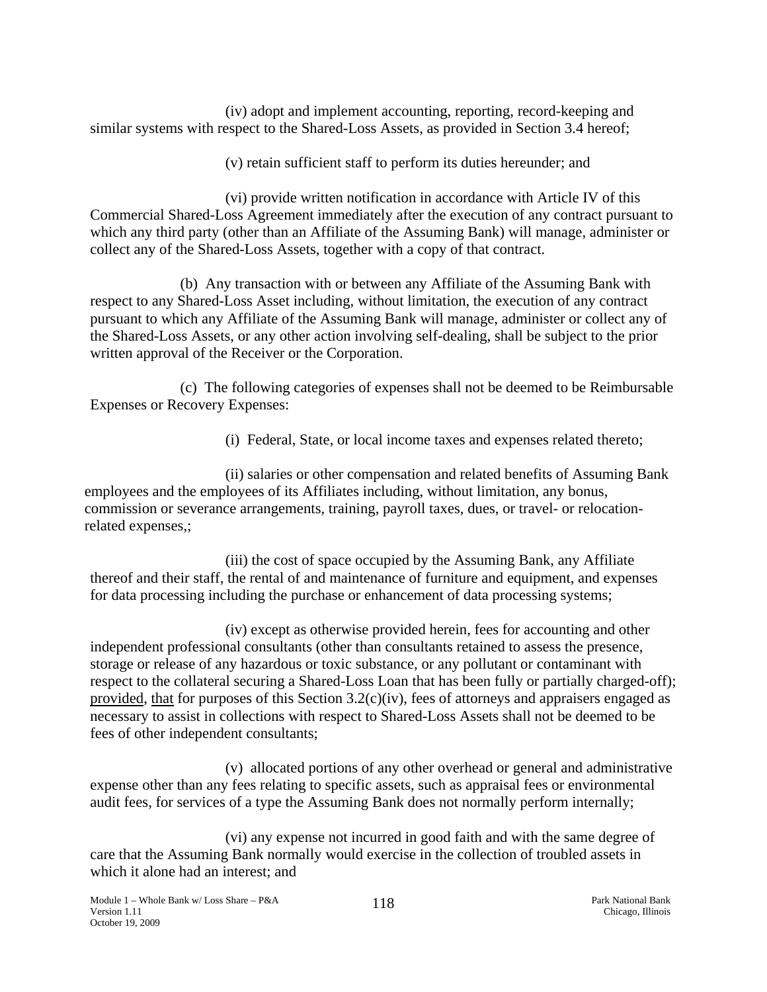(iv) adopt and implement accounting, reporting, record-keeping and similar systems with respect to the Shared-Loss Assets, as provided in Section 3.4 hereof;

(v) retain sufficient staff to perform its duties hereunder; and

(vi) provide written notification in accordance with Article IV of this Commercial Shared-Loss Agreement immediately after the execution of any contract pursuant to which any third party (other than an Affiliate of the Assuming Bank) will manage, administer or collect any of the Shared-Loss Assets, together with a copy of that contract.

(b) Any transaction with or between any Affiliate of the Assuming Bank with respect to any Shared-Loss Asset including, without limitation, the execution of any contract pursuant to which any Affiliate of the Assuming Bank will manage, administer or collect any of the Shared-Loss Assets, or any other action involving self-dealing, shall be subject to the prior written approval of the Receiver or the Corporation.

(c) The following categories of expenses shall not be deemed to be Reimbursable Expenses or Recovery Expenses:

(i) Federal, State, or local income taxes and expenses related thereto;

(ii) salaries or other compensation and related benefits of Assuming Bank employees and the employees of its Affiliates including, without limitation, any bonus, commission or severance arrangements, training, payroll taxes, dues, or travel- or relocationrelated expenses,;

(iii) the cost of space occupied by the Assuming Bank, any Affiliate thereof and their staff, the rental of and maintenance of furniture and equipment, and expenses for data processing including the purchase or enhancement of data processing systems;

(iv) except as otherwise provided herein, fees for accounting and other independent professional consultants (other than consultants retained to assess the presence, storage or release of any hazardous or toxic substance, or any pollutant or contaminant with respect to the collateral securing a Shared-Loss Loan that has been fully or partially charged-off); provided, that for purposes of this Section  $3.2(c)(iv)$ , fees of attorneys and appraisers engaged as necessary to assist in collections with respect to Shared-Loss Assets shall not be deemed to be fees of other independent consultants;

(v) allocated portions of any other overhead or general and administrative expense other than any fees relating to specific assets, such as appraisal fees or environmental audit fees, for services of a type the Assuming Bank does not normally perform internally;

(vi) any expense not incurred in good faith and with the same degree of care that the Assuming Bank normally would exercise in the collection of troubled assets in which it alone had an interest; and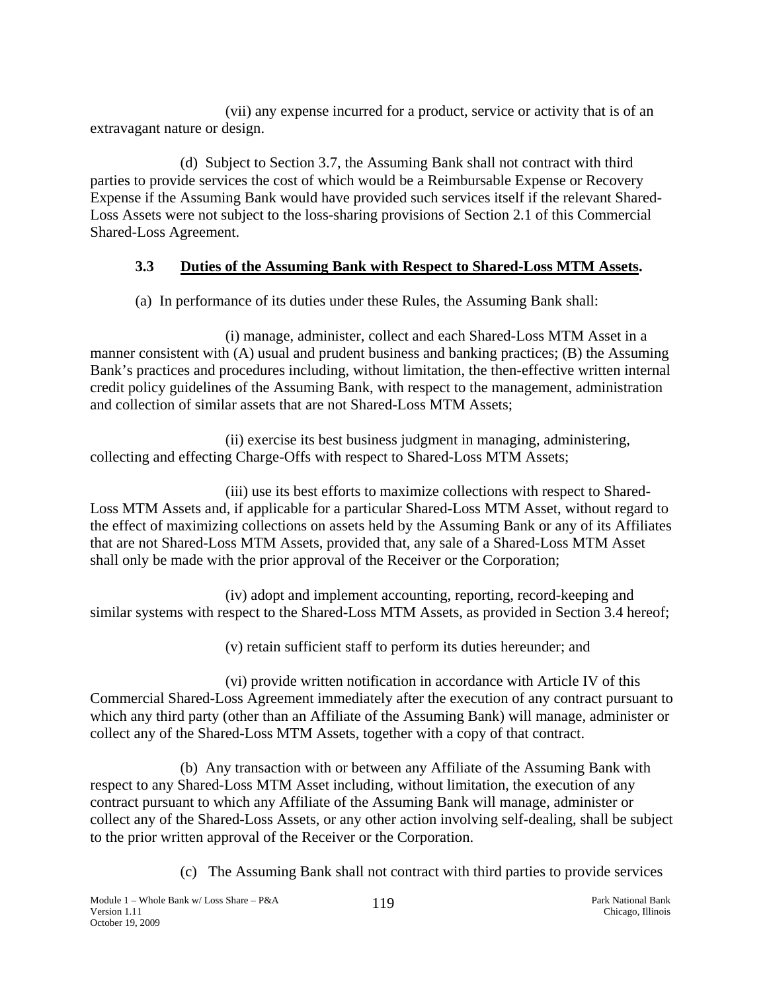(vii) any expense incurred for a product, service or activity that is of an extravagant nature or design.

(d) Subject to Section 3.7, the Assuming Bank shall not contract with third parties to provide services the cost of which would be a Reimbursable Expense or Recovery Expense if the Assuming Bank would have provided such services itself if the relevant Shared-Loss Assets were not subject to the loss-sharing provisions of Section 2.1 of this Commercial Shared-Loss Agreement.

# **3.3 Duties of the Assuming Bank with Respect to Shared-Loss MTM Assets.**

(a) In performance of its duties under these Rules, the Assuming Bank shall:

(i) manage, administer, collect and each Shared-Loss MTM Asset in a manner consistent with (A) usual and prudent business and banking practices; (B) the Assuming Bank's practices and procedures including, without limitation, the then-effective written internal credit policy guidelines of the Assuming Bank, with respect to the management, administration and collection of similar assets that are not Shared-Loss MTM Assets;

(ii) exercise its best business judgment in managing, administering, collecting and effecting Charge-Offs with respect to Shared-Loss MTM Assets;

(iii) use its best efforts to maximize collections with respect to Shared-Loss MTM Assets and, if applicable for a particular Shared-Loss MTM Asset, without regard to the effect of maximizing collections on assets held by the Assuming Bank or any of its Affiliates that are not Shared-Loss MTM Assets, provided that, any sale of a Shared-Loss MTM Asset shall only be made with the prior approval of the Receiver or the Corporation;

(iv) adopt and implement accounting, reporting, record-keeping and similar systems with respect to the Shared-Loss MTM Assets, as provided in Section 3.4 hereof;

(v) retain sufficient staff to perform its duties hereunder; and

(vi) provide written notification in accordance with Article IV of this Commercial Shared-Loss Agreement immediately after the execution of any contract pursuant to which any third party (other than an Affiliate of the Assuming Bank) will manage, administer or collect any of the Shared-Loss MTM Assets, together with a copy of that contract.

(b) Any transaction with or between any Affiliate of the Assuming Bank with respect to any Shared-Loss MTM Asset including, without limitation, the execution of any contract pursuant to which any Affiliate of the Assuming Bank will manage, administer or collect any of the Shared-Loss Assets, or any other action involving self-dealing, shall be subject to the prior written approval of the Receiver or the Corporation.

(c) The Assuming Bank shall not contract with third parties to provide services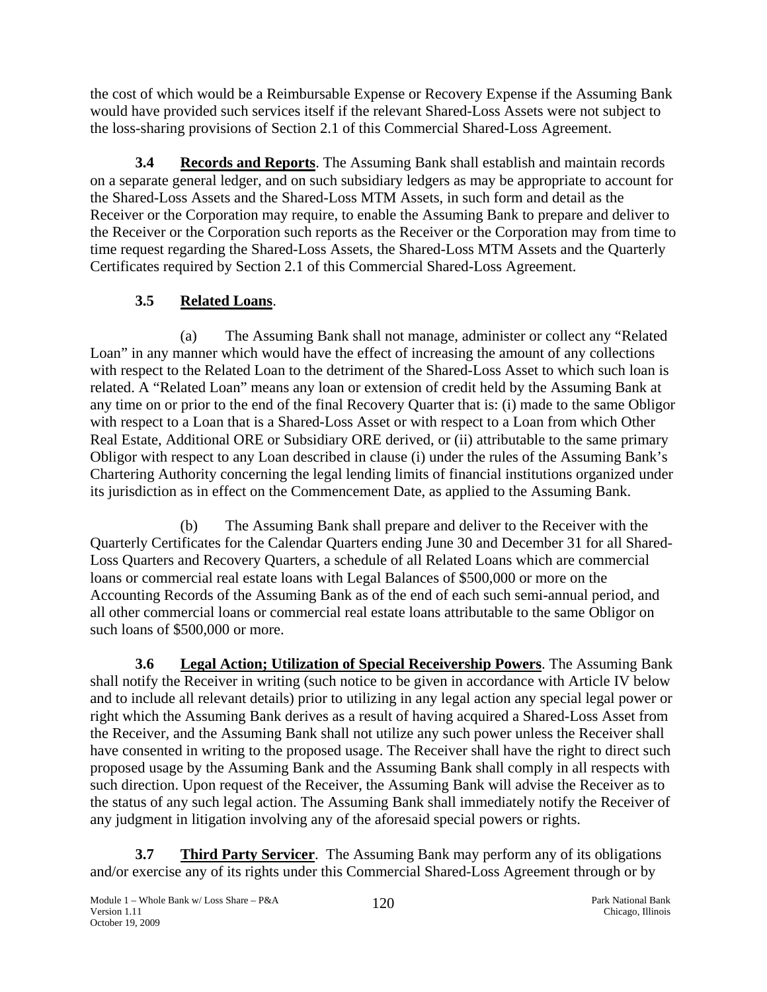the cost of which would be a Reimbursable Expense or Recovery Expense if the Assuming Bank would have provided such services itself if the relevant Shared-Loss Assets were not subject to the loss-sharing provisions of Section 2.1 of this Commercial Shared-Loss Agreement.

**3.4 Records and Reports**. The Assuming Bank shall establish and maintain records on a separate general ledger, and on such subsidiary ledgers as may be appropriate to account for the Shared-Loss Assets and the Shared-Loss MTM Assets, in such form and detail as the Receiver or the Corporation may require, to enable the Assuming Bank to prepare and deliver to the Receiver or the Corporation such reports as the Receiver or the Corporation may from time to time request regarding the Shared-Loss Assets, the Shared-Loss MTM Assets and the Quarterly Certificates required by Section 2.1 of this Commercial Shared-Loss Agreement.

# **3.5 Related Loans**.

(a) The Assuming Bank shall not manage, administer or collect any "Related Loan" in any manner which would have the effect of increasing the amount of any collections with respect to the Related Loan to the detriment of the Shared-Loss Asset to which such loan is related. A "Related Loan" means any loan or extension of credit held by the Assuming Bank at any time on or prior to the end of the final Recovery Quarter that is: (i) made to the same Obligor with respect to a Loan that is a Shared-Loss Asset or with respect to a Loan from which Other Real Estate, Additional ORE or Subsidiary ORE derived, or (ii) attributable to the same primary Obligor with respect to any Loan described in clause (i) under the rules of the Assuming Bank's Chartering Authority concerning the legal lending limits of financial institutions organized under its jurisdiction as in effect on the Commencement Date, as applied to the Assuming Bank.

(b) The Assuming Bank shall prepare and deliver to the Receiver with the Quarterly Certificates for the Calendar Quarters ending June 30 and December 31 for all Shared-Loss Quarters and Recovery Quarters, a schedule of all Related Loans which are commercial loans or commercial real estate loans with Legal Balances of \$500,000 or more on the Accounting Records of the Assuming Bank as of the end of each such semi-annual period, and all other commercial loans or commercial real estate loans attributable to the same Obligor on such loans of \$500,000 or more.

**3.6 Legal Action; Utilization of Special Receivership Powers**. The Assuming Bank shall notify the Receiver in writing (such notice to be given in accordance with Article IV below and to include all relevant details) prior to utilizing in any legal action any special legal power or right which the Assuming Bank derives as a result of having acquired a Shared-Loss Asset from the Receiver, and the Assuming Bank shall not utilize any such power unless the Receiver shall have consented in writing to the proposed usage. The Receiver shall have the right to direct such proposed usage by the Assuming Bank and the Assuming Bank shall comply in all respects with such direction. Upon request of the Receiver, the Assuming Bank will advise the Receiver as to the status of any such legal action. The Assuming Bank shall immediately notify the Receiver of any judgment in litigation involving any of the aforesaid special powers or rights.

**3.7 Third Party Servicer**. The Assuming Bank may perform any of its obligations and/or exercise any of its rights under this Commercial Shared-Loss Agreement through or by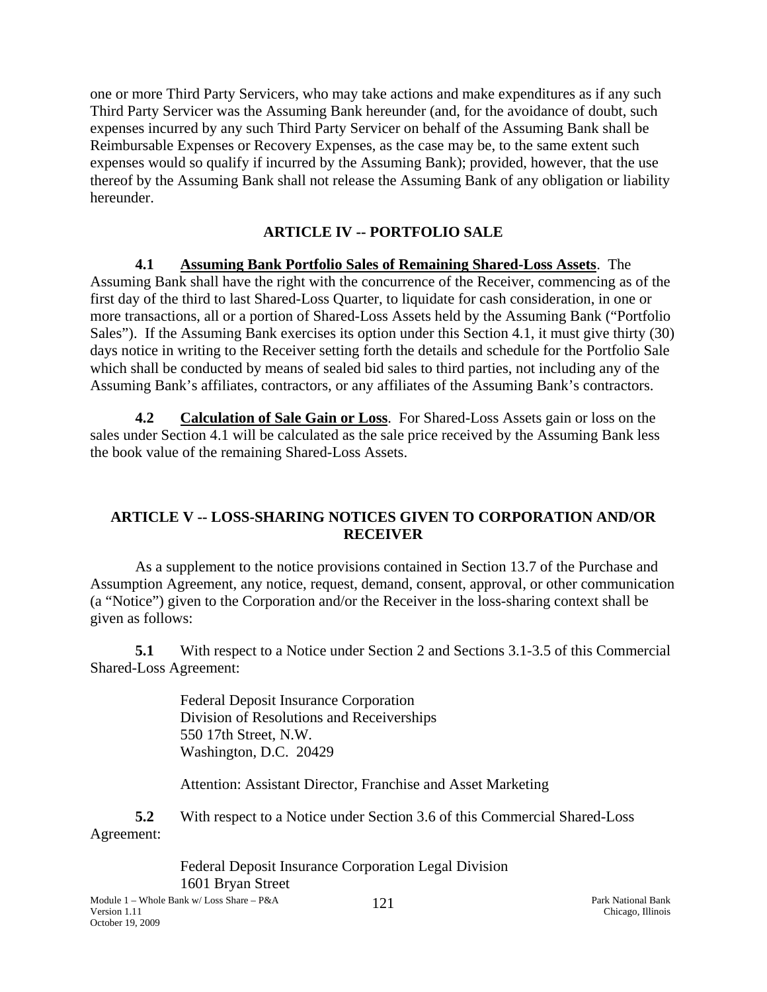one or more Third Party Servicers, who may take actions and make expenditures as if any such Third Party Servicer was the Assuming Bank hereunder (and, for the avoidance of doubt, such expenses incurred by any such Third Party Servicer on behalf of the Assuming Bank shall be Reimbursable Expenses or Recovery Expenses, as the case may be, to the same extent such expenses would so qualify if incurred by the Assuming Bank); provided, however, that the use thereof by the Assuming Bank shall not release the Assuming Bank of any obligation or liability hereunder.

### **ARTICLE IV -- PORTFOLIO SALE**

**4.1 Assuming Bank Portfolio Sales of Remaining Shared-Loss Assets**. The Assuming Bank shall have the right with the concurrence of the Receiver, commencing as of the first day of the third to last Shared-Loss Quarter, to liquidate for cash consideration, in one or more transactions, all or a portion of Shared-Loss Assets held by the Assuming Bank ("Portfolio Sales"). If the Assuming Bank exercises its option under this Section 4.1, it must give thirty (30) days notice in writing to the Receiver setting forth the details and schedule for the Portfolio Sale which shall be conducted by means of sealed bid sales to third parties, not including any of the Assuming Bank's affiliates, contractors, or any affiliates of the Assuming Bank's contractors.

**4.2 Calculation of Sale Gain or Loss**. For Shared-Loss Assets gain or loss on the sales under Section 4.1 will be calculated as the sale price received by the Assuming Bank less the book value of the remaining Shared-Loss Assets.

#### **ARTICLE V -- LOSS-SHARING NOTICES GIVEN TO CORPORATION AND/OR RECEIVER**

As a supplement to the notice provisions contained in Section 13.7 of the Purchase and Assumption Agreement, any notice, request, demand, consent, approval, or other communication (a "Notice") given to the Corporation and/or the Receiver in the loss-sharing context shall be given as follows:

**5.1** With respect to a Notice under Section 2 and Sections 3.1-3.5 of this Commercial Shared-Loss Agreement:

> Federal Deposit Insurance Corporation Division of Resolutions and Receiverships 550 17th Street, N.W. Washington, D.C. 20429

Attention: Assistant Director, Franchise and Asset Marketing

**5.2** With respect to a Notice under Section 3.6 of this Commercial Shared-Loss Agreement:

> Federal Deposit Insurance Corporation Legal Division 1601 Bryan Street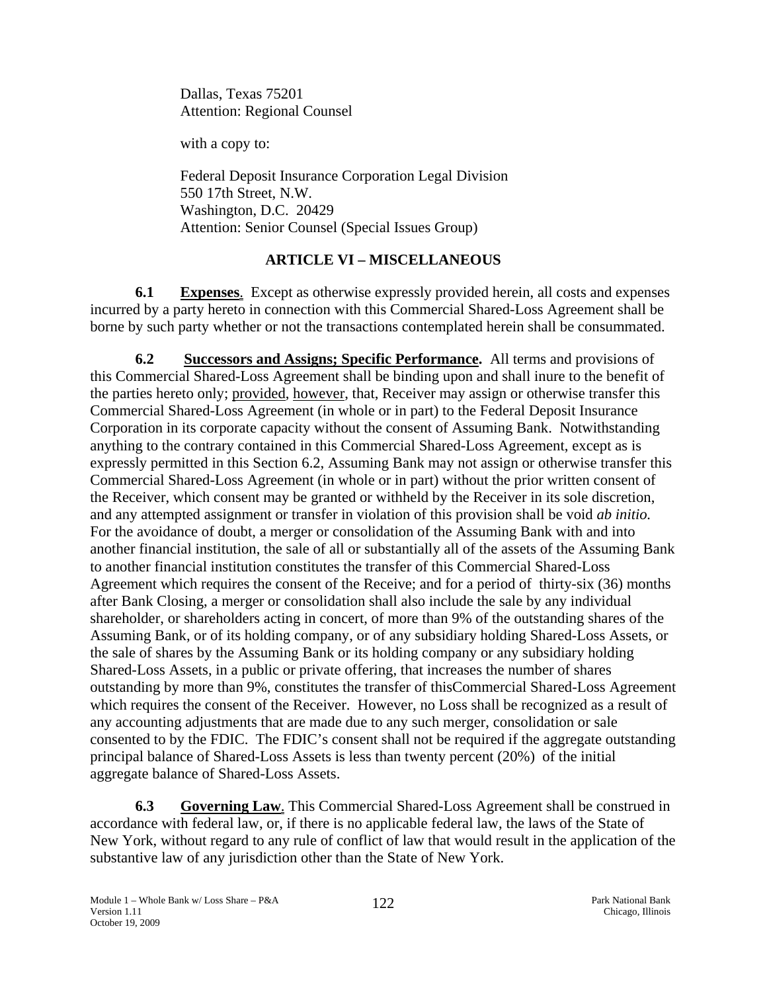Dallas, Texas 75201 Attention: Regional Counsel

with a copy to:

Federal Deposit Insurance Corporation Legal Division 550 17th Street, N.W. Washington, D.C. 20429 Attention: Senior Counsel (Special Issues Group)

# **ARTICLE VI – MISCELLANEOUS**

**6.1 Expenses**. Except as otherwise expressly provided herein, all costs and expenses incurred by a party hereto in connection with this Commercial Shared-Loss Agreement shall be borne by such party whether or not the transactions contemplated herein shall be consummated.

**6.2 Successors and Assigns; Specific Performance.** All terms and provisions of this Commercial Shared-Loss Agreement shall be binding upon and shall inure to the benefit of the parties hereto only; provided, however, that, Receiver may assign or otherwise transfer this Commercial Shared-Loss Agreement (in whole or in part) to the Federal Deposit Insurance Corporation in its corporate capacity without the consent of Assuming Bank. Notwithstanding anything to the contrary contained in this Commercial Shared-Loss Agreement, except as is expressly permitted in this Section 6.2, Assuming Bank may not assign or otherwise transfer this Commercial Shared-Loss Agreement (in whole or in part) without the prior written consent of the Receiver, which consent may be granted or withheld by the Receiver in its sole discretion, and any attempted assignment or transfer in violation of this provision shall be void *ab initio.*  For the avoidance of doubt, a merger or consolidation of the Assuming Bank with and into another financial institution, the sale of all or substantially all of the assets of the Assuming Bank to another financial institution constitutes the transfer of this Commercial Shared-Loss Agreement which requires the consent of the Receive; and for a period of thirty-six (36) months after Bank Closing, a merger or consolidation shall also include the sale by any individual shareholder, or shareholders acting in concert, of more than 9% of the outstanding shares of the Assuming Bank, or of its holding company, or of any subsidiary holding Shared-Loss Assets, or the sale of shares by the Assuming Bank or its holding company or any subsidiary holding Shared-Loss Assets, in a public or private offering, that increases the number of shares outstanding by more than 9%, constitutes the transfer of thisCommercial Shared-Loss Agreement which requires the consent of the Receiver. However, no Loss shall be recognized as a result of any accounting adjustments that are made due to any such merger, consolidation or sale consented to by the FDIC. The FDIC's consent shall not be required if the aggregate outstanding principal balance of Shared-Loss Assets is less than twenty percent (20%) of the initial aggregate balance of Shared-Loss Assets.

**6.3 Governing Law**. This Commercial Shared-Loss Agreement shall be construed in accordance with federal law, or, if there is no applicable federal law, the laws of the State of New York, without regard to any rule of conflict of law that would result in the application of the substantive law of any jurisdiction other than the State of New York.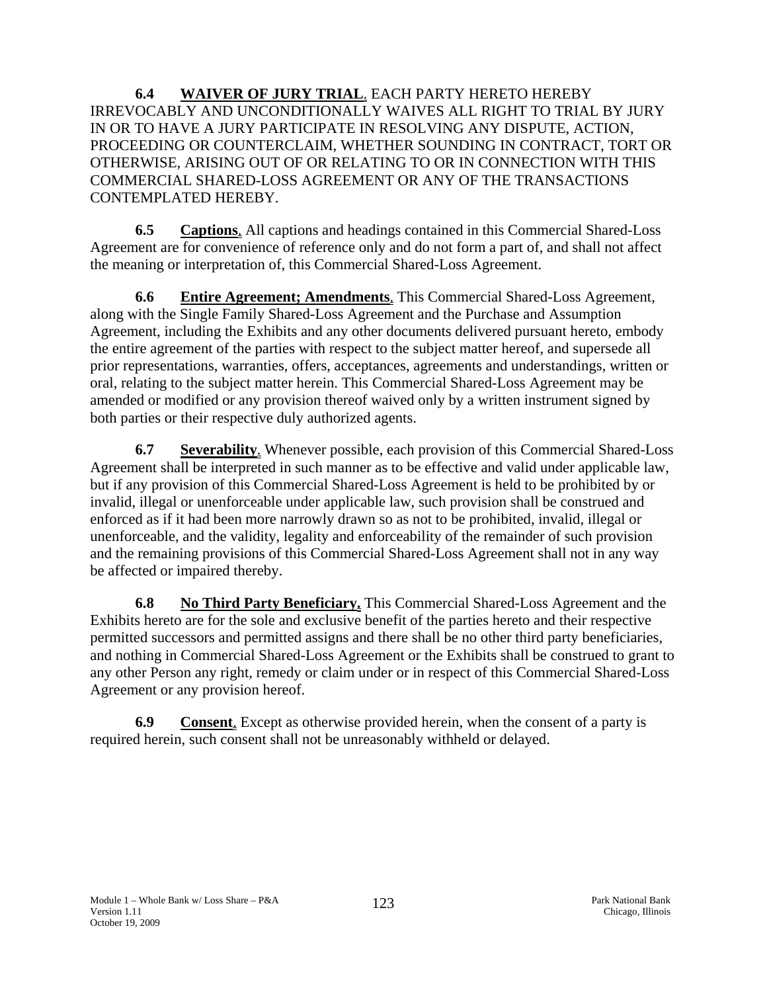**6.4 WAIVER OF JURY TRIAL**. EACH PARTY HERETO HEREBY IRREVOCABLY AND UNCONDITIONALLY WAIVES ALL RIGHT TO TRIAL BY JURY IN OR TO HAVE A JURY PARTICIPATE IN RESOLVING ANY DISPUTE, ACTION, PROCEEDING OR COUNTERCLAIM, WHETHER SOUNDING IN CONTRACT, TORT OR OTHERWISE, ARISING OUT OF OR RELATING TO OR IN CONNECTION WITH THIS COMMERCIAL SHARED-LOSS AGREEMENT OR ANY OF THE TRANSACTIONS CONTEMPLATED HEREBY.

**6.5 Captions**. All captions and headings contained in this Commercial Shared-Loss Agreement are for convenience of reference only and do not form a part of, and shall not affect the meaning or interpretation of, this Commercial Shared-Loss Agreement.

**6.6 Entire Agreement; Amendments**. This Commercial Shared-Loss Agreement, along with the Single Family Shared-Loss Agreement and the Purchase and Assumption Agreement, including the Exhibits and any other documents delivered pursuant hereto, embody the entire agreement of the parties with respect to the subject matter hereof, and supersede all prior representations, warranties, offers, acceptances, agreements and understandings, written or oral, relating to the subject matter herein. This Commercial Shared-Loss Agreement may be amended or modified or any provision thereof waived only by a written instrument signed by both parties or their respective duly authorized agents.

**6.7 Severability**. Whenever possible, each provision of this Commercial Shared-Loss Agreement shall be interpreted in such manner as to be effective and valid under applicable law, but if any provision of this Commercial Shared-Loss Agreement is held to be prohibited by or invalid, illegal or unenforceable under applicable law, such provision shall be construed and enforced as if it had been more narrowly drawn so as not to be prohibited, invalid, illegal or unenforceable, and the validity, legality and enforceability of the remainder of such provision and the remaining provisions of this Commercial Shared-Loss Agreement shall not in any way be affected or impaired thereby.

**6.8 No Third Party Beneficiary.** This Commercial Shared-Loss Agreement and the Exhibits hereto are for the sole and exclusive benefit of the parties hereto and their respective permitted successors and permitted assigns and there shall be no other third party beneficiaries, and nothing in Commercial Shared-Loss Agreement or the Exhibits shall be construed to grant to any other Person any right, remedy or claim under or in respect of this Commercial Shared-Loss Agreement or any provision hereof.

**6.9** Consent. Except as otherwise provided herein, when the consent of a party is required herein, such consent shall not be unreasonably withheld or delayed.